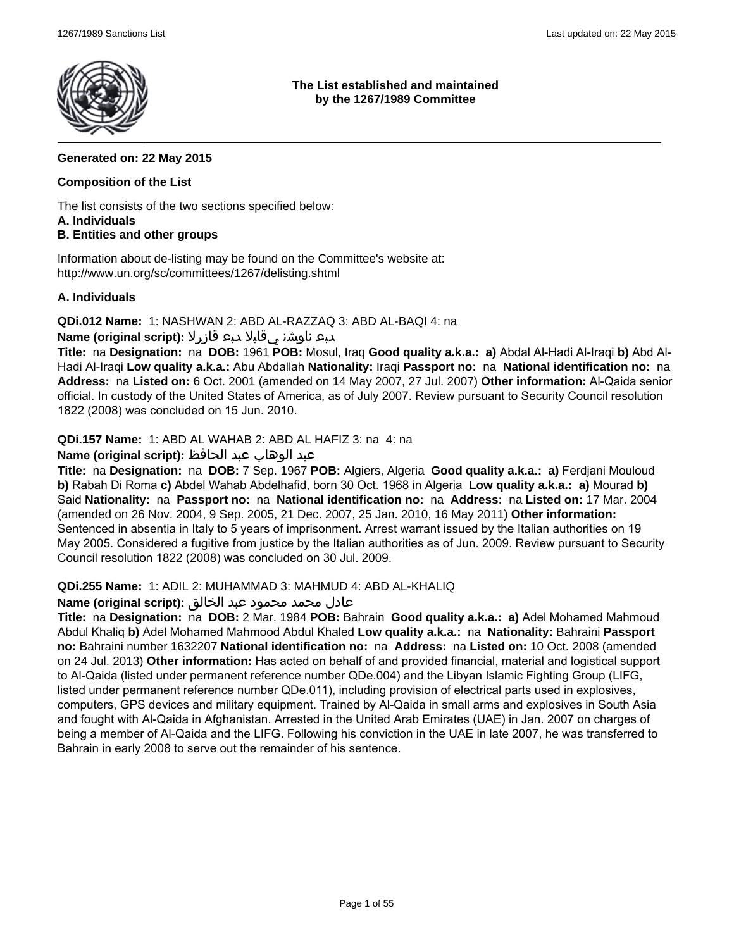

**The List established and maintained by the 1267/1989 Committee**

### **Generated on: 22 May 2015**

#### **Composition of the List**

The list consists of the two sections specified below: **A. Individuals**

#### **B. Entities and other groups**

Information about de-listing may be found on the Committee's website at: http://www.un.org/sc/committees/1267/delisting.shtml

#### **A. Individuals**

**QDi.012 Name:** 1: NASHWAN 2: ABD AL-RAZZAQ 3: ABD AL-BAQI 4: na

### دبع ناوشن يقابلا دبع قازرلا **:(script original (Name**

**Title:** na **Designation:** na **DOB:** 1961 **POB:** Mosul, Iraq **Good quality a.k.a.: a)** Abdal Al-Hadi Al-Iraqi **b)** Abd Al-Hadi Al-Iraqi **Low quality a.k.a.:** Abu Abdallah **Nationality:** Iraqi **Passport no:** na **National identification no:** na **Address:** na **Listed on:** 6 Oct. 2001 (amended on 14 May 2007, 27 Jul. 2007) **Other information:** Al-Qaida senior official. In custody of the United States of America, as of July 2007. Review pursuant to Security Council resolution 1822 (2008) was concluded on 15 Jun. 2010.

**QDi.157 Name:** 1: ABD AL WAHAB 2: ABD AL HAFIZ 3: na 4: na

## عبد الوهاب عبد الحافظ **:(script original (Name**

**Title:** na **Designation:** na **DOB:** 7 Sep. 1967 **POB:** Algiers, Algeria **Good quality a.k.a.: a)** Ferdjani Mouloud **b)** Rabah Di Roma **c)** Abdel Wahab Abdelhafid, born 30 Oct. 1968 in Algeria **Low quality a.k.a.: a)** Mourad **b)** Said **Nationality:** na **Passport no:** na **National identification no:** na **Address:** na **Listed on:** 17 Mar. 2004 (amended on 26 Nov. 2004, 9 Sep. 2005, 21 Dec. 2007, 25 Jan. 2010, 16 May 2011) **Other information:** Sentenced in absentia in Italy to 5 years of imprisonment. Arrest warrant issued by the Italian authorities on 19 May 2005. Considered a fugitive from justice by the Italian authorities as of Jun. 2009. Review pursuant to Security Council resolution 1822 (2008) was concluded on 30 Jul. 2009.

#### **QDi.255 Name:** 1: ADIL 2: MUHAMMAD 3: MAHMUD 4: ABD AL-KHALIQ

#### عادل محمد محمود عبد الخالق **:(script original (Name**

**Title:** na **Designation:** na **DOB:** 2 Mar. 1984 **POB:** Bahrain **Good quality a.k.a.: a)** Adel Mohamed Mahmoud Abdul Khaliq **b)** Adel Mohamed Mahmood Abdul Khaled **Low quality a.k.a.:** na **Nationality:** Bahraini **Passport no:** Bahraini number 1632207 **National identification no:** na **Address:** na **Listed on:** 10 Oct. 2008 (amended on 24 Jul. 2013) **Other information:** Has acted on behalf of and provided financial, material and logistical support to Al-Qaida (listed under permanent reference number QDe.004) and the Libyan Islamic Fighting Group (LIFG, listed under permanent reference number QDe.011), including provision of electrical parts used in explosives, computers, GPS devices and military equipment. Trained by Al-Qaida in small arms and explosives in South Asia and fought with Al-Qaida in Afghanistan. Arrested in the United Arab Emirates (UAE) in Jan. 2007 on charges of being a member of Al-Qaida and the LIFG. Following his conviction in the UAE in late 2007, he was transferred to Bahrain in early 2008 to serve out the remainder of his sentence.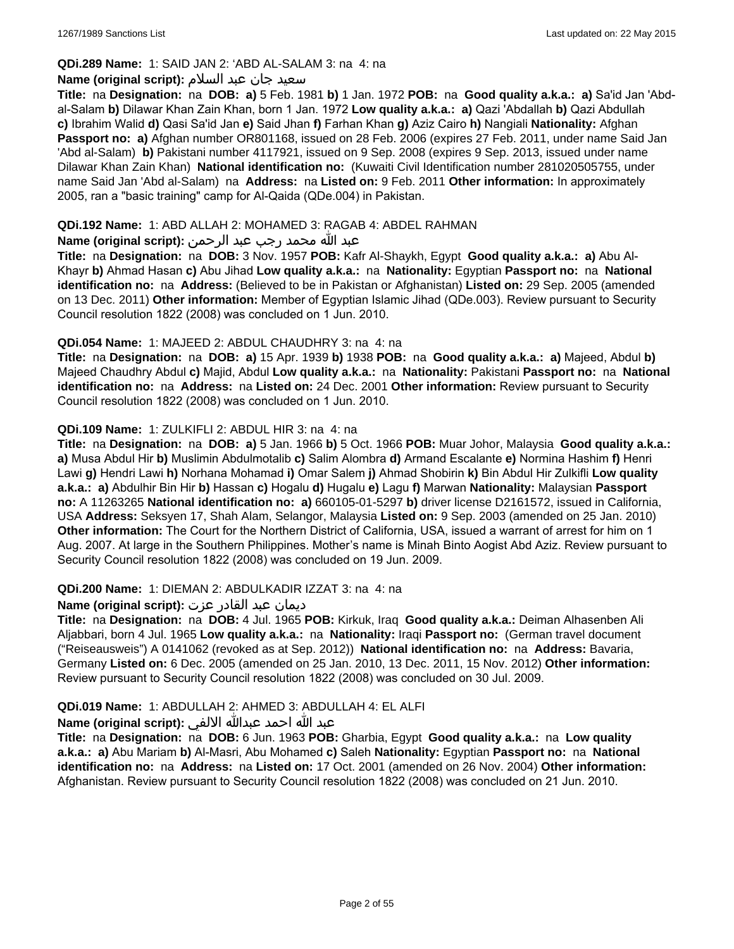## **QDi.289 Name:** 1: SAID JAN 2: 'ABD AL-SALAM 3: na 4: na

#### سعید جان عبد السلام **:(script original (Name**

**Title:** na **Designation:** na **DOB: a)** 5 Feb. 1981 **b)** 1 Jan. 1972 **POB:** na **Good quality a.k.a.: a)** Sa'id Jan 'Abdal-Salam **b)** Dilawar Khan Zain Khan, born 1 Jan. 1972 **Low quality a.k.a.: a)** Qazi 'Abdallah **b)** Qazi Abdullah **c)** Ibrahim Walid **d)** Qasi Sa'id Jan **e)** Said Jhan **f)** Farhan Khan **g)** Aziz Cairo **h)** Nangiali **Nationality:** Afghan **Passport no: a)** Afghan number OR801168, issued on 28 Feb. 2006 (expires 27 Feb. 2011, under name Said Jan 'Abd al-Salam) **b)** Pakistani number 4117921, issued on 9 Sep. 2008 (expires 9 Sep. 2013, issued under name Dilawar Khan Zain Khan) **National identification no:** (Kuwaiti Civil Identification number 281020505755, under name Said Jan 'Abd al-Salam) na **Address:** na **Listed on:** 9 Feb. 2011 **Other information:** In approximately 2005, ran a "basic training" camp for Al-Qaida (QDe.004) in Pakistan.

## **QDi.192 Name:** 1: ABD ALLAH 2: MOHAMED 3: RAGAB 4: ABDEL RAHMAN

## عبد الله محمد رجب عبد الرحمن **:(script original (Name**

**Title:** na **Designation:** na **DOB:** 3 Nov. 1957 **POB:** Kafr Al-Shaykh, Egypt **Good quality a.k.a.: a)** Abu Al-Khayr **b)** Ahmad Hasan **c)** Abu Jihad **Low quality a.k.a.:** na **Nationality:** Egyptian **Passport no:** na **National identification no:** na **Address:** (Believed to be in Pakistan or Afghanistan) **Listed on:** 29 Sep. 2005 (amended on 13 Dec. 2011) **Other information:** Member of Egyptian Islamic Jihad (QDe.003). Review pursuant to Security Council resolution 1822 (2008) was concluded on 1 Jun. 2010.

### **QDi.054 Name:** 1: MAJEED 2: ABDUL CHAUDHRY 3: na 4: na

**Title:** na **Designation:** na **DOB: a)** 15 Apr. 1939 **b)** 1938 **POB:** na **Good quality a.k.a.: a)** Majeed, Abdul **b)** Majeed Chaudhry Abdul **c)** Majid, Abdul **Low quality a.k.a.:** na **Nationality:** Pakistani **Passport no:** na **National identification no:** na **Address:** na **Listed on:** 24 Dec. 2001 **Other information:** Review pursuant to Security Council resolution 1822 (2008) was concluded on 1 Jun. 2010.

### **QDi.109 Name:** 1: ZULKIFLI 2: ABDUL HIR 3: na 4: na

**Title:** na **Designation:** na **DOB: a)** 5 Jan. 1966 **b)** 5 Oct. 1966 **POB:** Muar Johor, Malaysia **Good quality a.k.a.: a)** Musa Abdul Hir **b)** Muslimin Abdulmotalib **c)** Salim Alombra **d)** Armand Escalante **e)** Normina Hashim **f)** Henri Lawi **g)** Hendri Lawi **h)** Norhana Mohamad **i)** Omar Salem **j)** Ahmad Shobirin **k)** Bin Abdul Hir Zulkifli **Low quality a.k.a.: a)** Abdulhir Bin Hir **b)** Hassan **c)** Hogalu **d)** Hugalu **e)** Lagu **f)** Marwan **Nationality:** Malaysian **Passport no:** A 11263265 **National identification no: a)** 660105-01-5297 **b)** driver license D2161572, issued in California, USA **Address:** Seksyen 17, Shah Alam, Selangor, Malaysia **Listed on:** 9 Sep. 2003 (amended on 25 Jan. 2010) **Other information:** The Court for the Northern District of California, USA, issued a warrant of arrest for him on 1 Aug. 2007. At large in the Southern Philippines. Mother's name is Minah Binto Aogist Abd Aziz. Review pursuant to Security Council resolution 1822 (2008) was concluded on 19 Jun. 2009.

#### **QDi.200 Name:** 1: DIEMAN 2: ABDULKADIR IZZAT 3: na 4: na

#### ديمان عبد القادر عزت **:(script original (Name**

**Title:** na **Designation:** na **DOB:** 4 Jul. 1965 **POB:** Kirkuk, Iraq **Good quality a.k.a.:** Deiman Alhasenben Ali Aljabbari, born 4 Jul. 1965 **Low quality a.k.a.:** na **Nationality:** Iraqi **Passport no:** (German travel document ("Reiseausweis") A 0141062 (revoked as at Sep. 2012)) **National identification no:** na **Address:** Bavaria, Germany **Listed on:** 6 Dec. 2005 (amended on 25 Jan. 2010, 13 Dec. 2011, 15 Nov. 2012) **Other information:** Review pursuant to Security Council resolution 1822 (2008) was concluded on 30 Jul. 2009.

## **QDi.019 Name:** 1: ABDULLAH 2: AHMED 3: ABDULLAH 4: EL ALFI

#### عبد الله احمد عبدالله الالفي **:(script original (Name**

**Title:** na **Designation:** na **DOB:** 6 Jun. 1963 **POB:** Gharbia, Egypt **Good quality a.k.a.:** na **Low quality a.k.a.: a)** Abu Mariam **b)** Al-Masri, Abu Mohamed **c)** Saleh **Nationality:** Egyptian **Passport no:** na **National identification no:** na **Address:** na **Listed on:** 17 Oct. 2001 (amended on 26 Nov. 2004) **Other information:** Afghanistan. Review pursuant to Security Council resolution 1822 (2008) was concluded on 21 Jun. 2010.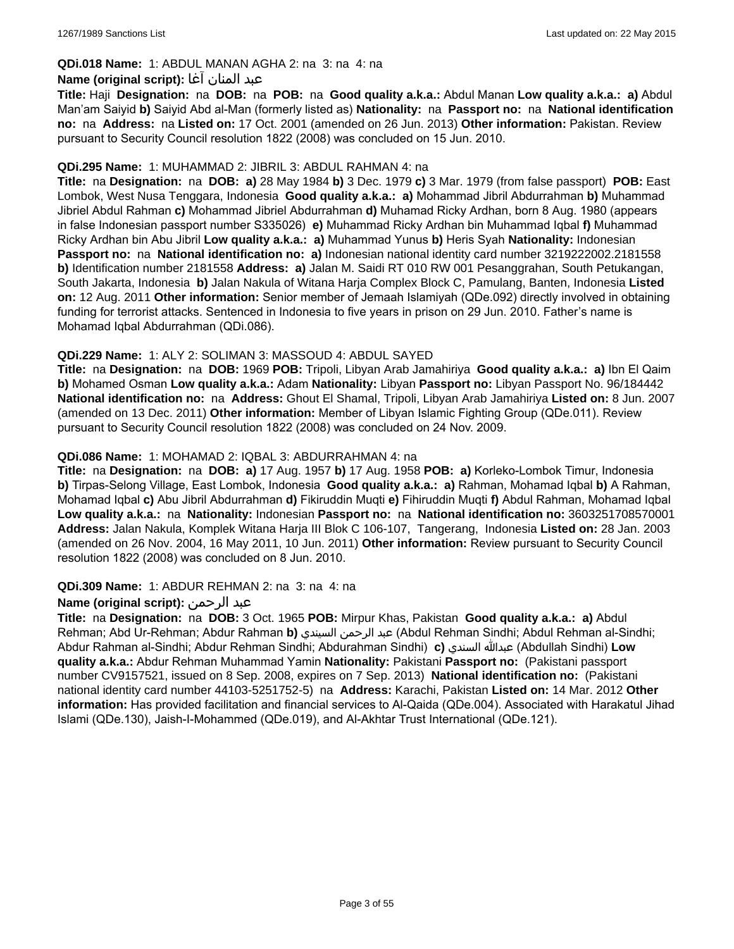## **QDi.018 Name:** 1: ABDUL MANAN AGHA 2: na 3: na 4: na

#### عبد المنان آغا **:(script original (Name**

**Title:** Haji **Designation:** na **DOB:** na **POB:** na **Good quality a.k.a.:** Abdul Manan **Low quality a.k.a.: a)** Abdul Man'am Saiyid **b)** Saiyid Abd al-Man (formerly listed as) **Nationality:** na **Passport no:** na **National identification no:** na **Address:** na **Listed on:** 17 Oct. 2001 (amended on 26 Jun. 2013) **Other information:** Pakistan. Review pursuant to Security Council resolution 1822 (2008) was concluded on 15 Jun. 2010.

#### **QDi.295 Name:** 1: MUHAMMAD 2: JIBRIL 3: ABDUL RAHMAN 4: na

**Title:** na **Designation:** na **DOB: a)** 28 May 1984 **b)** 3 Dec. 1979 **c)** 3 Mar. 1979 (from false passport) **POB:** East Lombok, West Nusa Tenggara, Indonesia **Good quality a.k.a.: a)** Mohammad Jibril Abdurrahman **b)** Muhammad Jibriel Abdul Rahman **c)** Mohammad Jibriel Abdurrahman **d)** Muhamad Ricky Ardhan, born 8 Aug. 1980 (appears in false Indonesian passport number S335026) **e)** Muhammad Ricky Ardhan bin Muhammad Iqbal **f)** Muhammad Ricky Ardhan bin Abu Jibril **Low quality a.k.a.: a)** Muhammad Yunus **b)** Heris Syah **Nationality:** Indonesian **Passport no:** na **National identification no: a)** Indonesian national identity card number 3219222002.2181558 **b)** Identification number 2181558 **Address: a)** Jalan M. Saidi RT 010 RW 001 Pesanggrahan, South Petukangan, South Jakarta, Indonesia **b)** Jalan Nakula of Witana Harja Complex Block C, Pamulang, Banten, Indonesia **Listed on:** 12 Aug. 2011 **Other information:** Senior member of Jemaah Islamiyah (QDe.092) directly involved in obtaining funding for terrorist attacks. Sentenced in Indonesia to five years in prison on 29 Jun. 2010. Father's name is Mohamad Iqbal Abdurrahman (QDi.086).

### **QDi.229 Name:** 1: ALY 2: SOLIMAN 3: MASSOUD 4: ABDUL SAYED

**Title:** na **Designation:** na **DOB:** 1969 **POB:** Tripoli, Libyan Arab Jamahiriya **Good quality a.k.a.: a)** Ibn El Qaim **b)** Mohamed Osman **Low quality a.k.a.:** Adam **Nationality:** Libyan **Passport no:** Libyan Passport No. 96/184442 **National identification no:** na **Address:** Ghout El Shamal, Tripoli, Libyan Arab Jamahiriya **Listed on:** 8 Jun. 2007 (amended on 13 Dec. 2011) **Other information:** Member of Libyan Islamic Fighting Group (QDe.011). Review pursuant to Security Council resolution 1822 (2008) was concluded on 24 Nov. 2009.

### **QDi.086 Name:** 1: MOHAMAD 2: IQBAL 3: ABDURRAHMAN 4: na

**Title:** na **Designation:** na **DOB: a)** 17 Aug. 1957 **b)** 17 Aug. 1958 **POB: a)** Korleko-Lombok Timur, Indonesia **b)** Tirpas-Selong Village, East Lombok, Indonesia **Good quality a.k.a.: a)** Rahman, Mohamad Iqbal **b)** A Rahman, Mohamad Iqbal **c)** Abu Jibril Abdurrahman **d)** Fikiruddin Muqti **e)** Fihiruddin Muqti **f)** Abdul Rahman, Mohamad Iqbal **Low quality a.k.a.:** na **Nationality:** Indonesian **Passport no:** na **National identification no:** 3603251708570001 **Address:** Jalan Nakula, Komplek Witana Harja III Blok C 106-107, Tangerang, Indonesia **Listed on:** 28 Jan. 2003 (amended on 26 Nov. 2004, 16 May 2011, 10 Jun. 2011) **Other information:** Review pursuant to Security Council resolution 1822 (2008) was concluded on 8 Jun. 2010.

#### **QDi.309 Name:** 1: ABDUR REHMAN 2: na 3: na 4: na

## **Name (original script):** الرحمن عبد

**Title:** na **Designation:** na **DOB:** 3 Oct. 1965 **POB:** Mirpur Khas, Pakistan **Good quality a.k.a.: a)** Abdul Rehman; Abd Ur-Rehman; Abdur Rahman **b)** السيندي الرحمن عبد) Abdul Rehman Sindhi; Abdul Rehman al-Sindhi; Abdur Rahman al-Sindhi; Abdur Rehman Sindhi; Abdurahman Sindhi) **c)** السندي عبدالله) Abdullah Sindhi) **Low quality a.k.a.:** Abdur Rehman Muhammad Yamin **Nationality:** Pakistani **Passport no:** (Pakistani passport number CV9157521, issued on 8 Sep. 2008, expires on 7 Sep. 2013) **National identification no:** (Pakistani national identity card number 44103-5251752-5) na **Address:** Karachi, Pakistan **Listed on:** 14 Mar. 2012 **Other information:** Has provided facilitation and financial services to Al-Qaida (QDe.004). Associated with Harakatul Jihad Islami (QDe.130), Jaish-I-Mohammed (QDe.019), and Al-Akhtar Trust International (QDe.121).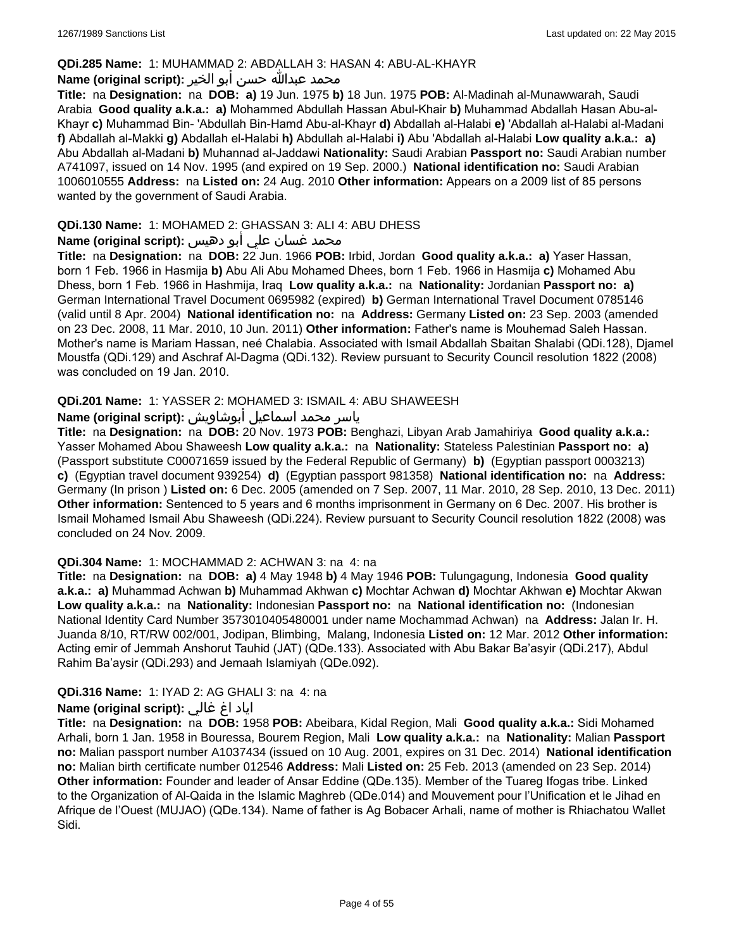#### **QDi.285 Name:** 1: MUHAMMAD 2: ABDALLAH 3: HASAN 4: ABU-AL-KHAYR

#### محمد عبدالله حسن أبو الخير **:Name (original script**)

**Title:** na **Designation:** na **DOB: a)** 19 Jun. 1975 **b)** 18 Jun. 1975 **POB:** Al-Madinah al-Munawwarah, Saudi Arabia **Good quality a.k.a.: a)** Mohammed Abdullah Hassan Abul-Khair **b)** Muhammad Abdallah Hasan Abu-al-Khayr **c)** Muhammad Bin- 'Abdullah Bin-Hamd Abu-al-Khayr **d)** Abdallah al-Halabi **e)** 'Abdallah al-Halabi al-Madani **f)** Abdallah al-Makki **g)** Abdallah el-Halabi **h)** Abdullah al-Halabi **i)** Abu 'Abdallah al-Halabi **Low quality a.k.a.: a)** Abu Abdallah al-Madani **b)** Muhannad al-Jaddawi **Nationality:** Saudi Arabian **Passport no:** Saudi Arabian number A741097, issued on 14 Nov. 1995 (and expired on 19 Sep. 2000.) **National identification no:** Saudi Arabian 1006010555 **Address:** na **Listed on:** 24 Aug. 2010 **Other information:** Appears on a 2009 list of 85 persons wanted by the government of Saudi Arabia.

## **QDi.130 Name:** 1: MOHAMED 2: GHASSAN 3: ALI 4: ABU DHESS

## محمد غسان علي أبو دهيس **:Name (original script**)

**Title:** na **Designation:** na **DOB:** 22 Jun. 1966 **POB:** Irbid, Jordan **Good quality a.k.a.: a)** Yaser Hassan, born 1 Feb. 1966 in Hasmija **b)** Abu Ali Abu Mohamed Dhees, born 1 Feb. 1966 in Hasmija **c)** Mohamed Abu Dhess, born 1 Feb. 1966 in Hashmija, Iraq **Low quality a.k.a.:** na **Nationality:** Jordanian **Passport no: a)** German International Travel Document 0695982 (expired) **b)** German International Travel Document 0785146 (valid until 8 Apr. 2004) **National identification no:** na **Address:** Germany **Listed on:** 23 Sep. 2003 (amended on 23 Dec. 2008, 11 Mar. 2010, 10 Jun. 2011) **Other information:** Father's name is Mouhemad Saleh Hassan. Mother's name is Mariam Hassan, neé Chalabia. Associated with Ismail Abdallah Sbaitan Shalabi (QDi.128), Djamel Moustfa (QDi.129) and Aschraf Al-Dagma (QDi.132). Review pursuant to Security Council resolution 1822 (2008) was concluded on 19 Jan. 2010.

## **QDi.201 Name:** 1: YASSER 2: MOHAMED 3: ISMAIL 4: ABU SHAWEESH

# ياسر محمد اسماعيل أبوشاويش :Name (original script)

**Title:** na **Designation:** na **DOB:** 20 Nov. 1973 **POB:** Benghazi, Libyan Arab Jamahiriya **Good quality a.k.a.:** Yasser Mohamed Abou Shaweesh **Low quality a.k.a.:** na **Nationality:** Stateless Palestinian **Passport no: a)**  (Passport substitute C00071659 issued by the Federal Republic of Germany) **b)** (Egyptian passport 0003213) **c)** (Egyptian travel document 939254) **d)** (Egyptian passport 981358) **National identification no:** na **Address:** Germany (In prison ) **Listed on:** 6 Dec. 2005 (amended on 7 Sep. 2007, 11 Mar. 2010, 28 Sep. 2010, 13 Dec. 2011) **Other information:** Sentenced to 5 years and 6 months imprisonment in Germany on 6 Dec. 2007. His brother is Ismail Mohamed Ismail Abu Shaweesh (QDi.224). Review pursuant to Security Council resolution 1822 (2008) was concluded on 24 Nov. 2009.

#### **QDi.304 Name:** 1: MOCHAMMAD 2: ACHWAN 3: na 4: na

**Title:** na **Designation:** na **DOB: a)** 4 May 1948 **b)** 4 May 1946 **POB:** Tulungagung, Indonesia **Good quality a.k.a.: a)** Muhammad Achwan **b)** Muhammad Akhwan **c)** Mochtar Achwan **d)** Mochtar Akhwan **e)** Mochtar Akwan **Low quality a.k.a.:** na **Nationality:** Indonesian **Passport no:** na **National identification no:** (Indonesian National Identity Card Number 3573010405480001 under name Mochammad Achwan) na **Address:** Jalan Ir. H. Juanda 8/10, RT/RW 002/001, Jodipan, Blimbing, Malang, Indonesia **Listed on:** 12 Mar. 2012 **Other information:** Acting emir of Jemmah Anshorut Tauhid (JAT) (QDe.133). Associated with Abu Bakar Ba'asyir (QDi.217), Abdul Rahim Ba'aysir (QDi.293) and Jemaah Islamiyah (QDe.092).

#### **QDi.316 Name:** 1: IYAD 2: AG GHALI 3: na 4: na

## اياد اغ غالي **:(script original (Name**

**Title:** na **Designation:** na **DOB:** 1958 **POB:** Abeibara, Kidal Region, Mali **Good quality a.k.a.:** Sidi Mohamed Arhali, born 1 Jan. 1958 in Bouressa, Bourem Region, Mali **Low quality a.k.a.:** na **Nationality:** Malian **Passport no:** Malian passport number A1037434 (issued on 10 Aug. 2001, expires on 31 Dec. 2014) **National identification no:** Malian birth certificate number 012546 **Address:** Mali **Listed on:** 25 Feb. 2013 (amended on 23 Sep. 2014) **Other information:** Founder and leader of Ansar Eddine (QDe.135). Member of the Tuareg Ifogas tribe. Linked to the Organization of Al-Qaida in the Islamic Maghreb (QDe.014) and Mouvement pour l'Unification et le Jihad en Afrique de l'Ouest (MUJAO) (QDe.134). Name of father is Ag Bobacer Arhali, name of mother is Rhiachatou Wallet Sidi.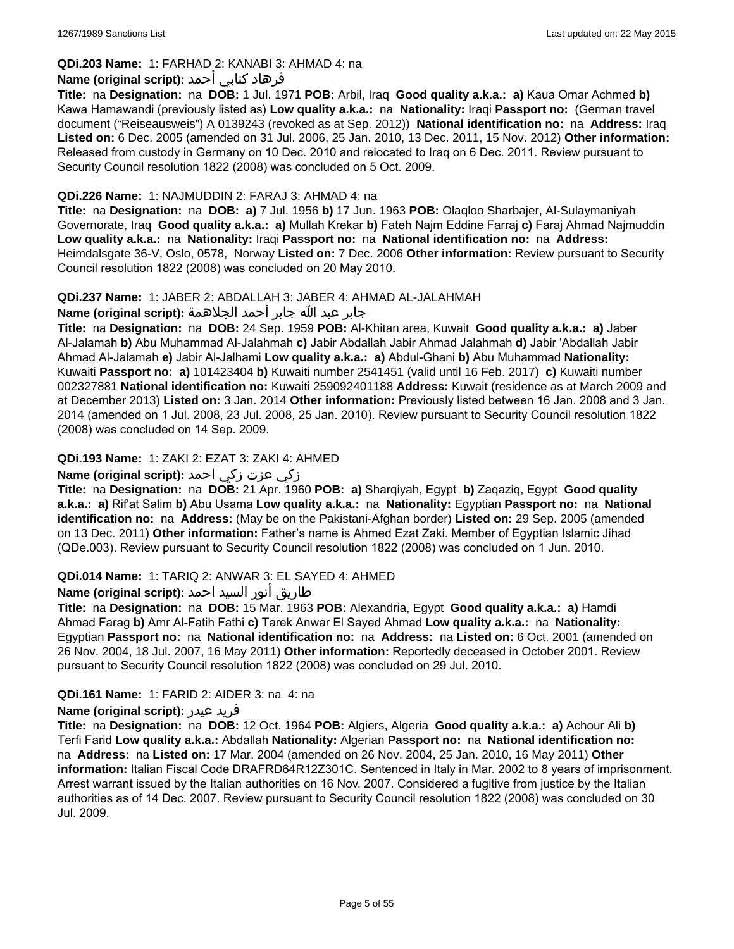## **QDi.203 Name:** 1: FARHAD 2: KANABI 3: AHMAD 4: na

## فرهاد كنابي أحمد **:Name (original script)**

**Title:** na **Designation:** na **DOB:** 1 Jul. 1971 **POB:** Arbil, Iraq **Good quality a.k.a.: a)** Kaua Omar Achmed **b)** Kawa Hamawandi (previously listed as) **Low quality a.k.a.:** na **Nationality:** Iraqi **Passport no:** (German travel document ("Reiseausweis") A 0139243 (revoked as at Sep. 2012)) **National identification no:** na **Address:** Iraq **Listed on:** 6 Dec. 2005 (amended on 31 Jul. 2006, 25 Jan. 2010, 13 Dec. 2011, 15 Nov. 2012) **Other information:** Released from custody in Germany on 10 Dec. 2010 and relocated to Iraq on 6 Dec. 2011. Review pursuant to Security Council resolution 1822 (2008) was concluded on 5 Oct. 2009.

#### **QDi.226 Name:** 1: NAJMUDDIN 2: FARAJ 3: AHMAD 4: na

**Title:** na **Designation:** na **DOB: a)** 7 Jul. 1956 **b)** 17 Jun. 1963 **POB:** Olaqloo Sharbajer, Al-Sulaymaniyah Governorate, Iraq **Good quality a.k.a.: a)** Mullah Krekar **b)** Fateh Najm Eddine Farraj **c)** Faraj Ahmad Najmuddin **Low quality a.k.a.:** na **Nationality:** Iraqi **Passport no:** na **National identification no:** na **Address:** Heimdalsgate 36-V, Oslo, 0578, Norway **Listed on:** 7 Dec. 2006 **Other information:** Review pursuant to Security Council resolution 1822 (2008) was concluded on 20 May 2010.

### **QDi.237 Name:** 1: JABER 2: ABDALLAH 3: JABER 4: AHMAD AL-JALAHMAH

جابر عبد الله جابر أحمد الجلاهمة **:(script original (Name**

**Title:** na **Designation:** na **DOB:** 24 Sep. 1959 **POB:** Al-Khitan area, Kuwait **Good quality a.k.a.: a)** Jaber Al-Jalamah **b)** Abu Muhammad Al-Jalahmah **c)** Jabir Abdallah Jabir Ahmad Jalahmah **d)** Jabir 'Abdallah Jabir Ahmad Al-Jalamah **e)** Jabir Al-Jalhami **Low quality a.k.a.: a)** Abdul-Ghani **b)** Abu Muhammad **Nationality:** Kuwaiti **Passport no: a)** 101423404 **b)** Kuwaiti number 2541451 (valid until 16 Feb. 2017) **c)** Kuwaiti number 002327881 **National identification no:** Kuwaiti 259092401188 **Address:** Kuwait (residence as at March 2009 and at December 2013) **Listed on:** 3 Jan. 2014 **Other information:** Previously listed between 16 Jan. 2008 and 3 Jan. 2014 (amended on 1 Jul. 2008, 23 Jul. 2008, 25 Jan. 2010). Review pursuant to Security Council resolution 1822 (2008) was concluded on 14 Sep. 2009.

## **QDi.193 Name:** 1: ZAKI 2: EZAT 3: ZAKI 4: AHMED

## زكي عزت زكي احمد **:(script original (Name**

**Title:** na **Designation:** na **DOB:** 21 Apr. 1960 **POB: a)** Sharqiyah, Egypt **b)** Zaqaziq, Egypt **Good quality a.k.a.: a)** Rif'at Salim **b)** Abu Usama **Low quality a.k.a.:** na **Nationality:** Egyptian **Passport no:** na **National identification no:** na **Address:** (May be on the Pakistani-Afghan border) **Listed on:** 29 Sep. 2005 (amended on 13 Dec. 2011) **Other information:** Father's name is Ahmed Ezat Zaki. Member of Egyptian Islamic Jihad (QDe.003). Review pursuant to Security Council resolution 1822 (2008) was concluded on 1 Jun. 2010.

## **QDi.014 Name:** 1: TARIQ 2: ANWAR 3: EL SAYED 4: AHMED

## طاريق أنور السيد احمد **:Name (original script**)

**Title:** na **Designation:** na **DOB:** 15 Mar. 1963 **POB:** Alexandria, Egypt **Good quality a.k.a.: a)** Hamdi Ahmad Farag **b)** Amr Al-Fatih Fathi **c)** Tarek Anwar El Sayed Ahmad **Low quality a.k.a.:** na **Nationality:** Egyptian **Passport no:** na **National identification no:** na **Address:** na **Listed on:** 6 Oct. 2001 (amended on 26 Nov. 2004, 18 Jul. 2007, 16 May 2011) **Other information:** Reportedly deceased in October 2001. Review pursuant to Security Council resolution 1822 (2008) was concluded on 29 Jul. 2010.

## **QDi.161 Name:** 1: FARID 2: AIDER 3: na 4: na

#### **Name (original script):** عيدر فريد

**Title:** na **Designation:** na **DOB:** 12 Oct. 1964 **POB:** Algiers, Algeria **Good quality a.k.a.: a)** Achour Ali **b)** Terfi Farid **Low quality a.k.a.:** Abdallah **Nationality:** Algerian **Passport no:** na **National identification no:**  na **Address:** na **Listed on:** 17 Mar. 2004 (amended on 26 Nov. 2004, 25 Jan. 2010, 16 May 2011) **Other information:** Italian Fiscal Code DRAFRD64R12Z301C. Sentenced in Italy in Mar. 2002 to 8 years of imprisonment. Arrest warrant issued by the Italian authorities on 16 Nov. 2007. Considered a fugitive from justice by the Italian authorities as of 14 Dec. 2007. Review pursuant to Security Council resolution 1822 (2008) was concluded on 30 Jul. 2009.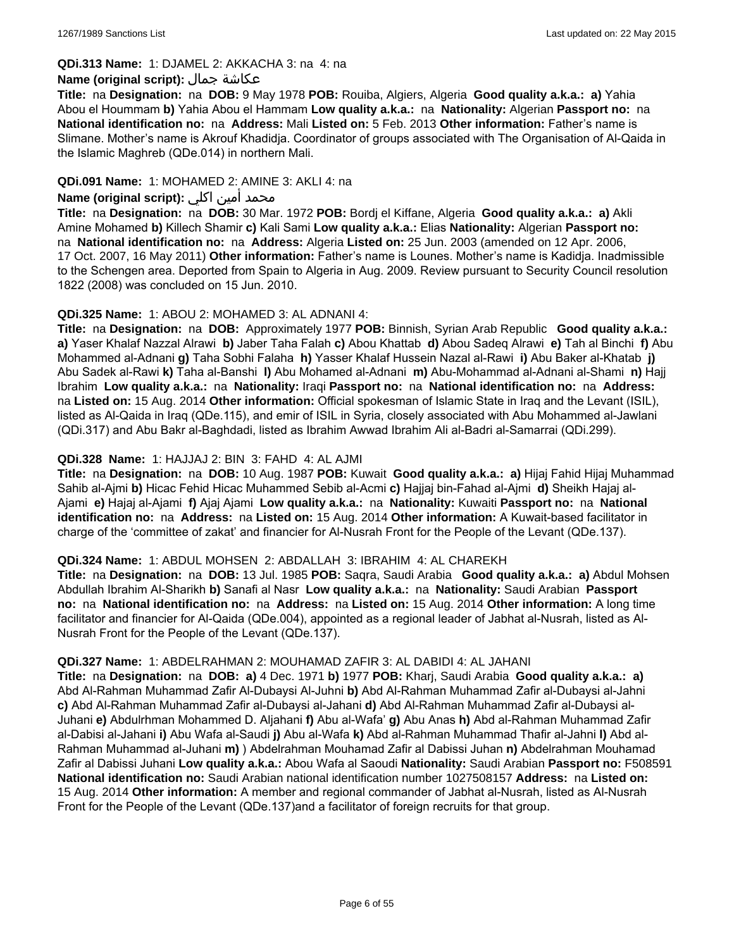#### **QDi.313 Name:** 1: DJAMEL 2: AKKACHA 3: na 4: na

#### **Name (original script):** جمال عكاشة

**Title:** na **Designation:** na **DOB:** 9 May 1978 **POB:** Rouiba, Algiers, Algeria **Good quality a.k.a.: a)** Yahia Abou el Hoummam **b)** Yahia Abou el Hammam **Low quality a.k.a.:** na **Nationality:** Algerian **Passport no:** na **National identification no:** na **Address:** Mali **Listed on:** 5 Feb. 2013 **Other information:** Father's name is Slimane. Mother's name is Akrouf Khadidja. Coordinator of groups associated with The Organisation of Al-Qaida in the Islamic Maghreb (QDe.014) in northern Mali.

## **QDi.091 Name:** 1: MOHAMED 2: AMINE 3: AKLI 4: na

## محمد أمين اكلي **:Name (original script)**

**Title:** na **Designation:** na **DOB:** 30 Mar. 1972 **POB:** Bordj el Kiffane, Algeria **Good quality a.k.a.: a)** Akli Amine Mohamed **b)** Killech Shamir **c)** Kali Sami **Low quality a.k.a.:** Elias **Nationality:** Algerian **Passport no:**  na **National identification no:** na **Address:** Algeria **Listed on:** 25 Jun. 2003 (amended on 12 Apr. 2006, 17 Oct. 2007, 16 May 2011) **Other information:** Father's name is Lounes. Mother's name is Kadidja. Inadmissible to the Schengen area. Deported from Spain to Algeria in Aug. 2009. Review pursuant to Security Council resolution 1822 (2008) was concluded on 15 Jun. 2010.

#### **QDi.325 Name:** 1: ABOU 2: MOHAMED 3: AL ADNANI 4:

**Title:** na **Designation:** na **DOB:** Approximately 1977 **POB:** Binnish, Syrian Arab Republic **Good quality a.k.a.: a)** Yaser Khalaf Nazzal Alrawi **b)** Jaber Taha Falah **c)** Abou Khattab **d)** Abou Sadeq Alrawi **e)** Tah al Binchi **f)** Abu Mohammed al-Adnani **g)** Taha Sobhi Falaha **h)** Yasser Khalaf Hussein Nazal al-Rawi **i)** Abu Baker al-Khatab **j)** Abu Sadek al-Rawi **k)** Taha al-Banshi **l)** Abu Mohamed al-Adnani **m)** Abu-Mohammad al-Adnani al-Shami **n)** Hajj Ibrahim **Low quality a.k.a.:** na **Nationality:** Iraqi **Passport no:** na **National identification no:** na **Address:**  na **Listed on:** 15 Aug. 2014 **Other information:** Official spokesman of Islamic State in Iraq and the Levant (ISIL), listed as Al-Qaida in Iraq (QDe.115), and emir of ISIL in Syria, closely associated with Abu Mohammed al-Jawlani (QDi.317) and Abu Bakr al-Baghdadi, listed as Ibrahim Awwad Ibrahim Ali al-Badri al-Samarrai (QDi.299).

### **QDi.328 Name:** 1: HAJJAJ 2: BIN 3: FAHD 4: AL AJMI

**Title:** na **Designation:** na **DOB:** 10 Aug. 1987 **POB:** Kuwait **Good quality a.k.a.: a)** Hijaj Fahid Hijaj Muhammad Sahib al-Ajmi **b)** Hicac Fehid Hicac Muhammed Sebib al-Acmi **c)** Hajjaj bin-Fahad al-Ajmi **d)** Sheikh Hajaj al-Ajami **e)** Hajaj al-Ajami **f)** Ajaj Ajami **Low quality a.k.a.:** na **Nationality:** Kuwaiti **Passport no:** na **National identification no:** na **Address:** na **Listed on:** 15 Aug. 2014 **Other information:** A Kuwait-based facilitator in charge of the 'committee of zakat' and financier for Al-Nusrah Front for the People of the Levant (QDe.137).

#### **QDi.324 Name:** 1: ABDUL MOHSEN 2: ABDALLAH 3: IBRAHIM 4: AL CHAREKH

**Title:** na **Designation:** na **DOB:** 13 Jul. 1985 **POB:** Saqra, Saudi Arabia **Good quality a.k.a.: a)** Abdul Mohsen Abdullah Ibrahim Al-Sharikh **b)** Sanafi al Nasr **Low quality a.k.a.:** na **Nationality:** Saudi Arabian **Passport no:** na **National identification no:** na **Address:** na **Listed on:** 15 Aug. 2014 **Other information:** A long time facilitator and financier for Al-Qaida (QDe.004), appointed as a regional leader of Jabhat al-Nusrah, listed as Al-Nusrah Front for the People of the Levant (QDe.137).

#### **QDi.327 Name:** 1: ABDELRAHMAN 2: MOUHAMAD ZAFIR 3: AL DABIDI 4: AL JAHANI

**Title:** na **Designation:** na **DOB: a)** 4 Dec. 1971 **b)** 1977 **POB:** Kharj, Saudi Arabia **Good quality a.k.a.: a)** Abd Al-Rahman Muhammad Zafir Al-Dubaysi Al-Juhni **b)** Abd Al-Rahman Muhammad Zafir al-Dubaysi al-Jahni **c)** Abd Al-Rahman Muhammad Zafir al-Dubaysi al-Jahani **d)** Abd Al-Rahman Muhammad Zafir al-Dubaysi al-Juhani **e)** Abdulrhman Mohammed D. Aljahani **f)** Abu al-Wafa' **g)** Abu Anas **h)** Abd al-Rahman Muhammad Zafir al-Dabisi al-Jahani **i)** Abu Wafa al-Saudi **j)** Abu al-Wafa **k)** Abd al-Rahman Muhammad Thafir al-Jahni **l)** Abd al-Rahman Muhammad al-Juhani **m)** ) Abdelrahman Mouhamad Zafir al Dabissi Juhan **n)** Abdelrahman Mouhamad Zafir al Dabissi Juhani **Low quality a.k.a.:** Abou Wafa al Saoudi **Nationality:** Saudi Arabian **Passport no:** F508591 **National identification no:** Saudi Arabian national identification number 1027508157 **Address:** na **Listed on:** 15 Aug. 2014 **Other information:** A member and regional commander of Jabhat al-Nusrah, listed as Al-Nusrah Front for the People of the Levant (QDe.137)and a facilitator of foreign recruits for that group.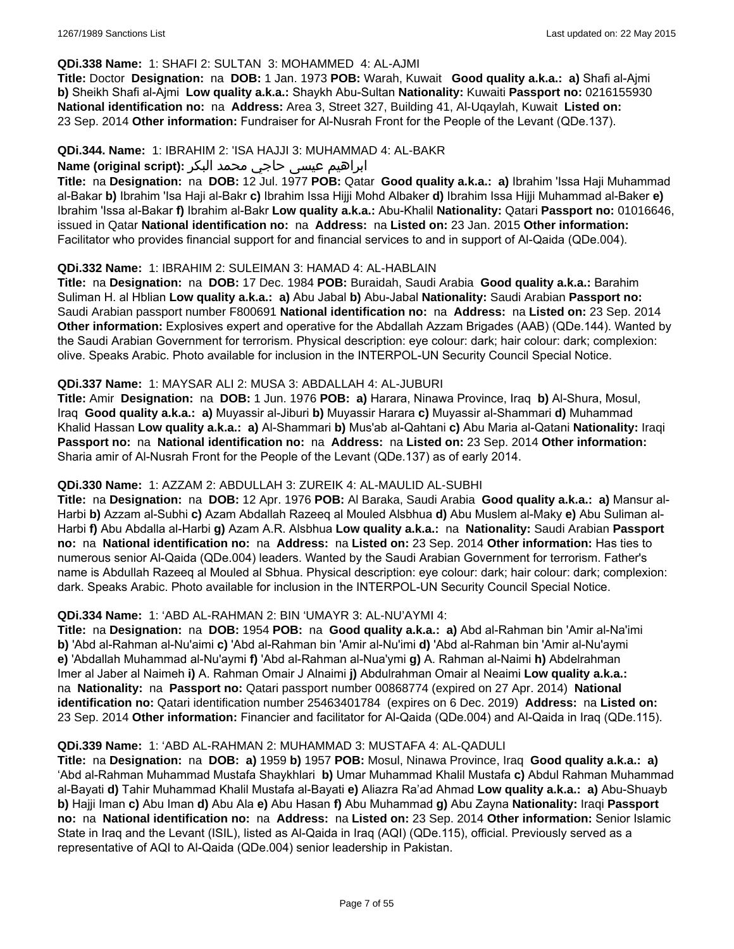#### **QDi.338 Name:** 1: SHAFI 2: SULTAN 3: MOHAMMED 4: AL-AJMI

**Title:** Doctor **Designation:** na **DOB:** 1 Jan. 1973 **POB:** Warah, Kuwait **Good quality a.k.a.: a)** Shafi al-Ajmi **b)** Sheikh Shafi al-Ajmi **Low quality a.k.a.:** Shaykh Abu-Sultan **Nationality:** Kuwaiti **Passport no:** 0216155930 **National identification no:** na **Address:** Area 3, Street 327, Building 41, Al-Uqaylah, Kuwait **Listed on:** 23 Sep. 2014 **Other information:** Fundraiser for Al-Nusrah Front for the People of the Levant (QDe.137).

#### **QDi.344. Name:** 1: IBRAHIM 2: 'ISA HAJJI 3: MUHAMMAD 4: AL-BAKR

## ابراهیم عیسی حاجي محمد البکر **:(script original (Name**

**Title:** na **Designation:** na **DOB:** 12 Jul. 1977 **POB:** Qatar **Good quality a.k.a.: a)** Ibrahim 'Issa Haji Muhammad al-Bakar **b)** Ibrahim 'Isa Haji al-Bakr **c)** Ibrahim Issa Hijji Mohd Albaker **d)** Ibrahim Issa Hijji Muhammad al-Baker **e)** Ibrahim 'Issa al-Bakar **f)** Ibrahim al-Bakr **Low quality a.k.a.:** Abu-Khalil **Nationality:** Qatari **Passport no:** 01016646, issued in Qatar **National identification no:** na **Address:** na **Listed on:** 23 Jan. 2015 **Other information:** Facilitator who provides financial support for and financial services to and in support of Al-Qaida (QDe.004).

#### **QDi.332 Name:** 1: IBRAHIM 2: SULEIMAN 3: HAMAD 4: AL-HABLAIN

**Title:** na **Designation:** na **DOB:** 17 Dec. 1984 **POB:** Buraidah, Saudi Arabia **Good quality a.k.a.:** Barahim Suliman H. al Hblian **Low quality a.k.a.: a)** Abu Jabal **b)** Abu-Jabal **Nationality:** Saudi Arabian **Passport no:** Saudi Arabian passport number F800691 **National identification no:** na **Address:** na **Listed on:** 23 Sep. 2014 **Other information:** Explosives expert and operative for the Abdallah Azzam Brigades (AAB) (QDe.144). Wanted by the Saudi Arabian Government for terrorism. Physical description: eye colour: dark; hair colour: dark; complexion: olive. Speaks Arabic. Photo available for inclusion in the INTERPOL-UN Security Council Special Notice.

#### **QDi.337 Name:** 1: MAYSAR ALI 2: MUSA 3: ABDALLAH 4: AL-JUBURI

**Title:** Amir **Designation:** na **DOB:** 1 Jun. 1976 **POB: a)** Harara, Ninawa Province, Iraq **b)** Al-Shura, Mosul, Iraq **Good quality a.k.a.: a)** Muyassir al-Jiburi **b)** Muyassir Harara **c)** Muyassir al-Shammari **d)** Muhammad Khalid Hassan **Low quality a.k.a.: a)** Al-Shammari **b)** Mus'ab al-Qahtani **c)** Abu Maria al-Qatani **Nationality:** Iraqi **Passport no:** na **National identification no:** na **Address:** na **Listed on:** 23 Sep. 2014 **Other information:** Sharia amir of Al-Nusrah Front for the People of the Levant (QDe.137) as of early 2014.

## **QDi.330 Name:** 1: AZZAM 2: ABDULLAH 3: ZUREIK 4: AL-MAULID AL-SUBHI

**Title:** na **Designation:** na **DOB:** 12 Apr. 1976 **POB:** Al Baraka, Saudi Arabia **Good quality a.k.a.: a)** Mansur al-Harbi **b)** Azzam al-Subhi **c)** Azam Abdallah Razeeq al Mouled Alsbhua **d)** Abu Muslem al-Maky **e)** Abu Suliman al-Harbi **f)** Abu Abdalla al-Harbi **g)** Azam A.R. Alsbhua **Low quality a.k.a.:** na **Nationality:** Saudi Arabian **Passport no:** na **National identification no:** na **Address:** na **Listed on:** 23 Sep. 2014 **Other information:** Has ties to numerous senior Al-Qaida (QDe.004) leaders. Wanted by the Saudi Arabian Government for terrorism. Father's name is Abdullah Razeeq al Mouled al Sbhua. Physical description: eye colour: dark; hair colour: dark; complexion: dark. Speaks Arabic. Photo available for inclusion in the INTERPOL-UN Security Council Special Notice.

## **QDi.334 Name:** 1: 'ABD AL-RAHMAN 2: BIN 'UMAYR 3: AL-NU'AYMI 4:

**Title:** na **Designation:** na **DOB:** 1954 **POB:** na **Good quality a.k.a.: a)** Abd al-Rahman bin 'Amir al-Na'imi **b)** 'Abd al-Rahman al-Nu'aimi **c)** 'Abd al-Rahman bin 'Amir al-Nu'imi **d)** 'Abd al-Rahman bin 'Amir al-Nu'aymi **e)** 'Abdallah Muhammad al-Nu'aymi **f)** 'Abd al-Rahman al-Nua'ymi **g)** A. Rahman al-Naimi **h)** Abdelrahman Imer al Jaber al Naimeh **i)** A. Rahman Omair J Alnaimi **j)** Abdulrahman Omair al Neaimi **Low quality a.k.a.:**  na **Nationality:** na **Passport no:** Qatari passport number 00868774 (expired on 27 Apr. 2014) **National identification no:** Qatari identification number 25463401784 (expires on 6 Dec. 2019) **Address:** na **Listed on:** 23 Sep. 2014 **Other information:** Financier and facilitator for Al-Qaida (QDe.004) and Al-Qaida in Iraq (QDe.115).

#### **QDi.339 Name:** 1: 'ABD AL-RAHMAN 2: MUHAMMAD 3: MUSTAFA 4: AL-QADULI

**Title:** na **Designation:** na **DOB: a)** 1959 **b)** 1957 **POB:** Mosul, Ninawa Province, Iraq **Good quality a.k.a.: a)** 'Abd al-Rahman Muhammad Mustafa Shaykhlari **b)** Umar Muhammad Khalil Mustafa **c)** Abdul Rahman Muhammad al-Bayati **d)** Tahir Muhammad Khalil Mustafa al-Bayati **e)** Aliazra Ra'ad Ahmad **Low quality a.k.a.: a)** Abu-Shuayb **b)** Hajji Iman **c)** Abu Iman **d)** Abu Ala **e)** Abu Hasan **f)** Abu Muhammad **g)** Abu Zayna **Nationality:** Iraqi **Passport no:** na **National identification no:** na **Address:** na **Listed on:** 23 Sep. 2014 **Other information:** Senior Islamic State in Iraq and the Levant (ISIL), listed as Al-Qaida in Iraq (AQI) (QDe.115), official. Previously served as a representative of AQI to Al-Qaida (QDe.004) senior leadership in Pakistan.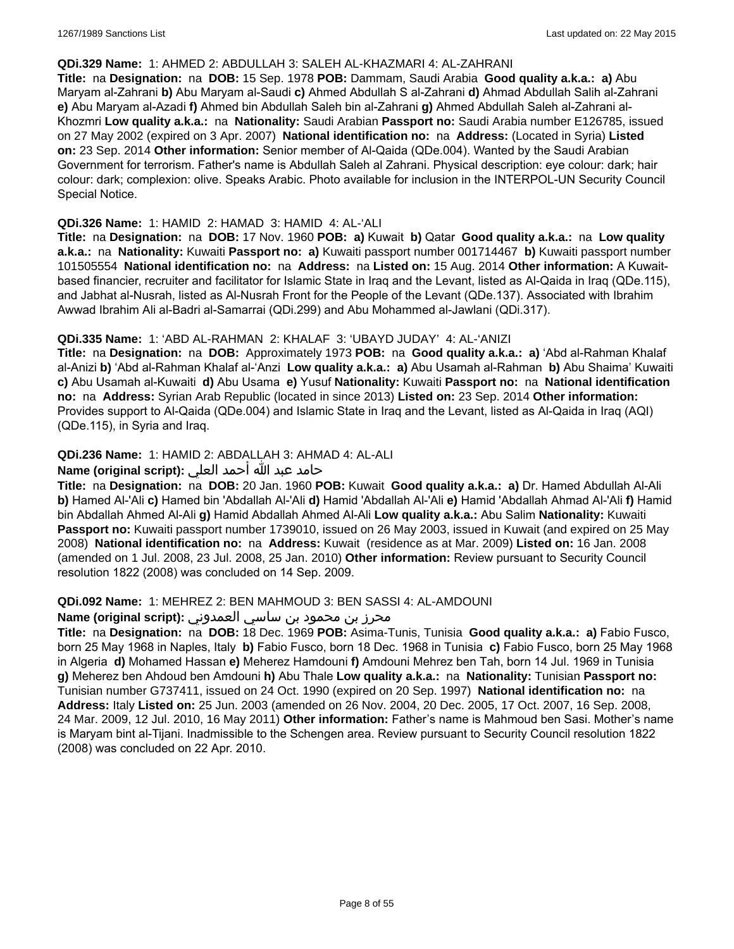#### **QDi.329 Name:** 1: AHMED 2: ABDULLAH 3: SALEH AL-KHAZMARI 4: AL-ZAHRANI

**Title:** na **Designation:** na **DOB:** 15 Sep. 1978 **POB:** Dammam, Saudi Arabia **Good quality a.k.a.: a)** Abu Maryam al-Zahrani **b)** Abu Maryam al-Saudi **c)** Ahmed Abdullah S al-Zahrani **d)** Ahmad Abdullah Salih al-Zahrani **e)** Abu Maryam al-Azadi **f)** Ahmed bin Abdullah Saleh bin al-Zahrani **g)** Ahmed Abdullah Saleh al-Zahrani al-Khozmri **Low quality a.k.a.:** na **Nationality:** Saudi Arabian **Passport no:** Saudi Arabia number E126785, issued on 27 May 2002 (expired on 3 Apr. 2007) **National identification no:** na **Address:** (Located in Syria) **Listed on:** 23 Sep. 2014 **Other information:** Senior member of Al-Qaida (QDe.004). Wanted by the Saudi Arabian Government for terrorism. Father's name is Abdullah Saleh al Zahrani. Physical description: eye colour: dark; hair colour: dark; complexion: olive. Speaks Arabic. Photo available for inclusion in the INTERPOL-UN Security Council Special Notice.

#### **QDi.326 Name:** 1: HAMID 2: HAMAD 3: HAMID 4: AL-'ALI

**Title:** na **Designation:** na **DOB:** 17 Nov. 1960 **POB: a)** Kuwait **b)** Qatar **Good quality a.k.a.:** na **Low quality a.k.a.:** na **Nationality:** Kuwaiti **Passport no: a)** Kuwaiti passport number 001714467 **b)** Kuwaiti passport number 101505554 **National identification no:** na **Address:** na **Listed on:** 15 Aug. 2014 **Other information:** A Kuwaitbased financier, recruiter and facilitator for Islamic State in Iraq and the Levant, listed as Al-Qaida in Iraq (QDe.115), and Jabhat al-Nusrah, listed as Al-Nusrah Front for the People of the Levant (QDe.137). Associated with Ibrahim Awwad Ibrahim Ali al-Badri al-Samarrai (QDi.299) and Abu Mohammed al-Jawlani (QDi.317).

### **QDi.335 Name:** 1: 'ABD AL-RAHMAN 2: KHALAF 3: 'UBAYD JUDAY' 4: AL-'ANIZI

**Title:** na **Designation:** na **DOB:** Approximately 1973 **POB:** na **Good quality a.k.a.: a)** 'Abd al-Rahman Khalaf al-Anizi **b)** 'Abd al-Rahman Khalaf al-'Anzi **Low quality a.k.a.: a)** Abu Usamah al-Rahman **b)** Abu Shaima' Kuwaiti **c)** Abu Usamah al-Kuwaiti **d)** Abu Usama **e)** Yusuf **Nationality:** Kuwaiti **Passport no:** na **National identification no:** na **Address:** Syrian Arab Republic (located in since 2013) **Listed on:** 23 Sep. 2014 **Other information:** Provides support to Al-Qaida (QDe.004) and Islamic State in Iraq and the Levant, listed as Al-Qaida in Iraq (AQI) (QDe.115), in Syria and Iraq.

## **QDi.236 Name:** 1: HAMID 2: ABDALLAH 3: AHMAD 4: AL-ALI

## حامد عبد الله أحمد العلي **:(script original (Name**

**Title:** na **Designation:** na **DOB:** 20 Jan. 1960 **POB:** Kuwait **Good quality a.k.a.: a)** Dr. Hamed Abdullah Al-Ali **b)** Hamed Al-'Ali **c)** Hamed bin 'Abdallah Al-'Ali **d)** Hamid 'Abdallah Al-'Ali **e)** Hamid 'Abdallah Ahmad Al-'Ali **f)** Hamid bin Abdallah Ahmed Al-Ali **g)** Hamid Abdallah Ahmed Al-Ali **Low quality a.k.a.:** Abu Salim **Nationality:** Kuwaiti **Passport no:** Kuwaiti passport number 1739010, issued on 26 May 2003, issued in Kuwait (and expired on 25 May 2008) **National identification no:** na **Address:** Kuwait (residence as at Mar. 2009) **Listed on:** 16 Jan. 2008 (amended on 1 Jul. 2008, 23 Jul. 2008, 25 Jan. 2010) **Other information:** Review pursuant to Security Council resolution 1822 (2008) was concluded on 14 Sep. 2009.

#### **QDi.092 Name:** 1: MEHREZ 2: BEN MAHMOUD 3: BEN SASSI 4: AL-AMDOUNI

## محرز بن محمود بن ساسي العمدوني **:Name (original script**)

**Title:** na **Designation:** na **DOB:** 18 Dec. 1969 **POB:** Asima-Tunis, Tunisia **Good quality a.k.a.: a)** Fabio Fusco, born 25 May 1968 in Naples, Italy **b)** Fabio Fusco, born 18 Dec. 1968 in Tunisia **c)** Fabio Fusco, born 25 May 1968 in Algeria **d)** Mohamed Hassan **e)** Meherez Hamdouni **f)** Amdouni Mehrez ben Tah, born 14 Jul. 1969 in Tunisia **g)** Meherez ben Ahdoud ben Amdouni **h)** Abu Thale **Low quality a.k.a.:** na **Nationality:** Tunisian **Passport no:** Tunisian number G737411, issued on 24 Oct. 1990 (expired on 20 Sep. 1997) **National identification no:** na **Address:** Italy **Listed on:** 25 Jun. 2003 (amended on 26 Nov. 2004, 20 Dec. 2005, 17 Oct. 2007, 16 Sep. 2008, 24 Mar. 2009, 12 Jul. 2010, 16 May 2011) **Other information:** Father's name is Mahmoud ben Sasi. Mother's name is Maryam bint al-Tijani. Inadmissible to the Schengen area. Review pursuant to Security Council resolution 1822 (2008) was concluded on 22 Apr. 2010.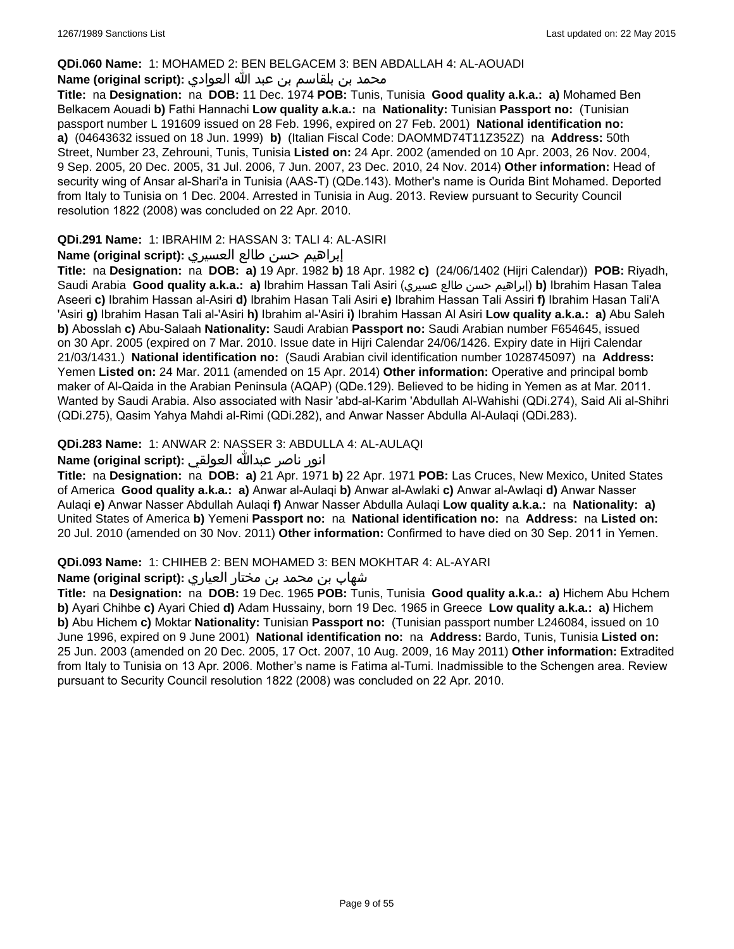#### **QDi.060 Name:** 1: MOHAMED 2: BEN BELGACEM 3: BEN ABDALLAH 4: AL-AOUADI

## محمد بن بلقاسم بن عبد الله العوادي **:**Name (original script)

**Title:** na **Designation:** na **DOB:** 11 Dec. 1974 **POB:** Tunis, Tunisia **Good quality a.k.a.: a)** Mohamed Ben Belkacem Aouadi **b)** Fathi Hannachi **Low quality a.k.a.:** na **Nationality:** Tunisian **Passport no:** (Tunisian passport number L 191609 issued on 28 Feb. 1996, expired on 27 Feb. 2001) **National identification no: a)** (04643632 issued on 18 Jun. 1999) **b)** (Italian Fiscal Code: DAOMMD74T11Z352Z) na **Address:** 50th Street, Number 23, Zehrouni, Tunis, Tunisia **Listed on:** 24 Apr. 2002 (amended on 10 Apr. 2003, 26 Nov. 2004, 9 Sep. 2005, 20 Dec. 2005, 31 Jul. 2006, 7 Jun. 2007, 23 Dec. 2010, 24 Nov. 2014) **Other information:** Head of security wing of Ansar al-Shari'a in Tunisia (AAS-T) (QDe.143). Mother's name is Ourida Bint Mohamed. Deported from Italy to Tunisia on 1 Dec. 2004. Arrested in Tunisia in Aug. 2013. Review pursuant to Security Council resolution 1822 (2008) was concluded on 22 Apr. 2010.

## **QDi.291 Name:** 1: IBRAHIM 2: HASSAN 3: TALI 4: AL-ASIRI

### إبراهيم حسن طالع العسيري **:(script original (Name**

**Title:** na **Designation:** na **DOB: a)** 19 Apr. 1982 **b)** 18 Apr. 1982 **c)** (24/06/1402 (Hijri Calendar)) **POB:** Riyadh, Saudi Arabia **Good quality a.k.a.: a)** Ibrahim Hassan Tali Asiri (عسيري طالع حسن إبراهيم(**b)** Ibrahim Hasan Talea Aseeri **c)** Ibrahim Hassan al-Asiri **d)** Ibrahim Hasan Tali Asiri **e)** Ibrahim Hassan Tali Assiri **f)** Ibrahim Hasan Tali'A 'Asiri **g)** Ibrahim Hasan Tali al-'Asiri **h)** Ibrahim al-'Asiri **i)** Ibrahim Hassan Al Asiri **Low quality a.k.a.: a)** Abu Saleh **b)** Abosslah **c)** Abu-Salaah **Nationality:** Saudi Arabian **Passport no:** Saudi Arabian number F654645, issued on 30 Apr. 2005 (expired on 7 Mar. 2010. Issue date in Hijri Calendar 24/06/1426. Expiry date in Hijri Calendar 21/03/1431.) **National identification no:** (Saudi Arabian civil identification number 1028745097) na **Address:** Yemen **Listed on:** 24 Mar. 2011 (amended on 15 Apr. 2014) **Other information:** Operative and principal bomb maker of Al-Qaida in the Arabian Peninsula (AQAP) (QDe.129). Believed to be hiding in Yemen as at Mar. 2011. Wanted by Saudi Arabia. Also associated with Nasir 'abd-al-Karim 'Abdullah Al-Wahishi (QDi.274), Said Ali al-Shihri (QDi.275), Qasim Yahya Mahdi al-Rimi (QDi.282), and Anwar Nasser Abdulla Al-Aulaqi (QDi.283).

## **QDi.283 Name:** 1: ANWAR 2: NASSER 3: ABDULLA 4: AL-AULAQI

## انور ناصر عبدالله العولقي **:(script original (Name**

**Title:** na **Designation:** na **DOB: a)** 21 Apr. 1971 **b)** 22 Apr. 1971 **POB:** Las Cruces, New Mexico, United States of America **Good quality a.k.a.: a)** Anwar al-Aulaqi **b)** Anwar al-Awlaki **c)** Anwar al-Awlaqi **d)** Anwar Nasser Aulaqi **e)** Anwar Nasser Abdullah Aulaqi **f)** Anwar Nasser Abdulla Aulaqi **Low quality a.k.a.:** na **Nationality: a)** United States of America **b)** Yemeni **Passport no:** na **National identification no:** na **Address:** na **Listed on:** 20 Jul. 2010 (amended on 30 Nov. 2011) **Other information:** Confirmed to have died on 30 Sep. 2011 in Yemen.

#### **QDi.093 Name:** 1: CHIHEB 2: BEN MOHAMED 3: BEN MOKHTAR 4: AL-AYARI

## شهاب بن محمد بن مختار العياري **:(script original (Name**

**Title:** na **Designation:** na **DOB:** 19 Dec. 1965 **POB:** Tunis, Tunisia **Good quality a.k.a.: a)** Hichem Abu Hchem **b)** Ayari Chihbe **c)** Ayari Chied **d)** Adam Hussainy, born 19 Dec. 1965 in Greece **Low quality a.k.a.: a)** Hichem **b)** Abu Hichem **c)** Moktar **Nationality:** Tunisian **Passport no:** (Tunisian passport number L246084, issued on 10 June 1996, expired on 9 June 2001) **National identification no:** na **Address:** Bardo, Tunis, Tunisia **Listed on:** 25 Jun. 2003 (amended on 20 Dec. 2005, 17 Oct. 2007, 10 Aug. 2009, 16 May 2011) **Other information:** Extradited from Italy to Tunisia on 13 Apr. 2006. Mother's name is Fatima al-Tumi. Inadmissible to the Schengen area. Review pursuant to Security Council resolution 1822 (2008) was concluded on 22 Apr. 2010.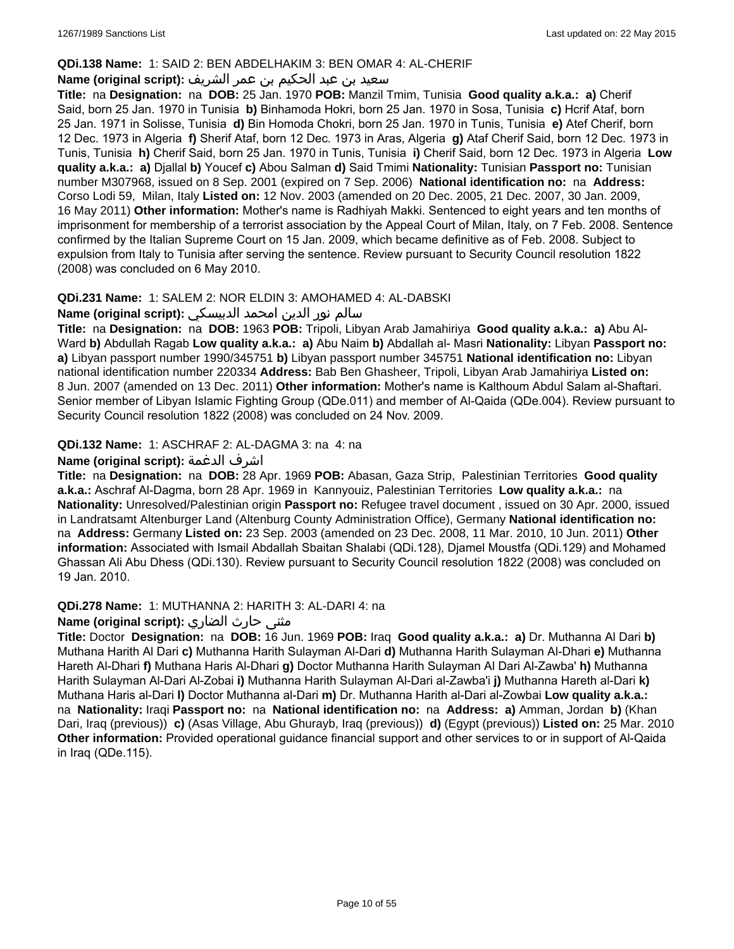## **QDi.138 Name:** 1: SAID 2: BEN ABDELHAKIM 3: BEN OMAR 4: AL-CHERIF

## سعيد بن عبد الحكيم بن عمر الشريف **:(script original (Name**

**Title:** na **Designation:** na **DOB:** 25 Jan. 1970 **POB:** Manzil Tmim, Tunisia **Good quality a.k.a.: a)** Cherif Said, born 25 Jan. 1970 in Tunisia **b)** Binhamoda Hokri, born 25 Jan. 1970 in Sosa, Tunisia **c)** Hcrif Ataf, born 25 Jan. 1971 in Solisse, Tunisia **d)** Bin Homoda Chokri, born 25 Jan. 1970 in Tunis, Tunisia **e)** Atef Cherif, born 12 Dec. 1973 in Algeria **f)** Sherif Ataf, born 12 Dec. 1973 in Aras, Algeria **g)** Ataf Cherif Said, born 12 Dec. 1973 in Tunis, Tunisia **h)** Cherif Said, born 25 Jan. 1970 in Tunis, Tunisia **i)** Cherif Said, born 12 Dec. 1973 in Algeria **Low quality a.k.a.: a)** Djallal **b)** Youcef **c)** Abou Salman **d)** Said Tmimi **Nationality:** Tunisian **Passport no:** Tunisian number M307968, issued on 8 Sep. 2001 (expired on 7 Sep. 2006) **National identification no:** na **Address:** Corso Lodi 59, Milan, Italy **Listed on:** 12 Nov. 2003 (amended on 20 Dec. 2005, 21 Dec. 2007, 30 Jan. 2009, 16 May 2011) **Other information:** Mother's name is Radhiyah Makki. Sentenced to eight years and ten months of imprisonment for membership of a terrorist association by the Appeal Court of Milan, Italy, on 7 Feb. 2008. Sentence confirmed by the Italian Supreme Court on 15 Jan. 2009, which became definitive as of Feb. 2008. Subject to expulsion from Italy to Tunisia after serving the sentence. Review pursuant to Security Council resolution 1822 (2008) was concluded on 6 May 2010.

## **QDi.231 Name:** 1: SALEM 2: NOR ELDIN 3: AMOHAMED 4: AL-DABSKI

### سالم نور الدين امحمد الدبيسكي **:(script original (Name**

**Title:** na **Designation:** na **DOB:** 1963 **POB:** Tripoli, Libyan Arab Jamahiriya **Good quality a.k.a.: a)** Abu Al-Ward **b)** Abdullah Ragab **Low quality a.k.a.: a)** Abu Naim **b)** Abdallah al- Masri **Nationality:** Libyan **Passport no: a)** Libyan passport number 1990/345751 **b)** Libyan passport number 345751 **National identification no:** Libyan national identification number 220334 **Address:** Bab Ben Ghasheer, Tripoli, Libyan Arab Jamahiriya **Listed on:** 8 Jun. 2007 (amended on 13 Dec. 2011) **Other information:** Mother's name is Kalthoum Abdul Salam al-Shaftari. Senior member of Libyan Islamic Fighting Group (QDe.011) and member of Al-Qaida (QDe.004). Review pursuant to Security Council resolution 1822 (2008) was concluded on 24 Nov. 2009.

### **QDi.132 Name:** 1: ASCHRAF 2: AL-DAGMA 3: na 4: na

## **Name (original script):** الدغمة اشرف

**Title:** na **Designation:** na **DOB:** 28 Apr. 1969 **POB:** Abasan, Gaza Strip, Palestinian Territories **Good quality a.k.a.:** Aschraf Al-Dagma, born 28 Apr. 1969 in Kannyouiz, Palestinian Territories **Low quality a.k.a.:** na **Nationality:** Unresolved/Palestinian origin **Passport no:** Refugee travel document , issued on 30 Apr. 2000, issued in Landratsamt Altenburger Land (Altenburg County Administration Office), Germany **National identification no:**  na **Address:** Germany **Listed on:** 23 Sep. 2003 (amended on 23 Dec. 2008, 11 Mar. 2010, 10 Jun. 2011) **Other information:** Associated with Ismail Abdallah Sbaitan Shalabi (QDi.128), Djamel Moustfa (QDi.129) and Mohamed Ghassan Ali Abu Dhess (QDi.130). Review pursuant to Security Council resolution 1822 (2008) was concluded on 19 Jan. 2010.

#### **QDi.278 Name:** 1: MUTHANNA 2: HARITH 3: AL-DARI 4: na

## مثنى حارث الضاري :Name (original script)

**Title:** Doctor **Designation:** na **DOB:** 16 Jun. 1969 **POB:** Iraq **Good quality a.k.a.: a)** Dr. Muthanna Al Dari **b)** Muthana Harith Al Dari **c)** Muthanna Harith Sulayman Al-Dari **d)** Muthanna Harith Sulayman Al-Dhari **e)** Muthanna Hareth Al-Dhari **f)** Muthana Haris Al-Dhari **g)** Doctor Muthanna Harith Sulayman Al Dari Al-Zawba' **h)** Muthanna Harith Sulayman Al-Dari Al-Zobai **i)** Muthanna Harith Sulayman Al-Dari al-Zawba'i **j)** Muthanna Hareth al-Dari **k)** Muthana Haris al-Dari **l)** Doctor Muthanna al-Dari **m)** Dr. Muthanna Harith al-Dari al-Zowbai **Low quality a.k.a.:**  na **Nationality:** Iraqi **Passport no:** na **National identification no:** na **Address: a)** Amman, Jordan **b)** (Khan Dari, Iraq (previous)) **c)** (Asas Village, Abu Ghurayb, Iraq (previous)) **d)** (Egypt (previous)) **Listed on:** 25 Mar. 2010 **Other information:** Provided operational guidance financial support and other services to or in support of Al-Qaida in Iraq (QDe.115).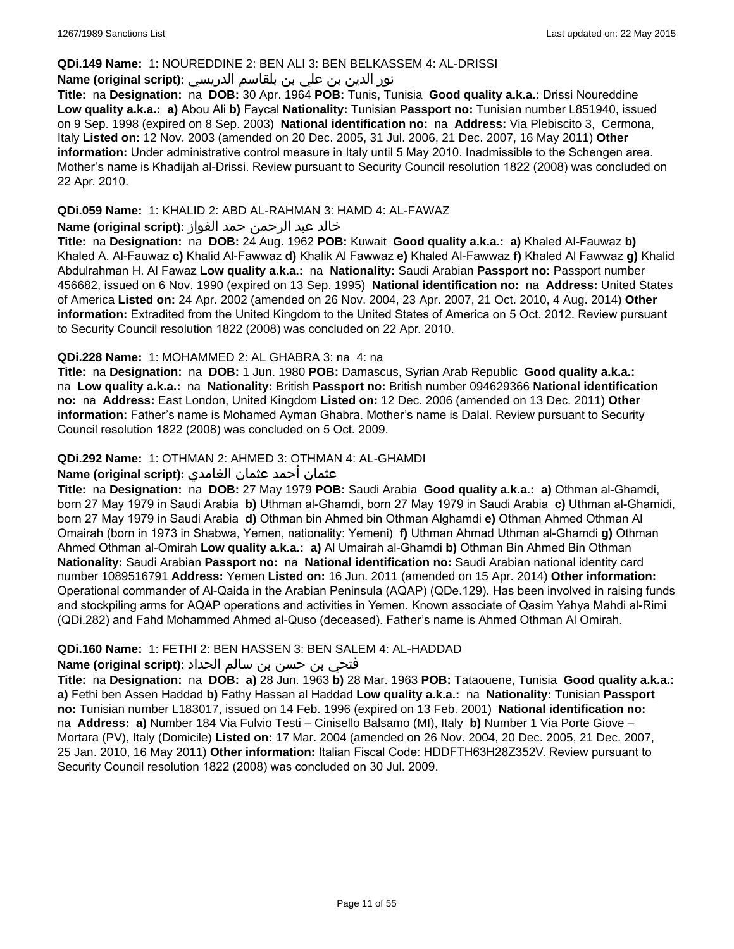#### **QDi.149 Name:** 1: NOUREDDINE 2: BEN ALI 3: BEN BELKASSEM 4: AL-DRISSI

## نور الدين بن علي بن بلقاسم الدريسي **:(script original (Name**

**Title:** na **Designation:** na **DOB:** 30 Apr. 1964 **POB:** Tunis, Tunisia **Good quality a.k.a.:** Drissi Noureddine **Low quality a.k.a.: a)** Abou Ali **b)** Faycal **Nationality:** Tunisian **Passport no:** Tunisian number L851940, issued on 9 Sep. 1998 (expired on 8 Sep. 2003) **National identification no:** na **Address:** Via Plebiscito 3, Cermona, Italy **Listed on:** 12 Nov. 2003 (amended on 20 Dec. 2005, 31 Jul. 2006, 21 Dec. 2007, 16 May 2011) **Other information:** Under administrative control measure in Italy until 5 May 2010. Inadmissible to the Schengen area. Mother's name is Khadijah al-Drissi. Review pursuant to Security Council resolution 1822 (2008) was concluded on 22 Apr. 2010.

## **QDi.059 Name:** 1: KHALID 2: ABD AL-RAHMAN 3: HAMD 4: AL-FAWAZ

## خالد عبد الرحمن حمد الفواز **:(script original (Name**

**Title:** na **Designation:** na **DOB:** 24 Aug. 1962 **POB:** Kuwait **Good quality a.k.a.: a)** Khaled Al-Fauwaz **b)** Khaled A. Al-Fauwaz **c)** Khalid Al-Fawwaz **d)** Khalik Al Fawwaz **e)** Khaled Al-Fawwaz **f)** Khaled Al Fawwaz **g)** Khalid Abdulrahman H. Al Fawaz **Low quality a.k.a.:** na **Nationality:** Saudi Arabian **Passport no:** Passport number 456682, issued on 6 Nov. 1990 (expired on 13 Sep. 1995) **National identification no:** na **Address:** United States of America **Listed on:** 24 Apr. 2002 (amended on 26 Nov. 2004, 23 Apr. 2007, 21 Oct. 2010, 4 Aug. 2014) **Other information:** Extradited from the United Kingdom to the United States of America on 5 Oct. 2012. Review pursuant to Security Council resolution 1822 (2008) was concluded on 22 Apr. 2010.

## **QDi.228 Name:** 1: MOHAMMED 2: AL GHABRA 3: na 4: na

**Title:** na **Designation:** na **DOB:** 1 Jun. 1980 **POB:** Damascus, Syrian Arab Republic **Good quality a.k.a.:**  na **Low quality a.k.a.:** na **Nationality:** British **Passport no:** British number 094629366 **National identification no:** na **Address:** East London, United Kingdom **Listed on:** 12 Dec. 2006 (amended on 13 Dec. 2011) **Other information:** Father's name is Mohamed Ayman Ghabra. Mother's name is Dalal. Review pursuant to Security Council resolution 1822 (2008) was concluded on 5 Oct. 2009.

## **QDi.292 Name:** 1: OTHMAN 2: AHMED 3: OTHMAN 4: AL-GHAMDI

## عثمان أحمد عثمان الغامدي **:(script original (Name**

**Title:** na **Designation:** na **DOB:** 27 May 1979 **POB:** Saudi Arabia **Good quality a.k.a.: a)** Othman al-Ghamdi, born 27 May 1979 in Saudi Arabia **b)** Uthman al-Ghamdi, born 27 May 1979 in Saudi Arabia **c)** Uthman al-Ghamidi, born 27 May 1979 in Saudi Arabia **d)** Othman bin Ahmed bin Othman Alghamdi **e)** Othman Ahmed Othman Al Omairah (born in 1973 in Shabwa, Yemen, nationality: Yemeni) **f)** Uthman Ahmad Uthman al-Ghamdi **g)** Othman Ahmed Othman al-Omirah **Low quality a.k.a.: a)** Al Umairah al-Ghamdi **b)** Othman Bin Ahmed Bin Othman **Nationality:** Saudi Arabian **Passport no:** na **National identification no:** Saudi Arabian national identity card number 1089516791 **Address:** Yemen **Listed on:** 16 Jun. 2011 (amended on 15 Apr. 2014) **Other information:** Operational commander of Al-Qaida in the Arabian Peninsula (AQAP) (QDe.129). Has been involved in raising funds and stockpiling arms for AQAP operations and activities in Yemen. Known associate of Qasim Yahya Mahdi al-Rimi (QDi.282) and Fahd Mohammed Ahmed al-Quso (deceased). Father's name is Ahmed Othman Al Omirah.

## **QDi.160 Name:** 1: FETHI 2: BEN HASSEN 3: BEN SALEM 4: AL-HADDAD

## فتحي بن حسن بن سالم الحداد **:(script original (Name**

**Title:** na **Designation:** na **DOB: a)** 28 Jun. 1963 **b)** 28 Mar. 1963 **POB:** Tataouene, Tunisia **Good quality a.k.a.: a)** Fethi ben Assen Haddad **b)** Fathy Hassan al Haddad **Low quality a.k.a.:** na **Nationality:** Tunisian **Passport no:** Tunisian number L183017, issued on 14 Feb. 1996 (expired on 13 Feb. 2001) **National identification no:**  na **Address: a)** Number 184 Via Fulvio Testi – Cinisello Balsamo (MI), Italy **b)** Number 1 Via Porte Giove – Mortara (PV), Italy (Domicile) **Listed on:** 17 Mar. 2004 (amended on 26 Nov. 2004, 20 Dec. 2005, 21 Dec. 2007, 25 Jan. 2010, 16 May 2011) **Other information:** Italian Fiscal Code: HDDFTH63H28Z352V. Review pursuant to Security Council resolution 1822 (2008) was concluded on 30 Jul. 2009.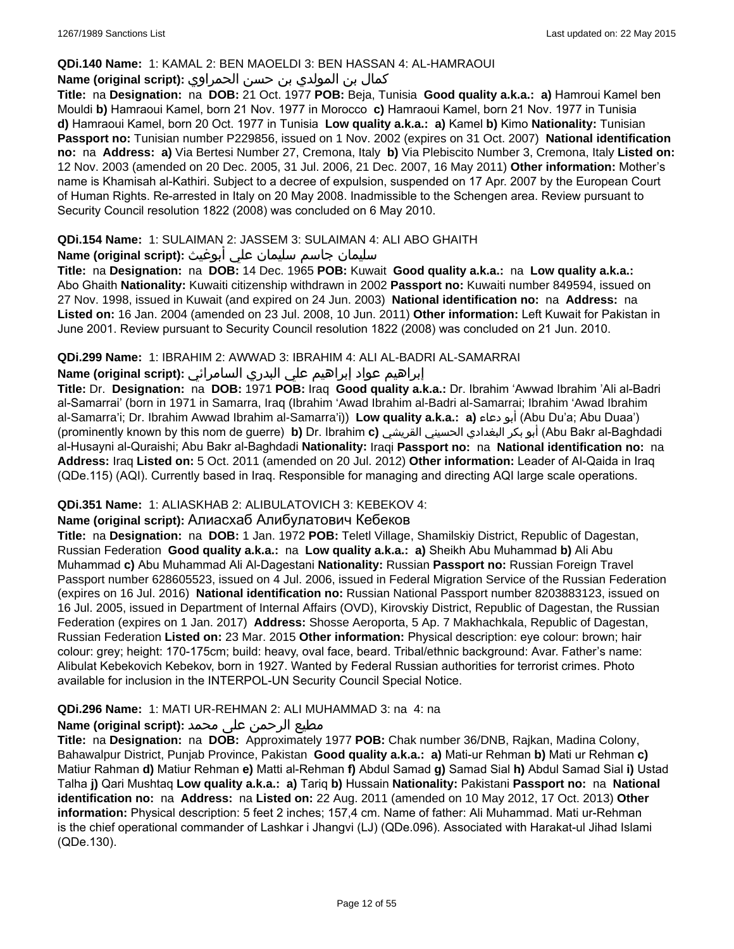### **QDi.140 Name:** 1: KAMAL 2: BEN MAOELDI 3: BEN HASSAN 4: AL-HAMRAOUI

## كمال بن المولدي بن حسن الحمراوي **:(script original (Name**

**Title:** na **Designation:** na **DOB:** 21 Oct. 1977 **POB:** Beja, Tunisia **Good quality a.k.a.: a)** Hamroui Kamel ben Mouldi **b)** Hamraoui Kamel, born 21 Nov. 1977 in Morocco **c)** Hamraoui Kamel, born 21 Nov. 1977 in Tunisia **d)** Hamraoui Kamel, born 20 Oct. 1977 in Tunisia **Low quality a.k.a.: a)** Kamel **b)** Kimo **Nationality:** Tunisian **Passport no:** Tunisian number P229856, issued on 1 Nov. 2002 (expires on 31 Oct. 2007) **National identification no:** na **Address: a)** Via Bertesi Number 27, Cremona, Italy **b)** Via Plebiscito Number 3, Cremona, Italy **Listed on:** 12 Nov. 2003 (amended on 20 Dec. 2005, 31 Jul. 2006, 21 Dec. 2007, 16 May 2011) **Other information:** Mother's name is Khamisah al-Kathiri. Subject to a decree of expulsion, suspended on 17 Apr. 2007 by the European Court of Human Rights. Re-arrested in Italy on 20 May 2008. Inadmissible to the Schengen area. Review pursuant to Security Council resolution 1822 (2008) was concluded on 6 May 2010.

## **QDi.154 Name:** 1: SULAIMAN 2: JASSEM 3: SULAIMAN 4: ALI ABO GHAITH

## سليمان جاسم سليمان علي أبوغيث **:(script original (Name**

**Title:** na **Designation:** na **DOB:** 14 Dec. 1965 **POB:** Kuwait **Good quality a.k.a.:** na **Low quality a.k.a.:** Abo Ghaith **Nationality:** Kuwaiti citizenship withdrawn in 2002 **Passport no:** Kuwaiti number 849594, issued on 27 Nov. 1998, issued in Kuwait (and expired on 24 Jun. 2003) **National identification no:** na **Address:** na **Listed on:** 16 Jan. 2004 (amended on 23 Jul. 2008, 10 Jun. 2011) **Other information:** Left Kuwait for Pakistan in June 2001. Review pursuant to Security Council resolution 1822 (2008) was concluded on 21 Jun. 2010.

## **QDi.299 Name:** 1: IBRAHIM 2: AWWAD 3: IBRAHIM 4: ALI AL-BADRI AL-SAMARRAI

## إبراهيم عواد إبراهيم علي البدري السامرائي **:(script original (Name**

**Title:** Dr. **Designation:** na **DOB:** 1971 **POB:** Iraq **Good quality a.k.a.:** Dr. Ibrahim 'Awwad Ibrahim 'Ali al-Badri al-Samarrai' (born in 1971 in Samarra, Iraq (Ibrahim 'Awad Ibrahim al-Badri al-Samarrai; Ibrahim 'Awad Ibrahim al-Samarra'i; Dr. Ibrahim Awwad Ibrahim al-Samarra'i)) **Low quality a.k.a.: a)** دعاء أبو) Abu Du'a; Abu Duaa') (prominently known by this nom de guerre) **b)** Dr. Ibrahim **c)** القريشي الحسيني البغدادي بكر أبو) Abu Bakr al-Baghdadi al-Husayni al-Quraishi; Abu Bakr al-Baghdadi **Nationality:** Iraqi **Passport no:** na **National identification no:** na **Address:** Iraq **Listed on:** 5 Oct. 2011 (amended on 20 Jul. 2012) **Other information:** Leader of Al-Qaida in Iraq (QDe.115) (AQI). Currently based in Iraq. Responsible for managing and directing AQI large scale operations.

## **QDi.351 Name:** 1: ALIASKHAB 2: ALIBULATOVICH 3: KEBEKOV 4:

## **Name (original script):** Алиaсхаб Алибулатович Кебеков

**Title:** na **Designation:** na **DOB:** 1 Jan. 1972 **POB:** Teletl Village, Shamilskiy District, Republic of Dagestan, Russian Federation **Good quality a.k.a.:** na **Low quality a.k.a.: a)** Sheikh Abu Muhammad **b)** Ali Abu Muhammad **c)** Abu Muhammad Ali Al-Dagestani **Nationality:** Russian **Passport no:** Russian Foreign Travel Passport number 628605523, issued on 4 Jul. 2006, issued in Federal Migration Service of the Russian Federation (expires on 16 Jul. 2016) **National identification no:** Russian National Passport number 8203883123, issued on 16 Jul. 2005, issued in Department of Internal Affairs (OVD), Kirovskiy District, Republic of Dagestan, the Russian Federation (expires on 1 Jan. 2017) **Address:** Shosse Aeroporta, 5 Ap. 7 Makhachkala, Republic of Dagestan, Russian Federation **Listed on:** 23 Mar. 2015 **Other information:** Physical description: eye colour: brown; hair colour: grey; height: 170-175cm; build: heavy, oval face, beard. Tribal/ethnic background: Avar. Father's name: Alibulat Kebekovich Kebekov, born in 1927. Wanted by Federal Russian authorities for terrorist crimes. Photo available for inclusion in the INTERPOL-UN Security Council Special Notice.

## **QDi.296 Name:** 1: MATI UR-REHMAN 2: ALI MUHAMMAD 3: na 4: na

## مطیع الرحمن علی محمد **:Name (original script)**

**Title:** na **Designation:** na **DOB:** Approximately 1977 **POB:** Chak number 36/DNB, Rajkan, Madina Colony, Bahawalpur District, Punjab Province, Pakistan **Good quality a.k.a.: a)** Mati-ur Rehman **b)** Mati ur Rehman **c)** Matiur Rahman **d)** Matiur Rehman **e)** Matti al-Rehman **f)** Abdul Samad **g)** Samad Sial **h)** Abdul Samad Sial **i)** Ustad Talha **j)** Qari Mushtaq **Low quality a.k.a.: a)** Tariq **b)** Hussain **Nationality:** Pakistani **Passport no:** na **National identification no:** na **Address:** na **Listed on:** 22 Aug. 2011 (amended on 10 May 2012, 17 Oct. 2013) **Other information:** Physical description: 5 feet 2 inches; 157,4 cm. Name of father: Ali Muhammad. Mati ur-Rehman is the chief operational commander of Lashkar i Jhangvi (LJ) (QDe.096). Associated with Harakat-ul Jihad Islami (QDe.130).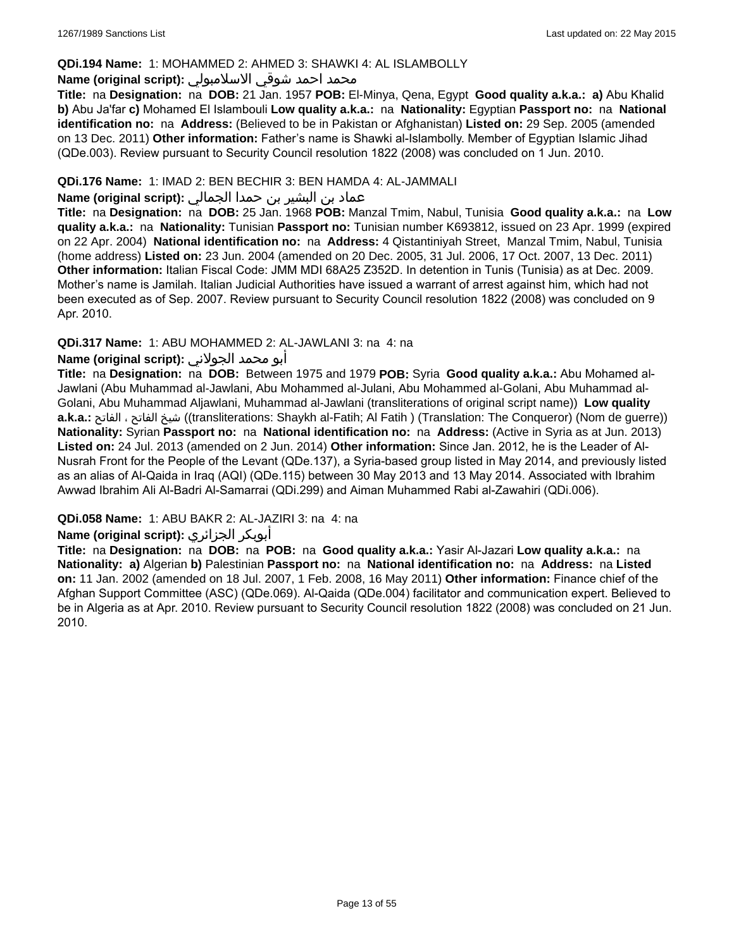### **QDi.194 Name:** 1: MOHAMMED 2: AHMED 3: SHAWKI 4: AL ISLAMBOLLY

#### محمد احمد شوقي الاسلامبولي **:Name (original script)**

**Title:** na **Designation:** na **DOB:** 21 Jan. 1957 **POB:** El-Minya, Qena, Egypt **Good quality a.k.a.: a)** Abu Khalid **b)** Abu Ja'far **c)** Mohamed El Islambouli **Low quality a.k.a.:** na **Nationality:** Egyptian **Passport no:** na **National identification no:** na **Address:** (Believed to be in Pakistan or Afghanistan) **Listed on:** 29 Sep. 2005 (amended on 13 Dec. 2011) **Other information:** Father's name is Shawki al-Islambolly. Member of Egyptian Islamic Jihad (QDe.003). Review pursuant to Security Council resolution 1822 (2008) was concluded on 1 Jun. 2010.

### **QDi.176 Name:** 1: IMAD 2: BEN BECHIR 3: BEN HAMDA 4: AL-JAMMALI

## عماد بن البشير بن حمدا الجمالي **:(script original (Name**

**Title:** na **Designation:** na **DOB:** 25 Jan. 1968 **POB:** Manzal Tmim, Nabul, Tunisia **Good quality a.k.a.:** na **Low quality a.k.a.:** na **Nationality:** Tunisian **Passport no:** Tunisian number K693812, issued on 23 Apr. 1999 (expired on 22 Apr. 2004) **National identification no:** na **Address:** 4 Qistantiniyah Street, Manzal Tmim, Nabul, Tunisia (home address) **Listed on:** 23 Jun. 2004 (amended on 20 Dec. 2005, 31 Jul. 2006, 17 Oct. 2007, 13 Dec. 2011) **Other information:** Italian Fiscal Code: JMM MDI 68A25 Z352D. In detention in Tunis (Tunisia) as at Dec. 2009. Mother's name is Jamilah. Italian Judicial Authorities have issued a warrant of arrest against him, which had not been executed as of Sep. 2007. Review pursuant to Security Council resolution 1822 (2008) was concluded on 9 Apr. 2010.

### **QDi.317 Name:** 1: ABU MOHAMMED 2: AL-JAWLANI 3: na 4: na

### أبو محمد الجولاني **:(script original (Name**

**Title:** na **Designation:** na **DOB:** Between 1975 and 1979 **POB:** Syria **Good quality a.k.a.:** Abu Mohamed al-Jawlani (Abu Muhammad al-Jawlani, Abu Mohammed al-Julani, Abu Mohammed al-Golani, Abu Muhammad al-Golani, Abu Muhammad Aljawlani, Muhammad al-Jawlani (transliterations of original script name)) **Low quality a.k.a.:** الفاتح ، الفاتح شيخ)) transliterations: Shaykh al-Fatih; Al Fatih ) (Translation: The Conqueror) (Nom de guerre)) **Nationality:** Syrian **Passport no:** na **National identification no:** na **Address:** (Active in Syria as at Jun. 2013) **Listed on:** 24 Jul. 2013 (amended on 2 Jun. 2014) **Other information:** Since Jan. 2012, he is the Leader of Al-Nusrah Front for the People of the Levant (QDe.137), a Syria-based group listed in May 2014, and previously listed as an alias of Al-Qaida in Iraq (AQI) (QDe.115) between 30 May 2013 and 13 May 2014. Associated with Ibrahim Awwad Ibrahim Ali Al-Badri Al-Samarrai (QDi.299) and Aiman Muhammed Rabi al-Zawahiri (QDi.006).

## **QDi.058 Name:** 1: ABU BAKR 2: AL-JAZIRI 3: na 4: na

## **Name (original script):** الجزائري أبوبكر

**Title:** na **Designation:** na **DOB:** na **POB:** na **Good quality a.k.a.:** Yasir Al-Jazari **Low quality a.k.a.:** na **Nationality: a)** Algerian **b)** Palestinian **Passport no:** na **National identification no:** na **Address:** na **Listed on:** 11 Jan. 2002 (amended on 18 Jul. 2007, 1 Feb. 2008, 16 May 2011) **Other information:** Finance chief of the Afghan Support Committee (ASC) (QDe.069). Al-Qaida (QDe.004) facilitator and communication expert. Believed to be in Algeria as at Apr. 2010. Review pursuant to Security Council resolution 1822 (2008) was concluded on 21 Jun. 2010.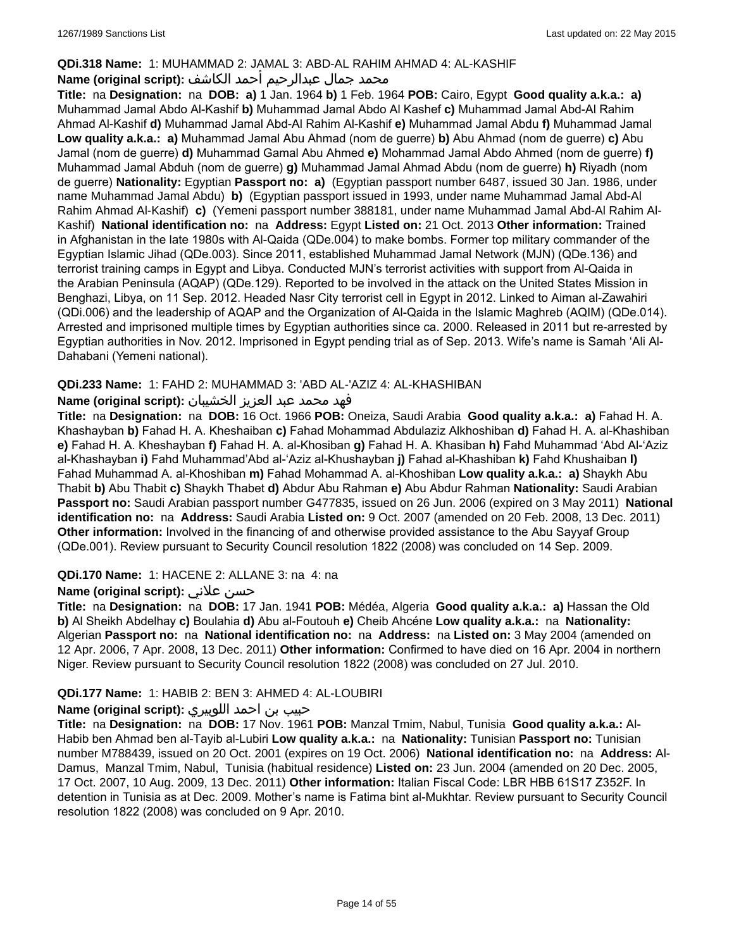## **QDi.318 Name:** 1: MUHAMMAD 2: JAMAL 3: ABD-AL RAHIM AHMAD 4: AL-KASHIF

## محمد جمال عبدالرحيم أحمد الكاشف **:Name (original script**)

**Title:** na **Designation:** na **DOB: a)** 1 Jan. 1964 **b)** 1 Feb. 1964 **POB:** Cairo, Egypt **Good quality a.k.a.: a)** Muhammad Jamal Abdo Al-Kashif **b)** Muhammad Jamal Abdo Al Kashef **c)** Muhammad Jamal Abd-Al Rahim Ahmad Al-Kashif **d)** Muhammad Jamal Abd-Al Rahim Al-Kashif **e)** Muhammad Jamal Abdu **f)** Muhammad Jamal **Low quality a.k.a.: a)** Muhammad Jamal Abu Ahmad (nom de guerre) **b)** Abu Ahmad (nom de guerre) **c)** Abu Jamal (nom de guerre) **d)** Muhammad Gamal Abu Ahmed **e)** Mohammad Jamal Abdo Ahmed (nom de guerre) **f)** Muhammad Jamal Abduh (nom de guerre) **g)** Muhammad Jamal Ahmad Abdu (nom de guerre) **h)** Riyadh (nom de guerre) **Nationality:** Egyptian **Passport no: a)** (Egyptian passport number 6487, issued 30 Jan. 1986, under name Muhammad Jamal Abdu) **b)** (Egyptian passport issued in 1993, under name Muhammad Jamal Abd-Al Rahim Ahmad Al-Kashif) **c)** (Yemeni passport number 388181, under name Muhammad Jamal Abd-Al Rahim Al-Kashif) **National identification no:** na **Address:** Egypt **Listed on:** 21 Oct. 2013 **Other information:** Trained in Afghanistan in the late 1980s with Al-Qaida (QDe.004) to make bombs. Former top military commander of the Egyptian Islamic Jihad (QDe.003). Since 2011, established Muhammad Jamal Network (MJN) (QDe.136) and terrorist training camps in Egypt and Libya. Conducted MJN's terrorist activities with support from Al-Qaida in the Arabian Peninsula (AQAP) (QDe.129). Reported to be involved in the attack on the United States Mission in Benghazi, Libya, on 11 Sep. 2012. Headed Nasr City terrorist cell in Egypt in 2012. Linked to Aiman al-Zawahiri (QDi.006) and the leadership of AQAP and the Organization of Al-Qaida in the Islamic Maghreb (AQIM) (QDe.014). Arrested and imprisoned multiple times by Egyptian authorities since ca. 2000. Released in 2011 but re-arrested by Egyptian authorities in Nov. 2012. Imprisoned in Egypt pending trial as of Sep. 2013. Wife's name is Samah 'Ali Al-Dahabani (Yemeni national).

## **QDi.233 Name:** 1: FAHD 2: MUHAMMAD 3: 'ABD AL-'AZIZ 4: AL-KHASHIBAN

## فهد محمد عبد العزيز الخشيبان **:(script original (Name**

**Title:** na **Designation:** na **DOB:** 16 Oct. 1966 **POB:** Oneiza, Saudi Arabia **Good quality a.k.a.: a)** Fahad H. A. Khashayban **b)** Fahad H. A. Kheshaiban **c)** Fahad Mohammad Abdulaziz Alkhoshiban **d)** Fahad H. A. al-Khashiban **e)** Fahad H. A. Kheshayban **f)** Fahad H. A. al-Khosiban **g)** Fahad H. A. Khasiban **h)** Fahd Muhammad 'Abd Al-'Aziz al-Khashayban **i)** Fahd Muhammad'Abd al-'Aziz al-Khushayban **j)** Fahad al-Khashiban **k)** Fahd Khushaiban **l)** Fahad Muhammad A. al-Khoshiban **m)** Fahad Mohammad A. al-Khoshiban **Low quality a.k.a.: a)** Shaykh Abu Thabit **b)** Abu Thabit **c)** Shaykh Thabet **d)** Abdur Abu Rahman **e)** Abu Abdur Rahman **Nationality:** Saudi Arabian **Passport no:** Saudi Arabian passport number G477835, issued on 26 Jun. 2006 (expired on 3 May 2011) **National identification no:** na **Address:** Saudi Arabia **Listed on:** 9 Oct. 2007 (amended on 20 Feb. 2008, 13 Dec. 2011) **Other information:** Involved in the financing of and otherwise provided assistance to the Abu Sayyaf Group (QDe.001). Review pursuant to Security Council resolution 1822 (2008) was concluded on 14 Sep. 2009.

## **QDi.170 Name:** 1: HACENE 2: ALLANE 3: na 4: na

## **Name (original script):** علاني حسن

**Title:** na **Designation:** na **DOB:** 17 Jan. 1941 **POB:** Médéa, Algeria **Good quality a.k.a.: a)** Hassan the Old **b)** Al Sheikh Abdelhay **c)** Boulahia **d)** Abu al-Foutouh **e)** Cheib Ahcéne **Low quality a.k.a.:** na **Nationality:** Algerian **Passport no:** na **National identification no:** na **Address:** na **Listed on:** 3 May 2004 (amended on 12 Apr. 2006, 7 Apr. 2008, 13 Dec. 2011) **Other information:** Confirmed to have died on 16 Apr. 2004 in northern Niger. Review pursuant to Security Council resolution 1822 (2008) was concluded on 27 Jul. 2010.

## **QDi.177 Name:** 1: HABIB 2: BEN 3: AHMED 4: AL-LOUBIRI

## حبيب بن احمد اللوبيري **:(script original (Name**

**Title:** na **Designation:** na **DOB:** 17 Nov. 1961 **POB:** Manzal Tmim, Nabul, Tunisia **Good quality a.k.a.:** Al-Habib ben Ahmad ben al-Tayib al-Lubiri **Low quality a.k.a.:** na **Nationality:** Tunisian **Passport no:** Tunisian number M788439, issued on 20 Oct. 2001 (expires on 19 Oct. 2006) **National identification no:** na **Address:** Al-Damus, Manzal Tmim, Nabul, Tunisia (habitual residence) **Listed on:** 23 Jun. 2004 (amended on 20 Dec. 2005, 17 Oct. 2007, 10 Aug. 2009, 13 Dec. 2011) **Other information:** Italian Fiscal Code: LBR HBB 61S17 Z352F. In detention in Tunisia as at Dec. 2009. Mother's name is Fatima bint al-Mukhtar. Review pursuant to Security Council resolution 1822 (2008) was concluded on 9 Apr. 2010.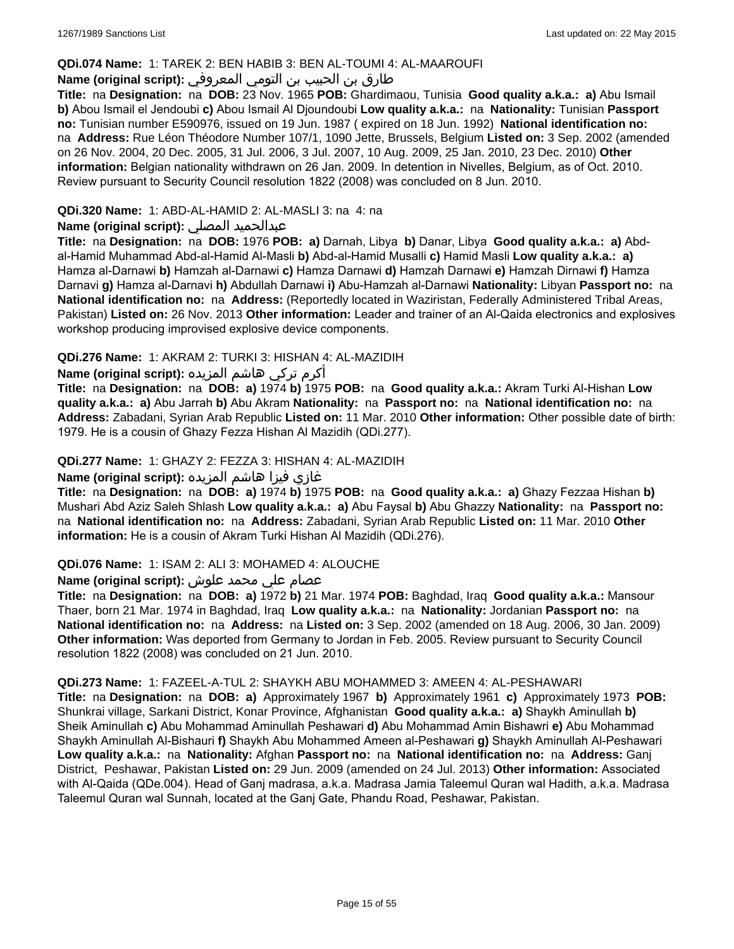#### **QDi.074 Name:** 1: TAREK 2: BEN HABIB 3: BEN AL-TOUMI 4: AL-MAAROUFI

## طارق بن الحبيب بن التومي المعروفي **:(script original (Name**

**Title:** na **Designation:** na **DOB:** 23 Nov. 1965 **POB:** Ghardimaou, Tunisia **Good quality a.k.a.: a)** Abu Ismail **b)** Abou Ismail el Jendoubi **c)** Abou Ismail Al Djoundoubi **Low quality a.k.a.:** na **Nationality:** Tunisian **Passport no:** Tunisian number E590976, issued on 19 Jun. 1987 ( expired on 18 Jun. 1992) **National identification no:**  na **Address:** Rue Léon Théodore Number 107/1, 1090 Jette, Brussels, Belgium **Listed on:** 3 Sep. 2002 (amended on 26 Nov. 2004, 20 Dec. 2005, 31 Jul. 2006, 3 Jul. 2007, 10 Aug. 2009, 25 Jan. 2010, 23 Dec. 2010) **Other information:** Belgian nationality withdrawn on 26 Jan. 2009. In detention in Nivelles, Belgium, as of Oct. 2010. Review pursuant to Security Council resolution 1822 (2008) was concluded on 8 Jun. 2010.

## **QDi.320 Name:** 1: ABD-AL-HAMID 2: AL-MASLI 3: na 4: na

## **Name (original script):** المصلي عبدالحميد

**Title:** na **Designation:** na **DOB:** 1976 **POB: a)** Darnah, Libya **b)** Danar, Libya **Good quality a.k.a.: a)** Abdal-Hamid Muhammad Abd-al-Hamid Al-Masli **b)** Abd-al-Hamid Musalli **c)** Hamid Masli **Low quality a.k.a.: a)** Hamza al-Darnawi **b)** Hamzah al-Darnawi **c)** Hamza Darnawi **d)** Hamzah Darnawi **e)** Hamzah Dirnawi **f)** Hamza Darnavi **g)** Hamza al-Darnavi **h)** Abdullah Darnawi **i)** Abu-Hamzah al-Darnawi **Nationality:** Libyan **Passport no:** na **National identification no:** na **Address:** (Reportedly located in Waziristan, Federally Administered Tribal Areas, Pakistan) **Listed on:** 26 Nov. 2013 **Other information:** Leader and trainer of an Al-Qaida electronics and explosives workshop producing improvised explosive device components.

## **QDi.276 Name:** 1: AKRAM 2: TURKI 3: HISHAN 4: AL-MAZIDIH

أكرم تركي هاشم المزيده **:(script original (Name**

**Title:** na **Designation:** na **DOB: a)** 1974 **b)** 1975 **POB:** na **Good quality a.k.a.:** Akram Turki Al-Hishan **Low quality a.k.a.: a)** Abu Jarrah **b)** Abu Akram **Nationality:** na **Passport no:** na **National identification no:** na **Address:** Zabadani, Syrian Arab Republic **Listed on:** 11 Mar. 2010 **Other information:** Other possible date of birth: 1979. He is a cousin of Ghazy Fezza Hishan Al Mazidih (QDi.277).

### **QDi.277 Name:** 1: GHAZY 2: FEZZA 3: HISHAN 4: AL-MAZIDIH

## غازي فيزا هاشم المزيده **:(script original (Name**

**Title:** na **Designation:** na **DOB: a)** 1974 **b)** 1975 **POB:** na **Good quality a.k.a.: a)** Ghazy Fezzaa Hishan **b)** Mushari Abd Aziz Saleh Shlash **Low quality a.k.a.: a)** Abu Faysal **b)** Abu Ghazzy **Nationality:** na **Passport no:**  na **National identification no:** na **Address:** Zabadani, Syrian Arab Republic **Listed on:** 11 Mar. 2010 **Other information:** He is a cousin of Akram Turki Hishan Al Mazidih (QDi.276).

#### **QDi.076 Name:** 1: ISAM 2: ALI 3: MOHAMED 4: ALOUCHE

## عصام علي محمد علوش **:(script original (Name**

**Title:** na **Designation:** na **DOB: a)** 1972 **b)** 21 Mar. 1974 **POB:** Baghdad, Iraq **Good quality a.k.a.:** Mansour Thaer, born 21 Mar. 1974 in Baghdad, Iraq **Low quality a.k.a.:** na **Nationality:** Jordanian **Passport no:** na **National identification no:** na **Address:** na **Listed on:** 3 Sep. 2002 (amended on 18 Aug. 2006, 30 Jan. 2009) **Other information:** Was deported from Germany to Jordan in Feb. 2005. Review pursuant to Security Council resolution 1822 (2008) was concluded on 21 Jun. 2010.

#### **QDi.273 Name:** 1: FAZEEL-A-TUL 2: SHAYKH ABU MOHAMMED 3: AMEEN 4: AL-PESHAWARI

**Title:** na **Designation:** na **DOB: a)** Approximately 1967 **b)** Approximately 1961 **c)** Approximately 1973 **POB:** Shunkrai village, Sarkani District, Konar Province, Afghanistan **Good quality a.k.a.: a)** Shaykh Aminullah **b)** Sheik Aminullah **c)** Abu Mohammad Aminullah Peshawari **d)** Abu Mohammad Amin Bishawri **e)** Abu Mohammad Shaykh Aminullah Al-Bishauri **f)** Shaykh Abu Mohammed Ameen al-Peshawari **g)** Shaykh Aminullah Al-Peshawari **Low quality a.k.a.:** na **Nationality:** Afghan **Passport no:** na **National identification no:** na **Address:** Ganj District, Peshawar, Pakistan **Listed on:** 29 Jun. 2009 (amended on 24 Jul. 2013) **Other information:** Associated with Al-Qaida (QDe.004). Head of Ganj madrasa, a.k.a. Madrasa Jamia Taleemul Quran wal Hadith, a.k.a. Madrasa Taleemul Quran wal Sunnah, located at the Ganj Gate, Phandu Road, Peshawar, Pakistan.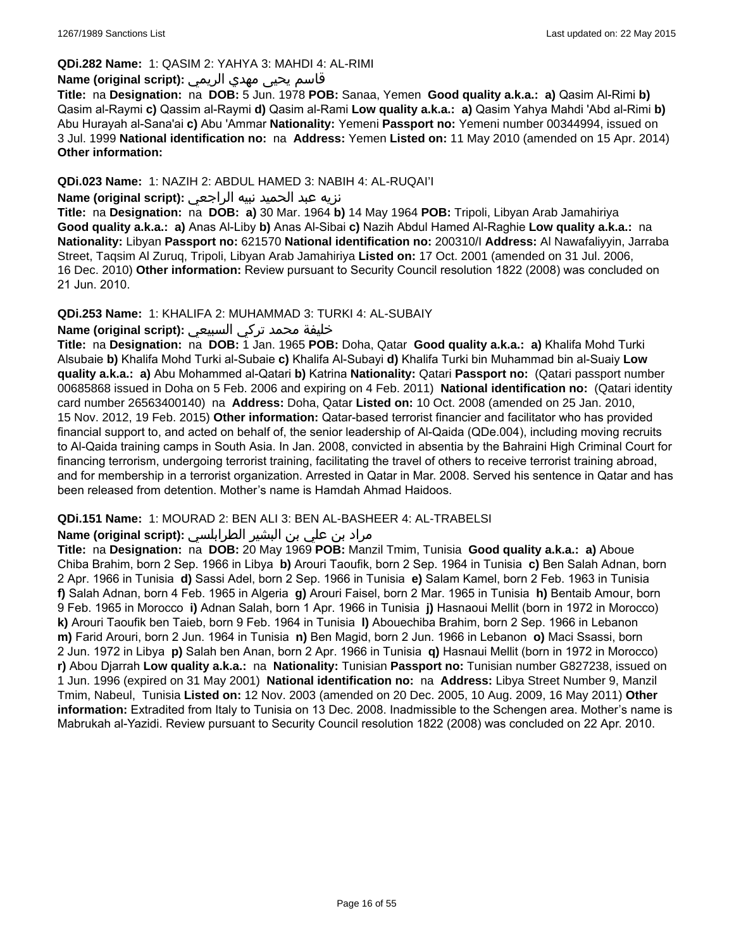#### **QDi.282 Name:** 1: QASIM 2: YAHYA 3: MAHDI 4: AL-RIMI

## قاسم يحيى مهدي الريمي **:(script original (Name**

**Title:** na **Designation:** na **DOB:** 5 Jun. 1978 **POB:** Sanaa, Yemen **Good quality a.k.a.: a)** Qasim Al-Rimi **b)** Qasim al-Raymi **c)** Qassim al-Raymi **d)** Qasim al-Rami **Low quality a.k.a.: a)** Qasim Yahya Mahdi 'Abd al-Rimi **b)** Abu Hurayah al-Sana'ai **c)** Abu 'Ammar **Nationality:** Yemeni **Passport no:** Yemeni number 00344994, issued on 3 Jul. 1999 **National identification no:** na **Address:** Yemen **Listed on:** 11 May 2010 (amended on 15 Apr. 2014) **Other information:**

## **QDi.023 Name:** 1: NAZIH 2: ABDUL HAMED 3: NABIH 4: AL-RUQAI'I

### نزيه عبد الحميد نبيه الراجعي **:(script original (Name**

**Title:** na **Designation:** na **DOB: a)** 30 Mar. 1964 **b)** 14 May 1964 **POB:** Tripoli, Libyan Arab Jamahiriya **Good quality a.k.a.: a)** Anas Al-Liby **b)** Anas Al-Sibai **c)** Nazih Abdul Hamed Al-Raghie **Low quality a.k.a.:** na **Nationality:** Libyan **Passport no:** 621570 **National identification no:** 200310/I **Address:** Al Nawafaliyyin, Jarraba Street, Taqsim Al Zuruq, Tripoli, Libyan Arab Jamahiriya **Listed on:** 17 Oct. 2001 (amended on 31 Jul. 2006, 16 Dec. 2010) **Other information:** Review pursuant to Security Council resolution 1822 (2008) was concluded on 21 Jun. 2010.

### **QDi.253 Name:** 1: KHALIFA 2: MUHAMMAD 3: TURKI 4: AL-SUBAIY

## خليفة محمد تركي السبيعي **:(script original (Name**

**Title:** na **Designation:** na **DOB:** 1 Jan. 1965 **POB:** Doha, Qatar **Good quality a.k.a.: a)** Khalifa Mohd Turki Alsubaie **b)** Khalifa Mohd Turki al-Subaie **c)** Khalifa Al-Subayi **d)** Khalifa Turki bin Muhammad bin al-Suaiy **Low quality a.k.a.: a)** Abu Mohammed al-Qatari **b)** Katrina **Nationality:** Qatari **Passport no:** (Qatari passport number 00685868 issued in Doha on 5 Feb. 2006 and expiring on 4 Feb. 2011) **National identification no:** (Qatari identity card number 26563400140) na **Address:** Doha, Qatar **Listed on:** 10 Oct. 2008 (amended on 25 Jan. 2010, 15 Nov. 2012, 19 Feb. 2015) **Other information:** Qatar-based terrorist financier and facilitator who has provided financial support to, and acted on behalf of, the senior leadership of Al-Qaida (QDe.004), including moving recruits to Al-Qaida training camps in South Asia. In Jan. 2008, convicted in absentia by the Bahraini High Criminal Court for financing terrorism, undergoing terrorist training, facilitating the travel of others to receive terrorist training abroad, and for membership in a terrorist organization. Arrested in Qatar in Mar. 2008. Served his sentence in Qatar and has been released from detention. Mother's name is Hamdah Ahmad Haidoos.

#### **QDi.151 Name:** 1: MOURAD 2: BEN ALI 3: BEN AL-BASHEER 4: AL-TRABELSI

## مراد بن علي بن البشير الطرابلسي **:Name (original script)**

**Title:** na **Designation:** na **DOB:** 20 May 1969 **POB:** Manzil Tmim, Tunisia **Good quality a.k.a.: a)** Aboue Chiba Brahim, born 2 Sep. 1966 in Libya **b)** Arouri Taoufik, born 2 Sep. 1964 in Tunisia **c)** Ben Salah Adnan, born 2 Apr. 1966 in Tunisia **d)** Sassi Adel, born 2 Sep. 1966 in Tunisia **e)** Salam Kamel, born 2 Feb. 1963 in Tunisia **f)** Salah Adnan, born 4 Feb. 1965 in Algeria **g)** Arouri Faisel, born 2 Mar. 1965 in Tunisia **h)** Bentaib Amour, born 9 Feb. 1965 in Morocco **i)** Adnan Salah, born 1 Apr. 1966 in Tunisia **j)** Hasnaoui Mellit (born in 1972 in Morocco) **k)** Arouri Taoufik ben Taieb, born 9 Feb. 1964 in Tunisia **l)** Abouechiba Brahim, born 2 Sep. 1966 in Lebanon **m)** Farid Arouri, born 2 Jun. 1964 in Tunisia **n)** Ben Magid, born 2 Jun. 1966 in Lebanon **o)** Maci Ssassi, born 2 Jun. 1972 in Libya **p)** Salah ben Anan, born 2 Apr. 1966 in Tunisia **q)** Hasnaui Mellit (born in 1972 in Morocco) **r)** Abou Djarrah **Low quality a.k.a.:** na **Nationality:** Tunisian **Passport no:** Tunisian number G827238, issued on 1 Jun. 1996 (expired on 31 May 2001) **National identification no:** na **Address:** Libya Street Number 9, Manzil Tmim, Nabeul, Tunisia **Listed on:** 12 Nov. 2003 (amended on 20 Dec. 2005, 10 Aug. 2009, 16 May 2011) **Other information:** Extradited from Italy to Tunisia on 13 Dec. 2008. Inadmissible to the Schengen area. Mother's name is Mabrukah al-Yazidi. Review pursuant to Security Council resolution 1822 (2008) was concluded on 22 Apr. 2010.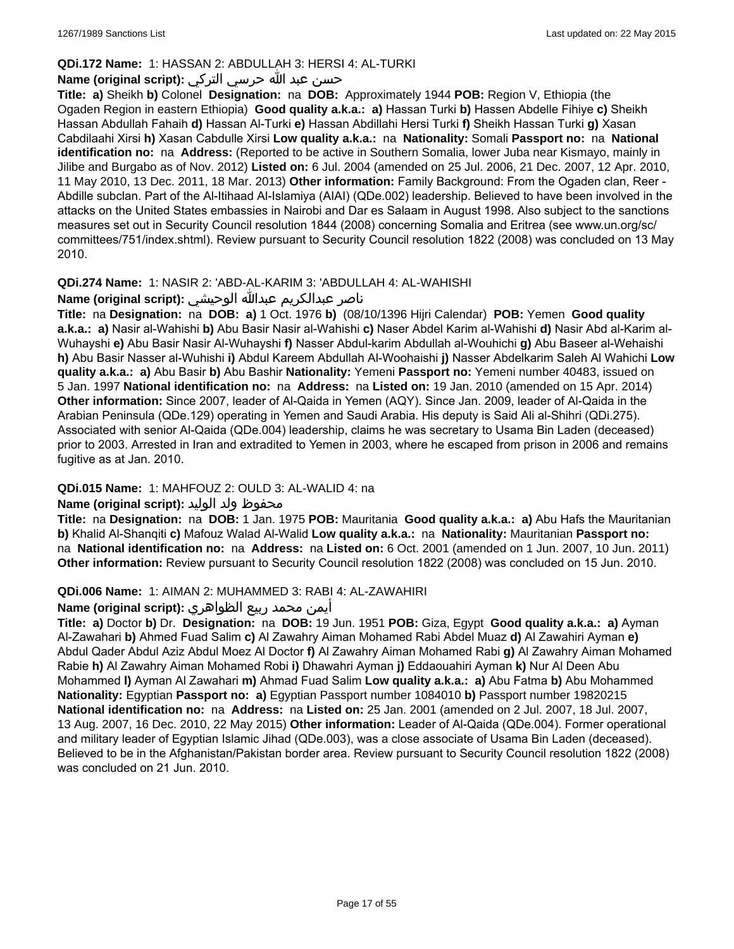## **QDi.172 Name:** 1: HASSAN 2: ABDULLAH 3: HERSI 4: AL-TURKI

## حسن عبد الله حرسي التركي **:(script original (Name**

**Title: a)** Sheikh **b)** Colonel **Designation:** na **DOB:** Approximately 1944 **POB:** Region V, Ethiopia (the Ogaden Region in eastern Ethiopia) **Good quality a.k.a.: a)** Hassan Turki **b)** Hassen Abdelle Fihiye **c)** Sheikh Hassan Abdullah Fahaih **d)** Hassan Al-Turki **e)** Hassan Abdillahi Hersi Turki **f)** Sheikh Hassan Turki **g)** Xasan Cabdilaahi Xirsi **h)** Xasan Cabdulle Xirsi **Low quality a.k.a.:** na **Nationality:** Somali **Passport no:** na **National identification no:** na **Address:** (Reported to be active in Southern Somalia, lower Juba near Kismayo, mainly in Jilibe and Burgabo as of Nov. 2012) **Listed on:** 6 Jul. 2004 (amended on 25 Jul. 2006, 21 Dec. 2007, 12 Apr. 2010, 11 May 2010, 13 Dec. 2011, 18 Mar. 2013) **Other information:** Family Background: From the Ogaden clan, Reer - Abdille subclan. Part of the Al-Itihaad Al-Islamiya (AIAI) (QDe.002) leadership. Believed to have been involved in the attacks on the United States embassies in Nairobi and Dar es Salaam in August 1998. Also subject to the sanctions measures set out in Security Council resolution 1844 (2008) concerning Somalia and Eritrea (see www.un.org/sc/ committees/751/index.shtml). Review pursuant to Security Council resolution 1822 (2008) was concluded on 13 May 2010.

## **QDi.274 Name:** 1: NASIR 2: 'ABD-AL-KARIM 3: 'ABDULLAH 4: AL-WAHISHI

## ناصر عبدالكريم عبدالله الوحيشي **:(script original (Name**

**Title:** na **Designation:** na **DOB: a)** 1 Oct. 1976 **b)** (08/10/1396 Hijri Calendar) **POB:** Yemen **Good quality a.k.a.: a)** Nasir al-Wahishi **b)** Abu Basir Nasir al-Wahishi **c)** Naser Abdel Karim al-Wahishi **d)** Nasir Abd al-Karim al-Wuhayshi **e)** Abu Basir Nasir Al-Wuhayshi **f)** Nasser Abdul-karim Abdullah al-Wouhichi **g)** Abu Baseer al-Wehaishi **h)** Abu Basir Nasser al-Wuhishi **i)** Abdul Kareem Abdullah Al-Woohaishi **j)** Nasser Abdelkarim Saleh Al Wahichi **Low quality a.k.a.: a)** Abu Basir **b)** Abu Bashir **Nationality:** Yemeni **Passport no:** Yemeni number 40483, issued on 5 Jan. 1997 **National identification no:** na **Address:** na **Listed on:** 19 Jan. 2010 (amended on 15 Apr. 2014) **Other information:** Since 2007, leader of Al-Qaida in Yemen (AQY). Since Jan. 2009, leader of Al-Qaida in the Arabian Peninsula (QDe.129) operating in Yemen and Saudi Arabia. His deputy is Said Ali al-Shihri (QDi.275). Associated with senior Al-Qaida (QDe.004) leadership, claims he was secretary to Usama Bin Laden (deceased) prior to 2003. Arrested in Iran and extradited to Yemen in 2003, where he escaped from prison in 2006 and remains fugitive as at Jan. 2010.

## **QDi.015 Name:** 1: MAHFOUZ 2: OULD 3: AL-WALID 4: na

## محفوظ ولد الوليد **:Name (original script)**

**Title:** na **Designation:** na **DOB:** 1 Jan. 1975 **POB:** Mauritania **Good quality a.k.a.: a)** Abu Hafs the Mauritanian **b)** Khalid Al-Shanqiti **c)** Mafouz Walad Al-Walid **Low quality a.k.a.:** na **Nationality:** Mauritanian **Passport no:**  na **National identification no:** na **Address:** na **Listed on:** 6 Oct. 2001 (amended on 1 Jun. 2007, 10 Jun. 2011) **Other information:** Review pursuant to Security Council resolution 1822 (2008) was concluded on 15 Jun. 2010.

## **QDi.006 Name:** 1: AIMAN 2: MUHAMMED 3: RABI 4: AL-ZAWAHIRI

## أيمن محمد ربيع الظواهري **:(script original (Name**

**Title: a)** Doctor **b)** Dr. **Designation:** na **DOB:** 19 Jun. 1951 **POB:** Giza, Egypt **Good quality a.k.a.: a)** Ayman Al-Zawahari **b)** Ahmed Fuad Salim **c)** Al Zawahry Aiman Mohamed Rabi Abdel Muaz **d)** Al Zawahiri Ayman **e)** Abdul Qader Abdul Aziz Abdul Moez Al Doctor **f)** Al Zawahry Aiman Mohamed Rabi **g)** Al Zawahry Aiman Mohamed Rabie **h)** Al Zawahry Aiman Mohamed Robi **i)** Dhawahri Ayman **j)** Eddaouahiri Ayman **k)** Nur Al Deen Abu Mohammed **l)** Ayman Al Zawahari **m)** Ahmad Fuad Salim **Low quality a.k.a.: a)** Abu Fatma **b)** Abu Mohammed **Nationality:** Egyptian **Passport no: a)** Egyptian Passport number 1084010 **b)** Passport number 19820215 **National identification no:** na **Address:** na **Listed on:** 25 Jan. 2001 (amended on 2 Jul. 2007, 18 Jul. 2007, 13 Aug. 2007, 16 Dec. 2010, 22 May 2015) **Other information:** Leader of Al-Qaida (QDe.004). Former operational and military leader of Egyptian Islamic Jihad (QDe.003), was a close associate of Usama Bin Laden (deceased). Believed to be in the Afghanistan/Pakistan border area. Review pursuant to Security Council resolution 1822 (2008) was concluded on 21 Jun. 2010.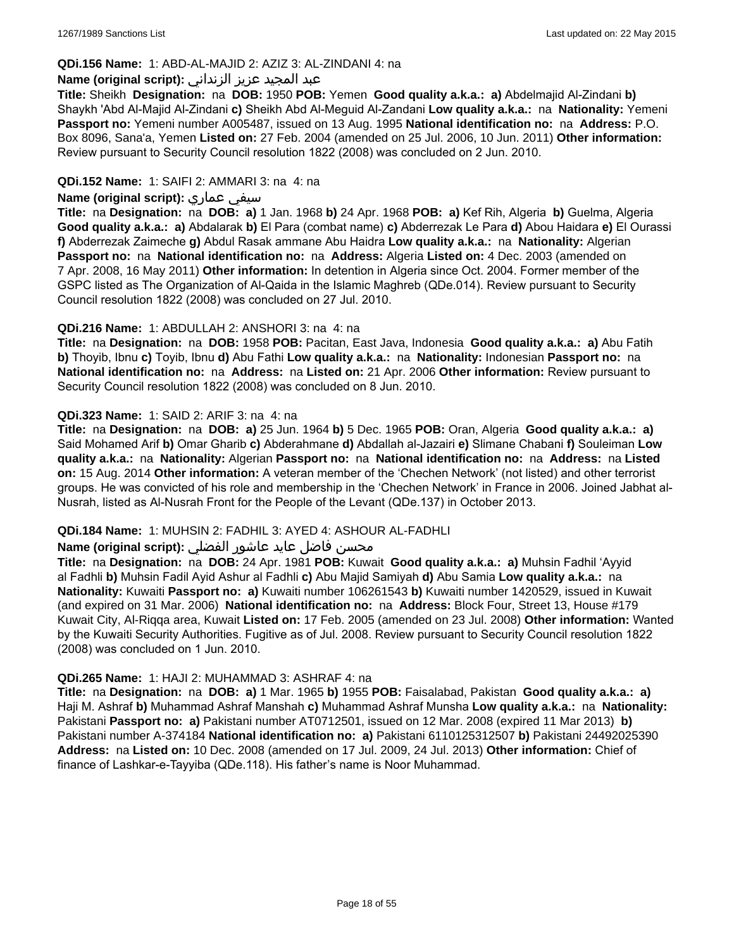## **QDi.156 Name:** 1: ABD-AL-MAJID 2: AZIZ 3: AL-ZINDANI 4: na

### عبد المجيد عزيز الزنداني **:(script original (Name**

**Title:** Sheikh **Designation:** na **DOB:** 1950 **POB:** Yemen **Good quality a.k.a.: a)** Abdelmajid Al-Zindani **b)** Shaykh 'Abd Al-Majid Al-Zindani **c)** Sheikh Abd Al-Meguid Al-Zandani **Low quality a.k.a.:** na **Nationality:** Yemeni **Passport no:** Yemeni number A005487, issued on 13 Aug. 1995 **National identification no:** na **Address:** P.O. Box 8096, Sana'a, Yemen **Listed on:** 27 Feb. 2004 (amended on 25 Jul. 2006, 10 Jun. 2011) **Other information:** Review pursuant to Security Council resolution 1822 (2008) was concluded on 2 Jun. 2010.

## **QDi.152 Name:** 1: SAIFI 2: AMMARI 3: na 4: na

### **Name (original script):** عماري سيفي

**Title:** na **Designation:** na **DOB: a)** 1 Jan. 1968 **b)** 24 Apr. 1968 **POB: a)** Kef Rih, Algeria **b)** Guelma, Algeria **Good quality a.k.a.: a)** Abdalarak **b)** El Para (combat name) **c)** Abderrezak Le Para **d)** Abou Haidara **e)** El Ourassi **f)** Abderrezak Zaimeche **g)** Abdul Rasak ammane Abu Haidra **Low quality a.k.a.:** na **Nationality:** Algerian **Passport no:** na **National identification no:** na **Address:** Algeria **Listed on:** 4 Dec. 2003 (amended on 7 Apr. 2008, 16 May 2011) **Other information:** In detention in Algeria since Oct. 2004. Former member of the GSPC listed as The Organization of Al-Qaida in the Islamic Maghreb (QDe.014). Review pursuant to Security Council resolution 1822 (2008) was concluded on 27 Jul. 2010.

### **QDi.216 Name:** 1: ABDULLAH 2: ANSHORI 3: na 4: na

**Title:** na **Designation:** na **DOB:** 1958 **POB:** Pacitan, East Java, Indonesia **Good quality a.k.a.: a)** Abu Fatih **b)** Thoyib, Ibnu **c)** Toyib, Ibnu **d)** Abu Fathi **Low quality a.k.a.:** na **Nationality:** Indonesian **Passport no:** na **National identification no:** na **Address:** na **Listed on:** 21 Apr. 2006 **Other information:** Review pursuant to Security Council resolution 1822 (2008) was concluded on 8 Jun. 2010.

### **QDi.323 Name:** 1: SAID 2: ARIF 3: na 4: na

**Title:** na **Designation:** na **DOB: a)** 25 Jun. 1964 **b)** 5 Dec. 1965 **POB:** Oran, Algeria **Good quality a.k.a.: a)** Said Mohamed Arif **b)** Omar Gharib **c)** Abderahmane **d)** Abdallah al-Jazairi **e)** Slimane Chabani **f)** Souleiman **Low quality a.k.a.:** na **Nationality:** Algerian **Passport no:** na **National identification no:** na **Address:** na **Listed on:** 15 Aug. 2014 **Other information:** A veteran member of the 'Chechen Network' (not listed) and other terrorist groups. He was convicted of his role and membership in the 'Chechen Network' in France in 2006. Joined Jabhat al-Nusrah, listed as Al-Nusrah Front for the People of the Levant (QDe.137) in October 2013.

## **QDi.184 Name:** 1: MUHSIN 2: FADHIL 3: AYED 4: ASHOUR AL-FADHLI

## محسن فاضل عايد عاشور الفضلي **:Name (original script**)

**Title:** na **Designation:** na **DOB:** 24 Apr. 1981 **POB:** Kuwait **Good quality a.k.a.: a)** Muhsin Fadhil 'Ayyid al Fadhli **b)** Muhsin Fadil Ayid Ashur al Fadhli **c)** Abu Majid Samiyah **d)** Abu Samia **Low quality a.k.a.:** na **Nationality:** Kuwaiti **Passport no: a)** Kuwaiti number 106261543 **b)** Kuwaiti number 1420529, issued in Kuwait (and expired on 31 Mar. 2006) **National identification no:** na **Address:** Block Four, Street 13, House #179 Kuwait City, Al-Riqqa area, Kuwait **Listed on:** 17 Feb. 2005 (amended on 23 Jul. 2008) **Other information:** Wanted by the Kuwaiti Security Authorities. Fugitive as of Jul. 2008. Review pursuant to Security Council resolution 1822 (2008) was concluded on 1 Jun. 2010.

#### **QDi.265 Name:** 1: HAJI 2: MUHAMMAD 3: ASHRAF 4: na

**Title:** na **Designation:** na **DOB: a)** 1 Mar. 1965 **b)** 1955 **POB:** Faisalabad, Pakistan **Good quality a.k.a.: a)** Haji M. Ashraf **b)** Muhammad Ashraf Manshah **c)** Muhammad Ashraf Munsha **Low quality a.k.a.:** na **Nationality:** Pakistani **Passport no: a)** Pakistani number AT0712501, issued on 12 Mar. 2008 (expired 11 Mar 2013) **b)** Pakistani number A-374184 **National identification no: a)** Pakistani 6110125312507 **b)** Pakistani 24492025390 **Address:** na **Listed on:** 10 Dec. 2008 (amended on 17 Jul. 2009, 24 Jul. 2013) **Other information:** Chief of finance of Lashkar-e-Tayyiba (QDe.118). His father's name is Noor Muhammad.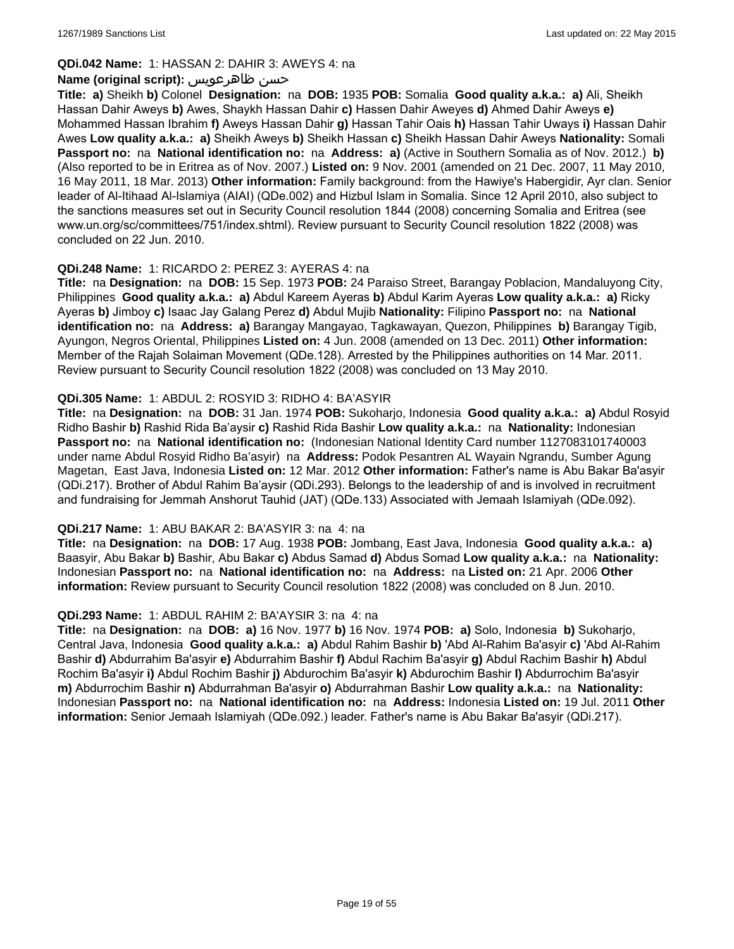#### **QDi.042 Name:** 1: HASSAN 2: DAHIR 3: AWEYS 4: na

### **Name (original script):** ظاهرعويس حسن

**Title: a)** Sheikh **b)** Colonel **Designation:** na **DOB:** 1935 **POB:** Somalia **Good quality a.k.a.: a)** Ali, Sheikh Hassan Dahir Aweys **b)** Awes, Shaykh Hassan Dahir **c)** Hassen Dahir Aweyes **d)** Ahmed Dahir Aweys **e)** Mohammed Hassan Ibrahim **f)** Aweys Hassan Dahir **g)** Hassan Tahir Oais **h)** Hassan Tahir Uways **i)** Hassan Dahir Awes **Low quality a.k.a.: a)** Sheikh Aweys **b)** Sheikh Hassan **c)** Sheikh Hassan Dahir Aweys **Nationality:** Somali **Passport no:** na **National identification no:** na **Address: a)** (Active in Southern Somalia as of Nov. 2012.) **b)** (Also reported to be in Eritrea as of Nov. 2007.) **Listed on:** 9 Nov. 2001 (amended on 21 Dec. 2007, 11 May 2010, 16 May 2011, 18 Mar. 2013) **Other information:** Family background: from the Hawiye's Habergidir, Ayr clan. Senior leader of Al-Itihaad Al-Islamiya (AIAI) (QDe.002) and Hizbul Islam in Somalia. Since 12 April 2010, also subject to the sanctions measures set out in Security Council resolution 1844 (2008) concerning Somalia and Eritrea (see www.un.org/sc/committees/751/index.shtml). Review pursuant to Security Council resolution 1822 (2008) was concluded on 22 Jun. 2010.

### **QDi.248 Name:** 1: RICARDO 2: PEREZ 3: AYERAS 4: na

**Title:** na **Designation:** na **DOB:** 15 Sep. 1973 **POB:** 24 Paraiso Street, Barangay Poblacion, Mandaluyong City, Philippines **Good quality a.k.a.: a)** Abdul Kareem Ayeras **b)** Abdul Karim Ayeras **Low quality a.k.a.: a)** Ricky Ayeras **b)** Jimboy **c)** Isaac Jay Galang Perez **d)** Abdul Mujib **Nationality:** Filipino **Passport no:** na **National identification no:** na **Address: a)** Barangay Mangayao, Tagkawayan, Quezon, Philippines **b)** Barangay Tigib, Ayungon, Negros Oriental, Philippines **Listed on:** 4 Jun. 2008 (amended on 13 Dec. 2011) **Other information:** Member of the Rajah Solaiman Movement (QDe.128). Arrested by the Philippines authorities on 14 Mar. 2011. Review pursuant to Security Council resolution 1822 (2008) was concluded on 13 May 2010.

### **QDi.305 Name:** 1: ABDUL 2: ROSYID 3: RIDHO 4: BA'ASYIR

**Title:** na **Designation:** na **DOB:** 31 Jan. 1974 **POB:** Sukoharjo, Indonesia **Good quality a.k.a.: a)** Abdul Rosyid Ridho Bashir **b)** Rashid Rida Ba'aysir **c)** Rashid Rida Bashir **Low quality a.k.a.:** na **Nationality:** Indonesian **Passport no:** na **National identification no:** (Indonesian National Identity Card number 1127083101740003 under name Abdul Rosyid Ridho Ba'asyir) na **Address:** Podok Pesantren AL Wayain Ngrandu, Sumber Agung Magetan, East Java, Indonesia **Listed on:** 12 Mar. 2012 **Other information:** Father's name is Abu Bakar Ba'asyir (QDi.217). Brother of Abdul Rahim Ba'aysir (QDi.293). Belongs to the leadership of and is involved in recruitment and fundraising for Jemmah Anshorut Tauhid (JAT) (QDe.133) Associated with Jemaah Islamiyah (QDe.092).

#### **QDi.217 Name:** 1: ABU BAKAR 2: BA'ASYIR 3: na 4: na

**Title:** na **Designation:** na **DOB:** 17 Aug. 1938 **POB:** Jombang, East Java, Indonesia **Good quality a.k.a.: a)** Baasyir, Abu Bakar **b)** Bashir, Abu Bakar **c)** Abdus Samad **d)** Abdus Somad **Low quality a.k.a.:** na **Nationality:** Indonesian **Passport no:** na **National identification no:** na **Address:** na **Listed on:** 21 Apr. 2006 **Other information:** Review pursuant to Security Council resolution 1822 (2008) was concluded on 8 Jun. 2010.

#### **QDi.293 Name:** 1: ABDUL RAHIM 2: BA'AYSIR 3: na 4: na

**Title:** na **Designation:** na **DOB: a)** 16 Nov. 1977 **b)** 16 Nov. 1974 **POB: a)** Solo, Indonesia **b)** Sukoharjo, Central Java, Indonesia **Good quality a.k.a.: a)** Abdul Rahim Bashir **b)** 'Abd Al-Rahim Ba'asyir **c)** 'Abd Al-Rahim Bashir **d)** Abdurrahim Ba'asyir **e)** Abdurrahim Bashir **f)** Abdul Rachim Ba'asyir **g)** Abdul Rachim Bashir **h)** Abdul Rochim Ba'asyir **i)** Abdul Rochim Bashir **j)** Abdurochim Ba'asyir **k)** Abdurochim Bashir **l)** Abdurrochim Ba'asyir **m)** Abdurrochim Bashir **n)** Abdurrahman Ba'asyir **o)** Abdurrahman Bashir **Low quality a.k.a.:** na **Nationality:** Indonesian **Passport no:** na **National identification no:** na **Address:** Indonesia **Listed on:** 19 Jul. 2011 **Other information:** Senior Jemaah Islamiyah (QDe.092.) leader. Father's name is Abu Bakar Ba'asyir (QDi.217).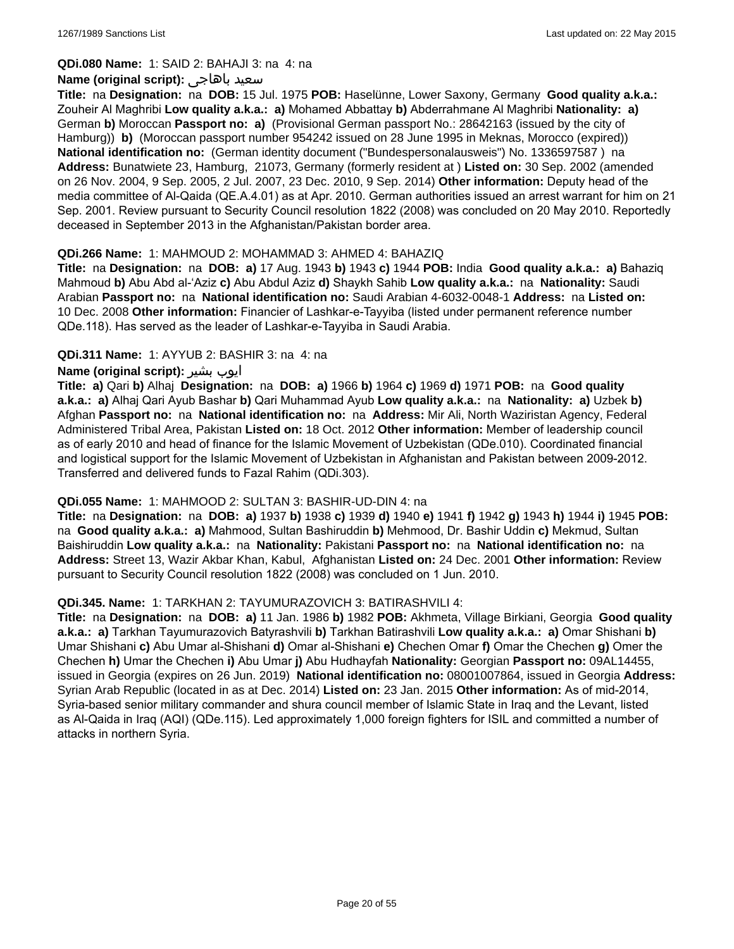**QDi.080 Name:** 1: SAID 2: BAHAJI 3: na 4: na

#### **Name (original script):** باهاجى سعيد

**Title:** na **Designation:** na **DOB:** 15 Jul. 1975 **POB:** Haselünne, Lower Saxony, Germany **Good quality a.k.a.:** Zouheir Al Maghribi **Low quality a.k.a.: a)** Mohamed Abbattay **b)** Abderrahmane Al Maghribi **Nationality: a)** German **b)** Moroccan **Passport no: a)** (Provisional German passport No.: 28642163 (issued by the city of Hamburg)) **b)** (Moroccan passport number 954242 issued on 28 June 1995 in Meknas, Morocco (expired)) **National identification no:** (German identity document ("Bundespersonalausweis") No. 1336597587 ) na **Address:** Bunatwiete 23, Hamburg, 21073, Germany (formerly resident at ) **Listed on:** 30 Sep. 2002 (amended on 26 Nov. 2004, 9 Sep. 2005, 2 Jul. 2007, 23 Dec. 2010, 9 Sep. 2014) **Other information:** Deputy head of the media committee of Al-Qaida (QE.A.4.01) as at Apr. 2010. German authorities issued an arrest warrant for him on 21 Sep. 2001. Review pursuant to Security Council resolution 1822 (2008) was concluded on 20 May 2010. Reportedly deceased in September 2013 in the Afghanistan/Pakistan border area.

#### **QDi.266 Name:** 1: MAHMOUD 2: MOHAMMAD 3: AHMED 4: BAHAZIQ

**Title:** na **Designation:** na **DOB: a)** 17 Aug. 1943 **b)** 1943 **c)** 1944 **POB:** India **Good quality a.k.a.: a)** Bahaziq Mahmoud **b)** Abu Abd al-'Aziz **c)** Abu Abdul Aziz **d)** Shaykh Sahib **Low quality a.k.a.:** na **Nationality:** Saudi Arabian **Passport no:** na **National identification no:** Saudi Arabian 4-6032-0048-1 **Address:** na **Listed on:** 10 Dec. 2008 **Other information:** Financier of Lashkar-e-Tayyiba (listed under permanent reference number QDe.118). Has served as the leader of Lashkar-e-Tayyiba in Saudi Arabia.

### **QDi.311 Name:** 1: AYYUB 2: BASHIR 3: na 4: na

### **Name (original script):** بشیر ایوب

**Title: a)** Qari **b)** Alhaj **Designation:** na **DOB: a)** 1966 **b)** 1964 **c)** 1969 **d)** 1971 **POB:** na **Good quality a.k.a.: a)** Alhaj Qari Ayub Bashar **b)** Qari Muhammad Ayub **Low quality a.k.a.:** na **Nationality: a)** Uzbek **b)** Afghan **Passport no:** na **National identification no:** na **Address:** Mir Ali, North Waziristan Agency, Federal Administered Tribal Area, Pakistan **Listed on:** 18 Oct. 2012 **Other information:** Member of leadership council as of early 2010 and head of finance for the Islamic Movement of Uzbekistan (QDe.010). Coordinated financial and logistical support for the Islamic Movement of Uzbekistan in Afghanistan and Pakistan between 2009-2012. Transferred and delivered funds to Fazal Rahim (QDi.303).

#### **QDi.055 Name:** 1: MAHMOOD 2: SULTAN 3: BASHIR-UD-DIN 4: na

**Title:** na **Designation:** na **DOB: a)** 1937 **b)** 1938 **c)** 1939 **d)** 1940 **e)** 1941 **f)** 1942 **g)** 1943 **h)** 1944 **i)** 1945 **POB:**  na **Good quality a.k.a.: a)** Mahmood, Sultan Bashiruddin **b)** Mehmood, Dr. Bashir Uddin **c)** Mekmud, Sultan Baishiruddin **Low quality a.k.a.:** na **Nationality:** Pakistani **Passport no:** na **National identification no:** na **Address:** Street 13, Wazir Akbar Khan, Kabul, Afghanistan **Listed on:** 24 Dec. 2001 **Other information:** Review pursuant to Security Council resolution 1822 (2008) was concluded on 1 Jun. 2010.

#### **QDi.345. Name:** 1: TARKHAN 2: TAYUMURAZOVICH 3: BATIRASHVILI 4:

**Title:** na **Designation:** na **DOB: a)** 11 Jan. 1986 **b)** 1982 **POB:** Akhmeta, Village Birkiani, Georgia **Good quality a.k.a.: a)** Tarkhan Tayumurazovich Batyrashvili **b)** Tarkhan Batirashvili **Low quality a.k.a.: a)** Omar Shishani **b)** Umar Shishani **c)** Abu Umar al-Shishani **d)** Omar al-Shishani **e)** Chechen Omar **f)** Omar the Chechen **g)** Omer the Chechen **h)** Umar the Chechen **i)** Abu Umar **j)** Abu Hudhayfah **Nationality:** Georgian **Passport no:** 09AL14455, issued in Georgia (expires on 26 Jun. 2019) **National identification no:** 08001007864, issued in Georgia **Address:** Syrian Arab Republic (located in as at Dec. 2014) **Listed on:** 23 Jan. 2015 **Other information:** As of mid-2014, Syria-based senior military commander and shura council member of Islamic State in Iraq and the Levant, listed as Al-Qaida in Iraq (AQI) (QDe.115). Led approximately 1,000 foreign fighters for ISIL and committed a number of attacks in northern Syria.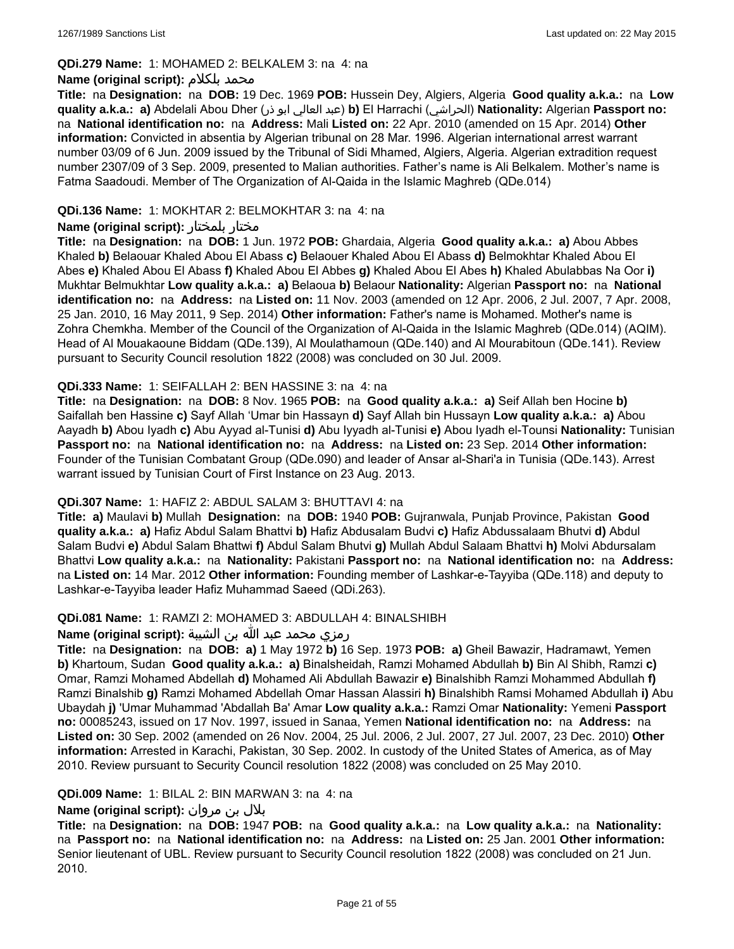#### **QDi.279 Name:** 1: MOHAMED 2: BELKALEM 3: na 4: na

#### **Name (original script):** بلكلام محمد

**Title:** na **Designation:** na **DOB:** 19 Dec. 1969 **POB:** Hussein Dey, Algiers, Algeria **Good quality a.k.a.:** na **Low quality a.k.a.: a)** Abdelali Abou Dher (ذر ابو العالي عبد(**b)** El Harrachi (الحراشي(**Nationality:** Algerian **Passport no:**  na **National identification no:** na **Address:** Mali **Listed on:** 22 Apr. 2010 (amended on 15 Apr. 2014) **Other information:** Convicted in absentia by Algerian tribunal on 28 Mar. 1996. Algerian international arrest warrant number 03/09 of 6 Jun. 2009 issued by the Tribunal of Sidi Mhamed, Algiers, Algeria. Algerian extradition request number 2307/09 of 3 Sep. 2009, presented to Malian authorities. Father's name is Ali Belkalem. Mother's name is Fatma Saadoudi. Member of The Organization of Al-Qaida in the Islamic Maghreb (QDe.014)

## **QDi.136 Name:** 1: MOKHTAR 2: BELMOKHTAR 3: na 4: na

### **Name (original script):** بلمختار مختار

**Title:** na **Designation:** na **DOB:** 1 Jun. 1972 **POB:** Ghardaia, Algeria **Good quality a.k.a.: a)** Abou Abbes Khaled **b)** Belaouar Khaled Abou El Abass **c)** Belaouer Khaled Abou El Abass **d)** Belmokhtar Khaled Abou El Abes **e)** Khaled Abou El Abass **f)** Khaled Abou El Abbes **g)** Khaled Abou El Abes **h)** Khaled Abulabbas Na Oor **i)** Mukhtar Belmukhtar **Low quality a.k.a.: a)** Belaoua **b)** Belaour **Nationality:** Algerian **Passport no:** na **National identification no:** na **Address:** na **Listed on:** 11 Nov. 2003 (amended on 12 Apr. 2006, 2 Jul. 2007, 7 Apr. 2008, 25 Jan. 2010, 16 May 2011, 9 Sep. 2014) **Other information:** Father's name is Mohamed. Mother's name is Zohra Chemkha. Member of the Council of the Organization of Al-Qaida in the Islamic Maghreb (QDe.014) (AQIM). Head of Al Mouakaoune Biddam (QDe.139), Al Moulathamoun (QDe.140) and Al Mourabitoun (QDe.141). Review pursuant to Security Council resolution 1822 (2008) was concluded on 30 Jul. 2009.

### **QDi.333 Name:** 1: SEIFALLAH 2: BEN HASSINE 3: na 4: na

**Title:** na **Designation:** na **DOB:** 8 Nov. 1965 **POB:** na **Good quality a.k.a.: a)** Seif Allah ben Hocine **b)** Saifallah ben Hassine **c)** Sayf Allah 'Umar bin Hassayn **d)** Sayf Allah bin Hussayn **Low quality a.k.a.: a)** Abou Aayadh **b)** Abou Iyadh **c)** Abu Ayyad al-Tunisi **d)** Abu Iyyadh al-Tunisi **e)** Abou Iyadh el-Tounsi **Nationality:** Tunisian **Passport no:** na **National identification no:** na **Address:** na **Listed on:** 23 Sep. 2014 **Other information:** Founder of the Tunisian Combatant Group (QDe.090) and leader of Ansar al-Shari'a in Tunisia (QDe.143). Arrest warrant issued by Tunisian Court of First Instance on 23 Aug. 2013.

#### **QDi.307 Name:** 1: HAFIZ 2: ABDUL SALAM 3: BHUTTAVI 4: na

**Title: a)** Maulavi **b)** Mullah **Designation:** na **DOB:** 1940 **POB:** Gujranwala, Punjab Province, Pakistan **Good quality a.k.a.: a)** Hafiz Abdul Salam Bhattvi **b)** Hafiz Abdusalam Budvi **c)** Hafiz Abdussalaam Bhutvi **d)** Abdul Salam Budvi **e)** Abdul Salam Bhattwi **f)** Abdul Salam Bhutvi **g)** Mullah Abdul Salaam Bhattvi **h)** Molvi Abdursalam Bhattvi **Low quality a.k.a.:** na **Nationality:** Pakistani **Passport no:** na **National identification no:** na **Address:** na **Listed on:** 14 Mar. 2012 **Other information:** Founding member of Lashkar-e-Tayyiba (QDe.118) and deputy to Lashkar-e-Tayyiba leader Hafiz Muhammad Saeed (QDi.263).

## **QDi.081 Name:** 1: RAMZI 2: MOHAMED 3: ABDULLAH 4: BINALSHIBH

#### رمزي محمد عبد الله بن الشيبة **:(script original (Name**

**Title:** na **Designation:** na **DOB: a)** 1 May 1972 **b)** 16 Sep. 1973 **POB: a)** Gheil Bawazir, Hadramawt, Yemen **b)** Khartoum, Sudan **Good quality a.k.a.: a)** Binalsheidah, Ramzi Mohamed Abdullah **b)** Bin Al Shibh, Ramzi **c)** Omar, Ramzi Mohamed Abdellah **d)** Mohamed Ali Abdullah Bawazir **e)** Binalshibh Ramzi Mohammed Abdullah **f)** Ramzi Binalshib **g)** Ramzi Mohamed Abdellah Omar Hassan Alassiri **h)** Binalshibh Ramsi Mohamed Abdullah **i)** Abu Ubaydah **j)** 'Umar Muhammad 'Abdallah Ba' Amar **Low quality a.k.a.:** Ramzi Omar **Nationality:** Yemeni **Passport no:** 00085243, issued on 17 Nov. 1997, issued in Sanaa, Yemen **National identification no:** na **Address:** na **Listed on:** 30 Sep. 2002 (amended on 26 Nov. 2004, 25 Jul. 2006, 2 Jul. 2007, 27 Jul. 2007, 23 Dec. 2010) **Other information:** Arrested in Karachi, Pakistan, 30 Sep. 2002. In custody of the United States of America, as of May 2010. Review pursuant to Security Council resolution 1822 (2008) was concluded on 25 May 2010.

#### **QDi.009 Name:** 1: BILAL 2: BIN MARWAN 3: na 4: na

## بلال بن مروان **:(script original (Name**

**Title:** na **Designation:** na **DOB:** 1947 **POB:** na **Good quality a.k.a.:** na **Low quality a.k.a.:** na **Nationality:**  na **Passport no:** na **National identification no:** na **Address:** na **Listed on:** 25 Jan. 2001 **Other information:** Senior lieutenant of UBL. Review pursuant to Security Council resolution 1822 (2008) was concluded on 21 Jun. 2010.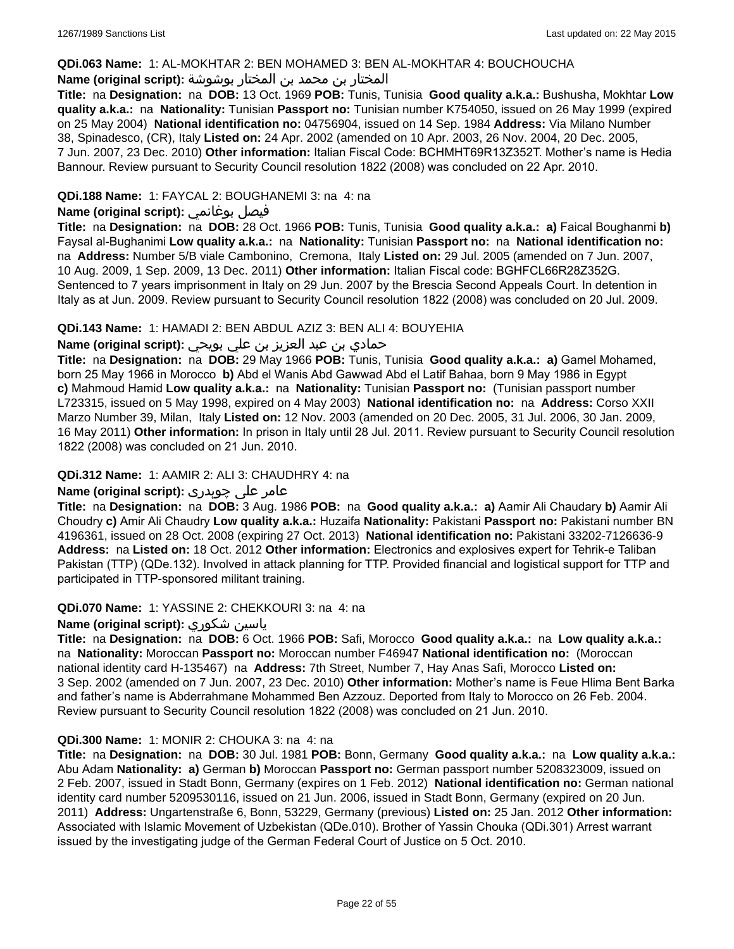### **QDi.063 Name:** 1: AL-MOKHTAR 2: BEN MOHAMED 3: BEN AL-MOKHTAR 4: BOUCHOUCHA

## المختار بن محمد بن المختار بوشوشة **:(script original (Name**

**Title:** na **Designation:** na **DOB:** 13 Oct. 1969 **POB:** Tunis, Tunisia **Good quality a.k.a.:** Bushusha, Mokhtar **Low quality a.k.a.:** na **Nationality:** Tunisian **Passport no:** Tunisian number K754050, issued on 26 May 1999 (expired on 25 May 2004) **National identification no:** 04756904, issued on 14 Sep. 1984 **Address:** Via Milano Number 38, Spinadesco, (CR), Italy **Listed on:** 24 Apr. 2002 (amended on 10 Apr. 2003, 26 Nov. 2004, 20 Dec. 2005, 7 Jun. 2007, 23 Dec. 2010) **Other information:** Italian Fiscal Code: BCHMHT69R13Z352T. Mother's name is Hedia Bannour. Review pursuant to Security Council resolution 1822 (2008) was concluded on 22 Apr. 2010.

## **QDi.188 Name:** 1: FAYCAL 2: BOUGHANEMI 3: na 4: na

## **Name (original script):** بوغانمي فيصل

**Title:** na **Designation:** na **DOB:** 28 Oct. 1966 **POB:** Tunis, Tunisia **Good quality a.k.a.: a)** Faical Boughanmi **b)** Faysal al-Bughanimi **Low quality a.k.a.:** na **Nationality:** Tunisian **Passport no:** na **National identification no:**  na **Address:** Number 5/B viale Cambonino, Cremona, Italy **Listed on:** 29 Jul. 2005 (amended on 7 Jun. 2007, 10 Aug. 2009, 1 Sep. 2009, 13 Dec. 2011) **Other information:** Italian Fiscal code: BGHFCL66R28Z352G. Sentenced to 7 years imprisonment in Italy on 29 Jun. 2007 by the Brescia Second Appeals Court. In detention in Italy as at Jun. 2009. Review pursuant to Security Council resolution 1822 (2008) was concluded on 20 Jul. 2009.

### **QDi.143 Name:** 1: HAMADI 2: BEN ABDUL AZIZ 3: BEN ALI 4: BOUYEHIA

## حمادي بن عبد العزيز بن علي بويحي **:(script original (Name**

**Title:** na **Designation:** na **DOB:** 29 May 1966 **POB:** Tunis, Tunisia **Good quality a.k.a.: a)** Gamel Mohamed, born 25 May 1966 in Morocco **b)** Abd el Wanis Abd Gawwad Abd el Latif Bahaa, born 9 May 1986 in Egypt **c)** Mahmoud Hamid **Low quality a.k.a.:** na **Nationality:** Tunisian **Passport no:** (Tunisian passport number L723315, issued on 5 May 1998, expired on 4 May 2003) **National identification no:** na **Address:** Corso XXII Marzo Number 39, Milan, Italy **Listed on:** 12 Nov. 2003 (amended on 20 Dec. 2005, 31 Jul. 2006, 30 Jan. 2009, 16 May 2011) **Other information:** In prison in Italy until 28 Jul. 2011. Review pursuant to Security Council resolution 1822 (2008) was concluded on 21 Jun. 2010.

## **QDi.312 Name:** 1: AAMIR 2: ALI 3: CHAUDHRY 4: na

## عامر علی چوہدری **:(script original (Name**

**Title:** na **Designation:** na **DOB:** 3 Aug. 1986 **POB:** na **Good quality a.k.a.: a)** Aamir Ali Chaudary **b)** Aamir Ali Choudry **c)** Amir Ali Chaudry **Low quality a.k.a.:** Huzaifa **Nationality:** Pakistani **Passport no:** Pakistani number BN 4196361, issued on 28 Oct. 2008 (expiring 27 Oct. 2013) **National identification no:** Pakistani 33202-7126636-9 **Address:** na **Listed on:** 18 Oct. 2012 **Other information:** Electronics and explosives expert for Tehrik-e Taliban Pakistan (TTP) (QDe.132). Involved in attack planning for TTP. Provided financial and logistical support for TTP and participated in TTP-sponsored militant training.

#### **QDi.070 Name:** 1: YASSINE 2: CHEKKOURI 3: na 4: na

#### **Name (original script):** شكوري ياسين

**Title:** na **Designation:** na **DOB:** 6 Oct. 1966 **POB:** Safi, Morocco **Good quality a.k.a.:** na **Low quality a.k.a.:**  na **Nationality:** Moroccan **Passport no:** Moroccan number F46947 **National identification no:** (Moroccan national identity card H-135467) na **Address:** 7th Street, Number 7, Hay Anas Safi, Morocco **Listed on:** 3 Sep. 2002 (amended on 7 Jun. 2007, 23 Dec. 2010) **Other information:** Mother's name is Feue Hlima Bent Barka and father's name is Abderrahmane Mohammed Ben Azzouz. Deported from Italy to Morocco on 26 Feb. 2004. Review pursuant to Security Council resolution 1822 (2008) was concluded on 21 Jun. 2010.

#### **QDi.300 Name:** 1: MONIR 2: CHOUKA 3: na 4: na

**Title:** na **Designation:** na **DOB:** 30 Jul. 1981 **POB:** Bonn, Germany **Good quality a.k.a.:** na **Low quality a.k.a.:** Abu Adam **Nationality: a)** German **b)** Moroccan **Passport no:** German passport number 5208323009, issued on 2 Feb. 2007, issued in Stadt Bonn, Germany (expires on 1 Feb. 2012) **National identification no:** German national identity card number 5209530116, issued on 21 Jun. 2006, issued in Stadt Bonn, Germany (expired on 20 Jun. 2011) **Address:** Ungartenstraße 6, Bonn, 53229, Germany (previous) **Listed on:** 25 Jan. 2012 **Other information:** Associated with Islamic Movement of Uzbekistan (QDe.010). Brother of Yassin Chouka (QDi.301) Arrest warrant issued by the investigating judge of the German Federal Court of Justice on 5 Oct. 2010.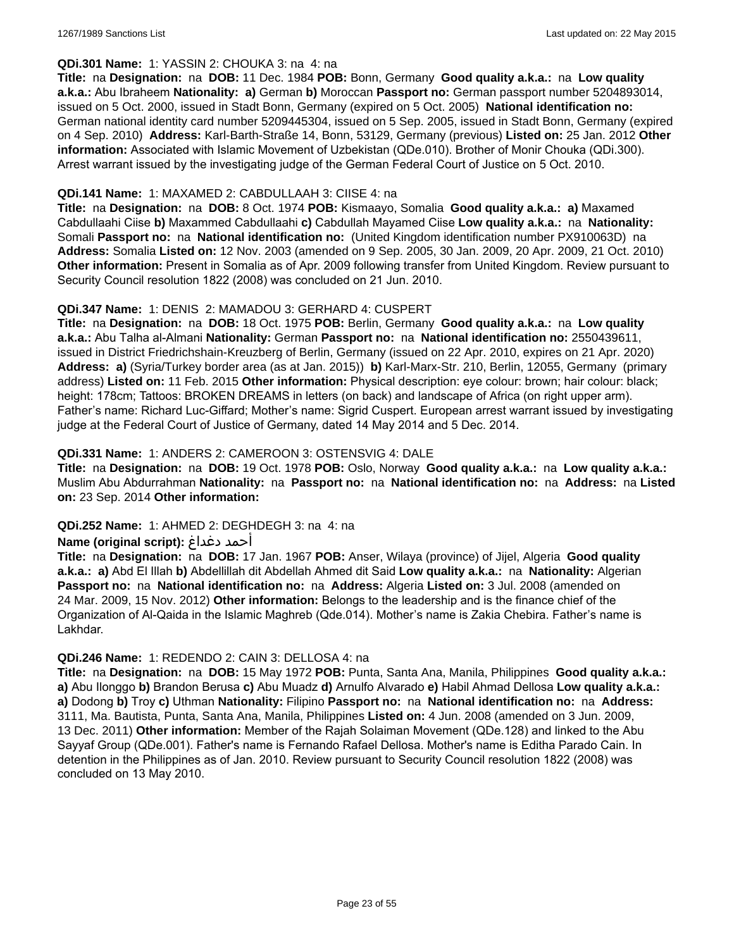#### **QDi.301 Name:** 1: YASSIN 2: CHOUKA 3: na 4: na

**Title:** na **Designation:** na **DOB:** 11 Dec. 1984 **POB:** Bonn, Germany **Good quality a.k.a.:** na **Low quality a.k.a.:** Abu Ibraheem **Nationality: a)** German **b)** Moroccan **Passport no:** German passport number 5204893014, issued on 5 Oct. 2000, issued in Stadt Bonn, Germany (expired on 5 Oct. 2005) **National identification no:** German national identity card number 5209445304, issued on 5 Sep. 2005, issued in Stadt Bonn, Germany (expired on 4 Sep. 2010) **Address:** Karl-Barth-Straße 14, Bonn, 53129, Germany (previous) **Listed on:** 25 Jan. 2012 **Other information:** Associated with Islamic Movement of Uzbekistan (QDe.010). Brother of Monir Chouka (QDi.300). Arrest warrant issued by the investigating judge of the German Federal Court of Justice on 5 Oct. 2010.

### **QDi.141 Name:** 1: MAXAMED 2: CABDULLAAH 3: CIISE 4: na

**Title:** na **Designation:** na **DOB:** 8 Oct. 1974 **POB:** Kismaayo, Somalia **Good quality a.k.a.: a)** Maxamed Cabdullaahi Ciise **b)** Maxammed Cabdullaahi **c)** Cabdullah Mayamed Ciise **Low quality a.k.a.:** na **Nationality:** Somali **Passport no:** na **National identification no:** (United Kingdom identification number PX910063D) na **Address:** Somalia **Listed on:** 12 Nov. 2003 (amended on 9 Sep. 2005, 30 Jan. 2009, 20 Apr. 2009, 21 Oct. 2010) **Other information:** Present in Somalia as of Apr. 2009 following transfer from United Kingdom. Review pursuant to Security Council resolution 1822 (2008) was concluded on 21 Jun. 2010.

### **QDi.347 Name:** 1: DENIS 2: MAMADOU 3: GERHARD 4: CUSPERT

**Title:** na **Designation:** na **DOB:** 18 Oct. 1975 **POB:** Berlin, Germany **Good quality a.k.a.:** na **Low quality a.k.a.:** Abu Talha al-Almani **Nationality:** German **Passport no:** na **National identification no:** 2550439611, issued in District Friedrichshain-Kreuzberg of Berlin, Germany (issued on 22 Apr. 2010, expires on 21 Apr. 2020) **Address: a)** (Syria/Turkey border area (as at Jan. 2015)) **b)** Karl-Marx-Str. 210, Berlin, 12055, Germany (primary address) **Listed on:** 11 Feb. 2015 **Other information:** Physical description: eye colour: brown; hair colour: black; height: 178cm; Tattoos: BROKEN DREAMS in letters (on back) and landscape of Africa (on right upper arm). Father's name: Richard Luc-Giffard; Mother's name: Sigrid Cuspert. European arrest warrant issued by investigating judge at the Federal Court of Justice of Germany, dated 14 May 2014 and 5 Dec. 2014.

### **QDi.331 Name:** 1: ANDERS 2: CAMEROON 3: OSTENSVIG 4: DALE

**Title:** na **Designation:** na **DOB:** 19 Oct. 1978 **POB:** Oslo, Norway **Good quality a.k.a.:** na **Low quality a.k.a.:** Muslim Abu Abdurrahman **Nationality:** na **Passport no:** na **National identification no:** na **Address:** na **Listed on:** 23 Sep. 2014 **Other information:**

#### **QDi.252 Name:** 1: AHMED 2: DEGHDEGH 3: na 4: na

#### **Name (original script):** دغداغ أحمد

**Title:** na **Designation:** na **DOB:** 17 Jan. 1967 **POB:** Anser, Wilaya (province) of Jijel, Algeria **Good quality a.k.a.: a)** Abd El Illah **b)** Abdellillah dit Abdellah Ahmed dit Said **Low quality a.k.a.:** na **Nationality:** Algerian **Passport no:** na **National identification no:** na **Address:** Algeria **Listed on:** 3 Jul. 2008 (amended on 24 Mar. 2009, 15 Nov. 2012) **Other information:** Belongs to the leadership and is the finance chief of the Organization of Al-Qaida in the Islamic Maghreb (Qde.014). Mother's name is Zakia Chebira. Father's name is Lakhdar.

#### **QDi.246 Name:** 1: REDENDO 2: CAIN 3: DELLOSA 4: na

**Title:** na **Designation:** na **DOB:** 15 May 1972 **POB:** Punta, Santa Ana, Manila, Philippines **Good quality a.k.a.: a)** Abu Ilonggo **b)** Brandon Berusa **c)** Abu Muadz **d)** Arnulfo Alvarado **e)** Habil Ahmad Dellosa **Low quality a.k.a.: a)** Dodong **b)** Troy **c)** Uthman **Nationality:** Filipino **Passport no:** na **National identification no:** na **Address:** 3111, Ma. Bautista, Punta, Santa Ana, Manila, Philippines **Listed on:** 4 Jun. 2008 (amended on 3 Jun. 2009, 13 Dec. 2011) **Other information:** Member of the Rajah Solaiman Movement (QDe.128) and linked to the Abu Sayyaf Group (QDe.001). Father's name is Fernando Rafael Dellosa. Mother's name is Editha Parado Cain. In detention in the Philippines as of Jan. 2010. Review pursuant to Security Council resolution 1822 (2008) was concluded on 13 May 2010.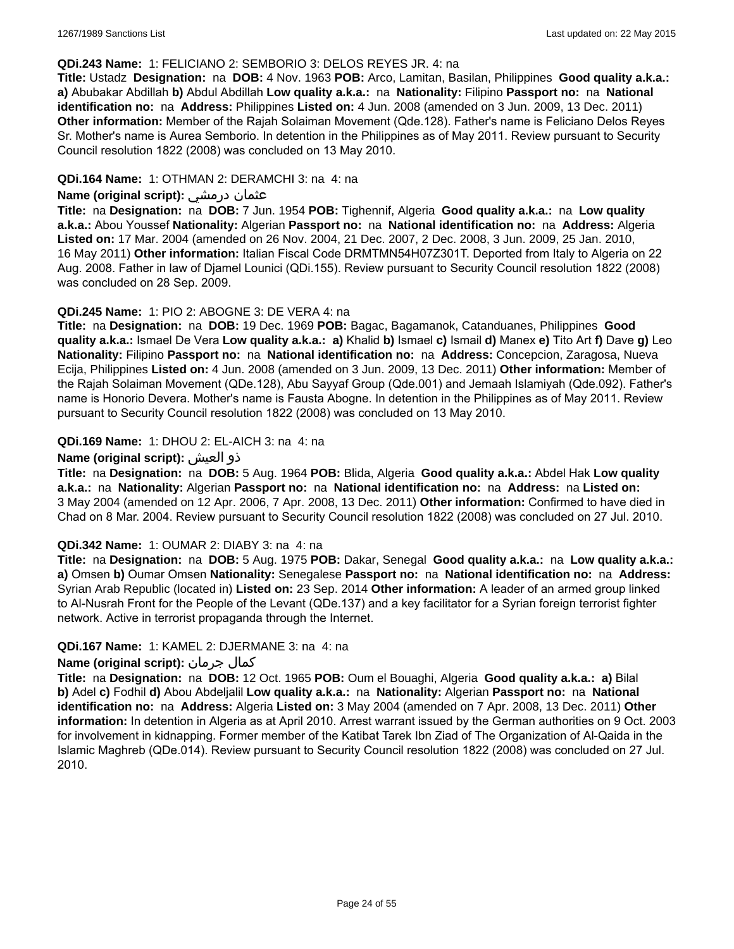#### **QDi.243 Name:** 1: FELICIANO 2: SEMBORIO 3: DELOS REYES JR. 4: na

**Title:** Ustadz **Designation:** na **DOB:** 4 Nov. 1963 **POB:** Arco, Lamitan, Basilan, Philippines **Good quality a.k.a.: a)** Abubakar Abdillah **b)** Abdul Abdillah **Low quality a.k.a.:** na **Nationality:** Filipino **Passport no:** na **National identification no:** na **Address:** Philippines **Listed on:** 4 Jun. 2008 (amended on 3 Jun. 2009, 13 Dec. 2011) **Other information:** Member of the Rajah Solaiman Movement (Qde.128). Father's name is Feliciano Delos Reyes Sr. Mother's name is Aurea Semborio. In detention in the Philippines as of May 2011. Review pursuant to Security Council resolution 1822 (2008) was concluded on 13 May 2010.

### **QDi.164 Name:** 1: OTHMAN 2: DERAMCHI 3: na 4: na

### **Name (original script):** درمشي عثمان

**Title:** na **Designation:** na **DOB:** 7 Jun. 1954 **POB:** Tighennif, Algeria **Good quality a.k.a.:** na **Low quality a.k.a.:** Abou Youssef **Nationality:** Algerian **Passport no:** na **National identification no:** na **Address:** Algeria **Listed on:** 17 Mar. 2004 (amended on 26 Nov. 2004, 21 Dec. 2007, 2 Dec. 2008, 3 Jun. 2009, 25 Jan. 2010, 16 May 2011) **Other information:** Italian Fiscal Code DRMTMN54H07Z301T. Deported from Italy to Algeria on 22 Aug. 2008. Father in law of Djamel Lounici (QDi.155). Review pursuant to Security Council resolution 1822 (2008) was concluded on 28 Sep. 2009.

### **QDi.245 Name:** 1: PIO 2: ABOGNE 3: DE VERA 4: na

**Title:** na **Designation:** na **DOB:** 19 Dec. 1969 **POB:** Bagac, Bagamanok, Catanduanes, Philippines **Good quality a.k.a.:** Ismael De Vera **Low quality a.k.a.: a)** Khalid **b)** Ismael **c)** Ismail **d)** Manex **e)** Tito Art **f)** Dave **g)** Leo **Nationality:** Filipino **Passport no:** na **National identification no:** na **Address:** Concepcion, Zaragosa, Nueva Ecija, Philippines **Listed on:** 4 Jun. 2008 (amended on 3 Jun. 2009, 13 Dec. 2011) **Other information:** Member of the Rajah Solaiman Movement (QDe.128), Abu Sayyaf Group (Qde.001) and Jemaah Islamiyah (Qde.092). Father's name is Honorio Devera. Mother's name is Fausta Abogne. In detention in the Philippines as of May 2011. Review pursuant to Security Council resolution 1822 (2008) was concluded on 13 May 2010.

### **QDi.169 Name:** 1: DHOU 2: EL-AICH 3: na 4: na

### **Name (original script):** العيش ذو

**Title:** na **Designation:** na **DOB:** 5 Aug. 1964 **POB:** Blida, Algeria **Good quality a.k.a.:** Abdel Hak **Low quality a.k.a.:** na **Nationality:** Algerian **Passport no:** na **National identification no:** na **Address:** na **Listed on:** 3 May 2004 (amended on 12 Apr. 2006, 7 Apr. 2008, 13 Dec. 2011) **Other information:** Confirmed to have died in Chad on 8 Mar. 2004. Review pursuant to Security Council resolution 1822 (2008) was concluded on 27 Jul. 2010.

#### **QDi.342 Name:** 1: OUMAR 2: DIABY 3: na 4: na

**Title:** na **Designation:** na **DOB:** 5 Aug. 1975 **POB:** Dakar, Senegal **Good quality a.k.a.:** na **Low quality a.k.a.: a)** Omsen **b)** Oumar Omsen **Nationality:** Senegalese **Passport no:** na **National identification no:** na **Address:** Syrian Arab Republic (located in) **Listed on:** 23 Sep. 2014 **Other information:** A leader of an armed group linked to Al-Nusrah Front for the People of the Levant (QDe.137) and a key facilitator for a Syrian foreign terrorist fighter network. Active in terrorist propaganda through the Internet.

## **QDi.167 Name:** 1: KAMEL 2: DJERMANE 3: na 4: na

## **Name (original script):** جرمان كمال

**Title:** na **Designation:** na **DOB:** 12 Oct. 1965 **POB:** Oum el Bouaghi, Algeria **Good quality a.k.a.: a)** Bilal **b)** Adel **c)** Fodhil **d)** Abou Abdeljalil **Low quality a.k.a.:** na **Nationality:** Algerian **Passport no:** na **National identification no:** na **Address:** Algeria **Listed on:** 3 May 2004 (amended on 7 Apr. 2008, 13 Dec. 2011) **Other information:** In detention in Algeria as at April 2010. Arrest warrant issued by the German authorities on 9 Oct. 2003 for involvement in kidnapping. Former member of the Katibat Tarek Ibn Ziad of The Organization of Al-Qaida in the Islamic Maghreb (QDe.014). Review pursuant to Security Council resolution 1822 (2008) was concluded on 27 Jul. 2010.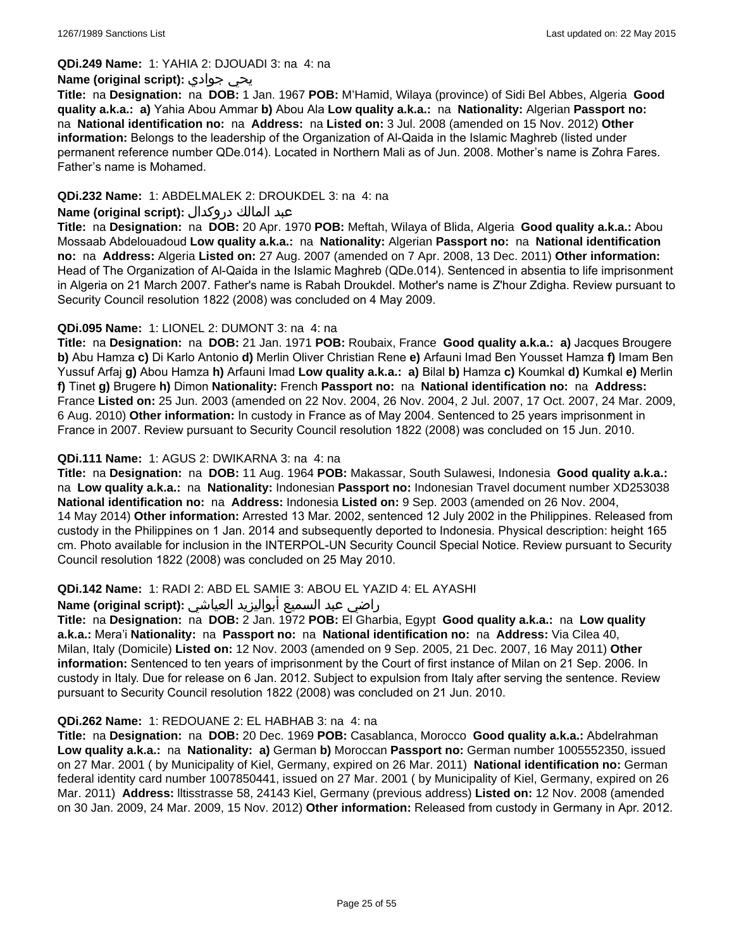**QDi.249 Name:** 1: YAHIA 2: DJOUADI 3: na 4: na

#### **Name (original script):** جوادي يحي

**Title:** na **Designation:** na **DOB:** 1 Jan. 1967 **POB:** M'Hamid, Wilaya (province) of Sidi Bel Abbes, Algeria **Good quality a.k.a.: a)** Yahia Abou Ammar **b)** Abou Ala **Low quality a.k.a.:** na **Nationality:** Algerian **Passport no:**  na **National identification no:** na **Address:** na **Listed on:** 3 Jul. 2008 (amended on 15 Nov. 2012) **Other information:** Belongs to the leadership of the Organization of Al-Qaida in the Islamic Maghreb (listed under permanent reference number QDe.014). Located in Northern Mali as of Jun. 2008. Mother's name is Zohra Fares. Father's name is Mohamed.

## **QDi.232 Name:** 1: ABDELMALEK 2: DROUKDEL 3: na 4: na

### عبد المالك دروكدال **:(script original (Name**

**Title:** na **Designation:** na **DOB:** 20 Apr. 1970 **POB:** Meftah, Wilaya of Blida, Algeria **Good quality a.k.a.:** Abou Mossaab Abdelouadoud **Low quality a.k.a.:** na **Nationality:** Algerian **Passport no:** na **National identification no:** na **Address:** Algeria **Listed on:** 27 Aug. 2007 (amended on 7 Apr. 2008, 13 Dec. 2011) **Other information:** Head of The Organization of Al-Qaida in the Islamic Maghreb (QDe.014). Sentenced in absentia to life imprisonment in Algeria on 21 March 2007. Father's name is Rabah Droukdel. Mother's name is Z'hour Zdigha. Review pursuant to Security Council resolution 1822 (2008) was concluded on 4 May 2009.

## **QDi.095 Name:** 1: LIONEL 2: DUMONT 3: na 4: na

**Title:** na **Designation:** na **DOB:** 21 Jan. 1971 **POB:** Roubaix, France **Good quality a.k.a.: a)** Jacques Brougere **b)** Abu Hamza **c)** Di Karlo Antonio **d)** Merlin Oliver Christian Rene **e)** Arfauni Imad Ben Yousset Hamza **f)** Imam Ben Yussuf Arfaj **g)** Abou Hamza **h)** Arfauni Imad **Low quality a.k.a.: a)** Bilal **b)** Hamza **c)** Koumkal **d)** Kumkal **e)** Merlin **f)** Tinet **g)** Brugere **h)** Dimon **Nationality:** French **Passport no:** na **National identification no:** na **Address:** France **Listed on:** 25 Jun. 2003 (amended on 22 Nov. 2004, 26 Nov. 2004, 2 Jul. 2007, 17 Oct. 2007, 24 Mar. 2009, 6 Aug. 2010) **Other information:** In custody in France as of May 2004. Sentenced to 25 years imprisonment in France in 2007. Review pursuant to Security Council resolution 1822 (2008) was concluded on 15 Jun. 2010.

### **QDi.111 Name:** 1: AGUS 2: DWIKARNA 3: na 4: na

**Title:** na **Designation:** na **DOB:** 11 Aug. 1964 **POB:** Makassar, South Sulawesi, Indonesia **Good quality a.k.a.:**  na **Low quality a.k.a.:** na **Nationality:** Indonesian **Passport no:** Indonesian Travel document number XD253038 **National identification no:** na **Address:** Indonesia **Listed on:** 9 Sep. 2003 (amended on 26 Nov. 2004, 14 May 2014) **Other information:** Arrested 13 Mar. 2002, sentenced 12 July 2002 in the Philippines. Released from custody in the Philippines on 1 Jan. 2014 and subsequently deported to Indonesia. Physical description: height 165 cm. Photo available for inclusion in the INTERPOL-UN Security Council Special Notice. Review pursuant to Security Council resolution 1822 (2008) was concluded on 25 May 2010.

## **QDi.142 Name:** 1: RADI 2: ABD EL SAMIE 3: ABOU EL YAZID 4: EL AYASHI

#### راضي عبد السميع أبواليزيد العياشي **:(script original (Name**

**Title:** na **Designation:** na **DOB:** 2 Jan. 1972 **POB:** El Gharbia, Egypt **Good quality a.k.a.:** na **Low quality a.k.a.:** Mera'i **Nationality:** na **Passport no:** na **National identification no:** na **Address:** Via Cilea 40, Milan, Italy (Domicile) **Listed on:** 12 Nov. 2003 (amended on 9 Sep. 2005, 21 Dec. 2007, 16 May 2011) **Other information:** Sentenced to ten years of imprisonment by the Court of first instance of Milan on 21 Sep. 2006. In custody in Italy. Due for release on 6 Jan. 2012. Subject to expulsion from Italy after serving the sentence. Review pursuant to Security Council resolution 1822 (2008) was concluded on 21 Jun. 2010.

#### **QDi.262 Name:** 1: REDOUANE 2: EL HABHAB 3: na 4: na

**Title:** na **Designation:** na **DOB:** 20 Dec. 1969 **POB:** Casablanca, Morocco **Good quality a.k.a.:** Abdelrahman **Low quality a.k.a.:** na **Nationality: a)** German **b)** Moroccan **Passport no:** German number 1005552350, issued on 27 Mar. 2001 ( by Municipality of Kiel, Germany, expired on 26 Mar. 2011) **National identification no:** German federal identity card number 1007850441, issued on 27 Mar. 2001 ( by Municipality of Kiel, Germany, expired on 26 Mar. 2011) **Address:** lltisstrasse 58, 24143 Kiel, Germany (previous address) **Listed on:** 12 Nov. 2008 (amended on 30 Jan. 2009, 24 Mar. 2009, 15 Nov. 2012) **Other information:** Released from custody in Germany in Apr. 2012.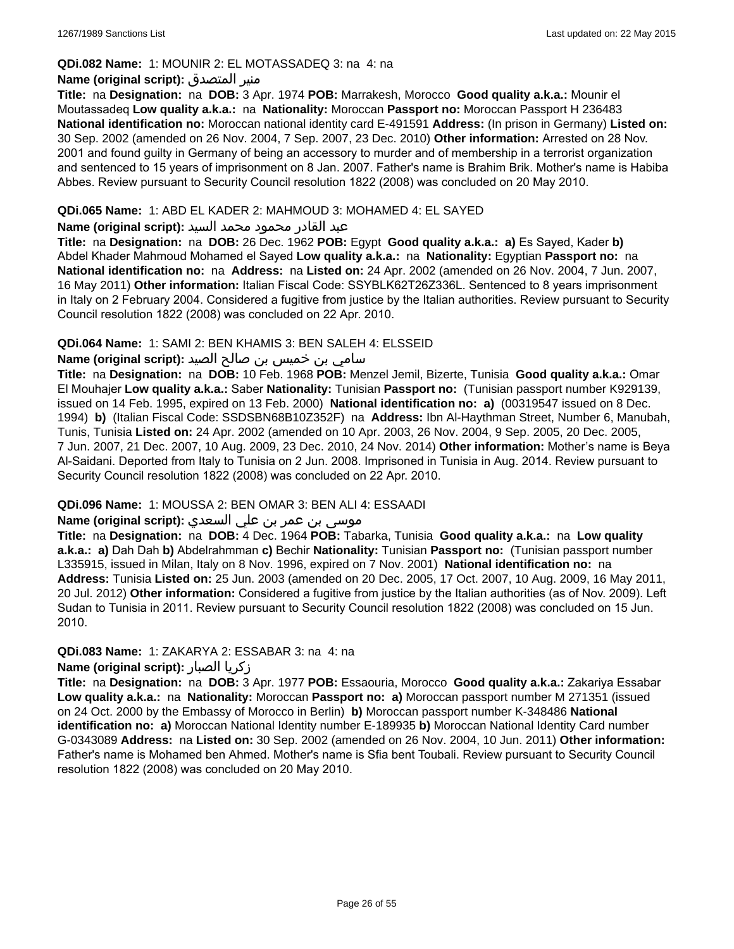### **QDi.082 Name:** 1: MOUNIR 2: EL MOTASSADEQ 3: na 4: na

### **Name (original script):** المتصدق منير

**Title:** na **Designation:** na **DOB:** 3 Apr. 1974 **POB:** Marrakesh, Morocco **Good quality a.k.a.:** Mounir el Moutassadeq **Low quality a.k.a.:** na **Nationality:** Moroccan **Passport no:** Moroccan Passport H 236483 **National identification no:** Moroccan national identity card E-491591 **Address:** (In prison in Germany) **Listed on:** 30 Sep. 2002 (amended on 26 Nov. 2004, 7 Sep. 2007, 23 Dec. 2010) **Other information:** Arrested on 28 Nov. 2001 and found guilty in Germany of being an accessory to murder and of membership in a terrorist organization and sentenced to 15 years of imprisonment on 8 Jan. 2007. Father's name is Brahim Brik. Mother's name is Habiba Abbes. Review pursuant to Security Council resolution 1822 (2008) was concluded on 20 May 2010.

## **QDi.065 Name:** 1: ABD EL KADER 2: MAHMOUD 3: MOHAMED 4: EL SAYED

#### عبد القادر محمود محمد السيد **:(script original (Name**

**Title:** na **Designation:** na **DOB:** 26 Dec. 1962 **POB:** Egypt **Good quality a.k.a.: a)** Es Sayed, Kader **b)** Abdel Khader Mahmoud Mohamed el Sayed **Low quality a.k.a.:** na **Nationality:** Egyptian **Passport no:** na **National identification no:** na **Address:** na **Listed on:** 24 Apr. 2002 (amended on 26 Nov. 2004, 7 Jun. 2007, 16 May 2011) **Other information:** Italian Fiscal Code: SSYBLK62T26Z336L. Sentenced to 8 years imprisonment in Italy on 2 February 2004. Considered a fugitive from justice by the Italian authorities. Review pursuant to Security Council resolution 1822 (2008) was concluded on 22 Apr. 2010.

### **QDi.064 Name:** 1: SAMI 2: BEN KHAMIS 3: BEN SALEH 4: ELSSEID

## سامي بن خميس بن صالح الصيد **:Name (original script**)

**Title:** na **Designation:** na **DOB:** 10 Feb. 1968 **POB:** Menzel Jemil, Bizerte, Tunisia **Good quality a.k.a.:** Omar El Mouhajer **Low quality a.k.a.:** Saber **Nationality:** Tunisian **Passport no:** (Tunisian passport number K929139, issued on 14 Feb. 1995, expired on 13 Feb. 2000) **National identification no: a)** (00319547 issued on 8 Dec. 1994) **b)** (Italian Fiscal Code: SSDSBN68B10Z352F) na **Address:** Ibn Al-Haythman Street, Number 6, Manubah, Tunis, Tunisia **Listed on:** 24 Apr. 2002 (amended on 10 Apr. 2003, 26 Nov. 2004, 9 Sep. 2005, 20 Dec. 2005, 7 Jun. 2007, 21 Dec. 2007, 10 Aug. 2009, 23 Dec. 2010, 24 Nov. 2014) **Other information:** Mother's name is Beya Al-Saidani. Deported from Italy to Tunisia on 2 Jun. 2008. Imprisoned in Tunisia in Aug. 2014. Review pursuant to Security Council resolution 1822 (2008) was concluded on 22 Apr. 2010.

## **QDi.096 Name:** 1: MOUSSA 2: BEN OMAR 3: BEN ALI 4: ESSAADI

## موسى بن عمر بن علي السعدي **:Name (original script**)

**Title:** na **Designation:** na **DOB:** 4 Dec. 1964 **POB:** Tabarka, Tunisia **Good quality a.k.a.:** na **Low quality a.k.a.: a)** Dah Dah **b)** Abdelrahmman **c)** Bechir **Nationality:** Tunisian **Passport no:** (Tunisian passport number L335915, issued in Milan, Italy on 8 Nov. 1996, expired on 7 Nov. 2001) **National identification no:** na **Address:** Tunisia **Listed on:** 25 Jun. 2003 (amended on 20 Dec. 2005, 17 Oct. 2007, 10 Aug. 2009, 16 May 2011, 20 Jul. 2012) **Other information:** Considered a fugitive from justice by the Italian authorities (as of Nov. 2009). Left Sudan to Tunisia in 2011. Review pursuant to Security Council resolution 1822 (2008) was concluded on 15 Jun. 2010.

## **QDi.083 Name:** 1: ZAKARYA 2: ESSABAR 3: na 4: na

## **Name (original script):** الصبار زكريا

**Title:** na **Designation:** na **DOB:** 3 Apr. 1977 **POB:** Essaouria, Morocco **Good quality a.k.a.:** Zakariya Essabar **Low quality a.k.a.:** na **Nationality:** Moroccan **Passport no: a)** Moroccan passport number M 271351 (issued on 24 Oct. 2000 by the Embassy of Morocco in Berlin) **b)** Moroccan passport number K-348486 **National identification no: a)** Moroccan National Identity number E-189935 **b)** Moroccan National Identity Card number G-0343089 **Address:** na **Listed on:** 30 Sep. 2002 (amended on 26 Nov. 2004, 10 Jun. 2011) **Other information:** Father's name is Mohamed ben Ahmed. Mother's name is Sfia bent Toubali. Review pursuant to Security Council resolution 1822 (2008) was concluded on 20 May 2010.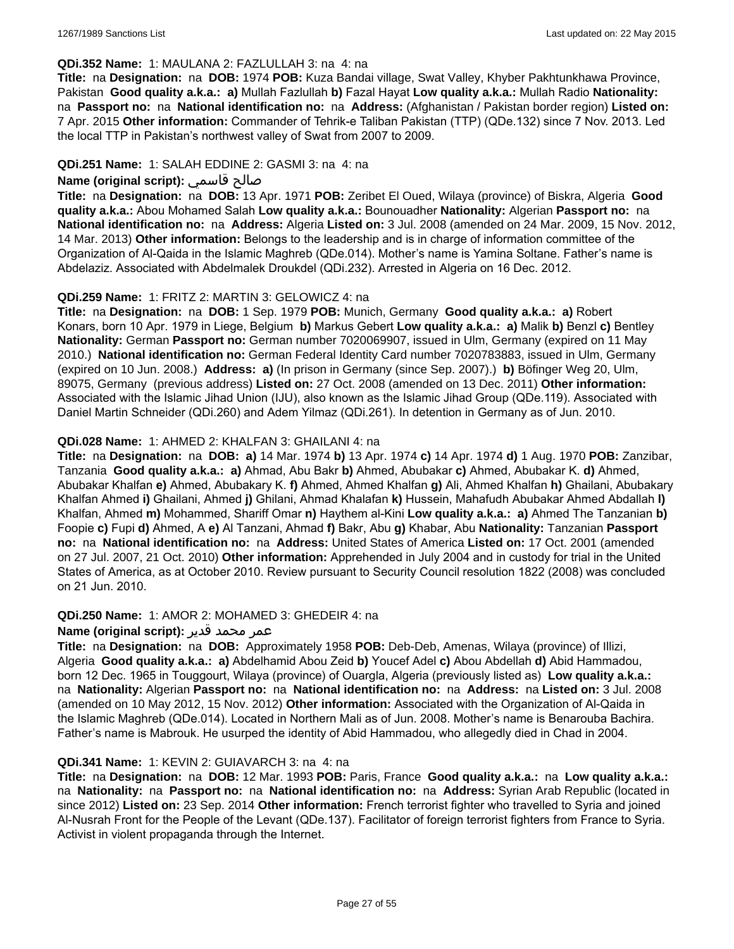#### **QDi.352 Name:** 1: MAULANA 2: FAZLULLAH 3: na 4: na

**Title:** na **Designation:** na **DOB:** 1974 **POB:** Kuza Bandai village, Swat Valley, Khyber Pakhtunkhawa Province, Pakistan **Good quality a.k.a.: a)** Mullah Fazlullah **b)** Fazal Hayat **Low quality a.k.a.:** Mullah Radio **Nationality:**  na **Passport no:** na **National identification no:** na **Address:** (Afghanistan / Pakistan border region) **Listed on:** 7 Apr. 2015 **Other information:** Commander of Tehrik-e Taliban Pakistan (TTP) (QDe.132) since 7 Nov. 2013. Led the local TTP in Pakistan's northwest valley of Swat from 2007 to 2009.

#### **QDi.251 Name:** 1: SALAH EDDINE 2: GASMI 3: na 4: na

## **Name (original script):** قاسمي صالح

**Title:** na **Designation:** na **DOB:** 13 Apr. 1971 **POB:** Zeribet El Oued, Wilaya (province) of Biskra, Algeria **Good quality a.k.a.:** Abou Mohamed Salah **Low quality a.k.a.:** Bounouadher **Nationality:** Algerian **Passport no:** na **National identification no:** na **Address:** Algeria **Listed on:** 3 Jul. 2008 (amended on 24 Mar. 2009, 15 Nov. 2012, 14 Mar. 2013) **Other information:** Belongs to the leadership and is in charge of information committee of the Organization of Al-Qaida in the Islamic Maghreb (QDe.014). Mother's name is Yamina Soltane. Father's name is Abdelaziz. Associated with Abdelmalek Droukdel (QDi.232). Arrested in Algeria on 16 Dec. 2012.

### **QDi.259 Name:** 1: FRITZ 2: MARTIN 3: GELOWICZ 4: na

**Title:** na **Designation:** na **DOB:** 1 Sep. 1979 **POB:** Munich, Germany **Good quality a.k.a.: a)** Robert Konars, born 10 Apr. 1979 in Liege, Belgium **b)** Markus Gebert **Low quality a.k.a.: a)** Malik **b)** Benzl **c)** Bentley **Nationality:** German **Passport no:** German number 7020069907, issued in Ulm, Germany (expired on 11 May 2010.) **National identification no:** German Federal Identity Card number 7020783883, issued in Ulm, Germany (expired on 10 Jun. 2008.) **Address: a)** (In prison in Germany (since Sep. 2007).) **b)** Böfinger Weg 20, Ulm, 89075, Germany (previous address) **Listed on:** 27 Oct. 2008 (amended on 13 Dec. 2011) **Other information:** Associated with the Islamic Jihad Union (IJU), also known as the Islamic Jihad Group (QDe.119). Associated with Daniel Martin Schneider (QDi.260) and Adem Yilmaz (QDi.261). In detention in Germany as of Jun. 2010.

### **QDi.028 Name:** 1: AHMED 2: KHALFAN 3: GHAILANI 4: na

**Title:** na **Designation:** na **DOB: a)** 14 Mar. 1974 **b)** 13 Apr. 1974 **c)** 14 Apr. 1974 **d)** 1 Aug. 1970 **POB:** Zanzibar, Tanzania **Good quality a.k.a.: a)** Ahmad, Abu Bakr **b)** Ahmed, Abubakar **c)** Ahmed, Abubakar K. **d)** Ahmed, Abubakar Khalfan **e)** Ahmed, Abubakary K. **f)** Ahmed, Ahmed Khalfan **g)** Ali, Ahmed Khalfan **h)** Ghailani, Abubakary Khalfan Ahmed **i)** Ghailani, Ahmed **j)** Ghilani, Ahmad Khalafan **k)** Hussein, Mahafudh Abubakar Ahmed Abdallah **l)** Khalfan, Ahmed **m)** Mohammed, Shariff Omar **n)** Haythem al-Kini **Low quality a.k.a.: a)** Ahmed The Tanzanian **b)** Foopie **c)** Fupi **d)** Ahmed, A **e)** Al Tanzani, Ahmad **f)** Bakr, Abu **g)** Khabar, Abu **Nationality:** Tanzanian **Passport no:** na **National identification no:** na **Address:** United States of America **Listed on:** 17 Oct. 2001 (amended on 27 Jul. 2007, 21 Oct. 2010) **Other information:** Apprehended in July 2004 and in custody for trial in the United States of America, as at October 2010. Review pursuant to Security Council resolution 1822 (2008) was concluded on 21 Jun. 2010.

#### **QDi.250 Name:** 1: AMOR 2: MOHAMED 3: GHEDEIR 4: na

#### عمر محمد قدير **:(script original (Name**

**Title:** na **Designation:** na **DOB:** Approximately 1958 **POB:** Deb-Deb, Amenas, Wilaya (province) of Illizi, Algeria **Good quality a.k.a.: a)** Abdelhamid Abou Zeid **b)** Youcef Adel **c)** Abou Abdellah **d)** Abid Hammadou, born 12 Dec. 1965 in Touggourt, Wilaya (province) of Ouargla, Algeria (previously listed as) **Low quality a.k.a.:**  na **Nationality:** Algerian **Passport no:** na **National identification no:** na **Address:** na **Listed on:** 3 Jul. 2008 (amended on 10 May 2012, 15 Nov. 2012) **Other information:** Associated with the Organization of Al-Qaida in the Islamic Maghreb (QDe.014). Located in Northern Mali as of Jun. 2008. Mother's name is Benarouba Bachira. Father's name is Mabrouk. He usurped the identity of Abid Hammadou, who allegedly died in Chad in 2004.

#### **QDi.341 Name:** 1: KEVIN 2: GUIAVARCH 3: na 4: na

**Title:** na **Designation:** na **DOB:** 12 Mar. 1993 **POB:** Paris, France **Good quality a.k.a.:** na **Low quality a.k.a.:**  na **Nationality:** na **Passport no:** na **National identification no:** na **Address:** Syrian Arab Republic (located in since 2012) **Listed on:** 23 Sep. 2014 **Other information:** French terrorist fighter who travelled to Syria and joined Al-Nusrah Front for the People of the Levant (QDe.137). Facilitator of foreign terrorist fighters from France to Syria. Activist in violent propaganda through the Internet.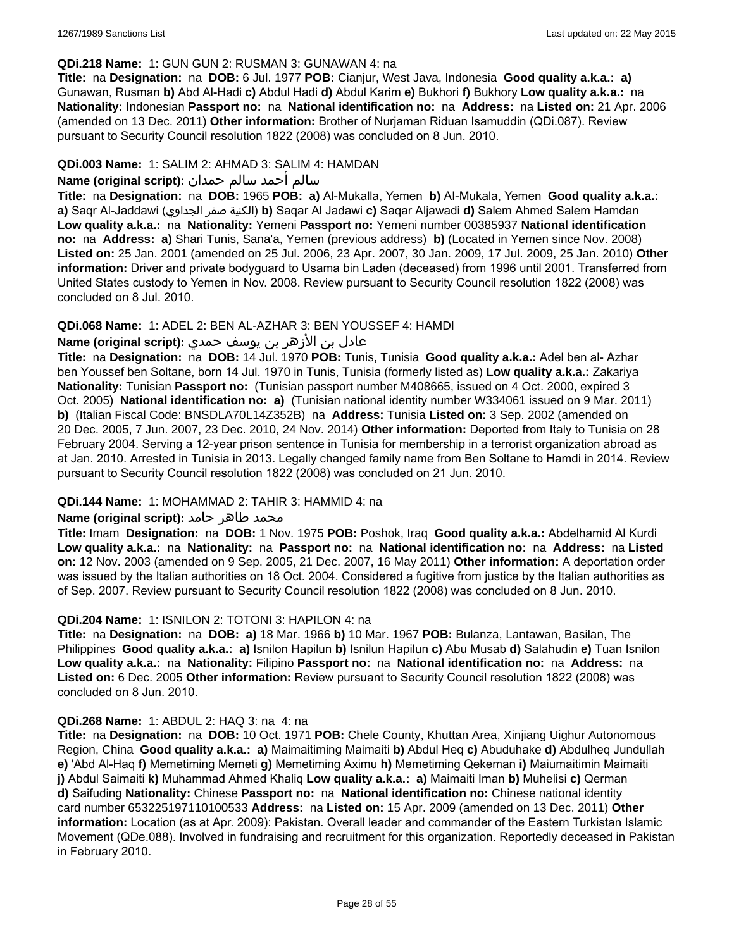#### **QDi.218 Name:** 1: GUN GUN 2: RUSMAN 3: GUNAWAN 4: na

**Title:** na **Designation:** na **DOB:** 6 Jul. 1977 **POB:** Cianjur, West Java, Indonesia **Good quality a.k.a.: a)** Gunawan, Rusman **b)** Abd Al-Hadi **c)** Abdul Hadi **d)** Abdul Karim **e)** Bukhori **f)** Bukhory **Low quality a.k.a.:** na **Nationality:** Indonesian **Passport no:** na **National identification no:** na **Address:** na **Listed on:** 21 Apr. 2006 (amended on 13 Dec. 2011) **Other information:** Brother of Nurjaman Riduan Isamuddin (QDi.087). Review pursuant to Security Council resolution 1822 (2008) was concluded on 8 Jun. 2010.

## **QDi.003 Name:** 1: SALIM 2: AHMAD 3: SALIM 4: HAMDAN

## سالم أحمد سالم حمدان **:(script original (Name**

**Title:** na **Designation:** na **DOB:** 1965 **POB: a)** Al-Mukalla, Yemen **b)** AI-Mukala, Yemen **Good quality a.k.a.: a)** Saqr Al-Jaddawi (الجداوي صقر الكنية(**b)** Saqar Al Jadawi **c)** Saqar Aljawadi **d)** Salem Ahmed Salem Hamdan **Low quality a.k.a.:** na **Nationality:** Yemeni **Passport no:** Yemeni number 00385937 **National identification no:** na **Address: a)** Shari Tunis, Sana'a, Yemen (previous address) **b)** (Located in Yemen since Nov. 2008) **Listed on:** 25 Jan. 2001 (amended on 25 Jul. 2006, 23 Apr. 2007, 30 Jan. 2009, 17 Jul. 2009, 25 Jan. 2010) **Other information:** Driver and private bodyguard to Usama bin Laden (deceased) from 1996 until 2001. Transferred from United States custody to Yemen in Nov. 2008. Review pursuant to Security Council resolution 1822 (2008) was concluded on 8 Jul. 2010.

### **QDi.068 Name:** 1: ADEL 2: BEN AL-AZHAR 3: BEN YOUSSEF 4: HAMDI

## عادل بن الأزهر بن يوسف حمدي **:(script original (Name**

**Title:** na **Designation:** na **DOB:** 14 Jul. 1970 **POB:** Tunis, Tunisia **Good quality a.k.a.:** Adel ben al- Azhar ben Youssef ben Soltane, born 14 Jul. 1970 in Tunis, Tunisia (formerly listed as) **Low quality a.k.a.:** Zakariya **Nationality:** Tunisian **Passport no:** (Tunisian passport number M408665, issued on 4 Oct. 2000, expired 3 Oct. 2005) **National identification no: a)** (Tunisian national identity number W334061 issued on 9 Mar. 2011) **b)** (Italian Fiscal Code: BNSDLA70L14Z352B) na **Address:** Tunisia **Listed on:** 3 Sep. 2002 (amended on 20 Dec. 2005, 7 Jun. 2007, 23 Dec. 2010, 24 Nov. 2014) **Other information:** Deported from Italy to Tunisia on 28 February 2004. Serving a 12-year prison sentence in Tunisia for membership in a terrorist organization abroad as at Jan. 2010. Arrested in Tunisia in 2013. Legally changed family name from Ben Soltane to Hamdi in 2014. Review pursuant to Security Council resolution 1822 (2008) was concluded on 21 Jun. 2010.

#### **QDi.144 Name:** 1: MOHAMMAD 2: TAHIR 3: HAMMID 4: na

#### **محمد طاهر حامد :(Name (original script**

**Title:** Imam **Designation:** na **DOB:** 1 Nov. 1975 **POB:** Poshok, Iraq **Good quality a.k.a.:** Abdelhamid Al Kurdi **Low quality a.k.a.:** na **Nationality:** na **Passport no:** na **National identification no:** na **Address:** na **Listed on:** 12 Nov. 2003 (amended on 9 Sep. 2005, 21 Dec. 2007, 16 May 2011) **Other information:** A deportation order was issued by the Italian authorities on 18 Oct. 2004. Considered a fugitive from justice by the Italian authorities as of Sep. 2007. Review pursuant to Security Council resolution 1822 (2008) was concluded on 8 Jun. 2010.

#### **QDi.204 Name:** 1: ISNILON 2: TOTONI 3: HAPILON 4: na

**Title:** na **Designation:** na **DOB: a)** 18 Mar. 1966 **b)** 10 Mar. 1967 **POB:** Bulanza, Lantawan, Basilan, The Philippines **Good quality a.k.a.: a)** Isnilon Hapilun **b)** Isnilun Hapilun **c)** Abu Musab **d)** Salahudin **e)** Tuan Isnilon **Low quality a.k.a.:** na **Nationality:** Filipino **Passport no:** na **National identification no:** na **Address:** na **Listed on:** 6 Dec. 2005 **Other information:** Review pursuant to Security Council resolution 1822 (2008) was concluded on 8 Jun. 2010.

#### **QDi.268 Name:** 1: ABDUL 2: HAQ 3: na 4: na

**Title:** na **Designation:** na **DOB:** 10 Oct. 1971 **POB:** Chele County, Khuttan Area, Xinjiang Uighur Autonomous Region, China **Good quality a.k.a.: a)** Maimaitiming Maimaiti **b)** Abdul Heq **c)** Abuduhake **d)** Abdulheq Jundullah **e)** 'Abd Al-Haq **f)** Memetiming Memeti **g)** Memetiming Aximu **h)** Memetiming Qekeman **i)** Maiumaitimin Maimaiti **j)** Abdul Saimaiti **k)** Muhammad Ahmed Khaliq **Low quality a.k.a.: a)** Maimaiti Iman **b)** Muhelisi **c)** Qerman **d)** Saifuding **Nationality:** Chinese **Passport no:** na **National identification no:** Chinese national identity card number 653225197110100533 **Address:** na **Listed on:** 15 Apr. 2009 (amended on 13 Dec. 2011) **Other information:** Location (as at Apr. 2009): Pakistan. Overall leader and commander of the Eastern Turkistan Islamic Movement (QDe.088). Involved in fundraising and recruitment for this organization. Reportedly deceased in Pakistan in February 2010.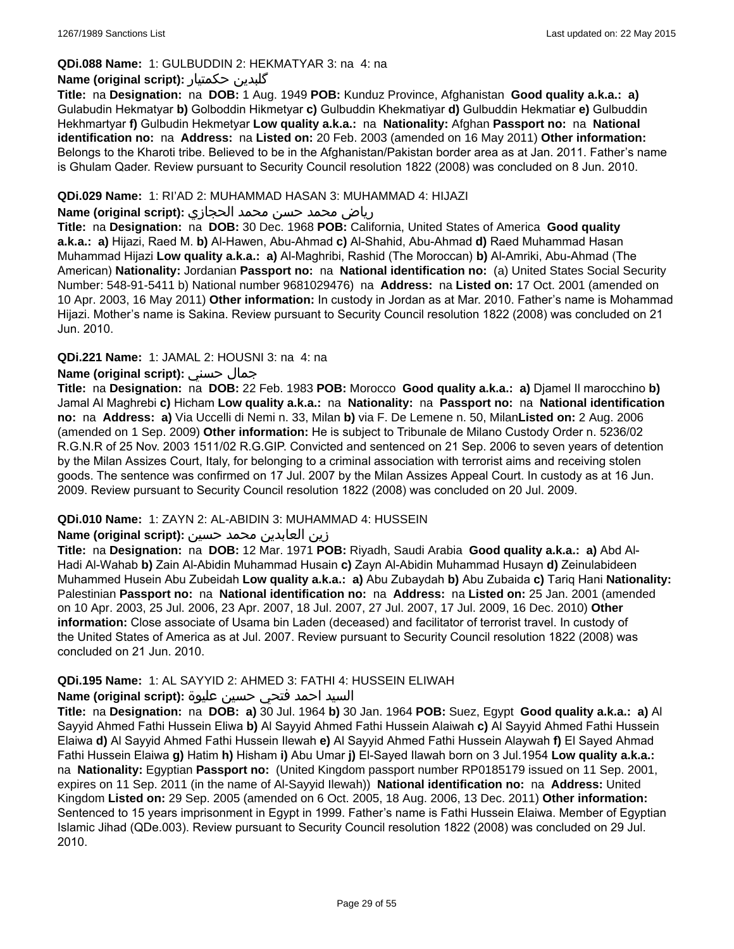## **QDi.088 Name:** 1: GULBUDDIN 2: HEKMATYAR 3: na 4: na

### **Name (original script):** حکمتیار گلبدین

**Title:** na **Designation:** na **DOB:** 1 Aug. 1949 **POB:** Kunduz Province, Afghanistan **Good quality a.k.a.: a)** Gulabudin Hekmatyar **b)** Golboddin Hikmetyar **c)** Gulbuddin Khekmatiyar **d)** Gulbuddin Hekmatiar **e)** Gulbuddin Hekhmartyar **f)** Gulbudin Hekmetyar **Low quality a.k.a.:** na **Nationality:** Afghan **Passport no:** na **National identification no:** na **Address:** na **Listed on:** 20 Feb. 2003 (amended on 16 May 2011) **Other information:** Belongs to the Kharoti tribe. Believed to be in the Afghanistan/Pakistan border area as at Jan. 2011. Father's name is Ghulam Qader. Review pursuant to Security Council resolution 1822 (2008) was concluded on 8 Jun. 2010.

#### **QDi.029 Name:** 1: RI'AD 2: MUHAMMAD HASAN 3: MUHAMMAD 4: HIJAZI

#### رياض محمد حسن محمد الحجازي **:(script original (Name**

**Title:** na **Designation:** na **DOB:** 30 Dec. 1968 **POB:** California, United States of America **Good quality a.k.a.: a)** Hijazi, Raed M. **b)** Al-Hawen, Abu-Ahmad **c)** Al-Shahid, Abu-Ahmad **d)** Raed Muhammad Hasan Muhammad Hijazi **Low quality a.k.a.: a)** Al-Maghribi, Rashid (The Moroccan) **b)** Al-Amriki, Abu-Ahmad (The American) **Nationality:** Jordanian **Passport no:** na **National identification no:** (a) United States Social Security Number: 548-91-5411 b) National number 9681029476) na **Address:** na **Listed on:** 17 Oct. 2001 (amended on 10 Apr. 2003, 16 May 2011) **Other information:** In custody in Jordan as at Mar. 2010. Father's name is Mohammad Hijazi. Mother's name is Sakina. Review pursuant to Security Council resolution 1822 (2008) was concluded on 21 Jun. 2010.

## **QDi.221 Name:** 1: JAMAL 2: HOUSNI 3: na 4: na

## **Name (original script):** حسني جمال

**Title:** na **Designation:** na **DOB:** 22 Feb. 1983 **POB:** Morocco **Good quality a.k.a.: a)** Djamel Il marocchino **b)** Jamal Al Maghrebi **c)** Hicham **Low quality a.k.a.:** na **Nationality:** na **Passport no:** na **National identification no:** na **Address: a)** Via Uccelli di Nemi n. 33, Milan **b)** via F. De Lemene n. 50, Milan**Listed on:** 2 Aug. 2006 (amended on 1 Sep. 2009) **Other information:** He is subject to Tribunale de Milano Custody Order n. 5236/02 R.G.N.R of 25 Nov. 2003 1511/02 R.G.GIP. Convicted and sentenced on 21 Sep. 2006 to seven years of detention by the Milan Assizes Court, Italy, for belonging to a criminal association with terrorist aims and receiving stolen goods. The sentence was confirmed on 17 Jul. 2007 by the Milan Assizes Appeal Court. In custody as at 16 Jun. 2009. Review pursuant to Security Council resolution 1822 (2008) was concluded on 20 Jul. 2009.

## **QDi.010 Name:** 1: ZAYN 2: AL-ABIDIN 3: MUHAMMAD 4: HUSSEIN

## زين العابدين محمد حسين **:(script original (Name**

**Title:** na **Designation:** na **DOB:** 12 Mar. 1971 **POB:** Riyadh, Saudi Arabia **Good quality a.k.a.: a)** Abd Al-Hadi Al-Wahab **b)** Zain Al-Abidin Muhammad Husain **c)** Zayn Al-Abidin Muhammad Husayn **d)** Zeinulabideen Muhammed Husein Abu Zubeidah **Low quality a.k.a.: a)** Abu Zubaydah **b)** Abu Zubaida **c)** Tariq Hani **Nationality:** Palestinian **Passport no:** na **National identification no:** na **Address:** na **Listed on:** 25 Jan. 2001 (amended on 10 Apr. 2003, 25 Jul. 2006, 23 Apr. 2007, 18 Jul. 2007, 27 Jul. 2007, 17 Jul. 2009, 16 Dec. 2010) **Other information:** Close associate of Usama bin Laden (deceased) and facilitator of terrorist travel. In custody of the United States of America as at Jul. 2007. Review pursuant to Security Council resolution 1822 (2008) was concluded on 21 Jun. 2010.

#### **QDi.195 Name:** 1: AL SAYYID 2: AHMED 3: FATHI 4: HUSSEIN ELIWAH

## السيد احمد فتحي حسين عليوة **:(script original (Name**

**Title:** na **Designation:** na **DOB: a)** 30 Jul. 1964 **b)** 30 Jan. 1964 **POB:** Suez, Egypt **Good quality a.k.a.: a)** Al Sayyid Ahmed Fathi Hussein Eliwa **b)** Al Sayyid Ahmed Fathi Hussein Alaiwah **c)** Al Sayyid Ahmed Fathi Hussein Elaiwa **d)** Al Sayyid Ahmed Fathi Hussein Ilewah **e)** Al Sayyid Ahmed Fathi Hussein Alaywah **f)** El Sayed Ahmad Fathi Hussein Elaiwa **g)** Hatim **h)** Hisham **i)** Abu Umar **j)** El-Sayed Ilawah born on 3 Jul.1954 **Low quality a.k.a.:**  na **Nationality:** Egyptian **Passport no:** (United Kingdom passport number RP0185179 issued on 11 Sep. 2001, expires on 11 Sep. 2011 (in the name of Al-Sayyid Ilewah)) **National identification no:** na **Address:** United Kingdom **Listed on:** 29 Sep. 2005 (amended on 6 Oct. 2005, 18 Aug. 2006, 13 Dec. 2011) **Other information:** Sentenced to 15 years imprisonment in Egypt in 1999. Father's name is Fathi Hussein Elaiwa. Member of Egyptian Islamic Jihad (QDe.003). Review pursuant to Security Council resolution 1822 (2008) was concluded on 29 Jul. 2010.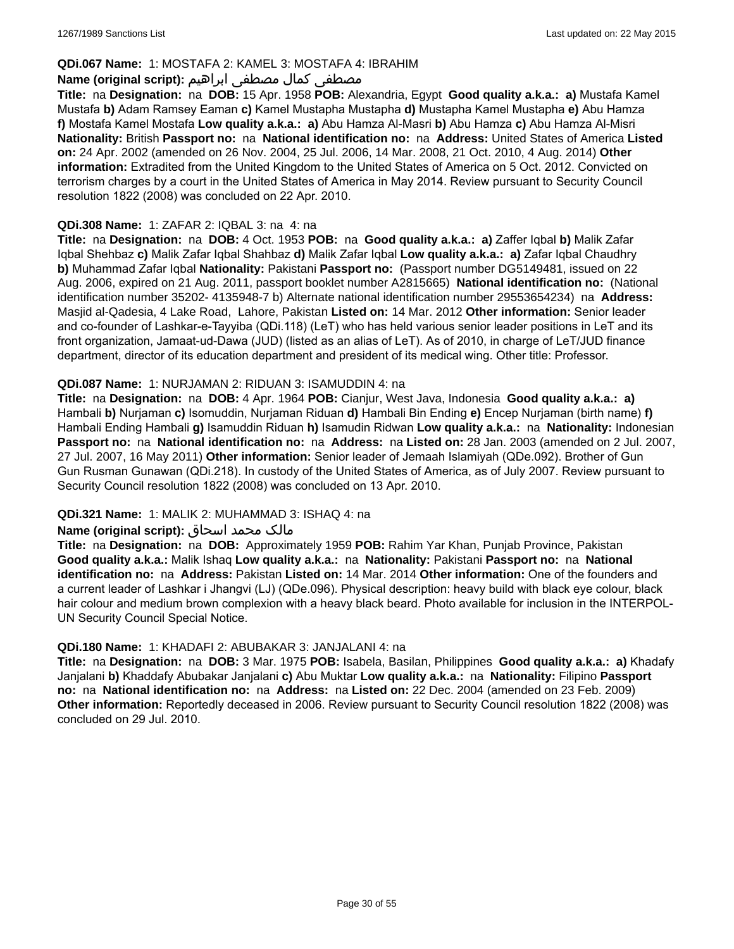## **QDi.067 Name:** 1: MOSTAFA 2: KAMEL 3: MOSTAFA 4: IBRAHIM

## مصطفى كمال مصطفى ابراهيم **:Name (original script**)

**Title:** na **Designation:** na **DOB:** 15 Apr. 1958 **POB:** Alexandria, Egypt **Good quality a.k.a.: a)** Mustafa Kamel Mustafa **b)** Adam Ramsey Eaman **c)** Kamel Mustapha Mustapha **d)** Mustapha Kamel Mustapha **e)** Abu Hamza **f)** Mostafa Kamel Mostafa **Low quality a.k.a.: a)** Abu Hamza Al-Masri **b)** Abu Hamza **c)** Abu Hamza Al-Misri **Nationality:** British **Passport no:** na **National identification no:** na **Address:** United States of America **Listed on:** 24 Apr. 2002 (amended on 26 Nov. 2004, 25 Jul. 2006, 14 Mar. 2008, 21 Oct. 2010, 4 Aug. 2014) **Other information:** Extradited from the United Kingdom to the United States of America on 5 Oct. 2012. Convicted on terrorism charges by a court in the United States of America in May 2014. Review pursuant to Security Council resolution 1822 (2008) was concluded on 22 Apr. 2010.

#### **QDi.308 Name:** 1: ZAFAR 2: IQBAL 3: na 4: na

**Title:** na **Designation:** na **DOB:** 4 Oct. 1953 **POB:** na **Good quality a.k.a.: a)** Zaffer Iqbal **b)** Malik Zafar Iqbal Shehbaz **c)** Malik Zafar Iqbal Shahbaz **d)** Malik Zafar Iqbal **Low quality a.k.a.: a)** Zafar Iqbal Chaudhry **b)** Muhammad Zafar Iqbal **Nationality:** Pakistani **Passport no:** (Passport number DG5149481, issued on 22 Aug. 2006, expired on 21 Aug. 2011, passport booklet number A2815665) **National identification no:** (National identification number 35202- 4135948-7 b) Alternate national identification number 29553654234) na **Address:** Masjid al-Qadesia, 4 Lake Road, Lahore, Pakistan **Listed on:** 14 Mar. 2012 **Other information:** Senior leader and co-founder of Lashkar-e-Tayyiba (QDi.118) (LeT) who has held various senior leader positions in LeT and its front organization, Jamaat-ud-Dawa (JUD) (listed as an alias of LeT). As of 2010, in charge of LeT/JUD finance department, director of its education department and president of its medical wing. Other title: Professor.

#### **QDi.087 Name:** 1: NURJAMAN 2: RIDUAN 3: ISAMUDDIN 4: na

**Title:** na **Designation:** na **DOB:** 4 Apr. 1964 **POB:** Cianjur, West Java, Indonesia **Good quality a.k.a.: a)** Hambali **b)** Nurjaman **c)** Isomuddin, Nurjaman Riduan **d)** Hambali Bin Ending **e)** Encep Nurjaman (birth name) **f)** Hambali Ending Hambali **g)** Isamuddin Riduan **h)** Isamudin Ridwan **Low quality a.k.a.:** na **Nationality:** Indonesian **Passport no:** na **National identification no:** na **Address:** na **Listed on:** 28 Jan. 2003 (amended on 2 Jul. 2007, 27 Jul. 2007, 16 May 2011) **Other information:** Senior leader of Jemaah Islamiyah (QDe.092). Brother of Gun Gun Rusman Gunawan (QDi.218). In custody of the United States of America, as of July 2007. Review pursuant to Security Council resolution 1822 (2008) was concluded on 13 Apr. 2010.

## **QDi.321 Name:** 1: MALIK 2: MUHAMMAD 3: ISHAQ 4: na

#### مالک محمد اسحاق : Name (original script)

**Title:** na **Designation:** na **DOB:** Approximately 1959 **POB:** Rahim Yar Khan, Punjab Province, Pakistan **Good quality a.k.a.:** Malik Ishaq **Low quality a.k.a.:** na **Nationality:** Pakistani **Passport no:** na **National identification no:** na **Address:** Pakistan **Listed on:** 14 Mar. 2014 **Other information:** One of the founders and a current leader of Lashkar i Jhangvi (LJ) (QDe.096). Physical description: heavy build with black eye colour, black hair colour and medium brown complexion with a heavy black beard. Photo available for inclusion in the INTERPOL-UN Security Council Special Notice.

#### **QDi.180 Name:** 1: KHADAFI 2: ABUBAKAR 3: JANJALANI 4: na

**Title:** na **Designation:** na **DOB:** 3 Mar. 1975 **POB:** Isabela, Basilan, Philippines **Good quality a.k.a.: a)** Khadafy Janjalani **b)** Khaddafy Abubakar Janjalani **c)** Abu Muktar **Low quality a.k.a.:** na **Nationality:** Filipino **Passport no:** na **National identification no:** na **Address:** na **Listed on:** 22 Dec. 2004 (amended on 23 Feb. 2009) **Other information:** Reportedly deceased in 2006. Review pursuant to Security Council resolution 1822 (2008) was concluded on 29 Jul. 2010.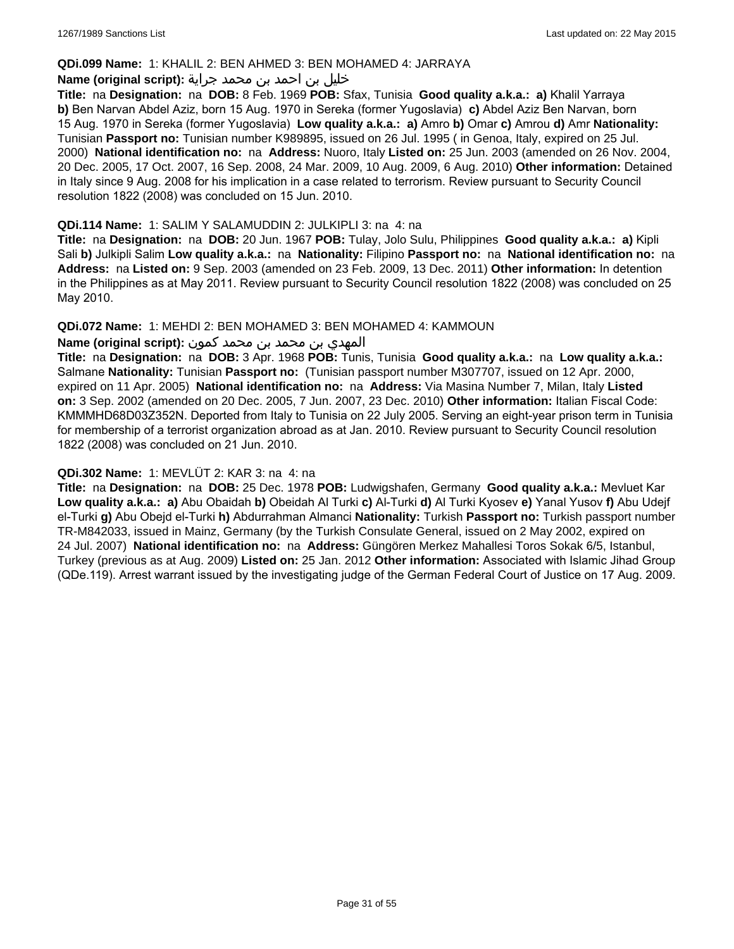#### **QDi.099 Name:** 1: KHALIL 2: BEN AHMED 3: BEN MOHAMED 4: JARRAYA

#### خليل بن احمد بن محمد جراية **:(script original (Name**

**Title:** na **Designation:** na **DOB:** 8 Feb. 1969 **POB:** Sfax, Tunisia **Good quality a.k.a.: a)** Khalil Yarraya **b)** Ben Narvan Abdel Aziz, born 15 Aug. 1970 in Sereka (former Yugoslavia) **c)** Abdel Aziz Ben Narvan, born 15 Aug. 1970 in Sereka (former Yugoslavia) **Low quality a.k.a.: a)** Amro **b)** Omar **c)** Amrou **d)** Amr **Nationality:** Tunisian **Passport no:** Tunisian number K989895, issued on 26 Jul. 1995 ( in Genoa, Italy, expired on 25 Jul. 2000) **National identification no:** na **Address:** Nuoro, Italy **Listed on:** 25 Jun. 2003 (amended on 26 Nov. 2004, 20 Dec. 2005, 17 Oct. 2007, 16 Sep. 2008, 24 Mar. 2009, 10 Aug. 2009, 6 Aug. 2010) **Other information:** Detained in Italy since 9 Aug. 2008 for his implication in a case related to terrorism. Review pursuant to Security Council resolution 1822 (2008) was concluded on 15 Jun. 2010.

#### **QDi.114 Name:** 1: SALIM Y SALAMUDDIN 2: JULKIPLI 3: na 4: na

**Title:** na **Designation:** na **DOB:** 20 Jun. 1967 **POB:** Tulay, Jolo Sulu, Philippines **Good quality a.k.a.: a)** Kipli Sali **b)** Julkipli Salim **Low quality a.k.a.:** na **Nationality:** Filipino **Passport no:** na **National identification no:** na **Address:** na **Listed on:** 9 Sep. 2003 (amended on 23 Feb. 2009, 13 Dec. 2011) **Other information:** In detention in the Philippines as at May 2011. Review pursuant to Security Council resolution 1822 (2008) was concluded on 25 May 2010.

### **QDi.072 Name:** 1: MEHDI 2: BEN MOHAMED 3: BEN MOHAMED 4: KAMMOUN

## المهدي بن محمد بن محمد كمون **:(script original (Name**

**Title:** na **Designation:** na **DOB:** 3 Apr. 1968 **POB:** Tunis, Tunisia **Good quality a.k.a.:** na **Low quality a.k.a.:** Salmane **Nationality:** Tunisian **Passport no:** (Tunisian passport number M307707, issued on 12 Apr. 2000, expired on 11 Apr. 2005) **National identification no:** na **Address:** Via Masina Number 7, Milan, Italy **Listed on:** 3 Sep. 2002 (amended on 20 Dec. 2005, 7 Jun. 2007, 23 Dec. 2010) **Other information:** Italian Fiscal Code: KMMMHD68D03Z352N. Deported from Italy to Tunisia on 22 July 2005. Serving an eight-year prison term in Tunisia for membership of a terrorist organization abroad as at Jan. 2010. Review pursuant to Security Council resolution 1822 (2008) was concluded on 21 Jun. 2010.

#### **QDi.302 Name:** 1: MEVLÜT 2: KAR 3: na 4: na

**Title:** na **Designation:** na **DOB:** 25 Dec. 1978 **POB:** Ludwigshafen, Germany **Good quality a.k.a.:** Mevluet Kar **Low quality a.k.a.: a)** Abu Obaidah **b)** Obeidah Al Turki **c)** Al-Turki **d)** Al Turki Kyosev **e)** Yanal Yusov **f)** Abu Udejf el-Turki **g)** Abu Obejd el-Turki **h)** Abdurrahman Almanci **Nationality:** Turkish **Passport no:** Turkish passport number TR-M842033, issued in Mainz, Germany (by the Turkish Consulate General, issued on 2 May 2002, expired on 24 Jul. 2007) **National identification no:** na **Address:** Güngören Merkez Mahallesi Toros Sokak 6/5, Istanbul, Turkey (previous as at Aug. 2009) **Listed on:** 25 Jan. 2012 **Other information:** Associated with Islamic Jihad Group (QDe.119). Arrest warrant issued by the investigating judge of the German Federal Court of Justice on 17 Aug. 2009.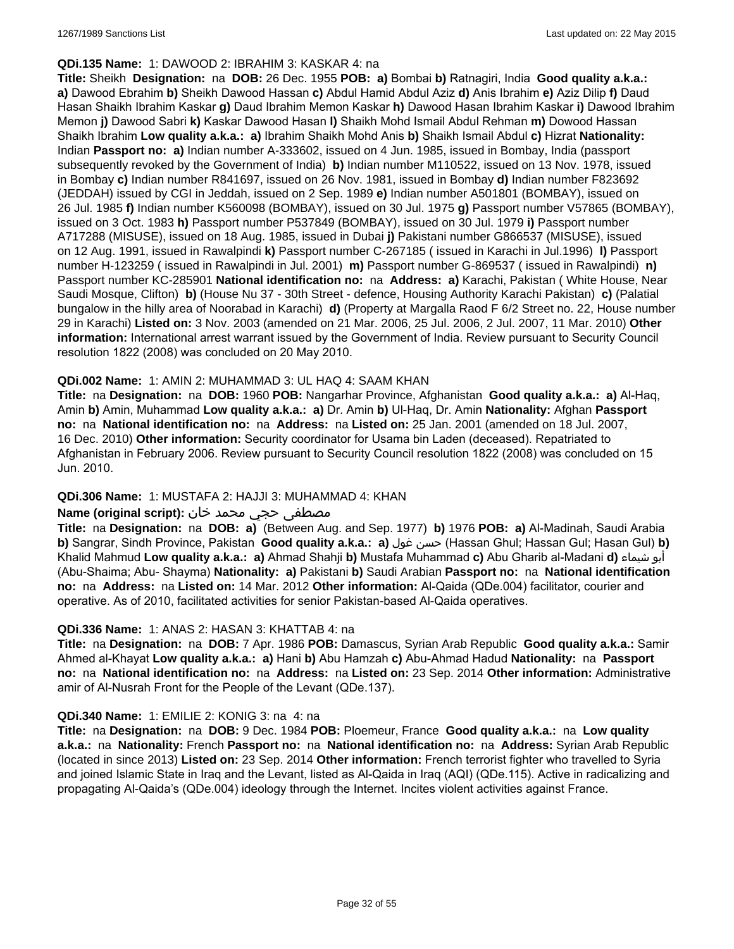#### **QDi.135 Name:** 1: DAWOOD 2: IBRAHIM 3: KASKAR 4: na

**Title:** Sheikh **Designation:** na **DOB:** 26 Dec. 1955 **POB: a)** Bombai **b)** Ratnagiri, India **Good quality a.k.a.: a)** Dawood Ebrahim **b)** Sheikh Dawood Hassan **c)** Abdul Hamid Abdul Aziz **d)** Anis Ibrahim **e)** Aziz Dilip **f)** Daud Hasan Shaikh Ibrahim Kaskar **g)** Daud Ibrahim Memon Kaskar **h)** Dawood Hasan Ibrahim Kaskar **i)** Dawood Ibrahim Memon **j)** Dawood Sabri **k)** Kaskar Dawood Hasan **l)** Shaikh Mohd Ismail Abdul Rehman **m)** Dowood Hassan Shaikh Ibrahim **Low quality a.k.a.: a)** Ibrahim Shaikh Mohd Anis **b)** Shaikh Ismail Abdul **c)** Hizrat **Nationality:** Indian **Passport no: a)** Indian number A-333602, issued on 4 Jun. 1985, issued in Bombay, India (passport subsequently revoked by the Government of India) **b)** Indian number M110522, issued on 13 Nov. 1978, issued in Bombay **c)** Indian number R841697, issued on 26 Nov. 1981, issued in Bombay **d)** Indian number F823692 (JEDDAH) issued by CGI in Jeddah, issued on 2 Sep. 1989 **e)** Indian number A501801 (BOMBAY), issued on 26 Jul. 1985 **f)** Indian number K560098 (BOMBAY), issued on 30 Jul. 1975 **g)** Passport number V57865 (BOMBAY), issued on 3 Oct. 1983 **h)** Passport number P537849 (BOMBAY), issued on 30 Jul. 1979 **i)** Passport number A717288 (MISUSE), issued on 18 Aug. 1985, issued in Dubai **j)** Pakistani number G866537 (MISUSE), issued on 12 Aug. 1991, issued in Rawalpindi **k)** Passport number C-267185 ( issued in Karachi in Jul.1996) **l)** Passport number H-123259 ( issued in Rawalpindi in Jul. 2001) **m)** Passport number G-869537 ( issued in Rawalpindi) **n)** Passport number KC-285901 **National identification no:** na **Address: a)** Karachi, Pakistan ( White House, Near Saudi Mosque, Clifton) **b)** (House Nu 37 - 30th Street - defence, Housing Authority Karachi Pakistan) **c)** (Palatial bungalow in the hilly area of Noorabad in Karachi) **d)** (Property at Margalla Raod F 6/2 Street no. 22, House number 29 in Karachi) **Listed on:** 3 Nov. 2003 (amended on 21 Mar. 2006, 25 Jul. 2006, 2 Jul. 2007, 11 Mar. 2010) **Other information:** International arrest warrant issued by the Government of India. Review pursuant to Security Council resolution 1822 (2008) was concluded on 20 May 2010.

### **QDi.002 Name:** 1: AMIN 2: MUHAMMAD 3: UL HAQ 4: SAAM KHAN

**Title:** na **Designation:** na **DOB:** 1960 **POB:** Nangarhar Province, Afghanistan **Good quality a.k.a.: a)** Al-Haq, Amin **b)** Amin, Muhammad **Low quality a.k.a.: a)** Dr. Amin **b)** Ul-Haq, Dr. Amin **Nationality:** Afghan **Passport no:** na **National identification no:** na **Address:** na **Listed on:** 25 Jan. 2001 (amended on 18 Jul. 2007, 16 Dec. 2010) **Other information:** Security coordinator for Usama bin Laden (deceased). Repatriated to Afghanistan in February 2006. Review pursuant to Security Council resolution 1822 (2008) was concluded on 15 Jun. 2010.

## **QDi.306 Name:** 1: MUSTAFA 2: HAJJI 3: MUHAMMAD 4: KHAN

### مصطفى حجي محمد خان **:Name (original script)**

**Title:** na **Designation:** na **DOB: a)** (Between Aug. and Sep. 1977) **b)** 1976 **POB: a)** Al-Madinah, Saudi Arabia **b)** Sangrar, Sindh Province, Pakistan **Good quality a.k.a.: a)** غول حسن) Hassan Ghul; Hassan Gul; Hasan Gul) **b)** Khalid Mahmud **Low quality a.k.a.: a)** Ahmad Shahji **b)** Mustafa Muhammad **c)** Abu Gharib al-Madani **d)** شيماء أبو (Abu-Shaima; Abu- Shayma) **Nationality: a)** Pakistani **b)** Saudi Arabian **Passport no:** na **National identification no:** na **Address:** na **Listed on:** 14 Mar. 2012 **Other information:** Al-Qaida (QDe.004) facilitator, courier and operative. As of 2010, facilitated activities for senior Pakistan-based Al-Qaida operatives.

#### **QDi.336 Name:** 1: ANAS 2: HASAN 3: KHATTAB 4: na

**Title:** na **Designation:** na **DOB:** 7 Apr. 1986 **POB:** Damascus, Syrian Arab Republic **Good quality a.k.a.:** Samir Ahmed al-Khayat **Low quality a.k.a.: a)** Hani **b)** Abu Hamzah **c)** Abu-Ahmad Hadud **Nationality:** na **Passport no:** na **National identification no:** na **Address:** na **Listed on:** 23 Sep. 2014 **Other information:** Administrative amir of Al-Nusrah Front for the People of the Levant (QDe.137).

#### **QDi.340 Name:** 1: EMILIE 2: KONIG 3: na 4: na

**Title:** na **Designation:** na **DOB:** 9 Dec. 1984 **POB:** Ploemeur, France **Good quality a.k.a.:** na **Low quality a.k.a.:** na **Nationality:** French **Passport no:** na **National identification no:** na **Address:** Syrian Arab Republic (located in since 2013) **Listed on:** 23 Sep. 2014 **Other information:** French terrorist fighter who travelled to Syria and joined Islamic State in Iraq and the Levant, listed as Al-Qaida in Iraq (AQI) (QDe.115). Active in radicalizing and propagating Al-Qaida's (QDe.004) ideology through the Internet. Incites violent activities against France.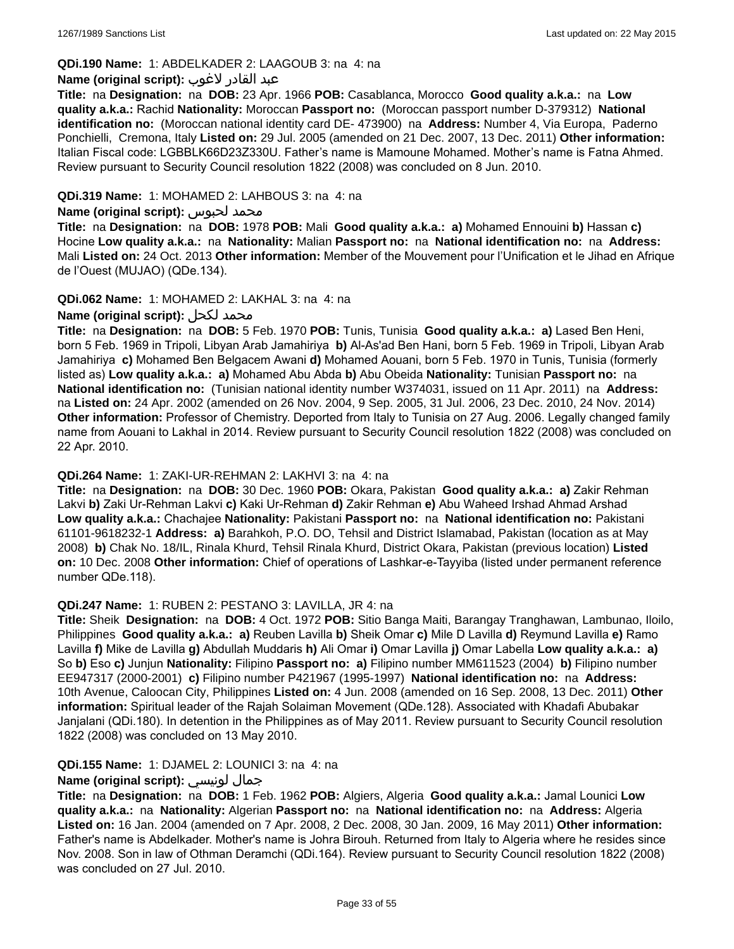## **QDi.190 Name:** 1: ABDELKADER 2: LAAGOUB 3: na 4: na

#### عبد القادر لاغوب **:(script original (Name**

**Title:** na **Designation:** na **DOB:** 23 Apr. 1966 **POB:** Casablanca, Morocco **Good quality a.k.a.:** na **Low quality a.k.a.:** Rachid **Nationality:** Moroccan **Passport no:** (Moroccan passport number D-379312) **National identification no:** (Moroccan national identity card DE- 473900) na **Address:** Number 4, Via Europa, Paderno Ponchielli, Cremona, Italy **Listed on:** 29 Jul. 2005 (amended on 21 Dec. 2007, 13 Dec. 2011) **Other information:** Italian Fiscal code: LGBBLK66D23Z330U. Father's name is Mamoune Mohamed. Mother's name is Fatna Ahmed. Review pursuant to Security Council resolution 1822 (2008) was concluded on 8 Jun. 2010.

### **QDi.319 Name:** 1: MOHAMED 2: LAHBOUS 3: na 4: na

#### **Name (original script):** لحبوس محمد

**Title:** na **Designation:** na **DOB:** 1978 **POB:** Mali **Good quality a.k.a.: a)** Mohamed Ennouini **b)** Hassan **c)** Hocine **Low quality a.k.a.:** na **Nationality:** Malian **Passport no:** na **National identification no:** na **Address:** Mali **Listed on:** 24 Oct. 2013 **Other information:** Member of the Mouvement pour l'Unification et le Jihad en Afrique de l'Ouest (MUJAO) (QDe.134).

### **QDi.062 Name:** 1: MOHAMED 2: LAKHAL 3: na 4: na

## **Name (original script):** لكحل محمد

**Title:** na **Designation:** na **DOB:** 5 Feb. 1970 **POB:** Tunis, Tunisia **Good quality a.k.a.: a)** Lased Ben Heni, born 5 Feb. 1969 in Tripoli, Libyan Arab Jamahiriya **b)** Al-As'ad Ben Hani, born 5 Feb. 1969 in Tripoli, Libyan Arab Jamahiriya **c)** Mohamed Ben Belgacem Awani **d)** Mohamed Aouani, born 5 Feb. 1970 in Tunis, Tunisia (formerly listed as) **Low quality a.k.a.: a)** Mohamed Abu Abda **b)** Abu Obeida **Nationality:** Tunisian **Passport no:** na **National identification no:** (Tunisian national identity number W374031, issued on 11 Apr. 2011) na **Address:**  na **Listed on:** 24 Apr. 2002 (amended on 26 Nov. 2004, 9 Sep. 2005, 31 Jul. 2006, 23 Dec. 2010, 24 Nov. 2014) **Other information:** Professor of Chemistry. Deported from Italy to Tunisia on 27 Aug. 2006. Legally changed family name from Aouani to Lakhal in 2014. Review pursuant to Security Council resolution 1822 (2008) was concluded on 22 Apr. 2010.

#### **QDi.264 Name:** 1: ZAKI-UR-REHMAN 2: LAKHVI 3: na 4: na

**Title:** na **Designation:** na **DOB:** 30 Dec. 1960 **POB:** Okara, Pakistan **Good quality a.k.a.: a)** Zakir Rehman Lakvi **b)** Zaki Ur-Rehman Lakvi **c)** Kaki Ur-Rehman **d)** Zakir Rehman **e)** Abu Waheed Irshad Ahmad Arshad **Low quality a.k.a.:** Chachajee **Nationality:** Pakistani **Passport no:** na **National identification no:** Pakistani 61101-9618232-1 **Address: a)** Barahkoh, P.O. DO, Tehsil and District Islamabad, Pakistan (location as at May 2008) **b)** Chak No. 18/IL, Rinala Khurd, Tehsil Rinala Khurd, District Okara, Pakistan (previous location) **Listed on:** 10 Dec. 2008 **Other information:** Chief of operations of Lashkar-e-Tayyiba (listed under permanent reference number QDe.118).

#### **QDi.247 Name:** 1: RUBEN 2: PESTANO 3: LAVILLA, JR 4: na

**Title:** Sheik **Designation:** na **DOB:** 4 Oct. 1972 **POB:** Sitio Banga Maiti, Barangay Tranghawan, Lambunao, Iloilo, Philippines **Good quality a.k.a.: a)** Reuben Lavilla **b)** Sheik Omar **c)** Mile D Lavilla **d)** Reymund Lavilla **e)** Ramo Lavilla **f)** Mike de Lavilla **g)** Abdullah Muddaris **h)** Ali Omar **i)** Omar Lavilla **j)** Omar Labella **Low quality a.k.a.: a)** So **b)** Eso **c)** Junjun **Nationality:** Filipino **Passport no: a)** Filipino number MM611523 (2004) **b)** Filipino number EE947317 (2000-2001) **c)** Filipino number P421967 (1995-1997) **National identification no:** na **Address:** 10th Avenue, Caloocan City, Philippines **Listed on:** 4 Jun. 2008 (amended on 16 Sep. 2008, 13 Dec. 2011) **Other information:** Spiritual leader of the Rajah Solaiman Movement (QDe.128). Associated with Khadafi Abubakar Janjalani (QDi.180). In detention in the Philippines as of May 2011. Review pursuant to Security Council resolution 1822 (2008) was concluded on 13 May 2010.

#### **QDi.155 Name:** 1: DJAMEL 2: LOUNICI 3: na 4: na

## **Name (original script):** لونيسي جمال

**Title:** na **Designation:** na **DOB:** 1 Feb. 1962 **POB:** Algiers, Algeria **Good quality a.k.a.:** Jamal Lounici **Low quality a.k.a.:** na **Nationality:** Algerian **Passport no:** na **National identification no:** na **Address:** Algeria **Listed on:** 16 Jan. 2004 (amended on 7 Apr. 2008, 2 Dec. 2008, 30 Jan. 2009, 16 May 2011) **Other information:** Father's name is Abdelkader. Mother's name is Johra Birouh. Returned from Italy to Algeria where he resides since Nov. 2008. Son in law of Othman Deramchi (QDi.164). Review pursuant to Security Council resolution 1822 (2008) was concluded on 27 Jul. 2010.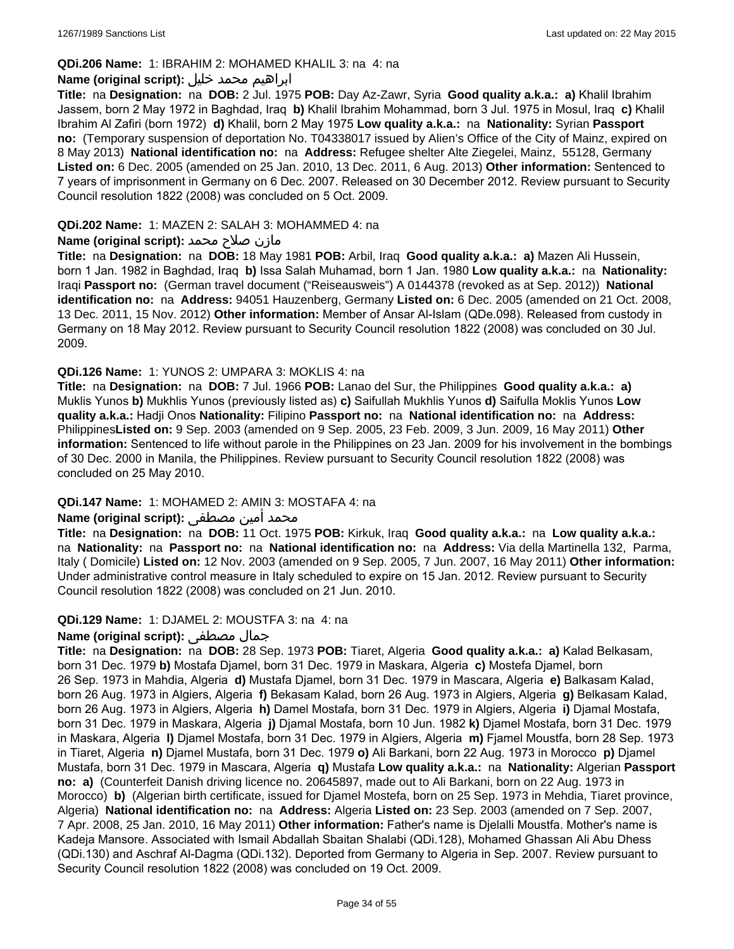#### **QDi.206 Name:** 1: IBRAHIM 2: MOHAMED KHALIL 3: na 4: na

### ابراهيم محمد خليل **:(script original (Name**

**Title:** na **Designation:** na **DOB:** 2 Jul. 1975 **POB:** Day Az-Zawr, Syria **Good quality a.k.a.: a)** Khalil Ibrahim Jassem, born 2 May 1972 in Baghdad, Iraq **b)** Khalil Ibrahim Mohammad, born 3 Jul. 1975 in Mosul, Iraq **c)** Khalil Ibrahim Al Zafiri (born 1972) **d)** Khalil, born 2 May 1975 **Low quality a.k.a.:** na **Nationality:** Syrian **Passport no:** (Temporary suspension of deportation No. T04338017 issued by Alien's Office of the City of Mainz, expired on 8 May 2013) **National identification no:** na **Address:** Refugee shelter Alte Ziegelei, Mainz, 55128, Germany **Listed on:** 6 Dec. 2005 (amended on 25 Jan. 2010, 13 Dec. 2011, 6 Aug. 2013) **Other information:** Sentenced to 7 years of imprisonment in Germany on 6 Dec. 2007. Released on 30 December 2012. Review pursuant to Security Council resolution 1822 (2008) was concluded on 5 Oct. 2009.

#### **QDi.202 Name:** 1: MAZEN 2: SALAH 3: MOHAMMED 4: na

### مازن صلاح محمد **:Name (original script)**

**Title:** na **Designation:** na **DOB:** 18 May 1981 **POB:** Arbil, Iraq **Good quality a.k.a.: a)** Mazen Ali Hussein, born 1 Jan. 1982 in Baghdad, Iraq **b)** Issa Salah Muhamad, born 1 Jan. 1980 **Low quality a.k.a.:** na **Nationality:** Iraqi **Passport no:** (German travel document ("Reiseausweis") A 0144378 (revoked as at Sep. 2012)) **National identification no:** na **Address:** 94051 Hauzenberg, Germany **Listed on:** 6 Dec. 2005 (amended on 21 Oct. 2008, 13 Dec. 2011, 15 Nov. 2012) **Other information:** Member of Ansar Al-Islam (QDe.098). Released from custody in Germany on 18 May 2012. Review pursuant to Security Council resolution 1822 (2008) was concluded on 30 Jul. 2009.

### **QDi.126 Name:** 1: YUNOS 2: UMPARA 3: MOKLIS 4: na

**Title:** na **Designation:** na **DOB:** 7 Jul. 1966 **POB:** Lanao del Sur, the Philippines **Good quality a.k.a.: a)** Muklis Yunos **b)** Mukhlis Yunos (previously listed as) **c)** Saifullah Mukhlis Yunos **d)** Saifulla Moklis Yunos **Low quality a.k.a.:** Hadji Onos **Nationality:** Filipino **Passport no:** na **National identification no:** na **Address:** Philippines**Listed on:** 9 Sep. 2003 (amended on 9 Sep. 2005, 23 Feb. 2009, 3 Jun. 2009, 16 May 2011) **Other information:** Sentenced to life without parole in the Philippines on 23 Jan. 2009 for his involvement in the bombings of 30 Dec. 2000 in Manila, the Philippines. Review pursuant to Security Council resolution 1822 (2008) was concluded on 25 May 2010.

#### **QDi.147 Name:** 1: MOHAMED 2: AMIN 3: MOSTAFA 4: na

## محمد أمين مصطفى :**Name (original script)**

**Title:** na **Designation:** na **DOB:** 11 Oct. 1975 **POB:** Kirkuk, Iraq **Good quality a.k.a.:** na **Low quality a.k.a.:**  na **Nationality:** na **Passport no:** na **National identification no:** na **Address:** Via della Martinella 132, Parma, Italy ( Domicile) **Listed on:** 12 Nov. 2003 (amended on 9 Sep. 2005, 7 Jun. 2007, 16 May 2011) **Other information:** Under administrative control measure in Italy scheduled to expire on 15 Jan. 2012. Review pursuant to Security Council resolution 1822 (2008) was concluded on 21 Jun. 2010.

#### **QDi.129 Name:** 1: DJAMEL 2: MOUSTFA 3: na 4: na

## **Name (original script):** مصطفى جمال

**Title:** na **Designation:** na **DOB:** 28 Sep. 1973 **POB:** Tiaret, Algeria **Good quality a.k.a.: a)** Kalad Belkasam, born 31 Dec. 1979 **b)** Mostafa Djamel, born 31 Dec. 1979 in Maskara, Algeria **c)** Mostefa Djamel, born 26 Sep. 1973 in Mahdia, Algeria **d)** Mustafa Djamel, born 31 Dec. 1979 in Mascara, Algeria **e)** Balkasam Kalad, born 26 Aug. 1973 in Algiers, Algeria **f)** Bekasam Kalad, born 26 Aug. 1973 in Algiers, Algeria **g)** Belkasam Kalad, born 26 Aug. 1973 in Algiers, Algeria **h)** Damel Mostafa, born 31 Dec. 1979 in Algiers, Algeria **i)** Djamal Mostafa, born 31 Dec. 1979 in Maskara, Algeria **j)** Djamal Mostafa, born 10 Jun. 1982 **k)** Djamel Mostafa, born 31 Dec. 1979 in Maskara, Algeria **l)** Djamel Mostafa, born 31 Dec. 1979 in Algiers, Algeria **m)** Fjamel Moustfa, born 28 Sep. 1973 in Tiaret, Algeria **n)** Djamel Mustafa, born 31 Dec. 1979 **o)** Ali Barkani, born 22 Aug. 1973 in Morocco **p)** Djamel Mustafa, born 31 Dec. 1979 in Mascara, Algeria **q)** Mustafa **Low quality a.k.a.:** na **Nationality:** Algerian **Passport no: a)** (Counterfeit Danish driving licence no. 20645897, made out to Ali Barkani, born on 22 Aug. 1973 in Morocco) **b)** (Algerian birth certificate, issued for Djamel Mostefa, born on 25 Sep. 1973 in Mehdia, Tiaret province, Algeria) **National identification no:** na **Address:** Algeria **Listed on:** 23 Sep. 2003 (amended on 7 Sep. 2007, 7 Apr. 2008, 25 Jan. 2010, 16 May 2011) **Other information:** Father's name is Djelalli Moustfa. Mother's name is Kadeja Mansore. Associated with Ismail Abdallah Sbaitan Shalabi (QDi.128), Mohamed Ghassan Ali Abu Dhess (QDi.130) and Aschraf Al-Dagma (QDi.132). Deported from Germany to Algeria in Sep. 2007. Review pursuant to Security Council resolution 1822 (2008) was concluded on 19 Oct. 2009.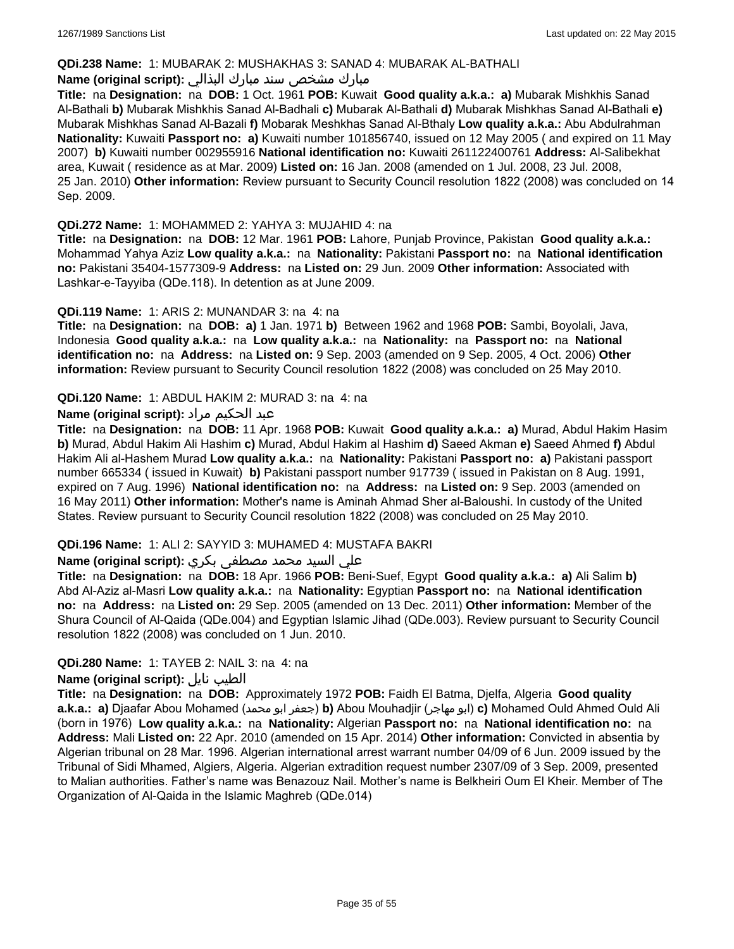#### **QDi.238 Name:** 1: MUBARAK 2: MUSHAKHAS 3: SANAD 4: MUBARAK AL-BATHALI

## مبارك مشخص سند مبارك البذالي **:Name (original script)**

**Title:** na **Designation:** na **DOB:** 1 Oct. 1961 **POB:** Kuwait **Good quality a.k.a.: a)** Mubarak Mishkhis Sanad Al-Bathali **b)** Mubarak Mishkhis Sanad Al-Badhali **c)** Mubarak Al-Bathali **d)** Mubarak Mishkhas Sanad Al-Bathali **e)** Mubarak Mishkhas Sanad Al-Bazali **f)** Mobarak Meshkhas Sanad Al-Bthaly **Low quality a.k.a.:** Abu Abdulrahman **Nationality:** Kuwaiti **Passport no: a)** Kuwaiti number 101856740, issued on 12 May 2005 ( and expired on 11 May 2007) **b)** Kuwaiti number 002955916 **National identification no:** Kuwaiti 261122400761 **Address:** Al-Salibekhat area, Kuwait ( residence as at Mar. 2009) **Listed on:** 16 Jan. 2008 (amended on 1 Jul. 2008, 23 Jul. 2008, 25 Jan. 2010) **Other information:** Review pursuant to Security Council resolution 1822 (2008) was concluded on 14 Sep. 2009.

#### **QDi.272 Name:** 1: MOHAMMED 2: YAHYA 3: MUJAHID 4: na

**Title:** na **Designation:** na **DOB:** 12 Mar. 1961 **POB:** Lahore, Punjab Province, Pakistan **Good quality a.k.a.:** Mohammad Yahya Aziz **Low quality a.k.a.:** na **Nationality:** Pakistani **Passport no:** na **National identification no:** Pakistani 35404-1577309-9 **Address:** na **Listed on:** 29 Jun. 2009 **Other information:** Associated with Lashkar-e-Tayyiba (QDe.118). In detention as at June 2009.

#### **QDi.119 Name:** 1: ARIS 2: MUNANDAR 3: na 4: na

**Title:** na **Designation:** na **DOB: a)** 1 Jan. 1971 **b)** Between 1962 and 1968 **POB:** Sambi, Boyolali, Java, Indonesia **Good quality a.k.a.:** na **Low quality a.k.a.:** na **Nationality:** na **Passport no:** na **National identification no:** na **Address:** na **Listed on:** 9 Sep. 2003 (amended on 9 Sep. 2005, 4 Oct. 2006) **Other information:** Review pursuant to Security Council resolution 1822 (2008) was concluded on 25 May 2010.

### **QDi.120 Name:** 1: ABDUL HAKIM 2: MURAD 3: na 4: na

## عبد الحكيم مراد **:(script original (Name**

**Title:** na **Designation:** na **DOB:** 11 Apr. 1968 **POB:** Kuwait **Good quality a.k.a.: a)** Murad, Abdul Hakim Hasim **b)** Murad, Abdul Hakim Ali Hashim **c)** Murad, Abdul Hakim al Hashim **d)** Saeed Akman **e)** Saeed Ahmed **f)** Abdul Hakim Ali al-Hashem Murad **Low quality a.k.a.:** na **Nationality:** Pakistani **Passport no: a)** Pakistani passport number 665334 ( issued in Kuwait) **b)** Pakistani passport number 917739 ( issued in Pakistan on 8 Aug. 1991, expired on 7 Aug. 1996) **National identification no:** na **Address:** na **Listed on:** 9 Sep. 2003 (amended on 16 May 2011) **Other information:** Mother's name is Aminah Ahmad Sher al-Baloushi. In custody of the United States. Review pursuant to Security Council resolution 1822 (2008) was concluded on 25 May 2010.

## **QDi.196 Name:** 1: ALI 2: SAYYID 3: MUHAMED 4: MUSTAFA BAKRI

## علي السيد محمد مصطفى بكري **:(script original (Name**

**Title:** na **Designation:** na **DOB:** 18 Apr. 1966 **POB:** Beni-Suef, Egypt **Good quality a.k.a.: a)** Ali Salim **b)** Abd Al-Aziz al-Masri **Low quality a.k.a.:** na **Nationality:** Egyptian **Passport no:** na **National identification no:** na **Address:** na **Listed on:** 29 Sep. 2005 (amended on 13 Dec. 2011) **Other information:** Member of the Shura Council of Al-Qaida (QDe.004) and Egyptian Islamic Jihad (QDe.003). Review pursuant to Security Council resolution 1822 (2008) was concluded on 1 Jun. 2010.

## **QDi.280 Name:** 1: TAYEB 2: NAIL 3: na 4: na

#### **Name (original script):** نايل الطيب

**Title:** na **Designation:** na **DOB:** Approximately 1972 **POB:** Faidh El Batma, Djelfa, Algeria **Good quality a.k.a.: a)** Djaafar Abou Mohamed (محمد ابو جعفر(**b)** Abou Mouhadjir (مهاجر ابو(**c)** Mohamed Ould Ahmed Ould Ali (born in 1976) **Low quality a.k.a.:** na **Nationality:** Algerian **Passport no:** na **National identification no:** na **Address:** Mali **Listed on:** 22 Apr. 2010 (amended on 15 Apr. 2014) **Other information:** Convicted in absentia by Algerian tribunal on 28 Mar. 1996. Algerian international arrest warrant number 04/09 of 6 Jun. 2009 issued by the Tribunal of Sidi Mhamed, Algiers, Algeria. Algerian extradition request number 2307/09 of 3 Sep. 2009, presented to Malian authorities. Father's name was Benazouz Nail. Mother's name is Belkheiri Oum El Kheir. Member of The Organization of Al-Qaida in the Islamic Maghreb (QDe.014)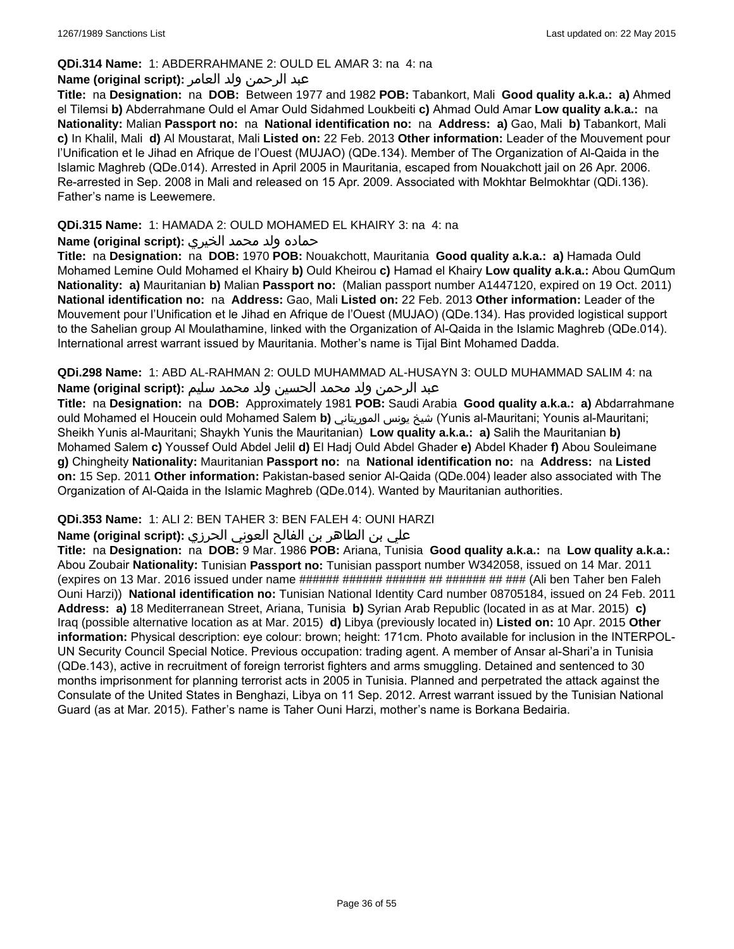### **QDi.314 Name:** 1: ABDERRAHMANE 2: OULD EL AMAR 3: na 4: na

## عبد الرحمن ولد العامر **:(script original (Name**

**Title:** na **Designation:** na **DOB:** Between 1977 and 1982 **POB:** Tabankort, Mali **Good quality a.k.a.: a)** Ahmed el Tilemsi **b)** Abderrahmane Ould el Amar Ould Sidahmed Loukbeiti **c)** Ahmad Ould Amar **Low quality a.k.a.:** na **Nationality:** Malian **Passport no:** na **National identification no:** na **Address: a)** Gao, Mali **b)** Tabankort, Mali **c)** In Khalil, Mali **d)** Al Moustarat, Mali **Listed on:** 22 Feb. 2013 **Other information:** Leader of the Mouvement pour l'Unification et le Jihad en Afrique de l'Ouest (MUJAO) (QDe.134). Member of The Organization of Al-Qaida in the Islamic Maghreb (QDe.014). Arrested in April 2005 in Mauritania, escaped from Nouakchott jail on 26 Apr. 2006. Re-arrested in Sep. 2008 in Mali and released on 15 Apr. 2009. Associated with Mokhtar Belmokhtar (QDi.136). Father's name is Leewemere.

## **QDi.315 Name:** 1: HAMADA 2: OULD MOHAMED EL KHAIRY 3: na 4: na

## حماده ولد محمد الخيري **:(script original (Name**

**Title:** na **Designation:** na **DOB:** 1970 **POB:** Nouakchott, Mauritania **Good quality a.k.a.: a)** Hamada Ould Mohamed Lemine Ould Mohamed el Khairy **b)** Ould Kheirou **c)** Hamad el Khairy **Low quality a.k.a.:** Abou QumQum **Nationality: a)** Mauritanian **b)** Malian **Passport no:** (Malian passport number A1447120, expired on 19 Oct. 2011) **National identification no:** na **Address:** Gao, Mali **Listed on:** 22 Feb. 2013 **Other information:** Leader of the Mouvement pour l'Unification et le Jihad en Afrique de l'Ouest (MUJAO) (QDe.134). Has provided logistical support to the Sahelian group Al Moulathamine, linked with the Organization of Al-Qaida in the Islamic Maghreb (QDe.014). International arrest warrant issued by Mauritania. Mother's name is Tijal Bint Mohamed Dadda.

**QDi.298 Name:** 1: ABD AL-RAHMAN 2: OULD MUHAMMAD AL-HUSAYN 3: OULD MUHAMMAD SALIM 4: na عبد الرحمن ولد محمد الحسين ولد محمد سليم **:(script original (Name**

**Title:** na **Designation:** na **DOB:** Approximately 1981 **POB:** Saudi Arabia **Good quality a.k.a.: a)** Abdarrahmane ould Mohamed el Houcein ould Mohamed Salem **b)** الموريتاني يونس شيخ) Yunis al-Mauritani; Younis al-Mauritani; Sheikh Yunis al-Mauritani; Shaykh Yunis the Mauritanian) **Low quality a.k.a.: a)** Salih the Mauritanian **b)** Mohamed Salem **c)** Youssef Ould Abdel Jelil **d)** El Hadj Ould Abdel Ghader **e)** Abdel Khader **f)** Abou Souleimane **g)** Chingheity **Nationality:** Mauritanian **Passport no:** na **National identification no:** na **Address:** na **Listed on:** 15 Sep. 2011 **Other information:** Pakistan-based senior Al-Qaida (QDe.004) leader also associated with The Organization of Al-Qaida in the Islamic Maghreb (QDe.014). Wanted by Mauritanian authorities.

## **QDi.353 Name:** 1: ALI 2: BEN TAHER 3: BEN FALEH 4: OUNI HARZI

## علي بن الطاھر بن الفالح العوني الحرزي **:(script original (Name**

**Title:** na **Designation:** na **DOB:** 9 Mar. 1986 **POB:** Ariana, Tunisia **Good quality a.k.a.:** na **Low quality a.k.a.:** Abou Zoubair **Nationality:** Tunisian **Passport no:** Tunisian passport number W342058, issued on 14 Mar. 2011 (expires on 13 Mar. 2016 issued under name ###### ###### ####### ######### (Ali ben Taher ben Faleh Ouni Harzi)) **National identification no:** Tunisian National Identity Card number 08705184, issued on 24 Feb. 2011 **Address: a)** 18 Mediterranean Street, Ariana, Tunisia **b)** Syrian Arab Republic (located in as at Mar. 2015) **c)** Iraq (possible alternative location as at Mar. 2015) **d)** Libya (previously located in) **Listed on:** 10 Apr. 2015 **Other information:** Physical description: eye colour: brown; height: 171cm. Photo available for inclusion in the INTERPOL-UN Security Council Special Notice. Previous occupation: trading agent. A member of Ansar al-Shari'a in Tunisia (QDe.143), active in recruitment of foreign terrorist fighters and arms smuggling. Detained and sentenced to 30 months imprisonment for planning terrorist acts in 2005 in Tunisia. Planned and perpetrated the attack against the Consulate of the United States in Benghazi, Libya on 11 Sep. 2012. Arrest warrant issued by the Tunisian National Guard (as at Mar. 2015). Father's name is Taher Ouni Harzi, mother's name is Borkana Bedairia.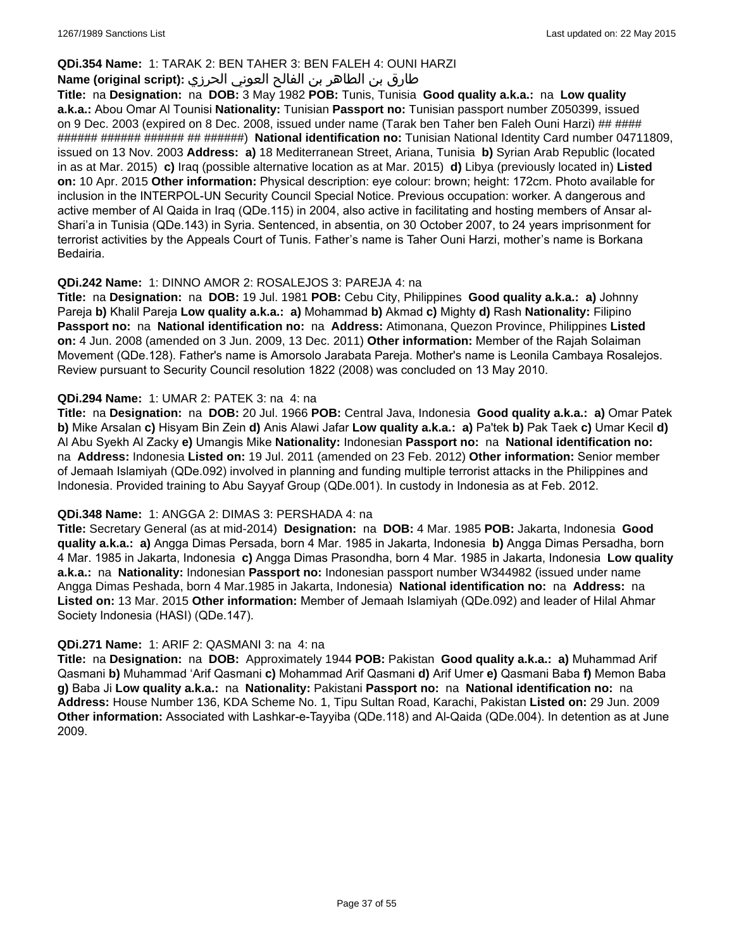## **QDi.354 Name:** 1: TARAK 2: BEN TAHER 3: BEN FALEH 4: OUNI HARZI

## طارق بن الطاھر بن الفالح العوني الحرزي **:(script original (Name**

**Title:** na **Designation:** na **DOB:** 3 May 1982 **POB:** Tunis, Tunisia **Good quality a.k.a.:** na **Low quality a.k.a.:** Abou Omar Al Tounisi **Nationality:** Tunisian **Passport no:** Tunisian passport number Z050399, issued on 9 Dec. 2003 (expired on 8 Dec. 2008, issued under name (Tarak ben Taher ben Faleh Ouni Harzi) ## #### ###### ###### ###### ## ######) **National identification no:** Tunisian National Identity Card number 04711809, issued on 13 Nov. 2003 **Address: a)** 18 Mediterranean Street, Ariana, Tunisia **b)** Syrian Arab Republic (located in as at Mar. 2015) **c)** Iraq (possible alternative location as at Mar. 2015) **d)** Libya (previously located in) **Listed on:** 10 Apr. 2015 **Other information:** Physical description: eye colour: brown; height: 172cm. Photo available for inclusion in the INTERPOL-UN Security Council Special Notice. Previous occupation: worker. A dangerous and active member of Al Qaida in Iraq (QDe.115) in 2004, also active in facilitating and hosting members of Ansar al-Shari'a in Tunisia (QDe.143) in Syria. Sentenced, in absentia, on 30 October 2007, to 24 years imprisonment for terrorist activities by the Appeals Court of Tunis. Father's name is Taher Ouni Harzi, mother's name is Borkana Bedairia.

### **QDi.242 Name:** 1: DINNO AMOR 2: ROSALEJOS 3: PAREJA 4: na

**Title:** na **Designation:** na **DOB:** 19 Jul. 1981 **POB:** Cebu City, Philippines **Good quality a.k.a.: a)** Johnny Pareja **b)** Khalil Pareja **Low quality a.k.a.: a)** Mohammad **b)** Akmad **c)** Mighty **d)** Rash **Nationality:** Filipino **Passport no:** na **National identification no:** na **Address:** Atimonana, Quezon Province, Philippines **Listed on:** 4 Jun. 2008 (amended on 3 Jun. 2009, 13 Dec. 2011) **Other information:** Member of the Rajah Solaiman Movement (QDe.128). Father's name is Amorsolo Jarabata Pareja. Mother's name is Leonila Cambaya Rosalejos. Review pursuant to Security Council resolution 1822 (2008) was concluded on 13 May 2010.

### **QDi.294 Name:** 1: UMAR 2: PATEK 3: na 4: na

**Title:** na **Designation:** na **DOB:** 20 Jul. 1966 **POB:** Central Java, Indonesia **Good quality a.k.a.: a)** Omar Patek **b)** Mike Arsalan **c)** Hisyam Bin Zein **d)** Anis Alawi Jafar **Low quality a.k.a.: a)** Pa'tek **b)** Pak Taek **c)** Umar Kecil **d)** Al Abu Syekh Al Zacky **e)** Umangis Mike **Nationality:** Indonesian **Passport no:** na **National identification no:**  na **Address:** Indonesia **Listed on:** 19 Jul. 2011 (amended on 23 Feb. 2012) **Other information:** Senior member of Jemaah Islamiyah (QDe.092) involved in planning and funding multiple terrorist attacks in the Philippines and Indonesia. Provided training to Abu Sayyaf Group (QDe.001). In custody in Indonesia as at Feb. 2012.

#### **QDi.348 Name:** 1: ANGGA 2: DIMAS 3: PERSHADA 4: na

**Title:** Secretary General (as at mid-2014) **Designation:** na **DOB:** 4 Mar. 1985 **POB:** Jakarta, Indonesia **Good quality a.k.a.: a)** Angga Dimas Persada, born 4 Mar. 1985 in Jakarta, Indonesia **b)** Angga Dimas Persadha, born 4 Mar. 1985 in Jakarta, Indonesia **c)** Angga Dimas Prasondha, born 4 Mar. 1985 in Jakarta, Indonesia **Low quality a.k.a.:** na **Nationality:** Indonesian **Passport no:** Indonesian passport number W344982 (issued under name Angga Dimas Peshada, born 4 Mar.1985 in Jakarta, Indonesia) **National identification no:** na **Address:** na **Listed on:** 13 Mar. 2015 **Other information:** Member of Jemaah Islamiyah (QDe.092) and leader of Hilal Ahmar Society Indonesia (HASI) (QDe.147).

#### **QDi.271 Name:** 1: ARIF 2: QASMANI 3: na 4: na

**Title:** na **Designation:** na **DOB:** Approximately 1944 **POB:** Pakistan **Good quality a.k.a.: a)** Muhammad Arif Qasmani **b)** Muhammad 'Arif Qasmani **c)** Mohammad Arif Qasmani **d)** Arif Umer **e)** Qasmani Baba **f)** Memon Baba **g)** Baba Ji **Low quality a.k.a.:** na **Nationality:** Pakistani **Passport no:** na **National identification no:** na **Address:** House Number 136, KDA Scheme No. 1, Tipu Sultan Road, Karachi, Pakistan **Listed on:** 29 Jun. 2009 **Other information:** Associated with Lashkar-e-Tayyiba (QDe.118) and Al-Qaida (QDe.004). In detention as at June 2009.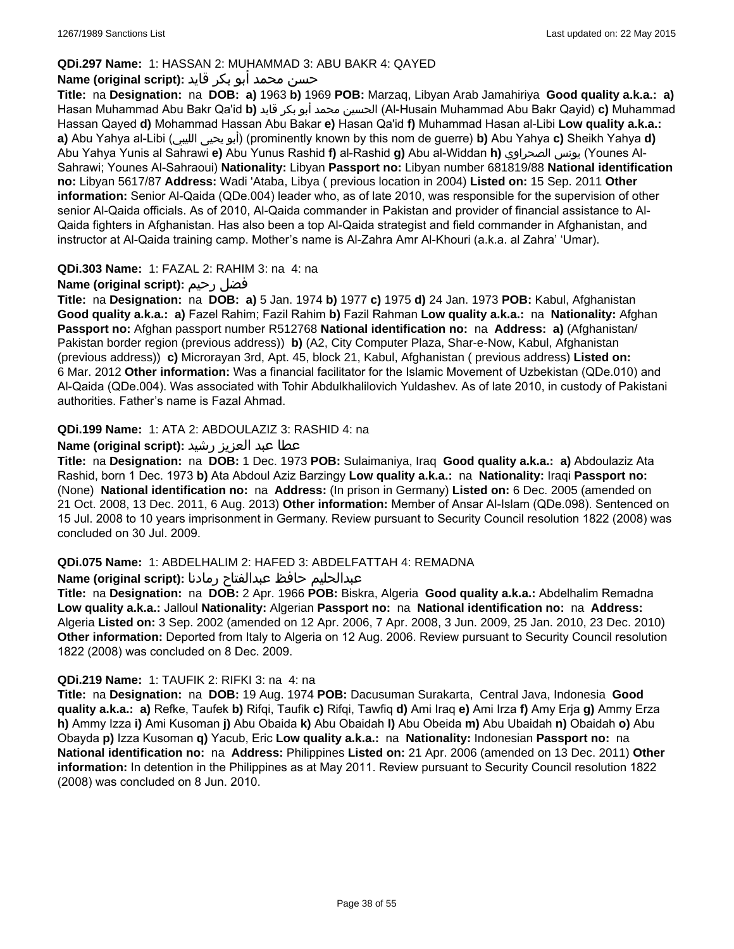## **QDi.297 Name:** 1: HASSAN 2: MUHAMMAD 3: ABU BAKR 4: QAYED

## حسن محمد أبو بكر قايد **:(script original (Name**

**Title:** na **Designation:** na **DOB: a)** 1963 **b)** 1969 **POB:** Marzaq, Libyan Arab Jamahiriya **Good quality a.k.a.: a)** Hasan Muhammad Abu Bakr Qa'id **b)** قايد بكر أبو محمد الحسين) Al-Husain Muhammad Abu Bakr Qayid) **c)** Muhammad Hassan Qayed **d)** Mohammad Hassan Abu Bakar **e)** Hasan Qa'id **f)** Muhammad Hasan al-Libi **Low quality a.k.a.: a)** Abu Yahya al-Libi (الليبي يحيى أبو) (prominently known by this nom de guerre) **b)** Abu Yahya **c)** Sheikh Yahya **d)** Abu Yahya Yunis al Sahrawi **e)** Abu Yunus Rashid **f)** al-Rashid **g)** Abu al-Widdan **h)** الصحراوي يونس) Younes Al-Sahrawi; Younes Al-Sahraoui) **Nationality:** Libyan **Passport no:** Libyan number 681819/88 **National identification no:** Libyan 5617/87 **Address:** Wadi 'Ataba, Libya ( previous location in 2004) **Listed on:** 15 Sep. 2011 **Other information:** Senior Al-Qaida (QDe.004) leader who, as of late 2010, was responsible for the supervision of other senior Al-Qaida officials. As of 2010, Al-Qaida commander in Pakistan and provider of financial assistance to Al-Qaida fighters in Afghanistan. Has also been a top Al-Qaida strategist and field commander in Afghanistan, and instructor at Al-Qaida training camp. Mother's name is Al-Zahra Amr Al-Khouri (a.k.a. al Zahra' 'Umar).

## **QDi.303 Name:** 1: FAZAL 2: RAHIM 3: na 4: na

## **Name (original script):** رحيم فضل

**Title:** na **Designation:** na **DOB: a)** 5 Jan. 1974 **b)** 1977 **c)** 1975 **d)** 24 Jan. 1973 **POB:** Kabul, Afghanistan **Good quality a.k.a.: a)** Fazel Rahim; Fazil Rahim **b)** Fazil Rahman **Low quality a.k.a.:** na **Nationality:** Afghan **Passport no:** Afghan passport number R512768 **National identification no:** na **Address: a)** (Afghanistan/ Pakistan border region (previous address)) **b)** (A2, City Computer Plaza, Shar-e-Now, Kabul, Afghanistan (previous address)) **c)** Microrayan 3rd, Apt. 45, block 21, Kabul, Afghanistan ( previous address) **Listed on:** 6 Mar. 2012 **Other information:** Was a financial facilitator for the Islamic Movement of Uzbekistan (QDe.010) and Al-Qaida (QDe.004). Was associated with Tohir Abdulkhalilovich Yuldashev. As of late 2010, in custody of Pakistani authorities. Father's name is Fazal Ahmad.

## **QDi.199 Name:** 1: ATA 2: ABDOULAZIZ 3: RASHID 4: na

## عطا عبد العزيز رشيد **:(script original (Name**

**Title:** na **Designation:** na **DOB:** 1 Dec. 1973 **POB:** Sulaimaniya, Iraq **Good quality a.k.a.: a)** Abdoulaziz Ata Rashid, born 1 Dec. 1973 **b)** Ata Abdoul Aziz Barzingy **Low quality a.k.a.:** na **Nationality:** Iraqi **Passport no:**  (None) **National identification no:** na **Address:** (In prison in Germany) **Listed on:** 6 Dec. 2005 (amended on 21 Oct. 2008, 13 Dec. 2011, 6 Aug. 2013) **Other information:** Member of Ansar Al-Islam (QDe.098). Sentenced on 15 Jul. 2008 to 10 years imprisonment in Germany. Review pursuant to Security Council resolution 1822 (2008) was concluded on 30 Jul. 2009.

## **QDi.075 Name:** 1: ABDELHALIM 2: HAFED 3: ABDELFATTAH 4: REMADNA

## عبدالحليم حافظ عبدالفتاح رمادنا **:(script original (Name**

**Title:** na **Designation:** na **DOB:** 2 Apr. 1966 **POB:** Biskra, Algeria **Good quality a.k.a.:** Abdelhalim Remadna **Low quality a.k.a.:** Jalloul **Nationality:** Algerian **Passport no:** na **National identification no:** na **Address:** Algeria **Listed on:** 3 Sep. 2002 (amended on 12 Apr. 2006, 7 Apr. 2008, 3 Jun. 2009, 25 Jan. 2010, 23 Dec. 2010) **Other information:** Deported from Italy to Algeria on 12 Aug. 2006. Review pursuant to Security Council resolution 1822 (2008) was concluded on 8 Dec. 2009.

## **QDi.219 Name:** 1: TAUFIK 2: RIFKI 3: na 4: na

**Title:** na **Designation:** na **DOB:** 19 Aug. 1974 **POB:** Dacusuman Surakarta, Central Java, Indonesia **Good quality a.k.a.: a)** Refke, Taufek **b)** Rifqi, Taufik **c)** Rifqi, Tawfiq **d)** Ami Iraq **e)** Ami Irza **f)** Amy Erja **g)** Ammy Erza **h)** Ammy Izza **i)** Ami Kusoman **j)** Abu Obaida **k)** Abu Obaidah **l)** Abu Obeida **m)** Abu Ubaidah **n)** Obaidah **o)** Abu Obayda **p)** Izza Kusoman **q)** Yacub, Eric **Low quality a.k.a.:** na **Nationality:** Indonesian **Passport no:** na **National identification no:** na **Address:** Philippines **Listed on:** 21 Apr. 2006 (amended on 13 Dec. 2011) **Other information:** In detention in the Philippines as at May 2011. Review pursuant to Security Council resolution 1822 (2008) was concluded on 8 Jun. 2010.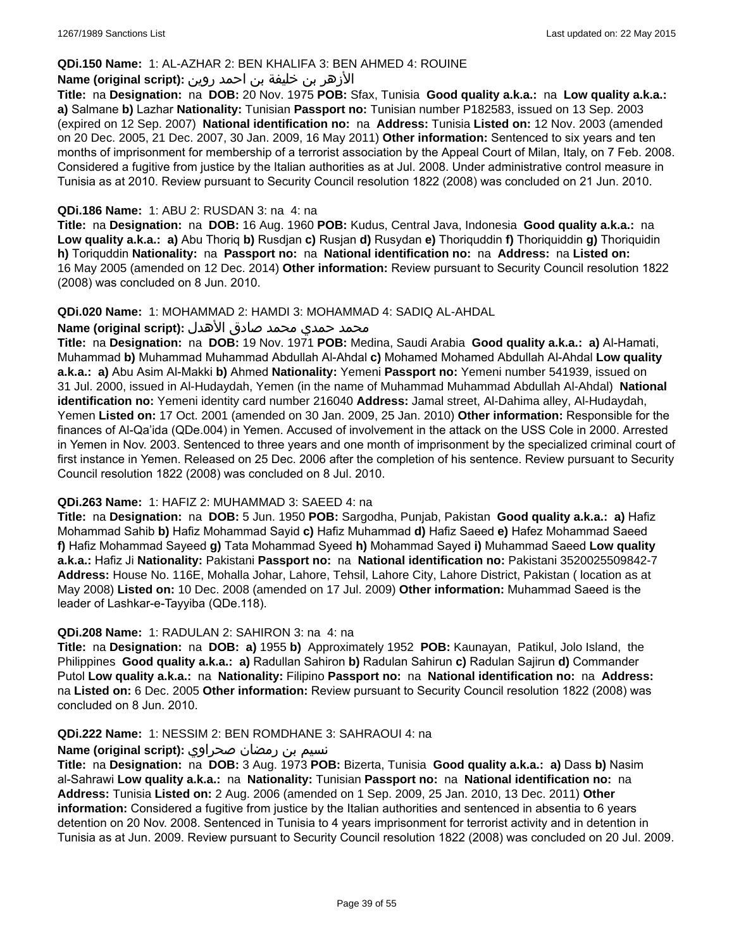## **QDi.150 Name:** 1: AL-AZHAR 2: BEN KHALIFA 3: BEN AHMED 4: ROUINE

## الأزهر بن خليفة بن احمد روين **:(script original (Name**

**Title:** na **Designation:** na **DOB:** 20 Nov. 1975 **POB:** Sfax, Tunisia **Good quality a.k.a.:** na **Low quality a.k.a.: a)** Salmane **b)** Lazhar **Nationality:** Tunisian **Passport no:** Tunisian number P182583, issued on 13 Sep. 2003 (expired on 12 Sep. 2007) **National identification no:** na **Address:** Tunisia **Listed on:** 12 Nov. 2003 (amended on 20 Dec. 2005, 21 Dec. 2007, 30 Jan. 2009, 16 May 2011) **Other information:** Sentenced to six years and ten months of imprisonment for membership of a terrorist association by the Appeal Court of Milan, Italy, on 7 Feb. 2008. Considered a fugitive from justice by the Italian authorities as at Jul. 2008. Under administrative control measure in Tunisia as at 2010. Review pursuant to Security Council resolution 1822 (2008) was concluded on 21 Jun. 2010.

### **QDi.186 Name:** 1: ABU 2: RUSDAN 3: na 4: na

**Title:** na **Designation:** na **DOB:** 16 Aug. 1960 **POB:** Kudus, Central Java, Indonesia **Good quality a.k.a.:** na **Low quality a.k.a.: a)** Abu Thoriq **b)** Rusdjan **c)** Rusjan **d)** Rusydan **e)** Thoriquddin **f)** Thoriquiddin **g)** Thoriquidin **h)** Toriquddin **Nationality:** na **Passport no:** na **National identification no:** na **Address:** na **Listed on:** 16 May 2005 (amended on 12 Dec. 2014) **Other information:** Review pursuant to Security Council resolution 1822 (2008) was concluded on 8 Jun. 2010.

#### **QDi.020 Name:** 1: MOHAMMAD 2: HAMDI 3: MOHAMMAD 4: SADIQ AL-AHDAL

#### محمد حمدي محمد صادق الأهدل **:Name (original script**)

**Title:** na **Designation:** na **DOB:** 19 Nov. 1971 **POB:** Medina, Saudi Arabia **Good quality a.k.a.: a)** Al-Hamati, Muhammad **b)** Muhammad Muhammad Abdullah Al-Ahdal **c)** Mohamed Mohamed Abdullah Al-Ahdal **Low quality a.k.a.: a)** Abu Asim Al-Makki **b)** Ahmed **Nationality:** Yemeni **Passport no:** Yemeni number 541939, issued on 31 Jul. 2000, issued in Al-Hudaydah, Yemen (in the name of Muhammad Muhammad Abdullah Al-Ahdal) **National identification no:** Yemeni identity card number 216040 **Address:** Jamal street, Al-Dahima alley, Al-Hudaydah, Yemen **Listed on:** 17 Oct. 2001 (amended on 30 Jan. 2009, 25 Jan. 2010) **Other information:** Responsible for the finances of Al-Qa'ida (QDe.004) in Yemen. Accused of involvement in the attack on the USS Cole in 2000. Arrested in Yemen in Nov. 2003. Sentenced to three years and one month of imprisonment by the specialized criminal court of first instance in Yemen. Released on 25 Dec. 2006 after the completion of his sentence. Review pursuant to Security Council resolution 1822 (2008) was concluded on 8 Jul. 2010.

#### **QDi.263 Name:** 1: HAFIZ 2: MUHAMMAD 3: SAEED 4: na

**Title:** na **Designation:** na **DOB:** 5 Jun. 1950 **POB:** Sargodha, Punjab, Pakistan **Good quality a.k.a.: a)** Hafiz Mohammad Sahib **b)** Hafiz Mohammad Sayid **c)** Hafiz Muhammad **d)** Hafiz Saeed **e)** Hafez Mohammad Saeed **f)** Hafiz Mohammad Sayeed **g)** Tata Mohammad Syeed **h)** Mohammad Sayed **i)** Muhammad Saeed **Low quality a.k.a.:** Hafiz Ji **Nationality:** Pakistani **Passport no:** na **National identification no:** Pakistani 3520025509842-7 **Address:** House No. 116E, Mohalla Johar, Lahore, Tehsil, Lahore City, Lahore District, Pakistan ( location as at May 2008) **Listed on:** 10 Dec. 2008 (amended on 17 Jul. 2009) **Other information:** Muhammad Saeed is the leader of Lashkar-e-Tayyiba (QDe.118).

#### **QDi.208 Name:** 1: RADULAN 2: SAHIRON 3: na 4: na

**Title:** na **Designation:** na **DOB: a)** 1955 **b)** Approximately 1952 **POB:** Kaunayan, Patikul, Jolo Island, the Philippines **Good quality a.k.a.: a)** Radullan Sahiron **b)** Radulan Sahirun **c)** Radulan Sajirun **d)** Commander Putol **Low quality a.k.a.:** na **Nationality:** Filipino **Passport no:** na **National identification no:** na **Address:**  na **Listed on:** 6 Dec. 2005 **Other information:** Review pursuant to Security Council resolution 1822 (2008) was concluded on 8 Jun. 2010.

#### **QDi.222 Name:** 1: NESSIM 2: BEN ROMDHANE 3: SAHRAOUI 4: na

#### نسيم بن رمضان صحراوي **:(script original (Name**

**Title:** na **Designation:** na **DOB:** 3 Aug. 1973 **POB:** Bizerta, Tunisia **Good quality a.k.a.: a)** Dass **b)** Nasim al-Sahrawi **Low quality a.k.a.:** na **Nationality:** Tunisian **Passport no:** na **National identification no:** na **Address:** Tunisia **Listed on:** 2 Aug. 2006 (amended on 1 Sep. 2009, 25 Jan. 2010, 13 Dec. 2011) **Other information:** Considered a fugitive from justice by the Italian authorities and sentenced in absentia to 6 years detention on 20 Nov. 2008. Sentenced in Tunisia to 4 years imprisonment for terrorist activity and in detention in Tunisia as at Jun. 2009. Review pursuant to Security Council resolution 1822 (2008) was concluded on 20 Jul. 2009.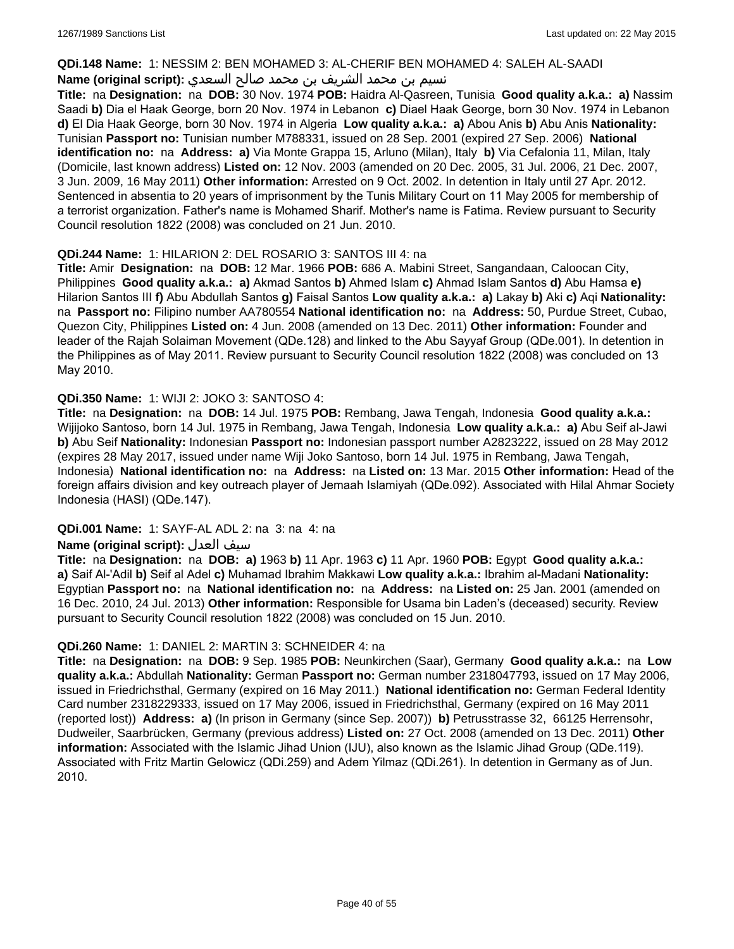#### **QDi.148 Name:** 1: NESSIM 2: BEN MOHAMED 3: AL-CHERIF BEN MOHAMED 4: SALEH AL-SAADI

## نسيم بن محمد الشريف بن محمد صالح السعدي **:Name (original script**)

**Title:** na **Designation:** na **DOB:** 30 Nov. 1974 **POB:** Haidra Al-Qasreen, Tunisia **Good quality a.k.a.: a)** Nassim Saadi **b)** Dia el Haak George, born 20 Nov. 1974 in Lebanon **c)** Diael Haak George, born 30 Nov. 1974 in Lebanon **d)** El Dia Haak George, born 30 Nov. 1974 in Algeria **Low quality a.k.a.: a)** Abou Anis **b)** Abu Anis **Nationality:** Tunisian **Passport no:** Tunisian number M788331, issued on 28 Sep. 2001 (expired 27 Sep. 2006) **National identification no:** na **Address: a)** Via Monte Grappa 15, Arluno (Milan), Italy **b)** Via Cefalonia 11, Milan, Italy (Domicile, last known address) **Listed on:** 12 Nov. 2003 (amended on 20 Dec. 2005, 31 Jul. 2006, 21 Dec. 2007, 3 Jun. 2009, 16 May 2011) **Other information:** Arrested on 9 Oct. 2002. In detention in Italy until 27 Apr. 2012. Sentenced in absentia to 20 years of imprisonment by the Tunis Military Court on 11 May 2005 for membership of a terrorist organization. Father's name is Mohamed Sharif. Mother's name is Fatima. Review pursuant to Security Council resolution 1822 (2008) was concluded on 21 Jun. 2010.

### **QDi.244 Name:** 1: HILARION 2: DEL ROSARIO 3: SANTOS III 4: na

**Title:** Amir **Designation:** na **DOB:** 12 Mar. 1966 **POB:** 686 A. Mabini Street, Sangandaan, Caloocan City, Philippines **Good quality a.k.a.: a)** Akmad Santos **b)** Ahmed Islam **c)** Ahmad Islam Santos **d)** Abu Hamsa **e)** Hilarion Santos III **f)** Abu Abdullah Santos **g)** Faisal Santos **Low quality a.k.a.: a)** Lakay **b)** Aki **c)** Aqi **Nationality:**  na **Passport no:** Filipino number AA780554 **National identification no:** na **Address:** 50, Purdue Street, Cubao, Quezon City, Philippines **Listed on:** 4 Jun. 2008 (amended on 13 Dec. 2011) **Other information:** Founder and leader of the Rajah Solaiman Movement (QDe.128) and linked to the Abu Sayyaf Group (QDe.001). In detention in the Philippines as of May 2011. Review pursuant to Security Council resolution 1822 (2008) was concluded on 13 May 2010.

## **QDi.350 Name:** 1: WIJI 2: JOKO 3: SANTOSO 4:

**Title:** na **Designation:** na **DOB:** 14 Jul. 1975 **POB:** Rembang, Jawa Tengah, Indonesia **Good quality a.k.a.:** Wijijoko Santoso, born 14 Jul. 1975 in Rembang, Jawa Tengah, Indonesia **Low quality a.k.a.: a)** Abu Seif al-Jawi **b)** Abu Seif **Nationality:** Indonesian **Passport no:** Indonesian passport number A2823222, issued on 28 May 2012 (expires 28 May 2017, issued under name Wiji Joko Santoso, born 14 Jul. 1975 in Rembang, Jawa Tengah, Indonesia) **National identification no:** na **Address:** na **Listed on:** 13 Mar. 2015 **Other information:** Head of the foreign affairs division and key outreach player of Jemaah Islamiyah (QDe.092). Associated with Hilal Ahmar Society Indonesia (HASI) (QDe.147).

#### **QDi.001 Name:** 1: SAYF-AL ADL 2: na 3: na 4: na

#### **Name (original script):** العدل سيف

**Title:** na **Designation:** na **DOB: a)** 1963 **b)** 11 Apr. 1963 **c)** 11 Apr. 1960 **POB:** Egypt **Good quality a.k.a.: a)** Saif Al-'Adil **b)** Seif al Adel **c)** Muhamad Ibrahim Makkawi **Low quality a.k.a.:** Ibrahim al-Madani **Nationality:** Egyptian **Passport no:** na **National identification no:** na **Address:** na **Listed on:** 25 Jan. 2001 (amended on 16 Dec. 2010, 24 Jul. 2013) **Other information:** Responsible for Usama bin Laden's (deceased) security. Review pursuant to Security Council resolution 1822 (2008) was concluded on 15 Jun. 2010.

#### **QDi.260 Name:** 1: DANIEL 2: MARTIN 3: SCHNEIDER 4: na

**Title:** na **Designation:** na **DOB:** 9 Sep. 1985 **POB:** Neunkirchen (Saar), Germany **Good quality a.k.a.:** na **Low quality a.k.a.:** Abdullah **Nationality:** German **Passport no:** German number 2318047793, issued on 17 May 2006, issued in Friedrichsthal, Germany (expired on 16 May 2011.) **National identification no:** German Federal Identity Card number 2318229333, issued on 17 May 2006, issued in Friedrichsthal, Germany (expired on 16 May 2011 (reported lost)) **Address: a)** (In prison in Germany (since Sep. 2007)) **b)** Petrusstrasse 32, 66125 Herrensohr, Dudweiler, Saarbrücken, Germany (previous address) **Listed on:** 27 Oct. 2008 (amended on 13 Dec. 2011) **Other information:** Associated with the Islamic Jihad Union (IJU), also known as the Islamic Jihad Group (QDe.119). Associated with Fritz Martin Gelowicz (QDi.259) and Adem Yilmaz (QDi.261). In detention in Germany as of Jun. 2010.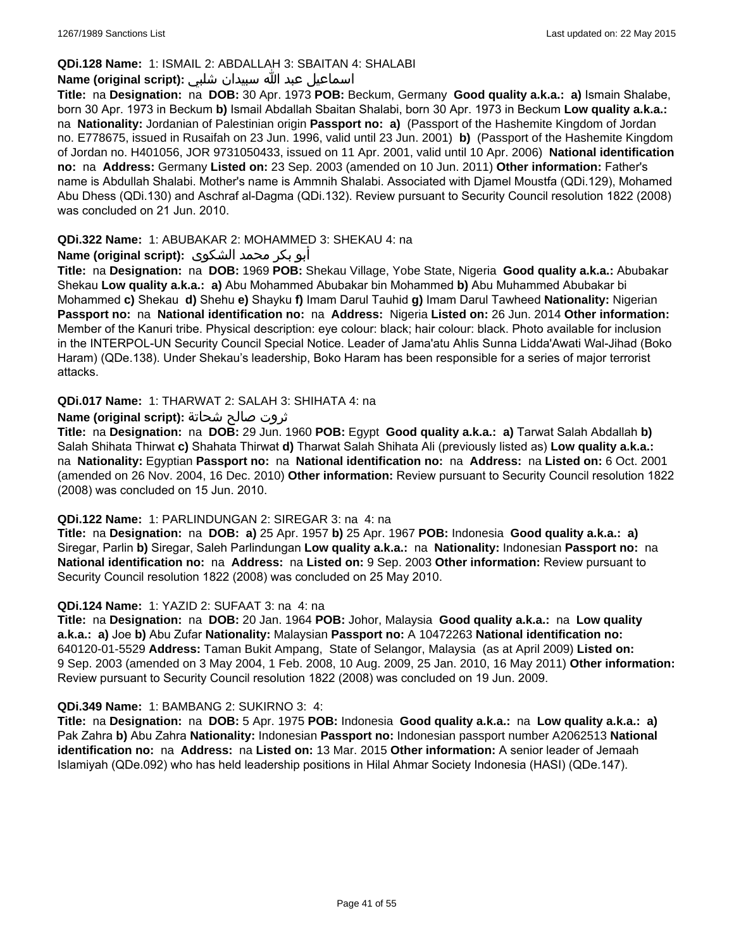## **QDi.128 Name:** 1: ISMAIL 2: ABDALLAH 3: SBAITAN 4: SHALABI

## اسماعيل عبد الله سبيدان شلبي **:(script original (Name**

**Title:** na **Designation:** na **DOB:** 30 Apr. 1973 **POB:** Beckum, Germany **Good quality a.k.a.: a)** Ismain Shalabe, born 30 Apr. 1973 in Beckum **b)** Ismail Abdallah Sbaitan Shalabi, born 30 Apr. 1973 in Beckum **Low quality a.k.a.:**  na **Nationality:** Jordanian of Palestinian origin **Passport no: a)** (Passport of the Hashemite Kingdom of Jordan no. E778675, issued in Rusaifah on 23 Jun. 1996, valid until 23 Jun. 2001) **b)** (Passport of the Hashemite Kingdom of Jordan no. H401056, JOR 9731050433, issued on 11 Apr. 2001, valid until 10 Apr. 2006) **National identification no:** na **Address:** Germany **Listed on:** 23 Sep. 2003 (amended on 10 Jun. 2011) **Other information:** Father's name is Abdullah Shalabi. Mother's name is Ammnih Shalabi. Associated with Djamel Moustfa (QDi.129), Mohamed Abu Dhess (QDi.130) and Aschraf al-Dagma (QDi.132). Review pursuant to Security Council resolution 1822 (2008) was concluded on 21 Jun. 2010.

## **QDi.322 Name:** 1: ABUBAKAR 2: MOHAMMED 3: SHEKAU 4: na

### أبو بكر محمد الشكوى **:(script original (Name**

**Title:** na **Designation:** na **DOB:** 1969 **POB:** Shekau Village, Yobe State, Nigeria **Good quality a.k.a.:** Abubakar Shekau **Low quality a.k.a.: a)** Abu Mohammed Abubakar bin Mohammed **b)** Abu Muhammed Abubakar bi Mohammed **c)** Shekau **d)** Shehu **e)** Shayku **f)** Imam Darul Tauhid **g)** Imam Darul Tawheed **Nationality:** Nigerian **Passport no:** na **National identification no:** na **Address:** Nigeria **Listed on:** 26 Jun. 2014 **Other information:** Member of the Kanuri tribe. Physical description: eye colour: black; hair colour: black. Photo available for inclusion in the INTERPOL-UN Security Council Special Notice. Leader of Jama'atu Ahlis Sunna Lidda'Awati Wal-Jihad (Boko Haram) (QDe.138). Under Shekau's leadership, Boko Haram has been responsible for a series of major terrorist attacks.

### **QDi.017 Name:** 1: THARWAT 2: SALAH 3: SHIHATA 4: na

### ثروت صالح شحاتة **:(script original (Name**

**Title:** na **Designation:** na **DOB:** 29 Jun. 1960 **POB:** Egypt **Good quality a.k.a.: a)** Tarwat Salah Abdallah **b)** Salah Shihata Thirwat **c)** Shahata Thirwat **d)** Tharwat Salah Shihata Ali (previously listed as) **Low quality a.k.a.:**  na **Nationality:** Egyptian **Passport no:** na **National identification no:** na **Address:** na **Listed on:** 6 Oct. 2001 (amended on 26 Nov. 2004, 16 Dec. 2010) **Other information:** Review pursuant to Security Council resolution 1822 (2008) was concluded on 15 Jun. 2010.

#### **QDi.122 Name:** 1: PARLINDUNGAN 2: SIREGAR 3: na 4: na

**Title:** na **Designation:** na **DOB: a)** 25 Apr. 1957 **b)** 25 Apr. 1967 **POB:** Indonesia **Good quality a.k.a.: a)** Siregar, Parlin **b)** Siregar, Saleh Parlindungan **Low quality a.k.a.:** na **Nationality:** Indonesian **Passport no:** na **National identification no:** na **Address:** na **Listed on:** 9 Sep. 2003 **Other information:** Review pursuant to Security Council resolution 1822 (2008) was concluded on 25 May 2010.

#### **QDi.124 Name:** 1: YAZID 2: SUFAAT 3: na 4: na

**Title:** na **Designation:** na **DOB:** 20 Jan. 1964 **POB:** Johor, Malaysia **Good quality a.k.a.:** na **Low quality a.k.a.: a)** Joe **b)** Abu Zufar **Nationality:** Malaysian **Passport no:** A 10472263 **National identification no:** 640120-01-5529 **Address:** Taman Bukit Ampang, State of Selangor, Malaysia (as at April 2009) **Listed on:** 9 Sep. 2003 (amended on 3 May 2004, 1 Feb. 2008, 10 Aug. 2009, 25 Jan. 2010, 16 May 2011) **Other information:** Review pursuant to Security Council resolution 1822 (2008) was concluded on 19 Jun. 2009.

#### **QDi.349 Name:** 1: BAMBANG 2: SUKIRNO 3: 4:

**Title:** na **Designation:** na **DOB:** 5 Apr. 1975 **POB:** Indonesia **Good quality a.k.a.:** na **Low quality a.k.a.: a)** Pak Zahra **b)** Abu Zahra **Nationality:** Indonesian **Passport no:** Indonesian passport number A2062513 **National identification no:** na **Address:** na **Listed on:** 13 Mar. 2015 **Other information:** A senior leader of Jemaah Islamiyah (QDe.092) who has held leadership positions in Hilal Ahmar Society Indonesia (HASI) (QDe.147).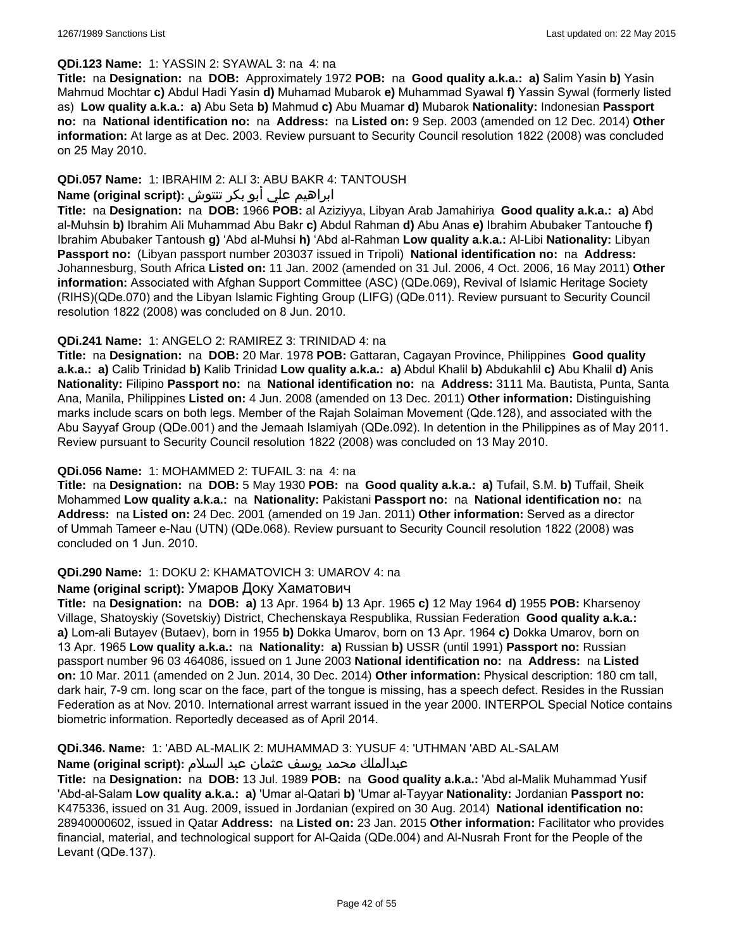#### **QDi.123 Name:** 1: YASSIN 2: SYAWAL 3: na 4: na

**Title:** na **Designation:** na **DOB:** Approximately 1972 **POB:** na **Good quality a.k.a.: a)** Salim Yasin **b)** Yasin Mahmud Mochtar **c)** Abdul Hadi Yasin **d)** Muhamad Mubarok **e)** Muhammad Syawal **f)** Yassin Sywal (formerly listed as) **Low quality a.k.a.: a)** Abu Seta **b)** Mahmud **c)** Abu Muamar **d)** Mubarok **Nationality:** Indonesian **Passport no:** na **National identification no:** na **Address:** na **Listed on:** 9 Sep. 2003 (amended on 12 Dec. 2014) **Other information:** At large as at Dec. 2003. Review pursuant to Security Council resolution 1822 (2008) was concluded on 25 May 2010.

## **QDi.057 Name:** 1: IBRAHIM 2: ALI 3: ABU BAKR 4: TANTOUSH

## ابراهيم علي أبو بكر تنتوش **:(script original (Name**

**Title:** na **Designation:** na **DOB:** 1966 **POB:** al Aziziyya, Libyan Arab Jamahiriya **Good quality a.k.a.: a)** Abd al-Muhsin **b)** Ibrahim Ali Muhammad Abu Bakr **c)** Abdul Rahman **d)** Abu Anas **e)** Ibrahim Abubaker Tantouche **f)** Ibrahim Abubaker Tantoush **g)** 'Abd al-Muhsi **h)** 'Abd al-Rahman **Low quality a.k.a.:** Al-Libi **Nationality:** Libyan **Passport no:** (Libyan passport number 203037 issued in Tripoli) **National identification no:** na **Address:** Johannesburg, South Africa **Listed on:** 11 Jan. 2002 (amended on 31 Jul. 2006, 4 Oct. 2006, 16 May 2011) **Other information:** Associated with Afghan Support Committee (ASC) (QDe.069), Revival of Islamic Heritage Society (RIHS)(QDe.070) and the Libyan Islamic Fighting Group (LIFG) (QDe.011). Review pursuant to Security Council resolution 1822 (2008) was concluded on 8 Jun. 2010.

### **QDi.241 Name:** 1: ANGELO 2: RAMIREZ 3: TRINIDAD 4: na

**Title:** na **Designation:** na **DOB:** 20 Mar. 1978 **POB:** Gattaran, Cagayan Province, Philippines **Good quality a.k.a.: a)** Calib Trinidad **b)** Kalib Trinidad **Low quality a.k.a.: a)** Abdul Khalil **b)** Abdukahlil **c)** Abu Khalil **d)** Anis **Nationality:** Filipino **Passport no:** na **National identification no:** na **Address:** 3111 Ma. Bautista, Punta, Santa Ana, Manila, Philippines **Listed on:** 4 Jun. 2008 (amended on 13 Dec. 2011) **Other information:** Distinguishing marks include scars on both legs. Member of the Rajah Solaiman Movement (Qde.128), and associated with the Abu Sayyaf Group (QDe.001) and the Jemaah Islamiyah (QDe.092). In detention in the Philippines as of May 2011. Review pursuant to Security Council resolution 1822 (2008) was concluded on 13 May 2010.

## **QDi.056 Name:** 1: MOHAMMED 2: TUFAIL 3: na 4: na

**Title:** na **Designation:** na **DOB:** 5 May 1930 **POB:** na **Good quality a.k.a.: a)** Tufail, S.M. **b)** Tuffail, Sheik Mohammed **Low quality a.k.a.:** na **Nationality:** Pakistani **Passport no:** na **National identification no:** na **Address:** na **Listed on:** 24 Dec. 2001 (amended on 19 Jan. 2011) **Other information:** Served as a director of Ummah Tameer e-Nau (UTN) (QDe.068). Review pursuant to Security Council resolution 1822 (2008) was concluded on 1 Jun. 2010.

#### **QDi.290 Name:** 1: DOKU 2: KHAMATOVICH 3: UMAROV 4: na

#### **Name (original script):** Умаров Доку Хаматович

**Title:** na **Designation:** na **DOB: a)** 13 Apr. 1964 **b)** 13 Apr. 1965 **c)** 12 May 1964 **d)** 1955 **POB:** Kharsenoy Village, Shatoyskiy (Sovetskiy) District, Chechenskaya Respublika, Russian Federation **Good quality a.k.a.: a)** Lom-ali Butayev (Butaev), born in 1955 **b)** Dokka Umarov, born on 13 Apr. 1964 **c)** Dokka Umarov, born on 13 Apr. 1965 **Low quality a.k.a.:** na **Nationality: a)** Russian **b)** USSR (until 1991) **Passport no:** Russian passport number 96 03 464086, issued on 1 June 2003 **National identification no:** na **Address:** na **Listed on:** 10 Mar. 2011 (amended on 2 Jun. 2014, 30 Dec. 2014) **Other information:** Physical description: 180 cm tall, dark hair, 7-9 cm. long scar on the face, part of the tongue is missing, has a speech defect. Resides in the Russian Federation as at Nov. 2010. International arrest warrant issued in the year 2000. INTERPOL Special Notice contains biometric information. Reportedly deceased as of April 2014.

## **QDi.346. Name:** 1: 'ABD AL-MALIK 2: MUHAMMAD 3: YUSUF 4: 'UTHMAN 'ABD AL-SALAM

#### عبدالملك محمد يوسف عثمان عبد السلام **:(script original (Name**

**Title:** na **Designation:** na **DOB:** 13 Jul. 1989 **POB:** na **Good quality a.k.a.:** 'Abd al-Malik Muhammad Yusif 'Abd-al-Salam **Low quality a.k.a.: a)** 'Umar al-Qatari **b)** 'Umar al-Tayyar **Nationality:** Jordanian **Passport no:** K475336, issued on 31 Aug. 2009, issued in Jordanian (expired on 30 Aug. 2014) **National identification no:** 28940000602, issued in Qatar **Address:** na **Listed on:** 23 Jan. 2015 **Other information:** Facilitator who provides financial, material, and technological support for Al-Qaida (QDe.004) and Al-Nusrah Front for the People of the Levant (QDe.137).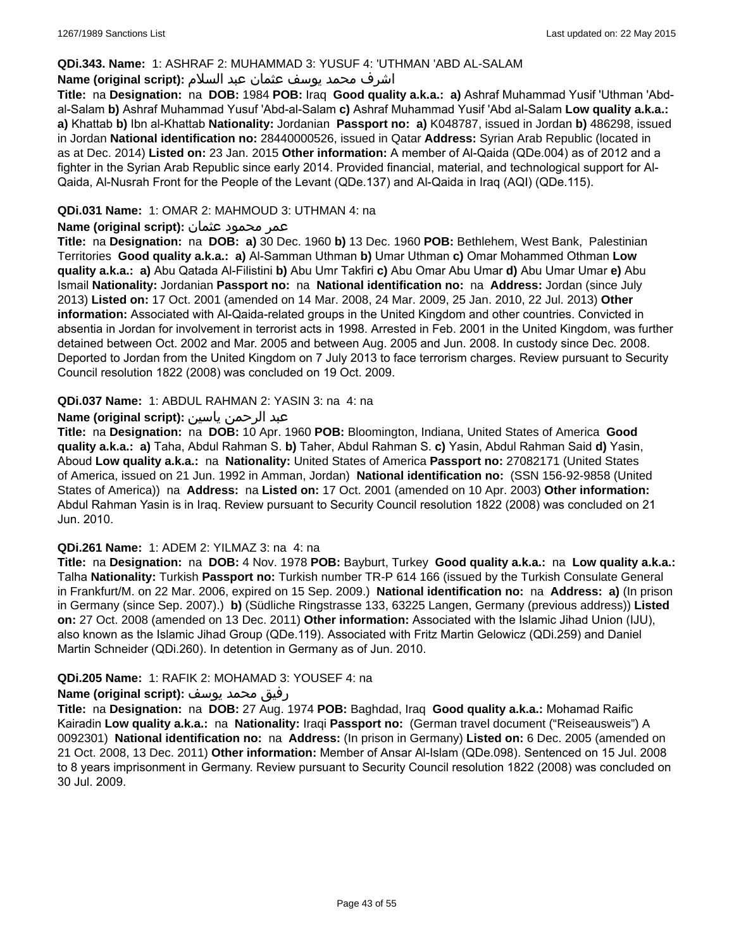## **QDi.343. Name:** 1: ASHRAF 2: MUHAMMAD 3: YUSUF 4: 'UTHMAN 'ABD AL-SALAM

## اشرف محمد يوسف عثمان عبد السلام **:(script original (Name**

**Title:** na **Designation:** na **DOB:** 1984 **POB:** Iraq **Good quality a.k.a.: a)** Ashraf Muhammad Yusif 'Uthman 'Abdal-Salam **b)** Ashraf Muhammad Yusuf 'Abd-al-Salam **c)** Ashraf Muhammad Yusif 'Abd al-Salam **Low quality a.k.a.: a)** Khattab **b)** Ibn al-Khattab **Nationality:** Jordanian **Passport no: a)** K048787, issued in Jordan **b)** 486298, issued in Jordan **National identification no:** 28440000526, issued in Qatar **Address:** Syrian Arab Republic (located in as at Dec. 2014) **Listed on:** 23 Jan. 2015 **Other information:** A member of Al-Qaida (QDe.004) as of 2012 and a fighter in the Syrian Arab Republic since early 2014. Provided financial, material, and technological support for Al-Qaida, Al-Nusrah Front for the People of the Levant (QDe.137) and Al-Qaida in Iraq (AQI) (QDe.115).

## **QDi.031 Name:** 1: OMAR 2: MAHMOUD 3: UTHMAN 4: na

#### عمر محمود عثمان **:(script original (Name**

**Title:** na **Designation:** na **DOB: a)** 30 Dec. 1960 **b)** 13 Dec. 1960 **POB:** Bethlehem, West Bank, Palestinian Territories **Good quality a.k.a.: a)** Al-Samman Uthman **b)** Umar Uthman **c)** Omar Mohammed Othman **Low quality a.k.a.: a)** Abu Qatada Al-Filistini **b)** Abu Umr Takfiri **c)** Abu Omar Abu Umar **d)** Abu Umar Umar **e)** Abu Ismail **Nationality:** Jordanian **Passport no:** na **National identification no:** na **Address:** Jordan (since July 2013) **Listed on:** 17 Oct. 2001 (amended on 14 Mar. 2008, 24 Mar. 2009, 25 Jan. 2010, 22 Jul. 2013) **Other information:** Associated with Al-Qaida-related groups in the United Kingdom and other countries. Convicted in absentia in Jordan for involvement in terrorist acts in 1998. Arrested in Feb. 2001 in the United Kingdom, was further detained between Oct. 2002 and Mar. 2005 and between Aug. 2005 and Jun. 2008. In custody since Dec. 2008. Deported to Jordan from the United Kingdom on 7 July 2013 to face terrorism charges. Review pursuant to Security Council resolution 1822 (2008) was concluded on 19 Oct. 2009.

### **QDi.037 Name:** 1: ABDUL RAHMAN 2: YASIN 3: na 4: na

### عبد الرحمن ياسين **:(script original (Name**

**Title:** na **Designation:** na **DOB:** 10 Apr. 1960 **POB:** Bloomington, Indiana, United States of America **Good quality a.k.a.: a)** Taha, Abdul Rahman S. **b)** Taher, Abdul Rahman S. **c)** Yasin, Abdul Rahman Said **d)** Yasin, Aboud **Low quality a.k.a.:** na **Nationality:** United States of America **Passport no:** 27082171 (United States of America, issued on 21 Jun. 1992 in Amman, Jordan) **National identification no:** (SSN 156-92-9858 (United States of America)) na **Address:** na **Listed on:** 17 Oct. 2001 (amended on 10 Apr. 2003) **Other information:** Abdul Rahman Yasin is in Iraq. Review pursuant to Security Council resolution 1822 (2008) was concluded on 21 Jun. 2010.

#### **QDi.261 Name:** 1: ADEM 2: YILMAZ 3: na 4: na

**Title:** na **Designation:** na **DOB:** 4 Nov. 1978 **POB:** Bayburt, Turkey **Good quality a.k.a.:** na **Low quality a.k.a.:** Talha **Nationality:** Turkish **Passport no:** Turkish number TR-P 614 166 (issued by the Turkish Consulate General in Frankfurt/M. on 22 Mar. 2006, expired on 15 Sep. 2009.) **National identification no:** na **Address: a)** (In prison in Germany (since Sep. 2007).) **b)** (Südliche Ringstrasse 133, 63225 Langen, Germany (previous address)) **Listed on:** 27 Oct. 2008 (amended on 13 Dec. 2011) **Other information:** Associated with the Islamic Jihad Union (IJU), also known as the Islamic Jihad Group (QDe.119). Associated with Fritz Martin Gelowicz (QDi.259) and Daniel Martin Schneider (QDi.260). In detention in Germany as of Jun. 2010.

#### **QDi.205 Name:** 1: RAFIK 2: MOHAMAD 3: YOUSEF 4: na

#### رفيق محمد يوسف **:(script original (Name**

**Title:** na **Designation:** na **DOB:** 27 Aug. 1974 **POB:** Baghdad, Iraq **Good quality a.k.a.:** Mohamad Raific Kairadin **Low quality a.k.a.:** na **Nationality:** Iraqi **Passport no:** (German travel document ("Reiseausweis") A 0092301) **National identification no:** na **Address:** (In prison in Germany) **Listed on:** 6 Dec. 2005 (amended on 21 Oct. 2008, 13 Dec. 2011) **Other information:** Member of Ansar Al-Islam (QDe.098). Sentenced on 15 Jul. 2008 to 8 years imprisonment in Germany. Review pursuant to Security Council resolution 1822 (2008) was concluded on 30 Jul. 2009.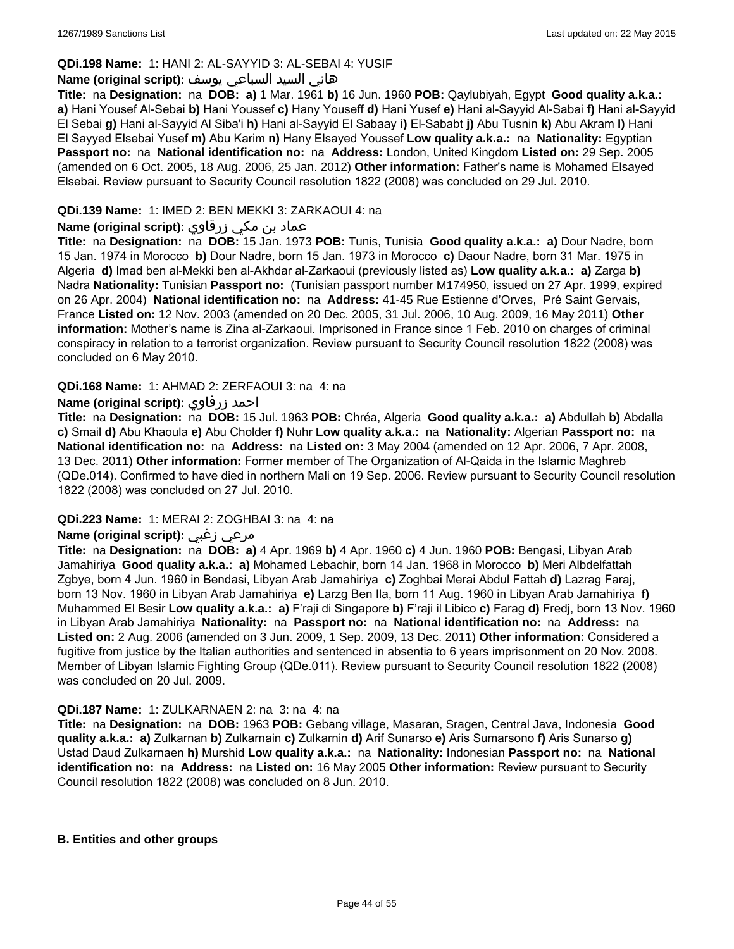## **QDi.198 Name:** 1: HANI 2: AL-SAYYID 3: AL-SEBAI 4: YUSIF

## هاني السيد السباعي يوسف **:(script original (Name**

**Title:** na **Designation:** na **DOB: a)** 1 Mar. 1961 **b)** 16 Jun. 1960 **POB:** Qaylubiyah, Egypt **Good quality a.k.a.: a)** Hani Yousef Al-Sebai **b)** Hani Youssef **c)** Hany Youseff **d)** Hani Yusef **e)** Hani al-Sayyid Al-Sabai **f)** Hani al-Sayyid El Sebai **g)** Hani al-Sayyid Al Siba'i **h)** Hani al-Sayyid El Sabaay **i)** El-Sababt **j)** Abu Tusnin **k)** Abu Akram **l)** Hani El Sayyed Elsebai Yusef **m)** Abu Karim **n)** Hany Elsayed Youssef **Low quality a.k.a.:** na **Nationality:** Egyptian **Passport no:** na **National identification no:** na **Address:** London, United Kingdom **Listed on:** 29 Sep. 2005 (amended on 6 Oct. 2005, 18 Aug. 2006, 25 Jan. 2012) **Other information:** Father's name is Mohamed Elsayed Elsebai. Review pursuant to Security Council resolution 1822 (2008) was concluded on 29 Jul. 2010.

## **QDi.139 Name:** 1: IMED 2: BEN MEKKI 3: ZARKAOUI 4: na

## عماد بن مكي زرقاوي **:(script original (Name**

**Title:** na **Designation:** na **DOB:** 15 Jan. 1973 **POB:** Tunis, Tunisia **Good quality a.k.a.: a)** Dour Nadre, born 15 Jan. 1974 in Morocco **b)** Dour Nadre, born 15 Jan. 1973 in Morocco **c)** Daour Nadre, born 31 Mar. 1975 in Algeria **d)** Imad ben al-Mekki ben al-Akhdar al-Zarkaoui (previously listed as) **Low quality a.k.a.: a)** Zarga **b)** Nadra **Nationality:** Tunisian **Passport no:** (Tunisian passport number M174950, issued on 27 Apr. 1999, expired on 26 Apr. 2004) **National identification no:** na **Address:** 41-45 Rue Estienne d'Orves, Pré Saint Gervais, France **Listed on:** 12 Nov. 2003 (amended on 20 Dec. 2005, 31 Jul. 2006, 10 Aug. 2009, 16 May 2011) **Other information:** Mother's name is Zina al-Zarkaoui. Imprisoned in France since 1 Feb. 2010 on charges of criminal conspiracy in relation to a terrorist organization. Review pursuant to Security Council resolution 1822 (2008) was concluded on 6 May 2010.

### **QDi.168 Name:** 1: AHMAD 2: ZERFAOUI 3: na 4: na

## **Name (original script):** زرفاوي احمد

**Title:** na **Designation:** na **DOB:** 15 Jul. 1963 **POB:** Chréa, Algeria **Good quality a.k.a.: a)** Abdullah **b)** Abdalla **c)** Smail **d)** Abu Khaoula **e)** Abu Cholder **f)** Nuhr **Low quality a.k.a.:** na **Nationality:** Algerian **Passport no:** na **National identification no:** na **Address:** na **Listed on:** 3 May 2004 (amended on 12 Apr. 2006, 7 Apr. 2008, 13 Dec. 2011) **Other information:** Former member of The Organization of Al-Qaida in the Islamic Maghreb (QDe.014). Confirmed to have died in northern Mali on 19 Sep. 2006. Review pursuant to Security Council resolution 1822 (2008) was concluded on 27 Jul. 2010.

#### **QDi.223 Name:** 1: MERAI 2: ZOGHBAI 3: na 4: na

## **Name (original script):** زغبي مرعي

**Title:** na **Designation:** na **DOB: a)** 4 Apr. 1969 **b)** 4 Apr. 1960 **c)** 4 Jun. 1960 **POB:** Bengasi, Libyan Arab Jamahiriya **Good quality a.k.a.: a)** Mohamed Lebachir, born 14 Jan. 1968 in Morocco **b)** Meri Albdelfattah Zgbye, born 4 Jun. 1960 in Bendasi, Libyan Arab Jamahiriya **c)** Zoghbai Merai Abdul Fattah **d)** Lazrag Faraj, born 13 Nov. 1960 in Libyan Arab Jamahiriya **e)** Larzg Ben Ila, born 11 Aug. 1960 in Libyan Arab Jamahiriya **f)** Muhammed El Besir **Low quality a.k.a.: a)** F'raji di Singapore **b)** F'raji il Libico **c)** Farag **d)** Fredj, born 13 Nov. 1960 in Libyan Arab Jamahiriya **Nationality:** na **Passport no:** na **National identification no:** na **Address:** na **Listed on:** 2 Aug. 2006 (amended on 3 Jun. 2009, 1 Sep. 2009, 13 Dec. 2011) **Other information:** Considered a fugitive from justice by the Italian authorities and sentenced in absentia to 6 years imprisonment on 20 Nov. 2008. Member of Libyan Islamic Fighting Group (QDe.011). Review pursuant to Security Council resolution 1822 (2008) was concluded on 20 Jul. 2009.

#### **QDi.187 Name:** 1: ZULKARNAEN 2: na 3: na 4: na

**Title:** na **Designation:** na **DOB:** 1963 **POB:** Gebang village, Masaran, Sragen, Central Java, Indonesia **Good quality a.k.a.: a)** Zulkarnan **b)** Zulkarnain **c)** Zulkarnin **d)** Arif Sunarso **e)** Aris Sumarsono **f)** Aris Sunarso **g)** Ustad Daud Zulkarnaen **h)** Murshid **Low quality a.k.a.:** na **Nationality:** Indonesian **Passport no:** na **National identification no:** na **Address:** na **Listed on:** 16 May 2005 **Other information:** Review pursuant to Security Council resolution 1822 (2008) was concluded on 8 Jun. 2010.

#### **B. Entities and other groups**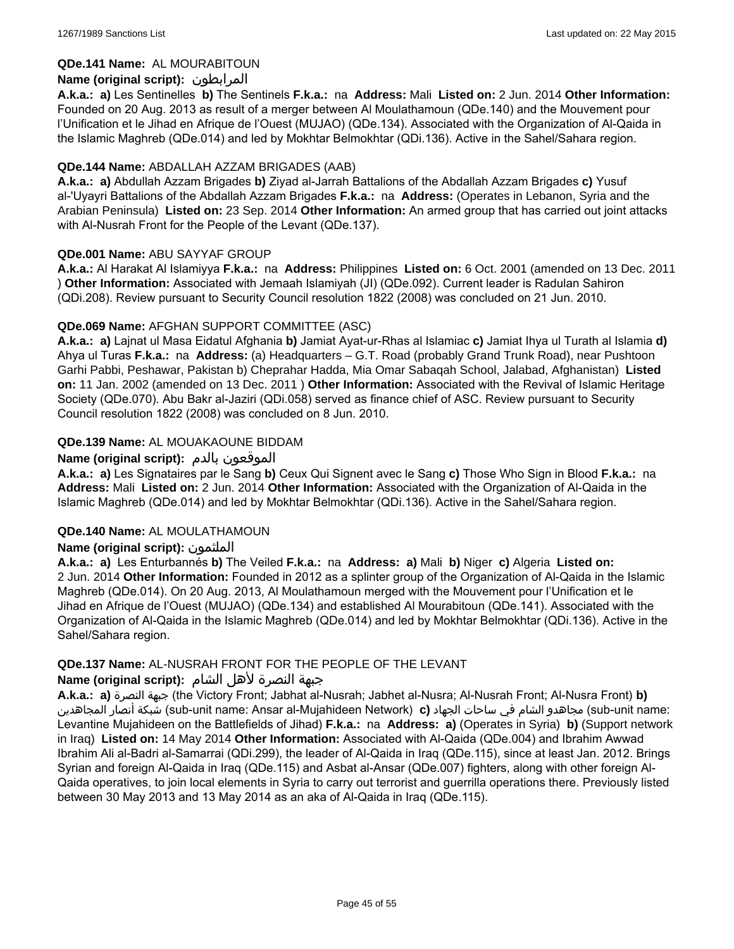## **QDe.141 Name:** AL MOURABITOUN

## **Name (original script):** المرابطون

**A.k.a.: a)** Les Sentinelles **b)** The Sentinels **F.k.a.:** na **Address:** Mali **Listed on:** 2 Jun. 2014 **Other Information:**  Founded on 20 Aug. 2013 as result of a merger between Al Moulathamoun (QDe.140) and the Mouvement pour l'Unification et le Jihad en Afrique de l'Ouest (MUJAO) (QDe.134). Associated with the Organization of Al-Qaida in the Islamic Maghreb (QDe.014) and led by Mokhtar Belmokhtar (QDi.136). Active in the Sahel/Sahara region.

### **QDe.144 Name:** ABDALLAH AZZAM BRIGADES (AAB)

**A.k.a.: a)** Abdullah Azzam Brigades **b)** Ziyad al-Jarrah Battalions of the Abdallah Azzam Brigades **c)** Yusuf al-'Uyayri Battalions of the Abdallah Azzam Brigades **F.k.a.:** na **Address:** (Operates in Lebanon, Syria and the Arabian Peninsula) **Listed on:** 23 Sep. 2014 **Other Information:** An armed group that has carried out joint attacks with Al-Nusrah Front for the People of the Levant (QDe.137).

### **QDe.001 Name:** ABU SAYYAF GROUP

**A.k.a.:** Al Harakat Al Islamiyya **F.k.a.:** na **Address:** Philippines **Listed on:** 6 Oct. 2001 (amended on 13 Dec. 2011 ) **Other Information:** Associated with Jemaah Islamiyah (JI) (QDe.092). Current leader is Radulan Sahiron (QDi.208). Review pursuant to Security Council resolution 1822 (2008) was concluded on 21 Jun. 2010.

### **QDe.069 Name:** AFGHAN SUPPORT COMMITTEE (ASC)

**A.k.a.: a)** Lajnat ul Masa Eidatul Afghania **b)** Jamiat Ayat-ur-Rhas al Islamiac **c)** Jamiat Ihya ul Turath al Islamia **d)** Ahya ul Turas **F.k.a.:** na **Address:** (a) Headquarters – G.T. Road (probably Grand Trunk Road), near Pushtoon Garhi Pabbi, Peshawar, Pakistan b) Cheprahar Hadda, Mia Omar Sabaqah School, Jalabad, Afghanistan) **Listed on:** 11 Jan. 2002 (amended on 13 Dec. 2011 ) **Other Information:** Associated with the Revival of Islamic Heritage Society (QDe.070). Abu Bakr al-Jaziri (QDi.058) served as finance chief of ASC. Review pursuant to Security Council resolution 1822 (2008) was concluded on 8 Jun. 2010.

## **QDe.139 Name:** AL MOUAKAOUNE BIDDAM

### **Name (original script):** بالدم الموقعون

**A.k.a.: a)** Les Signataires par le Sang **b)** Ceux Qui Signent avec le Sang **c)** Those Who Sign in Blood **F.k.a.:** na **Address:** Mali **Listed on:** 2 Jun. 2014 **Other Information:** Associated with the Organization of Al-Qaida in the Islamic Maghreb (QDe.014) and led by Mokhtar Belmokhtar (QDi.136). Active in the Sahel/Sahara region.

#### **QDe.140 Name:** AL MOULATHAMOUN

## **Name (original script):** الملثمون

**A.k.a.: a)** Les Enturbannés **b)** The Veiled **F.k.a.:** na **Address: a)** Mali **b)** Niger **c)** Algeria **Listed on:** 2 Jun. 2014 **Other Information:** Founded in 2012 as a splinter group of the Organization of Al-Qaida in the Islamic Maghreb (QDe.014). On 20 Aug. 2013, Al Moulathamoun merged with the Mouvement pour l'Unification et le Jihad en Afrique de l'Ouest (MUJAO) (QDe.134) and established Al Mourabitoun (QDe.141). Associated with the Organization of Al-Qaida in the Islamic Maghreb (QDe.014) and led by Mokhtar Belmokhtar (QDi.136). Active in the Sahel/Sahara region.

#### **QDe.137 Name:** AL-NUSRAH FRONT FOR THE PEOPLE OF THE LEVANT

#### جبهة النصرة لأهل الشام **:(script original (Name**

**A.k.a.: a)** النصرة جبهة) the Victory Front; Jabhat al-Nusrah; Jabhet al-Nusra; Al-Nusrah Front; Al-Nusra Front) **b)**  المجاهدين أنصار شبكة) sub-unit name: Ansar al-Mujahideen Network) **c)** الجهاد ساحات في الشام مجاهدو) sub-unit name: Levantine Mujahideen on the Battlefields of Jihad) **F.k.a.:** na **Address: a)** (Operates in Syria) **b)** (Support network in Iraq) **Listed on:** 14 May 2014 **Other Information:** Associated with Al-Qaida (QDe.004) and Ibrahim Awwad Ibrahim Ali al-Badri al-Samarrai (QDi.299), the leader of Al-Qaida in Iraq (QDe.115), since at least Jan. 2012. Brings Syrian and foreign Al-Qaida in Iraq (QDe.115) and Asbat al-Ansar (QDe.007) fighters, along with other foreign Al-Qaida operatives, to join local elements in Syria to carry out terrorist and guerrilla operations there. Previously listed between 30 May 2013 and 13 May 2014 as an aka of Al-Qaida in Iraq (QDe.115).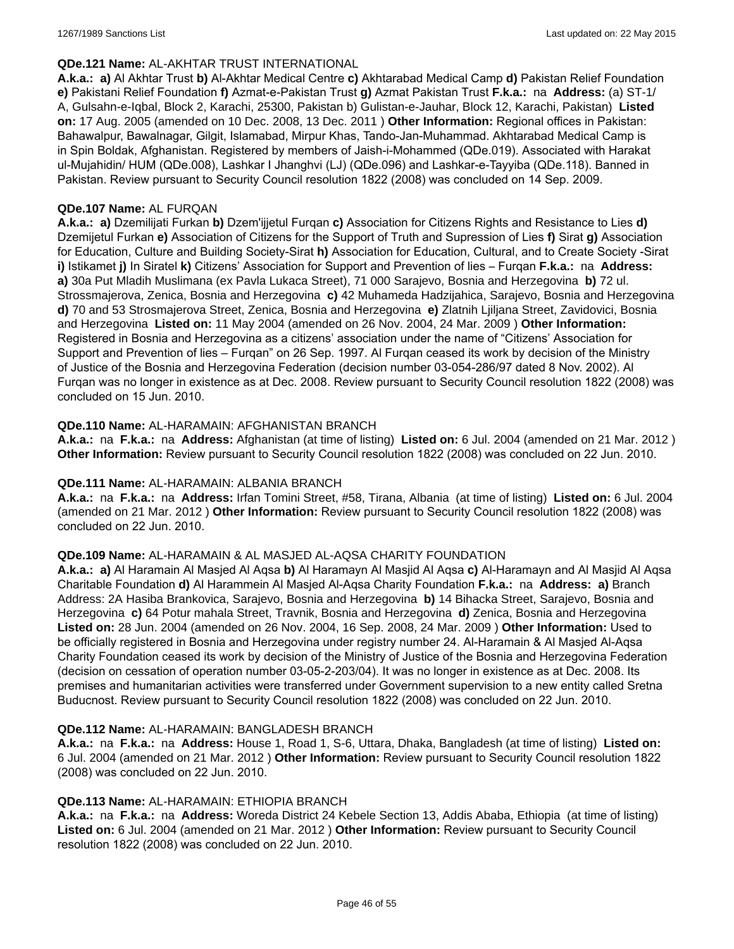#### **QDe.121 Name:** AL-AKHTAR TRUST INTERNATIONAL

**A.k.a.: a)** Al Akhtar Trust **b)** Al-Akhtar Medical Centre **c)** Akhtarabad Medical Camp **d)** Pakistan Relief Foundation **e)** Pakistani Relief Foundation **f)** Azmat-e-Pakistan Trust **g)** Azmat Pakistan Trust **F.k.a.:** na **Address:** (a) ST-1/ A, Gulsahn-e-Iqbal, Block 2, Karachi, 25300, Pakistan b) Gulistan-e-Jauhar, Block 12, Karachi, Pakistan) **Listed on:** 17 Aug. 2005 (amended on 10 Dec. 2008, 13 Dec. 2011 ) **Other Information:** Regional offices in Pakistan: Bahawalpur, Bawalnagar, Gilgit, Islamabad, Mirpur Khas, Tando-Jan-Muhammad. Akhtarabad Medical Camp is in Spin Boldak, Afghanistan. Registered by members of Jaish-i-Mohammed (QDe.019). Associated with Harakat ul-Mujahidin/ HUM (QDe.008), Lashkar I Jhanghvi (LJ) (QDe.096) and Lashkar-e-Tayyiba (QDe.118). Banned in Pakistan. Review pursuant to Security Council resolution 1822 (2008) was concluded on 14 Sep. 2009.

#### **QDe.107 Name:** AL FURQAN

**A.k.a.: a)** Dzemilijati Furkan **b)** Dzem'ijjetul Furqan **c)** Association for Citizens Rights and Resistance to Lies **d)** Dzemijetul Furkan **e)** Association of Citizens for the Support of Truth and Supression of Lies **f)** Sirat **g)** Association for Education, Culture and Building Society-Sirat **h)** Association for Education, Cultural, and to Create Society -Sirat **i)** Istikamet **j)** In Siratel **k)** Citizens' Association for Support and Prevention of lies – Furqan **F.k.a.:** na **Address: a)** 30a Put Mladih Muslimana (ex Pavla Lukaca Street), 71 000 Sarajevo, Bosnia and Herzegovina **b)** 72 ul. Strossmajerova, Zenica, Bosnia and Herzegovina **c)** 42 Muhameda Hadzijahica, Sarajevo, Bosnia and Herzegovina **d)** 70 and 53 Strosmajerova Street, Zenica, Bosnia and Herzegovina **e)** Zlatnih Ljiljana Street, Zavidovici, Bosnia and Herzegovina **Listed on:** 11 May 2004 (amended on 26 Nov. 2004, 24 Mar. 2009 ) **Other Information:** Registered in Bosnia and Herzegovina as a citizens' association under the name of "Citizens' Association for Support and Prevention of lies – Furqan" on 26 Sep. 1997. Al Furqan ceased its work by decision of the Ministry of Justice of the Bosnia and Herzegovina Federation (decision number 03-054-286/97 dated 8 Nov. 2002). Al Furqan was no longer in existence as at Dec. 2008. Review pursuant to Security Council resolution 1822 (2008) was concluded on 15 Jun. 2010.

### **QDe.110 Name:** AL-HARAMAIN: AFGHANISTAN BRANCH

**A.k.a.:** na **F.k.a.:** na **Address:** Afghanistan (at time of listing) **Listed on:** 6 Jul. 2004 (amended on 21 Mar. 2012 ) **Other Information:** Review pursuant to Security Council resolution 1822 (2008) was concluded on 22 Jun. 2010.

#### **QDe.111 Name:** AL-HARAMAIN: ALBANIA BRANCH

**A.k.a.:** na **F.k.a.:** na **Address:** Irfan Tomini Street, #58, Tirana, Albania (at time of listing) **Listed on:** 6 Jul. 2004 (amended on 21 Mar. 2012 ) **Other Information:** Review pursuant to Security Council resolution 1822 (2008) was concluded on 22 Jun. 2010.

#### **QDe.109 Name:** AL-HARAMAIN & AL MASJED AL-AQSA CHARITY FOUNDATION

**A.k.a.: a)** Al Haramain Al Masjed Al Aqsa **b)** Al Haramayn Al Masjid Al Aqsa **c)** Al-Haramayn and Al Masjid Al Aqsa Charitable Foundation **d)** Al Harammein Al Masjed Al-Aqsa Charity Foundation **F.k.a.:** na **Address: a)** Branch Address: 2A Hasiba Brankovica, Sarajevo, Bosnia and Herzegovina **b)** 14 Bihacka Street, Sarajevo, Bosnia and Herzegovina **c)** 64 Potur mahala Street, Travnik, Bosnia and Herzegovina **d)** Zenica, Bosnia and Herzegovina **Listed on:** 28 Jun. 2004 (amended on 26 Nov. 2004, 16 Sep. 2008, 24 Mar. 2009 ) **Other Information:** Used to be officially registered in Bosnia and Herzegovina under registry number 24. Al-Haramain & Al Masjed Al-Aqsa Charity Foundation ceased its work by decision of the Ministry of Justice of the Bosnia and Herzegovina Federation (decision on cessation of operation number 03-05-2-203/04). It was no longer in existence as at Dec. 2008. Its premises and humanitarian activities were transferred under Government supervision to a new entity called Sretna Buducnost. Review pursuant to Security Council resolution 1822 (2008) was concluded on 22 Jun. 2010.

#### **QDe.112 Name:** AL-HARAMAIN: BANGLADESH BRANCH

**A.k.a.:** na **F.k.a.:** na **Address:** House 1, Road 1, S-6, Uttara, Dhaka, Bangladesh (at time of listing) **Listed on:** 6 Jul. 2004 (amended on 21 Mar. 2012 ) **Other Information:** Review pursuant to Security Council resolution 1822 (2008) was concluded on 22 Jun. 2010.

#### **QDe.113 Name:** AL-HARAMAIN: ETHIOPIA BRANCH

**A.k.a.:** na **F.k.a.:** na **Address:** Woreda District 24 Kebele Section 13, Addis Ababa, Ethiopia (at time of listing) **Listed on:** 6 Jul. 2004 (amended on 21 Mar. 2012 ) **Other Information:** Review pursuant to Security Council resolution 1822 (2008) was concluded on 22 Jun. 2010.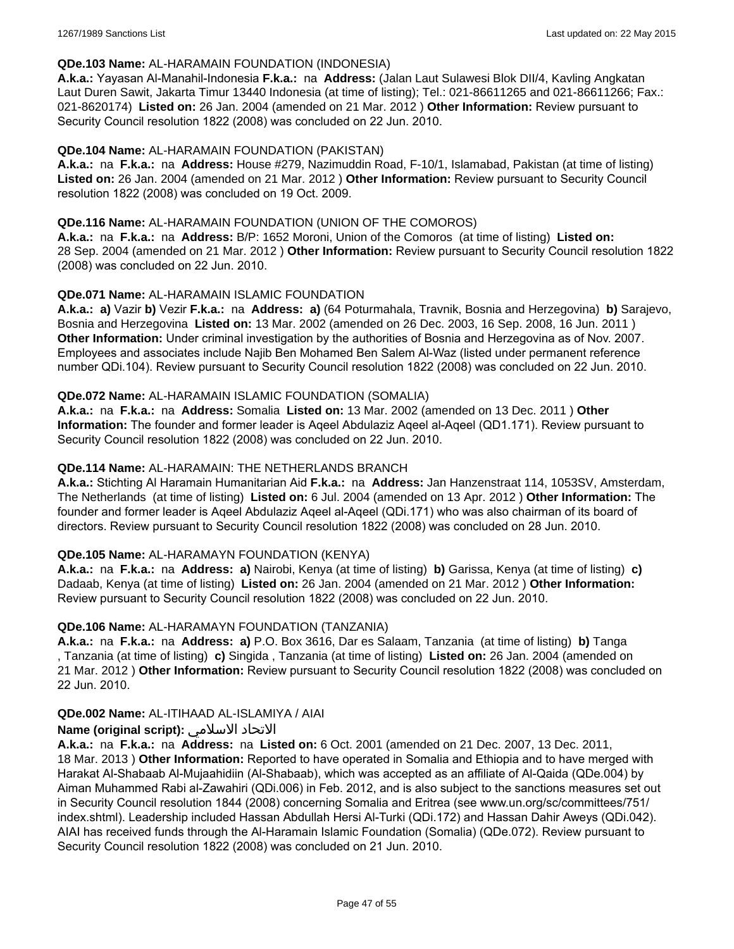#### **QDe.103 Name:** AL-HARAMAIN FOUNDATION (INDONESIA)

**A.k.a.:** Yayasan Al-Manahil-Indonesia **F.k.a.:** na **Address:** (Jalan Laut Sulawesi Blok DII/4, Kavling Angkatan Laut Duren Sawit, Jakarta Timur 13440 Indonesia (at time of listing); Tel.: 021-86611265 and 021-86611266; Fax.: 021-8620174) **Listed on:** 26 Jan. 2004 (amended on 21 Mar. 2012 ) **Other Information:** Review pursuant to Security Council resolution 1822 (2008) was concluded on 22 Jun. 2010.

### **QDe.104 Name:** AL-HARAMAIN FOUNDATION (PAKISTAN)

**A.k.a.:** na **F.k.a.:** na **Address:** House #279, Nazimuddin Road, F-10/1, Islamabad, Pakistan (at time of listing) **Listed on:** 26 Jan. 2004 (amended on 21 Mar. 2012 ) **Other Information:** Review pursuant to Security Council resolution 1822 (2008) was concluded on 19 Oct. 2009.

### **QDe.116 Name:** AL-HARAMAIN FOUNDATION (UNION OF THE COMOROS)

**A.k.a.:** na **F.k.a.:** na **Address:** B/P: 1652 Moroni, Union of the Comoros (at time of listing) **Listed on:** 28 Sep. 2004 (amended on 21 Mar. 2012 ) **Other Information:** Review pursuant to Security Council resolution 1822 (2008) was concluded on 22 Jun. 2010.

### **QDe.071 Name:** AL-HARAMAIN ISLAMIC FOUNDATION

**A.k.a.: a)** Vazir **b)** Vezir **F.k.a.:** na **Address: a)** (64 Poturmahala, Travnik, Bosnia and Herzegovina) **b)** Sarajevo, Bosnia and Herzegovina **Listed on:** 13 Mar. 2002 (amended on 26 Dec. 2003, 16 Sep. 2008, 16 Jun. 2011 ) **Other Information:** Under criminal investigation by the authorities of Bosnia and Herzegovina as of Nov. 2007. Employees and associates include Najib Ben Mohamed Ben Salem Al-Waz (listed under permanent reference number QDi.104). Review pursuant to Security Council resolution 1822 (2008) was concluded on 22 Jun. 2010.

### **QDe.072 Name:** AL-HARAMAIN ISLAMIC FOUNDATION (SOMALIA)

**A.k.a.:** na **F.k.a.:** na **Address:** Somalia **Listed on:** 13 Mar. 2002 (amended on 13 Dec. 2011 ) **Other Information:** The founder and former leader is Aqeel Abdulaziz Aqeel al-Aqeel (QD1.171). Review pursuant to Security Council resolution 1822 (2008) was concluded on 22 Jun. 2010.

### **QDe.114 Name:** AL-HARAMAIN: THE NETHERLANDS BRANCH

**A.k.a.:** Stichting Al Haramain Humanitarian Aid **F.k.a.:** na **Address:** Jan Hanzenstraat 114, 1053SV, Amsterdam, The Netherlands (at time of listing) **Listed on:** 6 Jul. 2004 (amended on 13 Apr. 2012 ) **Other Information:** The founder and former leader is Aqeel Abdulaziz Aqeel al-Aqeel (QDi.171) who was also chairman of its board of directors. Review pursuant to Security Council resolution 1822 (2008) was concluded on 28 Jun. 2010.

## **QDe.105 Name:** AL-HARAMAYN FOUNDATION (KENYA)

**A.k.a.:** na **F.k.a.:** na **Address: a)** Nairobi, Kenya (at time of listing) **b)** Garissa, Kenya (at time of listing) **c)** Dadaab, Kenya (at time of listing) **Listed on:** 26 Jan. 2004 (amended on 21 Mar. 2012 ) **Other Information:** Review pursuant to Security Council resolution 1822 (2008) was concluded on 22 Jun. 2010.

#### **QDe.106 Name:** AL-HARAMAYN FOUNDATION (TANZANIA)

**A.k.a.:** na **F.k.a.:** na **Address: a)** P.O. Box 3616, Dar es Salaam, Tanzania (at time of listing) **b)** Tanga , Tanzania (at time of listing) **c)** Singida , Tanzania (at time of listing) **Listed on:** 26 Jan. 2004 (amended on 21 Mar. 2012 ) **Other Information:** Review pursuant to Security Council resolution 1822 (2008) was concluded on 22 Jun. 2010.

#### **QDe.002 Name:** AL-ITIHAAD AL-ISLAMIYA / AIAI

## **Name (original script):** الاسلامي الاتحاد

**A.k.a.:** na **F.k.a.:** na **Address:** na **Listed on:** 6 Oct. 2001 (amended on 21 Dec. 2007, 13 Dec. 2011, 18 Mar. 2013 ) **Other Information:** Reported to have operated in Somalia and Ethiopia and to have merged with Harakat Al-Shabaab Al-Mujaahidiin (Al-Shabaab), which was accepted as an affiliate of Al-Qaida (QDe.004) by Aiman Muhammed Rabi al-Zawahiri (QDi.006) in Feb. 2012, and is also subject to the sanctions measures set out in Security Council resolution 1844 (2008) concerning Somalia and Eritrea (see www.un.org/sc/committees/751/ index.shtml). Leadership included Hassan Abdullah Hersi Al-Turki (QDi.172) and Hassan Dahir Aweys (QDi.042). AIAI has received funds through the Al-Haramain Islamic Foundation (Somalia) (QDe.072). Review pursuant to Security Council resolution 1822 (2008) was concluded on 21 Jun. 2010.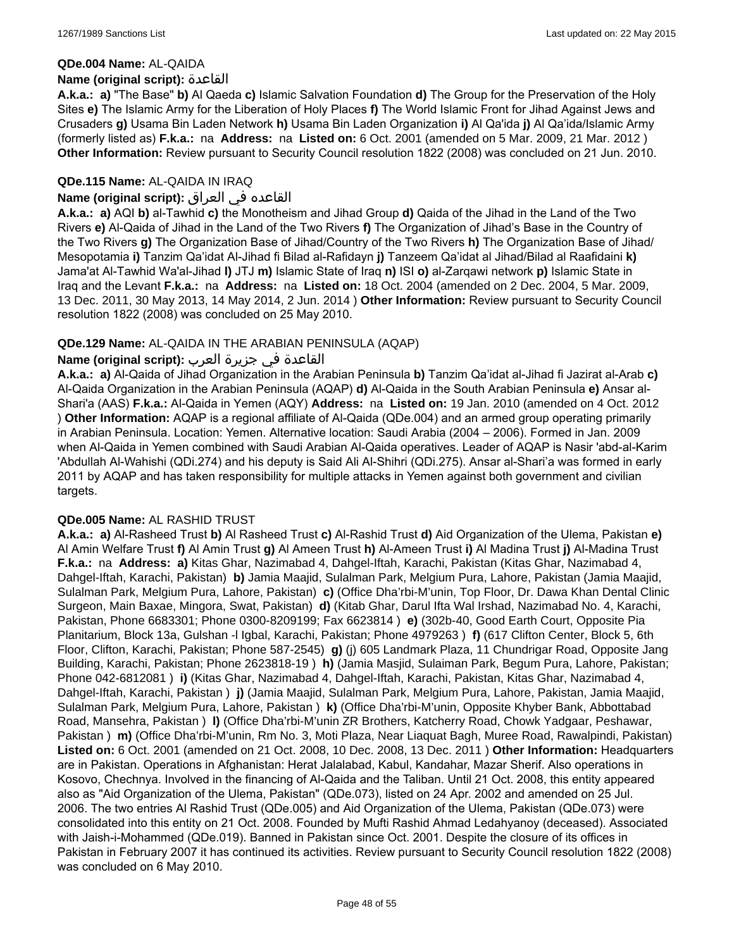#### **QDe.004 Name:** AL-QAIDA

#### **Name (original script):** القاعدة

**A.k.a.: a)** "The Base" **b)** Al Qaeda **c)** Islamic Salvation Foundation **d)** The Group for the Preservation of the Holy Sites **e)** The Islamic Army for the Liberation of Holy Places **f)** The World Islamic Front for Jihad Against Jews and Crusaders **g)** Usama Bin Laden Network **h)** Usama Bin Laden Organization **i)** Al Qa'ida **j)** Al Qa'ida/Islamic Army (formerly listed as) **F.k.a.:** na **Address:** na **Listed on:** 6 Oct. 2001 (amended on 5 Mar. 2009, 21 Mar. 2012 ) **Other Information:** Review pursuant to Security Council resolution 1822 (2008) was concluded on 21 Jun. 2010.

### **QDe.115 Name:** AL-QAIDA IN IRAQ

### القاعده في العراق **:(script original (Name**

**A.k.a.: a)** AQI **b)** al-Tawhid **c)** the Monotheism and Jihad Group **d)** Qaida of the Jihad in the Land of the Two Rivers **e)** Al-Qaida of Jihad in the Land of the Two Rivers **f)** The Organization of Jihad's Base in the Country of the Two Rivers **g)** The Organization Base of Jihad/Country of the Two Rivers **h)** The Organization Base of Jihad/ Mesopotamia **i)** Tanzim Qa'idat Al-Jihad fi Bilad al-Rafidayn **j)** Tanzeem Qa'idat al Jihad/Bilad al Raafidaini **k)** Jama'at Al-Tawhid Wa'al-Jihad **l)** JTJ **m)** Islamic State of Iraq **n)** ISI **o)** al-Zarqawi network **p)** Islamic State in Iraq and the Levant **F.k.a.:** na **Address:** na **Listed on:** 18 Oct. 2004 (amended on 2 Dec. 2004, 5 Mar. 2009, 13 Dec. 2011, 30 May 2013, 14 May 2014, 2 Jun. 2014 ) **Other Information:** Review pursuant to Security Council resolution 1822 (2008) was concluded on 25 May 2010.

### **QDe.129 Name:** AL-QAIDA IN THE ARABIAN PENINSULA (AQAP)

### القاعدة في جزيرة العرب **:(script original (Name**

**A.k.a.: a)** Al-Qaida of Jihad Organization in the Arabian Peninsula **b)** Tanzim Qa'idat al-Jihad fi Jazirat al-Arab **c)** Al-Qaida Organization in the Arabian Peninsula (AQAP) **d)** Al-Qaida in the South Arabian Peninsula **e)** Ansar al-Shari'a (AAS) **F.k.a.:** Al-Qaida in Yemen (AQY) **Address:** na **Listed on:** 19 Jan. 2010 (amended on 4 Oct. 2012 ) **Other Information:** AQAP is a regional affiliate of Al-Qaida (QDe.004) and an armed group operating primarily in Arabian Peninsula. Location: Yemen. Alternative location: Saudi Arabia (2004 – 2006). Formed in Jan. 2009 when Al-Qaida in Yemen combined with Saudi Arabian Al-Qaida operatives. Leader of AQAP is Nasir 'abd-al-Karim 'Abdullah Al-Wahishi (QDi.274) and his deputy is Said Ali Al-Shihri (QDi.275). Ansar al-Shari'a was formed in early 2011 by AQAP and has taken responsibility for multiple attacks in Yemen against both government and civilian targets.

#### **QDe.005 Name:** AL RASHID TRUST

**A.k.a.: a)** Al-Rasheed Trust **b)** Al Rasheed Trust **c)** Al-Rashid Trust **d)** Aid Organization of the Ulema, Pakistan **e)** Al Amin Welfare Trust **f)** Al Amin Trust **g)** Al Ameen Trust **h)** Al-Ameen Trust **i)** Al Madina Trust **j)** Al-Madina Trust **F.k.a.:** na **Address: a)** Kitas Ghar, Nazimabad 4, Dahgel-Iftah, Karachi, Pakistan (Kitas Ghar, Nazimabad 4, Dahgel-Iftah, Karachi, Pakistan) **b)** Jamia Maajid, Sulalman Park, Melgium Pura, Lahore, Pakistan (Jamia Maajid, Sulalman Park, Melgium Pura, Lahore, Pakistan) **c)** (Office Dha'rbi-M'unin, Top Floor, Dr. Dawa Khan Dental Clinic Surgeon, Main Baxae, Mingora, Swat, Pakistan) **d)** (Kitab Ghar, Darul Ifta Wal Irshad, Nazimabad No. 4, Karachi, Pakistan, Phone 6683301; Phone 0300-8209199; Fax 6623814 ) **e)** (302b-40, Good Earth Court, Opposite Pia Planitarium, Block 13a, Gulshan -l Igbal, Karachi, Pakistan; Phone 4979263 ) **f)** (617 Clifton Center, Block 5, 6th Floor, Clifton, Karachi, Pakistan; Phone 587-2545) **g)** (j) 605 Landmark Plaza, 11 Chundrigar Road, Opposite Jang Building, Karachi, Pakistan; Phone 2623818-19 ) **h)** (Jamia Masjid, Sulaiman Park, Begum Pura, Lahore, Pakistan; Phone 042-6812081 ) **i)** (Kitas Ghar, Nazimabad 4, Dahgel-Iftah, Karachi, Pakistan, Kitas Ghar, Nazimabad 4, Dahgel-Iftah, Karachi, Pakistan ) **j)** (Jamia Maajid, Sulalman Park, Melgium Pura, Lahore, Pakistan, Jamia Maajid, Sulalman Park, Melgium Pura, Lahore, Pakistan ) **k)** (Office Dha'rbi-M'unin, Opposite Khyber Bank, Abbottabad Road, Mansehra, Pakistan ) **l)** (Office Dha'rbi-M'unin ZR Brothers, Katcherry Road, Chowk Yadgaar, Peshawar, Pakistan ) **m)** (Office Dha'rbi-M'unin, Rm No. 3, Moti Plaza, Near Liaquat Bagh, Muree Road, Rawalpindi, Pakistan) **Listed on:** 6 Oct. 2001 (amended on 21 Oct. 2008, 10 Dec. 2008, 13 Dec. 2011 ) **Other Information:** Headquarters are in Pakistan. Operations in Afghanistan: Herat Jalalabad, Kabul, Kandahar, Mazar Sherif. Also operations in Kosovo, Chechnya. Involved in the financing of Al-Qaida and the Taliban. Until 21 Oct. 2008, this entity appeared also as "Aid Organization of the Ulema, Pakistan" (QDe.073), listed on 24 Apr. 2002 and amended on 25 Jul. 2006. The two entries Al Rashid Trust (QDe.005) and Aid Organization of the Ulema, Pakistan (QDe.073) were consolidated into this entity on 21 Oct. 2008. Founded by Mufti Rashid Ahmad Ledahyanoy (deceased). Associated with Jaish-i-Mohammed (QDe.019). Banned in Pakistan since Oct. 2001. Despite the closure of its offices in Pakistan in February 2007 it has continued its activities. Review pursuant to Security Council resolution 1822 (2008) was concluded on 6 May 2010.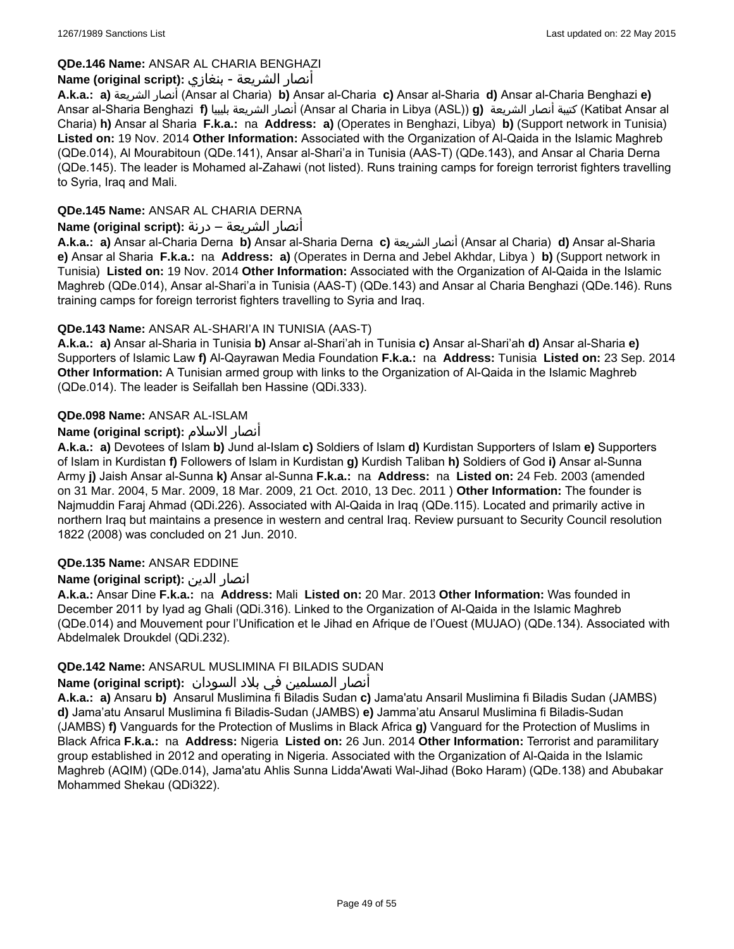## **QDe.146 Name:** ANSAR AL CHARIA BENGHAZI

## أنصار الشريعة - بنغازي **:(script original (Name**

**A.k.a.: a)** الشريعة أنصار) Ansar al Charia) **b)** Ansar al-Charia **c)** Ansar al-Sharia **d)** Ansar al-Charia Benghazi **e)** Ansar al-Sharia Benghazi **f)** بليبيا الشريعة أنصار) Ansar al Charia in Libya (ASL)) **g)** الشريعة أنصار كتيبة) Katibat Ansar al Charia) **h)** Ansar al Sharia **F.k.a.:** na **Address: a)** (Operates in Benghazi, Libya) **b)** (Support network in Tunisia) **Listed on:** 19 Nov. 2014 **Other Information:** Associated with the Organization of Al-Qaida in the Islamic Maghreb (QDe.014), Al Mourabitoun (QDe.141), Ansar al-Shari'a in Tunisia (AAS-T) (QDe.143), and Ansar al Charia Derna (QDe.145). The leader is Mohamed al-Zahawi (not listed). Runs training camps for foreign terrorist fighters travelling to Syria, Iraq and Mali.

## **QDe.145 Name:** ANSAR AL CHARIA DERNA

## أنصار الشريعة – درنة **:(script original (Name**

**A.k.a.: a)** Ansar al-Charia Derna **b)** Ansar al-Sharia Derna **c)** الشريعة أنصار) Ansar al Charia) **d)** Ansar al-Sharia **e)** Ansar al Sharia **F.k.a.:** na **Address: a)** (Operates in Derna and Jebel Akhdar, Libya ) **b)** (Support network in Tunisia) **Listed on:** 19 Nov. 2014 **Other Information:** Associated with the Organization of Al-Qaida in the Islamic Maghreb (QDe.014), Ansar al-Shari'a in Tunisia (AAS-T) (QDe.143) and Ansar al Charia Benghazi (QDe.146). Runs training camps for foreign terrorist fighters travelling to Syria and Iraq.

## **QDe.143 Name:** ANSAR AL-SHARI'A IN TUNISIA (AAS-T)

**A.k.a.: a)** Ansar al-Sharia in Tunisia **b)** Ansar al-Shari'ah in Tunisia **c)** Ansar al-Shari'ah **d)** Ansar al-Sharia **e)** Supporters of Islamic Law **f)** Al-Qayrawan Media Foundation **F.k.a.:** na **Address:** Tunisia **Listed on:** 23 Sep. 2014 **Other Information:** A Tunisian armed group with links to the Organization of Al-Qaida in the Islamic Maghreb (QDe.014). The leader is Seifallah ben Hassine (QDi.333).

## **QDe.098 Name:** ANSAR AL-ISLAM

## **Name (original script):** الاسلام أنصار

**A.k.a.: a)** Devotees of Islam **b)** Jund al-Islam **c)** Soldiers of Islam **d)** Kurdistan Supporters of Islam **e)** Supporters of Islam in Kurdistan **f)** Followers of Islam in Kurdistan **g)** Kurdish Taliban **h)** Soldiers of God **i)** Ansar al-Sunna Army **j)** Jaish Ansar al-Sunna **k)** Ansar al-Sunna **F.k.a.:** na **Address:** na **Listed on:** 24 Feb. 2003 (amended on 31 Mar. 2004, 5 Mar. 2009, 18 Mar. 2009, 21 Oct. 2010, 13 Dec. 2011 ) **Other Information:** The founder is Najmuddin Faraj Ahmad (QDi.226). Associated with Al-Qaida in Iraq (QDe.115). Located and primarily active in northern Iraq but maintains a presence in western and central Iraq. Review pursuant to Security Council resolution 1822 (2008) was concluded on 21 Jun. 2010.

## **QDe.135 Name:** ANSAR EDDINE

## **Name (original script):** الدين انصار

**A.k.a.:** Ansar Dine **F.k.a.:** na **Address:** Mali **Listed on:** 20 Mar. 2013 **Other Information:** Was founded in December 2011 by Iyad ag Ghali (QDi.316). Linked to the Organization of Al-Qaida in the Islamic Maghreb (QDe.014) and Mouvement pour l'Unification et le Jihad en Afrique de l'Ouest (MUJAO) (QDe.134). Associated with Abdelmalek Droukdel (QDi.232).

## **QDe.142 Name:** ANSARUL MUSLIMINA FI BILADIS SUDAN

## أنصار المسلمین في بلاد السودان **:(script original (Name**

**A.k.a.: a)** Ansaru **b)** Ansarul Muslimina fi Biladis Sudan **c)** Jama'atu Ansaril Muslimina fi Biladis Sudan (JAMBS) **d)** Jama'atu Ansarul Muslimina fi Biladis-Sudan (JAMBS) **e)** Jamma'atu Ansarul Muslimina fi Biladis-Sudan (JAMBS) **f)** Vanguards for the Protection of Muslims in Black Africa **g)** Vanguard for the Protection of Muslims in Black Africa **F.k.a.:** na **Address:** Nigeria **Listed on:** 26 Jun. 2014 **Other Information:** Terrorist and paramilitary group established in 2012 and operating in Nigeria. Associated with the Organization of Al-Qaida in the Islamic Maghreb (AQIM) (QDe.014), Jama'atu Ahlis Sunna Lidda'Awati Wal-Jihad (Boko Haram) (QDe.138) and Abubakar Mohammed Shekau (QDi322).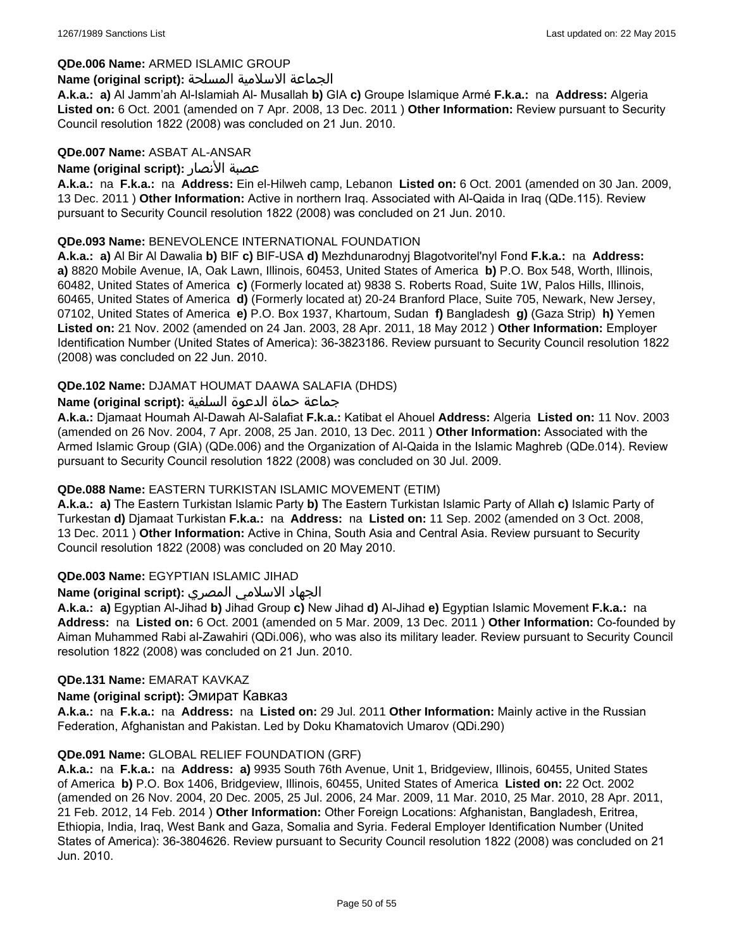#### **QDe.006 Name:** ARMED ISLAMIC GROUP

#### الجماعة الاسلامية المسلحة **:(script original (Name**

**A.k.a.: a)** Al Jamm'ah Al-Islamiah Al- Musallah **b)** GIA **c)** Groupe Islamique Armé **F.k.a.:** na **Address:** Algeria **Listed on:** 6 Oct. 2001 (amended on 7 Apr. 2008, 13 Dec. 2011 ) **Other Information:** Review pursuant to Security Council resolution 1822 (2008) was concluded on 21 Jun. 2010.

#### **QDe.007 Name:** ASBAT AL-ANSAR

### **Name (original script):** الأنصار عصبة

**A.k.a.:** na **F.k.a.:** na **Address:** Ein el-Hilweh camp, Lebanon **Listed on:** 6 Oct. 2001 (amended on 30 Jan. 2009, 13 Dec. 2011 ) **Other Information:** Active in northern Iraq. Associated with Al-Qaida in Iraq (QDe.115). Review pursuant to Security Council resolution 1822 (2008) was concluded on 21 Jun. 2010.

### **QDe.093 Name:** BENEVOLENCE INTERNATIONAL FOUNDATION

**A.k.a.: a)** Al Bir Al Dawalia **b)** BIF **c)** BIF-USA **d)** Mezhdunarodnyj Blagotvoritel'nyl Fond **F.k.a.:** na **Address: a)** 8820 Mobile Avenue, IA, Oak Lawn, Illinois, 60453, United States of America **b)** P.O. Box 548, Worth, Illinois, 60482, United States of America **c)** (Formerly located at) 9838 S. Roberts Road, Suite 1W, Palos Hills, Illinois, 60465, United States of America **d)** (Formerly located at) 20-24 Branford Place, Suite 705, Newark, New Jersey, 07102, United States of America **e)** P.O. Box 1937, Khartoum, Sudan **f)** Bangladesh **g)** (Gaza Strip) **h)** Yemen **Listed on:** 21 Nov. 2002 (amended on 24 Jan. 2003, 28 Apr. 2011, 18 May 2012 ) **Other Information:** Employer Identification Number (United States of America): 36-3823186. Review pursuant to Security Council resolution 1822 (2008) was concluded on 22 Jun. 2010.

### **QDe.102 Name:** DJAMAT HOUMAT DAAWA SALAFIA (DHDS)

### جماعة حماة الدعوة السلفية **:(script original (Name**

**A.k.a.:** Djamaat Houmah Al-Dawah Al-Salafiat **F.k.a.:** Katibat el Ahouel **Address:** Algeria **Listed on:** 11 Nov. 2003 (amended on 26 Nov. 2004, 7 Apr. 2008, 25 Jan. 2010, 13 Dec. 2011 ) **Other Information:** Associated with the Armed Islamic Group (GIA) (QDe.006) and the Organization of Al-Qaida in the Islamic Maghreb (QDe.014). Review pursuant to Security Council resolution 1822 (2008) was concluded on 30 Jul. 2009.

#### **QDe.088 Name:** EASTERN TURKISTAN ISLAMIC MOVEMENT (ETIM)

**A.k.a.: a)** The Eastern Turkistan Islamic Party **b)** The Eastern Turkistan Islamic Party of Allah **c)** Islamic Party of Turkestan **d)** Djamaat Turkistan **F.k.a.:** na **Address:** na **Listed on:** 11 Sep. 2002 (amended on 3 Oct. 2008, 13 Dec. 2011 ) **Other Information:** Active in China, South Asia and Central Asia. Review pursuant to Security Council resolution 1822 (2008) was concluded on 20 May 2010.

## **QDe.003 Name:** EGYPTIAN ISLAMIC JIHAD

## الجهاد الاسلامي المصري **:(script original (Name**

**A.k.a.: a)** Egyptian Al-Jihad **b)** Jihad Group **c)** New Jihad **d)** Al-Jihad **e)** Egyptian Islamic Movement **F.k.a.:** na **Address:** na **Listed on:** 6 Oct. 2001 (amended on 5 Mar. 2009, 13 Dec. 2011 ) **Other Information:** Co-founded by Aiman Muhammed Rabi al-Zawahiri (QDi.006), who was also its military leader. Review pursuant to Security Council resolution 1822 (2008) was concluded on 21 Jun. 2010.

#### **QDe.131 Name:** EMARAT KAVKAZ

#### **Name (original script):** Эмират Кавказ

**A.k.a.:** na **F.k.a.:** na **Address:** na **Listed on:** 29 Jul. 2011 **Other Information:** Mainly active in the Russian Federation, Afghanistan and Pakistan. Led by Doku Khamatovich Umarov (QDi.290)

#### **QDe.091 Name:** GLOBAL RELIEF FOUNDATION (GRF)

**A.k.a.:** na **F.k.a.:** na **Address: a)** 9935 South 76th Avenue, Unit 1, Bridgeview, Illinois, 60455, United States of America **b)** P.O. Box 1406, Bridgeview, Illinois, 60455, United States of America **Listed on:** 22 Oct. 2002 (amended on 26 Nov. 2004, 20 Dec. 2005, 25 Jul. 2006, 24 Mar. 2009, 11 Mar. 2010, 25 Mar. 2010, 28 Apr. 2011, 21 Feb. 2012, 14 Feb. 2014 ) **Other Information:** Other Foreign Locations: Afghanistan, Bangladesh, Eritrea, Ethiopia, India, Iraq, West Bank and Gaza, Somalia and Syria. Federal Employer Identification Number (United States of America): 36-3804626. Review pursuant to Security Council resolution 1822 (2008) was concluded on 21 Jun. 2010.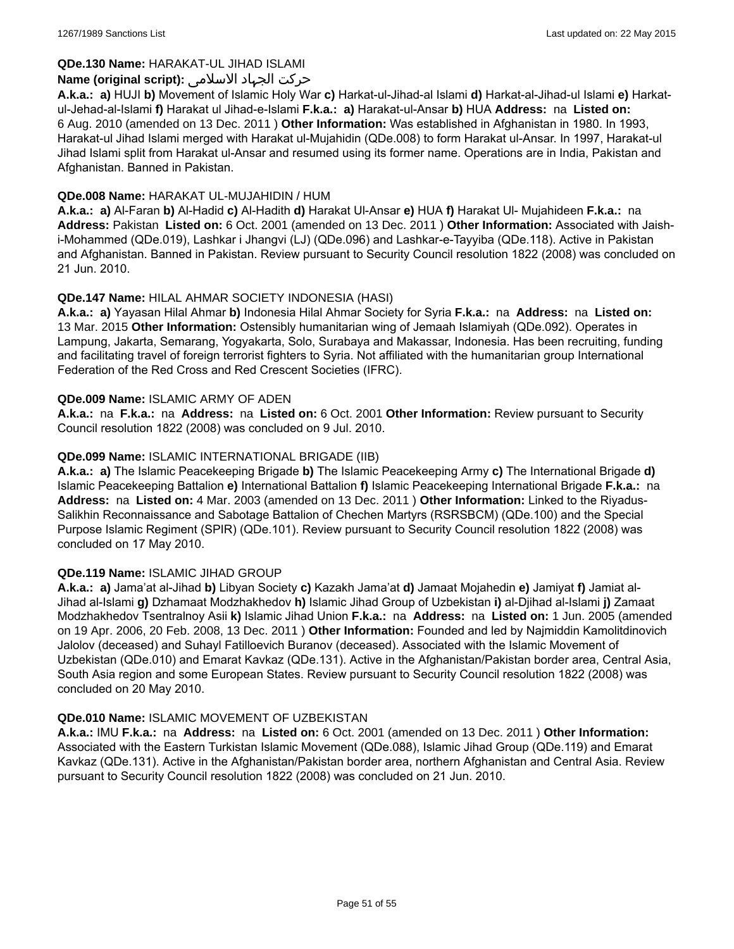## **QDe.130 Name:** HARAKAT-UL JIHAD ISLAMI

## حرکت الجہاد الاسلامی **:(script original (Name**

**A.k.a.: a)** HUJI **b)** Movement of Islamic Holy War **c)** Harkat-ul-Jihad-al Islami **d)** Harkat-al-Jihad-ul Islami **e)** Harkatul-Jehad-al-Islami **f)** Harakat ul Jihad-e-Islami **F.k.a.: a)** Harakat-ul-Ansar **b)** HUA **Address:** na **Listed on:** 6 Aug. 2010 (amended on 13 Dec. 2011 ) **Other Information:** Was established in Afghanistan in 1980. In 1993, Harakat-ul Jihad Islami merged with Harakat ul-Mujahidin (QDe.008) to form Harakat ul-Ansar. In 1997, Harakat-ul Jihad Islami split from Harakat ul-Ansar and resumed using its former name. Operations are in India, Pakistan and Afghanistan. Banned in Pakistan.

### **QDe.008 Name:** HARAKAT UL-MUJAHIDIN / HUM

**A.k.a.: a)** Al-Faran **b)** Al-Hadid **c)** Al-Hadith **d)** Harakat Ul-Ansar **e)** HUA **f)** Harakat Ul- Mujahideen **F.k.a.:** na **Address:** Pakistan **Listed on:** 6 Oct. 2001 (amended on 13 Dec. 2011 ) **Other Information:** Associated with Jaishi-Mohammed (QDe.019), Lashkar i Jhangvi (LJ) (QDe.096) and Lashkar-e-Tayyiba (QDe.118). Active in Pakistan and Afghanistan. Banned in Pakistan. Review pursuant to Security Council resolution 1822 (2008) was concluded on 21 Jun. 2010.

## **QDe.147 Name:** HILAL AHMAR SOCIETY INDONESIA (HASI)

**A.k.a.: a)** Yayasan Hilal Ahmar **b)** Indonesia Hilal Ahmar Society for Syria **F.k.a.:** na **Address:** na **Listed on:** 13 Mar. 2015 **Other Information:** Ostensibly humanitarian wing of Jemaah Islamiyah (QDe.092). Operates in Lampung, Jakarta, Semarang, Yogyakarta, Solo, Surabaya and Makassar, Indonesia. Has been recruiting, funding and facilitating travel of foreign terrorist fighters to Syria. Not affiliated with the humanitarian group International Federation of the Red Cross and Red Crescent Societies (IFRC).

#### **QDe.009 Name:** ISLAMIC ARMY OF ADEN

**A.k.a.:** na **F.k.a.:** na **Address:** na **Listed on:** 6 Oct. 2001 **Other Information:** Review pursuant to Security Council resolution 1822 (2008) was concluded on 9 Jul. 2010.

### **QDe.099 Name:** ISLAMIC INTERNATIONAL BRIGADE (IIB)

**A.k.a.: a)** The Islamic Peacekeeping Brigade **b)** The Islamic Peacekeeping Army **c)** The International Brigade **d)** Islamic Peacekeeping Battalion **e)** International Battalion **f)** Islamic Peacekeeping International Brigade **F.k.a.:** na **Address:** na **Listed on:** 4 Mar. 2003 (amended on 13 Dec. 2011 ) **Other Information:** Linked to the Riyadus-Salikhin Reconnaissance and Sabotage Battalion of Chechen Martyrs (RSRSBCM) (QDe.100) and the Special Purpose Islamic Regiment (SPIR) (QDe.101). Review pursuant to Security Council resolution 1822 (2008) was concluded on 17 May 2010.

#### **QDe.119 Name:** ISLAMIC JIHAD GROUP

**A.k.a.: a)** Jama'at al-Jihad **b)** Libyan Society **c)** Kazakh Jama'at **d)** Jamaat Mojahedin **e)** Jamiyat **f)** Jamiat al-Jihad al-Islami **g)** Dzhamaat Modzhakhedov **h)** Islamic Jihad Group of Uzbekistan **i)** al-Djihad al-Islami **j)** Zamaat Modzhakhedov Tsentralnoy Asii **k)** Islamic Jihad Union **F.k.a.:** na **Address:** na **Listed on:** 1 Jun. 2005 (amended on 19 Apr. 2006, 20 Feb. 2008, 13 Dec. 2011 ) **Other Information:** Founded and led by Najmiddin Kamolitdinovich Jalolov (deceased) and Suhayl Fatilloevich Buranov (deceased). Associated with the Islamic Movement of Uzbekistan (QDe.010) and Emarat Kavkaz (QDe.131). Active in the Afghanistan/Pakistan border area, Central Asia, South Asia region and some European States. Review pursuant to Security Council resolution 1822 (2008) was concluded on 20 May 2010.

#### **QDe.010 Name:** ISLAMIC MOVEMENT OF UZBEKISTAN

**A.k.a.:** IMU **F.k.a.:** na **Address:** na **Listed on:** 6 Oct. 2001 (amended on 13 Dec. 2011 ) **Other Information:** Associated with the Eastern Turkistan Islamic Movement (QDe.088), Islamic Jihad Group (QDe.119) and Emarat Kavkaz (QDe.131). Active in the Afghanistan/Pakistan border area, northern Afghanistan and Central Asia. Review pursuant to Security Council resolution 1822 (2008) was concluded on 21 Jun. 2010.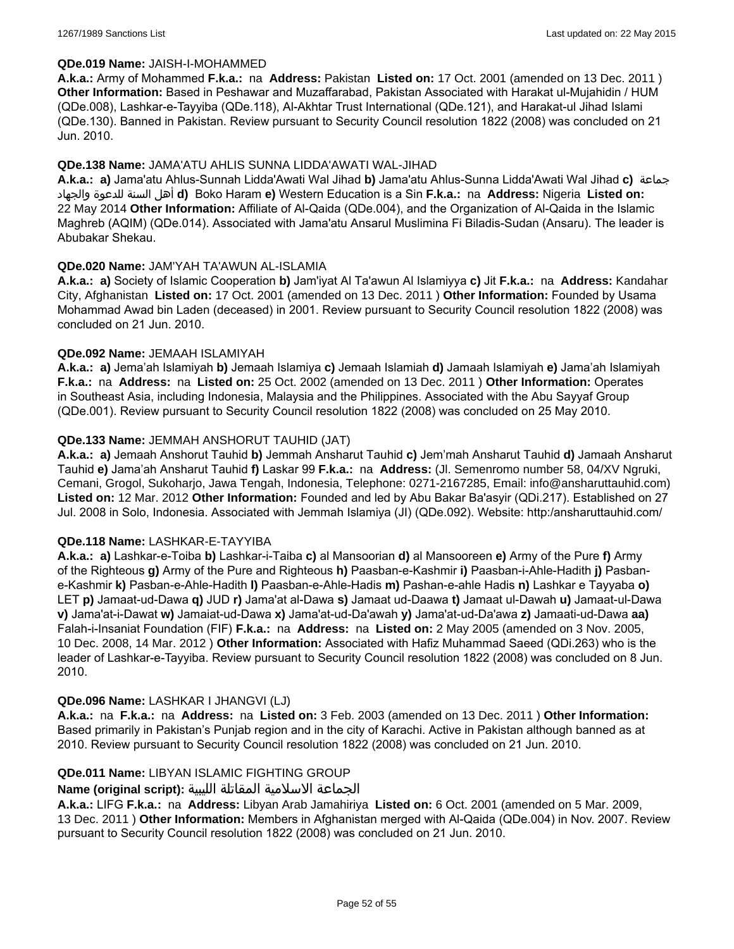#### **QDe.019 Name:** JAISH-I-MOHAMMED

**A.k.a.:** Army of Mohammed **F.k.a.:** na **Address:** Pakistan **Listed on:** 17 Oct. 2001 (amended on 13 Dec. 2011 ) **Other Information:** Based in Peshawar and Muzaffarabad, Pakistan Associated with Harakat ul-Mujahidin / HUM (QDe.008), Lashkar-e-Tayyiba (QDe.118), Al-Akhtar Trust International (QDe.121), and Harakat-ul Jihad Islami (QDe.130). Banned in Pakistan. Review pursuant to Security Council resolution 1822 (2008) was concluded on 21 Jun. 2010.

### **QDe.138 Name:** JAMA'ATU AHLIS SUNNA LIDDA'AWATI WAL-JIHAD

**A.k.a.: a)** Jama'atu Ahlus-Sunnah Lidda'Awati Wal Jihad **b)** Jama'atu Ahlus-Sunna Lidda'Awati Wal Jihad **c)** جماعة والجهاد للدعوة السنة أهل **d)** Boko Haram **e)** Western Education is a Sin **F.k.a.:** na **Address:** Nigeria **Listed on:** 22 May 2014 **Other Information:** Affiliate of Al-Qaida (QDe.004), and the Organization of Al-Qaida in the Islamic Maghreb (AQIM) (QDe.014). Associated with Jama'atu Ansarul Muslimina Fi Biladis-Sudan (Ansaru). The leader is Abubakar Shekau.

### **QDe.020 Name:** JAM'YAH TA'AWUN AL-ISLAMIA

**A.k.a.: a)** Society of Islamic Cooperation **b)** Jam'iyat Al Ta'awun Al Islamiyya **c)** Jit **F.k.a.:** na **Address:** Kandahar City, Afghanistan **Listed on:** 17 Oct. 2001 (amended on 13 Dec. 2011 ) **Other Information:** Founded by Usama Mohammad Awad bin Laden (deceased) in 2001. Review pursuant to Security Council resolution 1822 (2008) was concluded on 21 Jun. 2010.

### **QDe.092 Name:** JEMAAH ISLAMIYAH

**A.k.a.: a)** Jema'ah Islamiyah **b)** Jemaah Islamiya **c)** Jemaah Islamiah **d)** Jamaah Islamiyah **e)** Jama'ah Islamiyah **F.k.a.:** na **Address:** na **Listed on:** 25 Oct. 2002 (amended on 13 Dec. 2011 ) **Other Information:** Operates in Southeast Asia, including Indonesia, Malaysia and the Philippines. Associated with the Abu Sayyaf Group (QDe.001). Review pursuant to Security Council resolution 1822 (2008) was concluded on 25 May 2010.

### **QDe.133 Name:** JEMMAH ANSHORUT TAUHID (JAT)

**A.k.a.: a)** Jemaah Anshorut Tauhid **b)** Jemmah Ansharut Tauhid **c)** Jem'mah Ansharut Tauhid **d)** Jamaah Ansharut Tauhid **e)** Jama'ah Ansharut Tauhid **f)** Laskar 99 **F.k.a.:** na **Address:** (Jl. Semenromo number 58, 04/XV Ngruki, Cemani, Grogol, Sukoharjo, Jawa Tengah, Indonesia, Telephone: 0271-2167285, Email: info@ansharuttauhid.com) **Listed on:** 12 Mar. 2012 **Other Information:** Founded and led by Abu Bakar Ba'asyir (QDi.217). Established on 27 Jul. 2008 in Solo, Indonesia. Associated with Jemmah Islamiya (JI) (QDe.092). Website: http:/ansharuttauhid.com/

#### **QDe.118 Name:** LASHKAR-E-TAYYIBA

**A.k.a.: a)** Lashkar-e-Toiba **b)** Lashkar-i-Taiba **c)** al Mansoorian **d)** al Mansooreen **e)** Army of the Pure **f)** Army of the Righteous **g)** Army of the Pure and Righteous **h)** Paasban-e-Kashmir **i)** Paasban-i-Ahle-Hadith **j)** Pasbane-Kashmir **k)** Pasban-e-Ahle-Hadith **l)** Paasban-e-Ahle-Hadis **m)** Pashan-e-ahle Hadis **n)** Lashkar e Tayyaba **o)** LET **p)** Jamaat-ud-Dawa **q)** JUD **r)** Jama'at al-Dawa **s)** Jamaat ud-Daawa **t)** Jamaat ul-Dawah **u)** Jamaat-ul-Dawa **v)** Jama'at-i-Dawat **w)** Jamaiat-ud-Dawa **x)** Jama'at-ud-Da'awah **y)** Jama'at-ud-Da'awa **z)** Jamaati-ud-Dawa **aa)** Falah-i-Insaniat Foundation (FIF) **F.k.a.:** na **Address:** na **Listed on:** 2 May 2005 (amended on 3 Nov. 2005, 10 Dec. 2008, 14 Mar. 2012 ) **Other Information:** Associated with Hafiz Muhammad Saeed (QDi.263) who is the leader of Lashkar-e-Tayyiba. Review pursuant to Security Council resolution 1822 (2008) was concluded on 8 Jun. 2010.

#### **QDe.096 Name:** LASHKAR I JHANGVI (LJ)

**A.k.a.:** na **F.k.a.:** na **Address:** na **Listed on:** 3 Feb. 2003 (amended on 13 Dec. 2011 ) **Other Information:** Based primarily in Pakistan's Punjab region and in the city of Karachi. Active in Pakistan although banned as at 2010. Review pursuant to Security Council resolution 1822 (2008) was concluded on 21 Jun. 2010.

## **QDe.011 Name:** LIBYAN ISLAMIC FIGHTING GROUP

#### الجماعة الاسلامية المقاتلة الليبية **:(script original (Name**

**A.k.a.:** LIFG **F.k.a.:** na **Address:** Libyan Arab Jamahiriya **Listed on:** 6 Oct. 2001 (amended on 5 Mar. 2009, 13 Dec. 2011 ) **Other Information:** Members in Afghanistan merged with Al-Qaida (QDe.004) in Nov. 2007. Review pursuant to Security Council resolution 1822 (2008) was concluded on 21 Jun. 2010.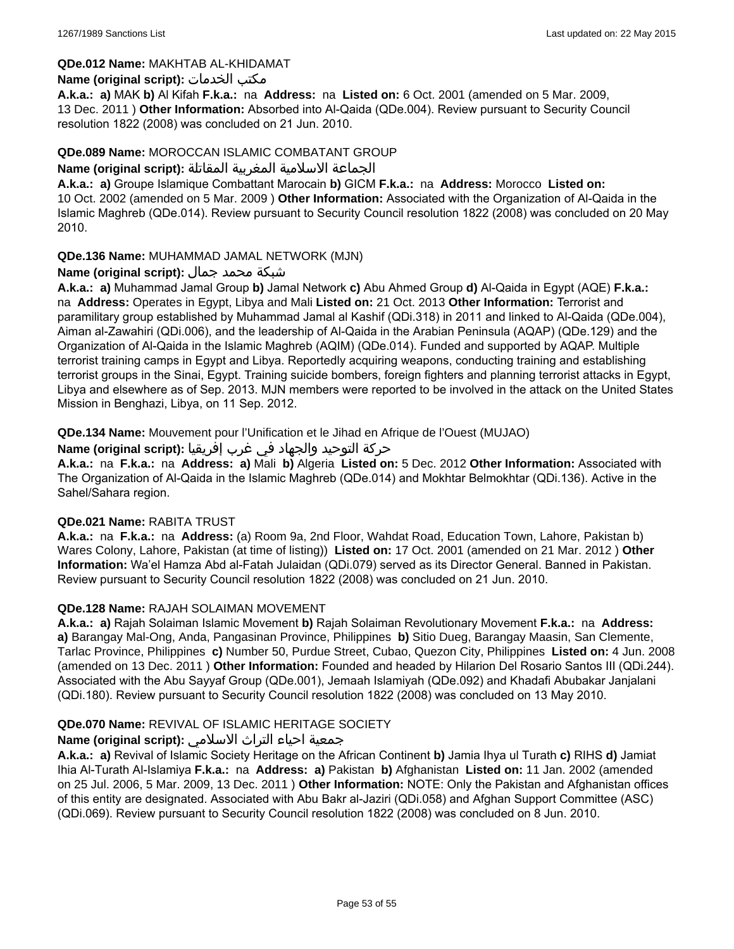### **QDe.012 Name:** MAKHTAB AL-KHIDAMAT

### **Name (original script):** الخدمات مكتب

**A.k.a.: a)** MAK **b)** Al Kifah **F.k.a.:** na **Address:** na **Listed on:** 6 Oct. 2001 (amended on 5 Mar. 2009, 13 Dec. 2011 ) **Other Information:** Absorbed into Al-Qaida (QDe.004). Review pursuant to Security Council resolution 1822 (2008) was concluded on 21 Jun. 2010.

### **QDe.089 Name:** MOROCCAN ISLAMIC COMBATANT GROUP

#### الجماعة الاسلامية المغربية المقاتلة **:(script original (Name**

**A.k.a.: a)** Groupe Islamique Combattant Marocain **b)** GICM **F.k.a.:** na **Address:** Morocco **Listed on:** 10 Oct. 2002 (amended on 5 Mar. 2009 ) **Other Information:** Associated with the Organization of Al-Qaida in the Islamic Maghreb (QDe.014). Review pursuant to Security Council resolution 1822 (2008) was concluded on 20 May 2010.

## **QDe.136 Name:** MUHAMMAD JAMAL NETWORK (MJN)

## شبكة محمد جمال **:(script original (Name**

**A.k.a.: a)** Muhammad Jamal Group **b)** Jamal Network **c)** Abu Ahmed Group **d)** Al-Qaida in Egypt (AQE) **F.k.a.:**  na **Address:** Operates in Egypt, Libya and Mali **Listed on:** 21 Oct. 2013 **Other Information:** Terrorist and paramilitary group established by Muhammad Jamal al Kashif (QDi.318) in 2011 and linked to Al-Qaida (QDe.004), Aiman al-Zawahiri (QDi.006), and the leadership of Al-Qaida in the Arabian Peninsula (AQAP) (QDe.129) and the Organization of Al-Qaida in the Islamic Maghreb (AQIM) (QDe.014). Funded and supported by AQAP. Multiple terrorist training camps in Egypt and Libya. Reportedly acquiring weapons, conducting training and establishing terrorist groups in the Sinai, Egypt. Training suicide bombers, foreign fighters and planning terrorist attacks in Egypt, Libya and elsewhere as of Sep. 2013. MJN members were reported to be involved in the attack on the United States Mission in Benghazi, Libya, on 11 Sep. 2012.

**QDe.134 Name:** Mouvement pour l'Unification et le Jihad en Afrique de l'Ouest (MUJAO)

حركة التوحيد والجهاد في غرب إفريقيا **:Name (original script)** 

**A.k.a.:** na **F.k.a.:** na **Address: a)** Mali **b)** Algeria **Listed on:** 5 Dec. 2012 **Other Information:** Associated with The Organization of Al-Qaida in the Islamic Maghreb (QDe.014) and Mokhtar Belmokhtar (QDi.136). Active in the Sahel/Sahara region.

#### **QDe.021 Name:** RABITA TRUST

**A.k.a.:** na **F.k.a.:** na **Address:** (a) Room 9a, 2nd Floor, Wahdat Road, Education Town, Lahore, Pakistan b) Wares Colony, Lahore, Pakistan (at time of listing)) **Listed on:** 17 Oct. 2001 (amended on 21 Mar. 2012 ) **Other Information:** Wa'el Hamza Abd al-Fatah Julaidan (QDi.079) served as its Director General. Banned in Pakistan. Review pursuant to Security Council resolution 1822 (2008) was concluded on 21 Jun. 2010.

## **QDe.128 Name:** RAJAH SOLAIMAN MOVEMENT

**A.k.a.: a)** Rajah Solaiman Islamic Movement **b)** Rajah Solaiman Revolutionary Movement **F.k.a.:** na **Address: a)** Barangay Mal-Ong, Anda, Pangasinan Province, Philippines **b)** Sitio Dueg, Barangay Maasin, San Clemente, Tarlac Province, Philippines **c)** Number 50, Purdue Street, Cubao, Quezon City, Philippines **Listed on:** 4 Jun. 2008 (amended on 13 Dec. 2011 ) **Other Information:** Founded and headed by Hilarion Del Rosario Santos III (QDi.244). Associated with the Abu Sayyaf Group (QDe.001), Jemaah Islamiyah (QDe.092) and Khadafi Abubakar Janjalani (QDi.180). Review pursuant to Security Council resolution 1822 (2008) was concluded on 13 May 2010.

## **QDe.070 Name:** REVIVAL OF ISLAMIC HERITAGE SOCIETY

## جمعية احياء التراث الاسلامي **:(script original (Name**

**A.k.a.: a)** Revival of Islamic Society Heritage on the African Continent **b)** Jamia Ihya ul Turath **c)** RIHS **d)** Jamiat Ihia Al-Turath Al-Islamiya **F.k.a.:** na **Address: a)** Pakistan **b)** Afghanistan **Listed on:** 11 Jan. 2002 (amended on 25 Jul. 2006, 5 Mar. 2009, 13 Dec. 2011 ) **Other Information:** NOTE: Only the Pakistan and Afghanistan offices of this entity are designated. Associated with Abu Bakr al-Jaziri (QDi.058) and Afghan Support Committee (ASC) (QDi.069). Review pursuant to Security Council resolution 1822 (2008) was concluded on 8 Jun. 2010.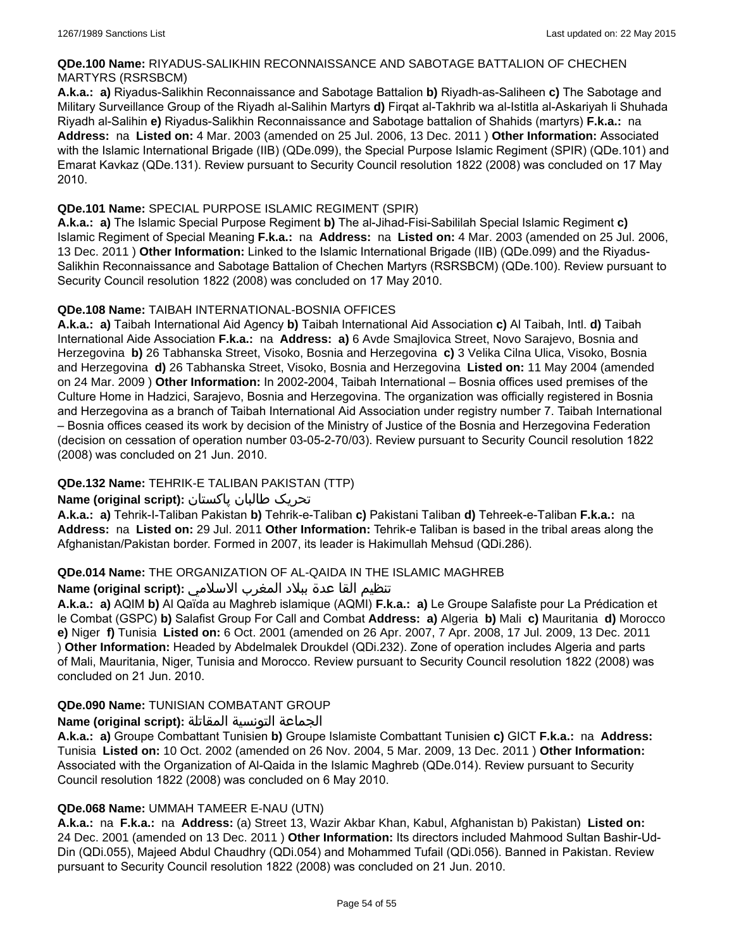## **QDe.100 Name:** RIYADUS-SALIKHIN RECONNAISSANCE AND SABOTAGE BATTALION OF CHECHEN MARTYRS (RSRSBCM)

**A.k.a.: a)** Riyadus-Salikhin Reconnaissance and Sabotage Battalion **b)** Riyadh-as-Saliheen **c)** The Sabotage and Military Surveillance Group of the Riyadh al-Salihin Martyrs **d)** Firqat al-Takhrib wa al-Istitla al-Askariyah li Shuhada Riyadh al-Salihin **e)** Riyadus-Salikhin Reconnaissance and Sabotage battalion of Shahids (martyrs) **F.k.a.:** na **Address:** na **Listed on:** 4 Mar. 2003 (amended on 25 Jul. 2006, 13 Dec. 2011 ) **Other Information:** Associated with the Islamic International Brigade (IIB) (QDe.099), the Special Purpose Islamic Regiment (SPIR) (QDe.101) and Emarat Kavkaz (QDe.131). Review pursuant to Security Council resolution 1822 (2008) was concluded on 17 May 2010.

## **QDe.101 Name:** SPECIAL PURPOSE ISLAMIC REGIMENT (SPIR)

**A.k.a.: a)** The Islamic Special Purpose Regiment **b)** The al-Jihad-Fisi-Sabililah Special Islamic Regiment **c)** Islamic Regiment of Special Meaning **F.k.a.:** na **Address:** na **Listed on:** 4 Mar. 2003 (amended on 25 Jul. 2006, 13 Dec. 2011 ) **Other Information:** Linked to the Islamic International Brigade (IIB) (QDe.099) and the Riyadus-Salikhin Reconnaissance and Sabotage Battalion of Chechen Martyrs (RSRSBCM) (QDe.100). Review pursuant to Security Council resolution 1822 (2008) was concluded on 17 May 2010.

## **QDe.108 Name:** TAIBAH INTERNATIONAL-BOSNIA OFFICES

**A.k.a.: a)** Taibah International Aid Agency **b)** Taibah International Aid Association **c)** Al Taibah, Intl. **d)** Taibah International Aide Association **F.k.a.:** na **Address: a)** 6 Avde Smajlovica Street, Novo Sarajevo, Bosnia and Herzegovina **b)** 26 Tabhanska Street, Visoko, Bosnia and Herzegovina **c)** 3 Velika Cilna Ulica, Visoko, Bosnia and Herzegovina **d)** 26 Tabhanska Street, Visoko, Bosnia and Herzegovina **Listed on:** 11 May 2004 (amended on 24 Mar. 2009 ) **Other Information:** In 2002-2004, Taibah International – Bosnia offices used premises of the Culture Home in Hadzici, Sarajevo, Bosnia and Herzegovina. The organization was officially registered in Bosnia and Herzegovina as a branch of Taibah International Aid Association under registry number 7. Taibah International – Bosnia offices ceased its work by decision of the Ministry of Justice of the Bosnia and Herzegovina Federation (decision on cessation of operation number 03-05-2-70/03). Review pursuant to Security Council resolution 1822 (2008) was concluded on 21 Jun. 2010.

## **QDe.132 Name:** TEHRIK-E TALIBAN PAKISTAN (TTP)

## تحریک طالبان پاکستان **:(script original (Name**

**A.k.a.: a)** Tehrik-I-Taliban Pakistan **b)** Tehrik-e-Taliban **c)** Pakistani Taliban **d)** Tehreek-e-Taliban **F.k.a.:** na **Address:** na **Listed on:** 29 Jul. 2011 **Other Information:** Tehrik-e Taliban is based in the tribal areas along the Afghanistan/Pakistan border. Formed in 2007, its leader is Hakimullah Mehsud (QDi.286).

## **QDe.014 Name:** THE ORGANIZATION OF AL-QAIDA IN THE ISLAMIC MAGHREB

## تنظيم القا عدة ببلاد المغرب الاسلامي **:(script original (Name**

**A.k.a.: a)** AQIM **b)** Al Qaïda au Maghreb islamique (AQMI) **F.k.a.: a)** Le Groupe Salafiste pour La Prédication et le Combat (GSPC) **b)** Salafist Group For Call and Combat **Address: a)** Algeria **b)** Mali **c)** Mauritania **d)** Morocco **e)** Niger **f)** Tunisia **Listed on:** 6 Oct. 2001 (amended on 26 Apr. 2007, 7 Apr. 2008, 17 Jul. 2009, 13 Dec. 2011 ) **Other Information:** Headed by Abdelmalek Droukdel (QDi.232). Zone of operation includes Algeria and parts of Mali, Mauritania, Niger, Tunisia and Morocco. Review pursuant to Security Council resolution 1822 (2008) was concluded on 21 Jun. 2010.

## **QDe.090 Name:** TUNISIAN COMBATANT GROUP

## الجماعة التونسية المقاتلة **:(script original (Name**

**A.k.a.: a)** Groupe Combattant Tunisien **b)** Groupe Islamiste Combattant Tunisien **c)** GICT **F.k.a.:** na **Address:** Tunisia **Listed on:** 10 Oct. 2002 (amended on 26 Nov. 2004, 5 Mar. 2009, 13 Dec. 2011 ) **Other Information:** Associated with the Organization of Al-Qaida in the Islamic Maghreb (QDe.014). Review pursuant to Security Council resolution 1822 (2008) was concluded on 6 May 2010.

## **QDe.068 Name:** UMMAH TAMEER E-NAU (UTN)

**A.k.a.:** na **F.k.a.:** na **Address:** (a) Street 13, Wazir Akbar Khan, Kabul, Afghanistan b) Pakistan) **Listed on:** 24 Dec. 2001 (amended on 13 Dec. 2011 ) **Other Information:** Its directors included Mahmood Sultan Bashir-Ud-Din (QDi.055), Majeed Abdul Chaudhry (QDi.054) and Mohammed Tufail (QDi.056). Banned in Pakistan. Review pursuant to Security Council resolution 1822 (2008) was concluded on 21 Jun. 2010.